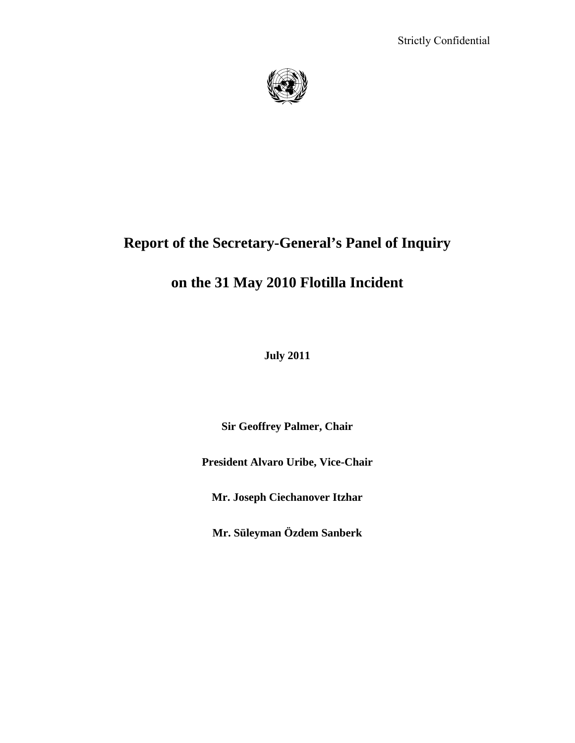

# **Report of the Secretary-General's Panel of Inquiry**

# **on the 31 May 2010 Flotilla Incident**

**July 2011** 

**Sir Geoffrey Palmer, Chair** 

**President Alvaro Uribe, Vice-Chair** 

**Mr. Joseph Ciechanover Itzhar** 

**Mr. Süleyman Özdem Sanberk**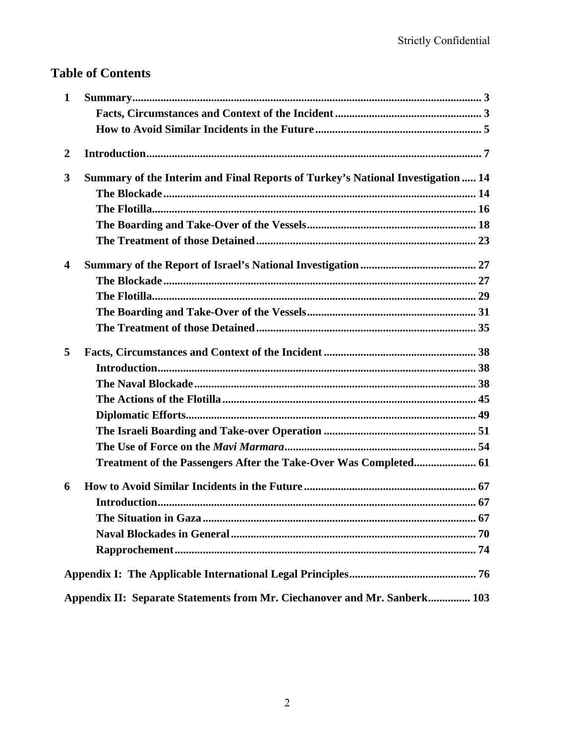# **Table of Contents**

| $\mathbf{1}$                                                              |                                                                                |
|---------------------------------------------------------------------------|--------------------------------------------------------------------------------|
|                                                                           |                                                                                |
|                                                                           |                                                                                |
| $\boldsymbol{2}$                                                          |                                                                                |
| 3                                                                         | Summary of the Interim and Final Reports of Turkey's National Investigation 14 |
|                                                                           |                                                                                |
|                                                                           |                                                                                |
|                                                                           |                                                                                |
|                                                                           |                                                                                |
| $\overline{\mathbf{4}}$                                                   |                                                                                |
|                                                                           |                                                                                |
|                                                                           |                                                                                |
|                                                                           |                                                                                |
|                                                                           |                                                                                |
| 5                                                                         |                                                                                |
|                                                                           |                                                                                |
|                                                                           |                                                                                |
|                                                                           |                                                                                |
|                                                                           |                                                                                |
|                                                                           |                                                                                |
|                                                                           |                                                                                |
|                                                                           |                                                                                |
| 6                                                                         |                                                                                |
|                                                                           |                                                                                |
|                                                                           |                                                                                |
|                                                                           |                                                                                |
|                                                                           |                                                                                |
|                                                                           |                                                                                |
| Appendix II: Separate Statements from Mr. Ciechanover and Mr. Sanberk 103 |                                                                                |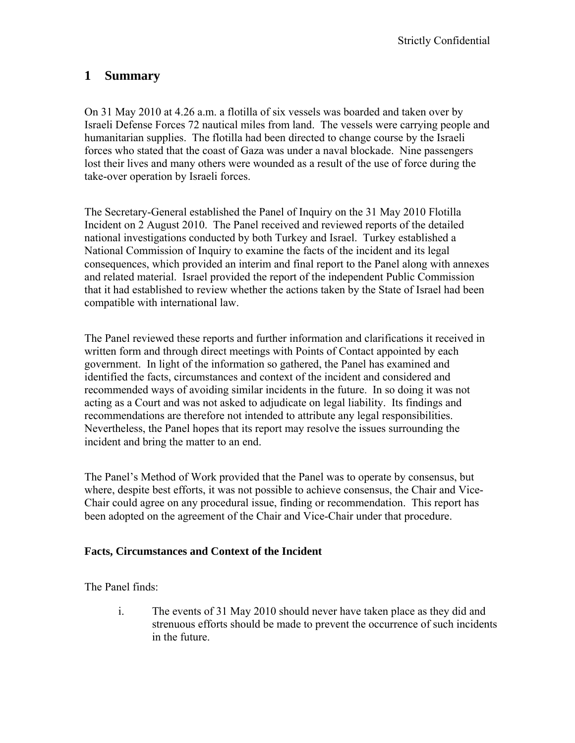## <span id="page-2-0"></span>**1 Summary**

On 31 May 2010 at 4.26 a.m. a flotilla of six vessels was boarded and taken over by Israeli Defense Forces 72 nautical miles from land. The vessels were carrying people and humanitarian supplies. The flotilla had been directed to change course by the Israeli forces who stated that the coast of Gaza was under a naval blockade. Nine passengers lost their lives and many others were wounded as a result of the use of force during the take-over operation by Israeli forces.

The Secretary-General established the Panel of Inquiry on the 31 May 2010 Flotilla Incident on 2 August 2010. The Panel received and reviewed reports of the detailed national investigations conducted by both Turkey and Israel. Turkey established a National Commission of Inquiry to examine the facts of the incident and its legal consequences, which provided an interim and final report to the Panel along with annexes and related material. Israel provided the report of the independent Public Commission that it had established to review whether the actions taken by the State of Israel had been compatible with international law.

The Panel reviewed these reports and further information and clarifications it received in written form and through direct meetings with Points of Contact appointed by each government. In light of the information so gathered, the Panel has examined and identified the facts, circumstances and context of the incident and considered and recommended ways of avoiding similar incidents in the future. In so doing it was not acting as a Court and was not asked to adjudicate on legal liability. Its findings and recommendations are therefore not intended to attribute any legal responsibilities. Nevertheless, the Panel hopes that its report may resolve the issues surrounding the incident and bring the matter to an end.

The Panel's Method of Work provided that the Panel was to operate by consensus, but where, despite best efforts, it was not possible to achieve consensus, the Chair and Vice-Chair could agree on any procedural issue, finding or recommendation. This report has been adopted on the agreement of the Chair and Vice-Chair under that procedure.

### <span id="page-2-1"></span>**Facts, Circumstances and Context of the Incident**

The Panel finds:

i. The events of 31 May 2010 should never have taken place as they did and strenuous efforts should be made to prevent the occurrence of such incidents in the future.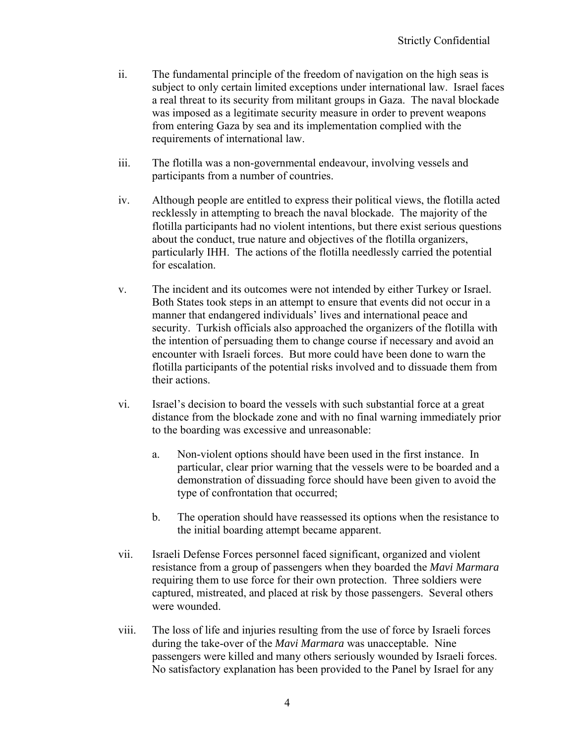- ii. The fundamental principle of the freedom of navigation on the high seas is subject to only certain limited exceptions under international law. Israel faces a real threat to its security from militant groups in Gaza. The naval blockade was imposed as a legitimate security measure in order to prevent weapons from entering Gaza by sea and its implementation complied with the requirements of international law.
- iii. The flotilla was a non-governmental endeavour, involving vessels and participants from a number of countries.
- iv. Although people are entitled to express their political views, the flotilla acted recklessly in attempting to breach the naval blockade. The majority of the flotilla participants had no violent intentions, but there exist serious questions about the conduct, true nature and objectives of the flotilla organizers, particularly IHH. The actions of the flotilla needlessly carried the potential for escalation.
- v. The incident and its outcomes were not intended by either Turkey or Israel. Both States took steps in an attempt to ensure that events did not occur in a manner that endangered individuals' lives and international peace and security. Turkish officials also approached the organizers of the flotilla with the intention of persuading them to change course if necessary and avoid an encounter with Israeli forces. But more could have been done to warn the flotilla participants of the potential risks involved and to dissuade them from their actions.
- vi. Israel's decision to board the vessels with such substantial force at a great distance from the blockade zone and with no final warning immediately prior to the boarding was excessive and unreasonable:
	- a. Non-violent options should have been used in the first instance. In particular, clear prior warning that the vessels were to be boarded and a demonstration of dissuading force should have been given to avoid the type of confrontation that occurred;
	- b. The operation should have reassessed its options when the resistance to the initial boarding attempt became apparent.
- vii. Israeli Defense Forces personnel faced significant, organized and violent resistance from a group of passengers when they boarded the *Mavi Marmara* requiring them to use force for their own protection. Three soldiers were captured, mistreated, and placed at risk by those passengers. Several others were wounded.
- viii. The loss of life and injuries resulting from the use of force by Israeli forces during the take-over of the *Mavi Marmara* was unacceptable*.* Nine passengers were killed and many others seriously wounded by Israeli forces. No satisfactory explanation has been provided to the Panel by Israel for any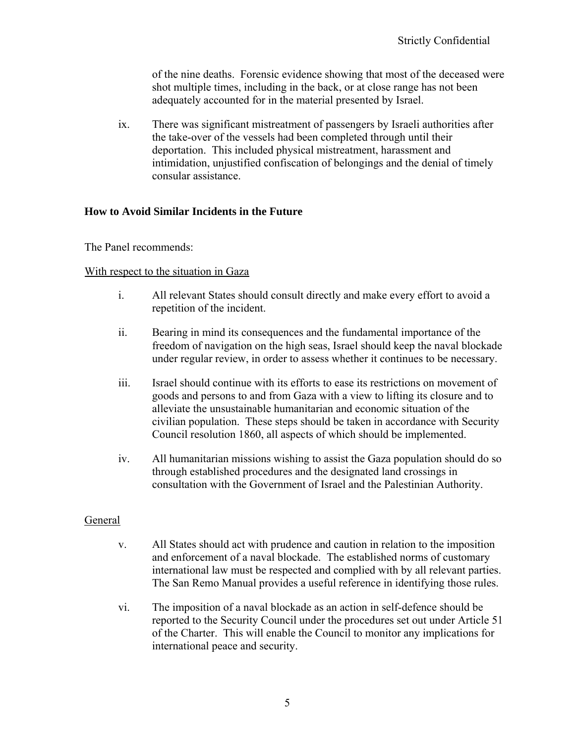of the nine deaths. Forensic evidence showing that most of the deceased were shot multiple times, including in the back, or at close range has not been adequately accounted for in the material presented by Israel.

ix. There was significant mistreatment of passengers by Israeli authorities after the take-over of the vessels had been completed through until their deportation. This included physical mistreatment, harassment and intimidation, unjustified confiscation of belongings and the denial of timely consular assistance.

### <span id="page-4-0"></span>**How to Avoid Similar Incidents in the Future**

The Panel recommends:

#### With respect to the situation in Gaza

- i. All relevant States should consult directly and make every effort to avoid a repetition of the incident.
- ii. Bearing in mind its consequences and the fundamental importance of the freedom of navigation on the high seas, Israel should keep the naval blockade under regular review, in order to assess whether it continues to be necessary.
- iii. Israel should continue with its efforts to ease its restrictions on movement of goods and persons to and from Gaza with a view to lifting its closure and to alleviate the unsustainable humanitarian and economic situation of the civilian population. These steps should be taken in accordance with Security Council resolution 1860, all aspects of which should be implemented.
- iv. All humanitarian missions wishing to assist the Gaza population should do so through established procedures and the designated land crossings in consultation with the Government of Israel and the Palestinian Authority.

### General

- v. All States should act with prudence and caution in relation to the imposition and enforcement of a naval blockade. The established norms of customary international law must be respected and complied with by all relevant parties. The San Remo Manual provides a useful reference in identifying those rules.
- vi. The imposition of a naval blockade as an action in self-defence should be reported to the Security Council under the procedures set out under Article 51 of the Charter. This will enable the Council to monitor any implications for international peace and security.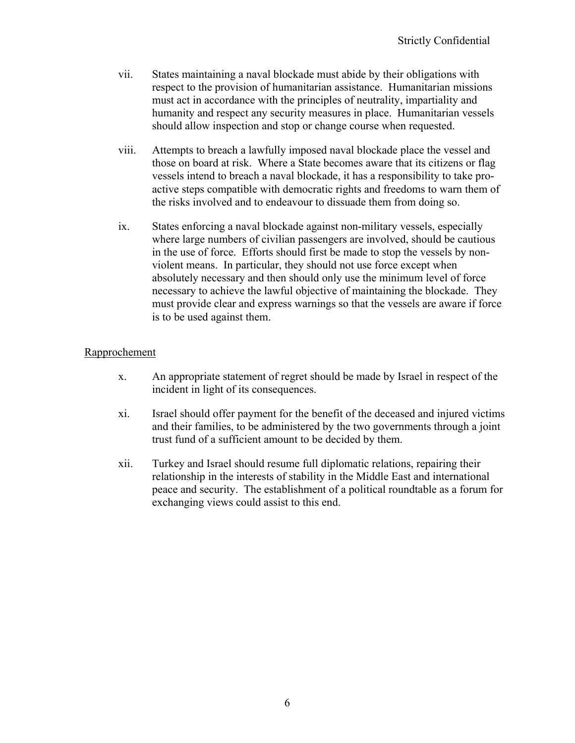- vii. States maintaining a naval blockade must abide by their obligations with respect to the provision of humanitarian assistance. Humanitarian missions must act in accordance with the principles of neutrality, impartiality and humanity and respect any security measures in place. Humanitarian vessels should allow inspection and stop or change course when requested.
- viii. Attempts to breach a lawfully imposed naval blockade place the vessel and those on board at risk. Where a State becomes aware that its citizens or flag vessels intend to breach a naval blockade, it has a responsibility to take proactive steps compatible with democratic rights and freedoms to warn them of the risks involved and to endeavour to dissuade them from doing so.
- ix. States enforcing a naval blockade against non-military vessels, especially where large numbers of civilian passengers are involved, should be cautious in the use of force. Efforts should first be made to stop the vessels by nonviolent means. In particular, they should not use force except when absolutely necessary and then should only use the minimum level of force necessary to achieve the lawful objective of maintaining the blockade. They must provide clear and express warnings so that the vessels are aware if force is to be used against them.

#### Rapprochement

- x. An appropriate statement of regret should be made by Israel in respect of the incident in light of its consequences.
- xi. Israel should offer payment for the benefit of the deceased and injured victims and their families, to be administered by the two governments through a joint trust fund of a sufficient amount to be decided by them.
- xii. Turkey and Israel should resume full diplomatic relations, repairing their relationship in the interests of stability in the Middle East and international peace and security. The establishment of a political roundtable as a forum for exchanging views could assist to this end.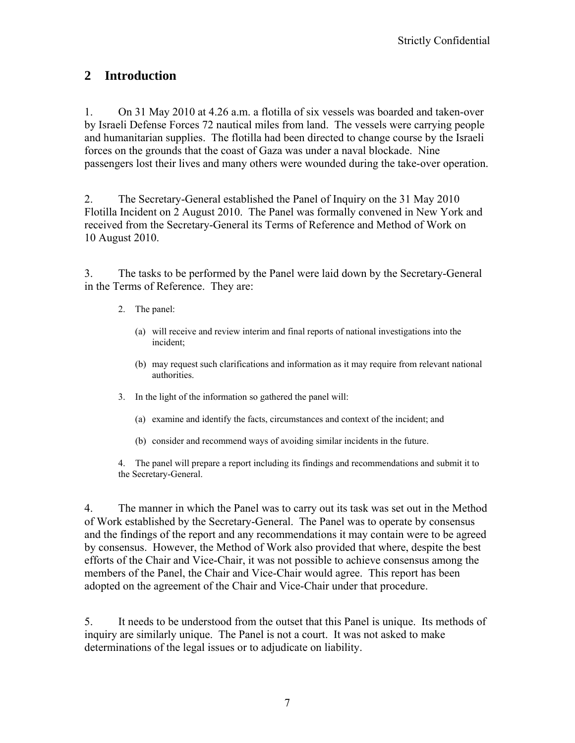# <span id="page-6-0"></span>**2 Introduction**

1. On 31 May 2010 at 4.26 a.m. a flotilla of six vessels was boarded and taken-over by Israeli Defense Forces 72 nautical miles from land. The vessels were carrying people and humanitarian supplies. The flotilla had been directed to change course by the Israeli forces on the grounds that the coast of Gaza was under a naval blockade. Nine passengers lost their lives and many others were wounded during the take-over operation.

2. The Secretary-General established the Panel of Inquiry on the 31 May 2010 Flotilla Incident on 2 August 2010. The Panel was formally convened in New York and received from the Secretary-General its Terms of Reference and Method of Work on 10 August 2010.

3. The tasks to be performed by the Panel were laid down by the Secretary-General in the Terms of Reference. They are:

- 2. The panel:
	- (a) will receive and review interim and final reports of national investigations into the incident;
	- (b) may request such clarifications and information as it may require from relevant national authorities.
- 3. In the light of the information so gathered the panel will:
	- (a) examine and identify the facts, circumstances and context of the incident; and
	- (b) consider and recommend ways of avoiding similar incidents in the future.

4. The panel will prepare a report including its findings and recommendations and submit it to the Secretary-General.

4. The manner in which the Panel was to carry out its task was set out in the Method of Work established by the Secretary-General. The Panel was to operate by consensus and the findings of the report and any recommendations it may contain were to be agreed by consensus. However, the Method of Work also provided that where, despite the best efforts of the Chair and Vice-Chair, it was not possible to achieve consensus among the members of the Panel, the Chair and Vice-Chair would agree. This report has been adopted on the agreement of the Chair and Vice-Chair under that procedure.

5. It needs to be understood from the outset that this Panel is unique. Its methods of inquiry are similarly unique. The Panel is not a court. It was not asked to make determinations of the legal issues or to adjudicate on liability.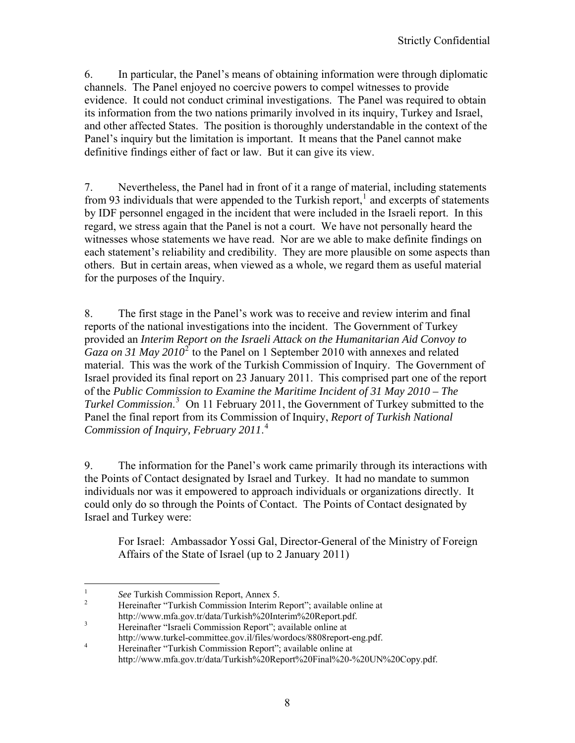6. In particular, the Panel's means of obtaining information were through diplomatic channels. The Panel enjoyed no coercive powers to compel witnesses to provide evidence. It could not conduct criminal investigations. The Panel was required to obtain its information from the two nations primarily involved in its inquiry, Turkey and Israel, and other affected States. The position is thoroughly understandable in the context of the Panel's inquiry but the limitation is important. It means that the Panel cannot make definitive findings either of fact or law. But it can give its view.

7. Nevertheless, the Panel had in front of it a range of material, including statements from 93 individuals that were appended to the Turkish report,<sup>[1](#page-7-0)</sup> and excerpts of statements by IDF personnel engaged in the incident that were included in the Israeli report. In this regard, we stress again that the Panel is not a court. We have not personally heard the witnesses whose statements we have read. Nor are we able to make definite findings on each statement's reliability and credibility. They are more plausible on some aspects than others. But in certain areas, when viewed as a whole, we regard them as useful material for the purposes of the Inquiry.

8. The first stage in the Panel's work was to receive and review interim and final reports of the national investigations into the incident. The Government of Turkey provided an *Interim Report on the Israeli Attack on the Humanitarian Aid Convoy to Gaza on 31 May [2](#page-7-1)010*<sup>2</sup> to the Panel on 1 September 2010 with annexes and related material. This was the work of the Turkish Commission of Inquiry. The Government of Israel provided its final report on 23 January 2011. This comprised part one of the report of the *Public Commission to Examine the Maritime Incident of 31 May 2010 – The Turkel Commission*. [3](#page-7-2) On 11 February 2011, the Government of Turkey submitted to the Panel the final report from its Commission of Inquiry, *Report of Turkish National Commission of Inquiry, February 2011*. [4](#page-7-3)

9. The information for the Panel's work came primarily through its interactions with the Points of Contact designated by Israel and Turkey. It had no mandate to summon individuals nor was it empowered to approach individuals or organizations directly. It could only do so through the Points of Contact. The Points of Contact designated by Israel and Turkey were:

For Israel: Ambassador Yossi Gal, Director-General of the Ministry of Foreign Affairs of the State of Israel (up to 2 January 2011)

Hereinafter "Israeli Commission Report"; available online at

<span id="page-7-3"></span><span id="page-7-2"></span>http://www.turkel-committee.gov.il/files/wordocs/8808report-eng.pdf.<br>
Hereing for "Turkigh Commission Benert": evoluable caline at

 Hereinafter "Turkish Commission Report"; available online at http://www.mfa.gov.tr/data/Turkish%20Report%20Final%20-%20UN%20Copy.pdf.

<span id="page-7-0"></span> $\frac{1}{1}$ <sup>1</sup> See Turkish Commission Report, Annex 5.

<span id="page-7-1"></span>Hereinafter "Turkish Commission Interim Report"; available online at http://www.mfa.gov.tr/data/Turkish%20Interim%20Report.pdf.<br><sup>3</sup> Hereinafter "Israeli Commission Report"; available online at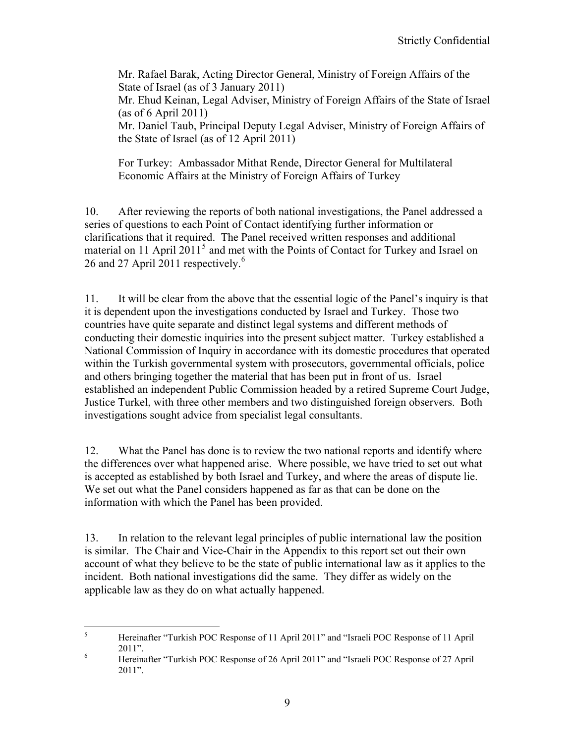Mr. Rafael Barak, Acting Director General, Ministry of Foreign Affairs of the State of Israel (as of 3 January 2011) Mr. Ehud Keinan, Legal Adviser, Ministry of Foreign Affairs of the State of Israel (as of 6 April 2011) Mr. Daniel Taub, Principal Deputy Legal Adviser, Ministry of Foreign Affairs of the State of Israel (as of 12 April 2011)

For Turkey: Ambassador Mithat Rende, Director General for Multilateral Economic Affairs at the Ministry of Foreign Affairs of Turkey

10. After reviewing the reports of both national investigations, the Panel addressed a series of questions to each Point of Contact identifying further information or clarifications that it required. The Panel received written responses and additional material on 11 April  $2011<sup>5</sup>$  $2011<sup>5</sup>$  $2011<sup>5</sup>$  and met with the Points of Contact for Turkey and Israel on 2[6](#page-8-1) and 27 April 2011 respectively.<sup>6</sup>

11. It will be clear from the above that the essential logic of the Panel's inquiry is that it is dependent upon the investigations conducted by Israel and Turkey. Those two countries have quite separate and distinct legal systems and different methods of conducting their domestic inquiries into the present subject matter. Turkey established a National Commission of Inquiry in accordance with its domestic procedures that operated within the Turkish governmental system with prosecutors, governmental officials, police and others bringing together the material that has been put in front of us. Israel established an independent Public Commission headed by a retired Supreme Court Judge, Justice Turkel, with three other members and two distinguished foreign observers. Both investigations sought advice from specialist legal consultants.

12. What the Panel has done is to review the two national reports and identify where the differences over what happened arise. Where possible, we have tried to set out what is accepted as established by both Israel and Turkey, and where the areas of dispute lie. We set out what the Panel considers happened as far as that can be done on the information with which the Panel has been provided.

13. In relation to the relevant legal principles of public international law the position is similar. The Chair and Vice-Chair in the Appendix to this report set out their own account of what they believe to be the state of public international law as it applies to the incident. Both national investigations did the same. They differ as widely on the applicable law as they do on what actually happened.

<span id="page-8-0"></span> $\frac{1}{5}$  Hereinafter "Turkish POC Response of 11 April 2011" and "Israeli POC Response of 11 April  $\frac{2011"}{\text{Herein}}$ 

<span id="page-8-1"></span>Hereinafter "Turkish POC Response of 26 April 2011" and "Israeli POC Response of 27 April 2011".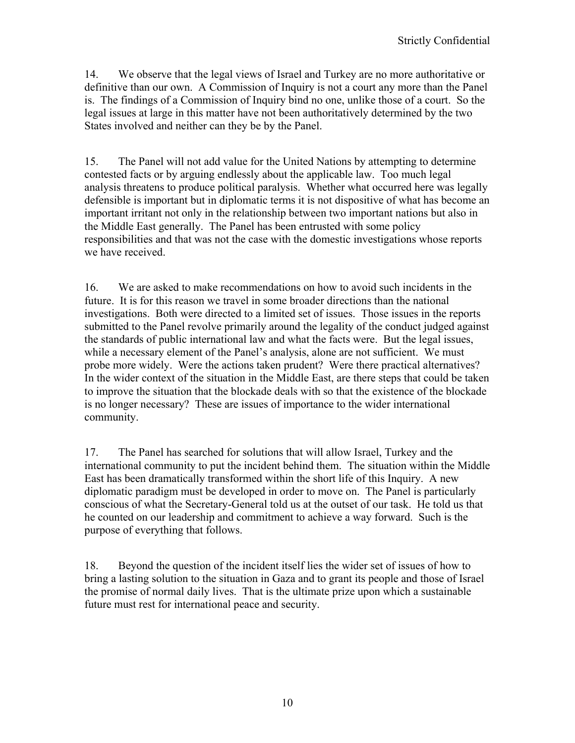14. We observe that the legal views of Israel and Turkey are no more authoritative or definitive than our own. A Commission of Inquiry is not a court any more than the Panel is. The findings of a Commission of Inquiry bind no one, unlike those of a court. So the legal issues at large in this matter have not been authoritatively determined by the two States involved and neither can they be by the Panel.

15. The Panel will not add value for the United Nations by attempting to determine contested facts or by arguing endlessly about the applicable law. Too much legal analysis threatens to produce political paralysis. Whether what occurred here was legally defensible is important but in diplomatic terms it is not dispositive of what has become an important irritant not only in the relationship between two important nations but also in the Middle East generally. The Panel has been entrusted with some policy responsibilities and that was not the case with the domestic investigations whose reports we have received.

16. We are asked to make recommendations on how to avoid such incidents in the future. It is for this reason we travel in some broader directions than the national investigations. Both were directed to a limited set of issues. Those issues in the reports submitted to the Panel revolve primarily around the legality of the conduct judged against the standards of public international law and what the facts were. But the legal issues, while a necessary element of the Panel's analysis, alone are not sufficient. We must probe more widely. Were the actions taken prudent? Were there practical alternatives? In the wider context of the situation in the Middle East, are there steps that could be taken to improve the situation that the blockade deals with so that the existence of the blockade is no longer necessary? These are issues of importance to the wider international community.

17. The Panel has searched for solutions that will allow Israel, Turkey and the international community to put the incident behind them. The situation within the Middle East has been dramatically transformed within the short life of this Inquiry. A new diplomatic paradigm must be developed in order to move on. The Panel is particularly conscious of what the Secretary-General told us at the outset of our task. He told us that he counted on our leadership and commitment to achieve a way forward. Such is the purpose of everything that follows.

18. Beyond the question of the incident itself lies the wider set of issues of how to bring a lasting solution to the situation in Gaza and to grant its people and those of Israel the promise of normal daily lives. That is the ultimate prize upon which a sustainable future must rest for international peace and security.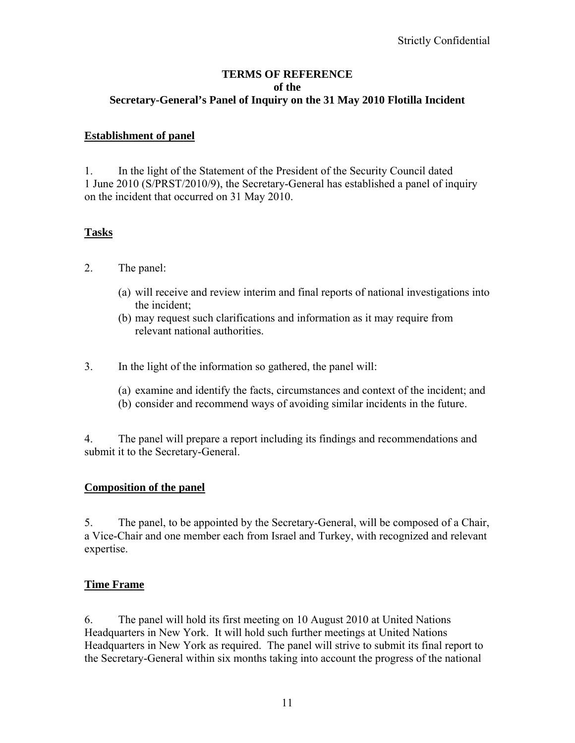#### **TERMS OF REFERENCE of the Secretary-General's Panel of Inquiry on the 31 May 2010 Flotilla Incident**

## **Establishment of panel**

1. In the light of the Statement of the President of the Security Council dated 1 June 2010 (S/PRST/2010/9), the Secretary-General has established a panel of inquiry on the incident that occurred on 31 May 2010.

## **Tasks**

- 2. The panel:
	- (a) will receive and review interim and final reports of national investigations into the incident;
	- (b) may request such clarifications and information as it may require from relevant national authorities.
- 3. In the light of the information so gathered, the panel will:
	- (a) examine and identify the facts, circumstances and context of the incident; and
	- (b) consider and recommend ways of avoiding similar incidents in the future.

4. The panel will prepare a report including its findings and recommendations and submit it to the Secretary-General.

### **Composition of the panel**

5. The panel, to be appointed by the Secretary-General, will be composed of a Chair, a Vice-Chair and one member each from Israel and Turkey, with recognized and relevant expertise.

## **Time Frame**

6. The panel will hold its first meeting on 10 August 2010 at United Nations Headquarters in New York. It will hold such further meetings at United Nations Headquarters in New York as required. The panel will strive to submit its final report to the Secretary-General within six months taking into account the progress of the national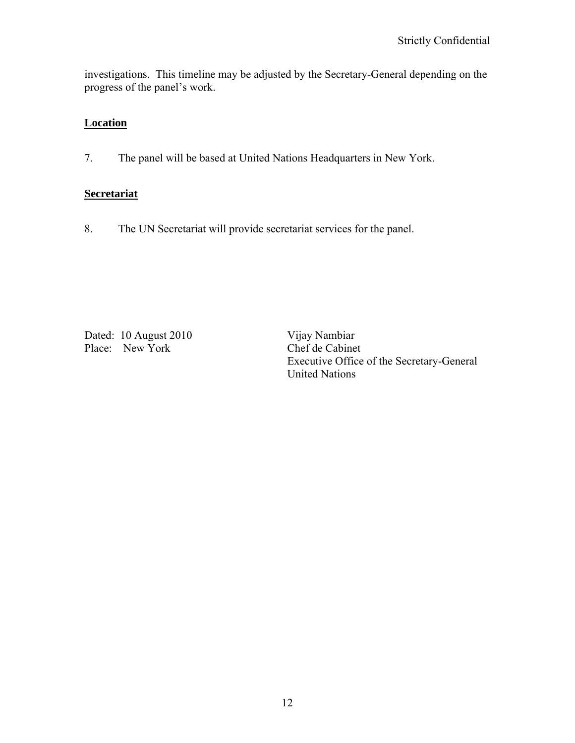investigations. This timeline may be adjusted by the Secretary-General depending on the progress of the panel's work.

## **Location**

7. The panel will be based at United Nations Headquarters in New York.

## **Secretariat**

8. The UN Secretariat will provide secretariat services for the panel.

Dated: 10 August 2010 Vijay Nambiar<br>Place: New York Chef de Cabinet Place: New York

 Executive Office of the Secretary-General United Nations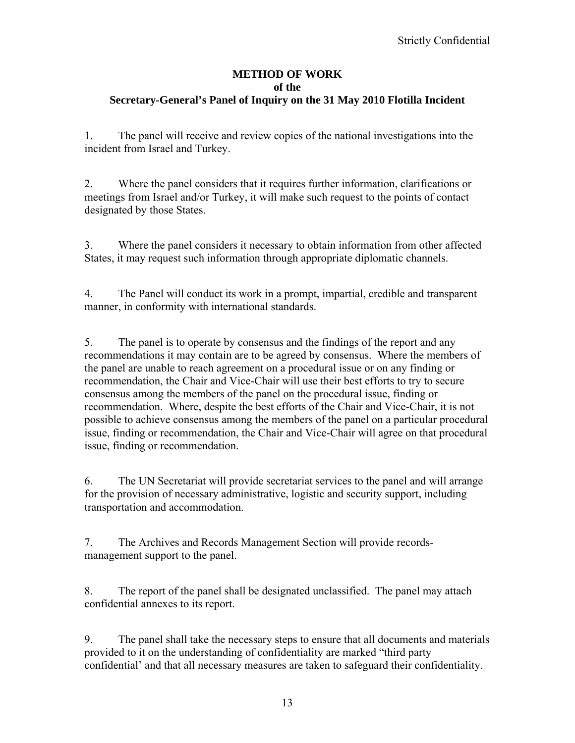#### **METHOD OF WORK of the Secretary-General's Panel of Inquiry on the 31 May 2010 Flotilla Incident**

1. The panel will receive and review copies of the national investigations into the incident from Israel and Turkey.

2. Where the panel considers that it requires further information, clarifications or meetings from Israel and/or Turkey, it will make such request to the points of contact designated by those States.

3. Where the panel considers it necessary to obtain information from other affected States, it may request such information through appropriate diplomatic channels.

4. The Panel will conduct its work in a prompt, impartial, credible and transparent manner, in conformity with international standards.

5. The panel is to operate by consensus and the findings of the report and any recommendations it may contain are to be agreed by consensus. Where the members of the panel are unable to reach agreement on a procedural issue or on any finding or recommendation, the Chair and Vice-Chair will use their best efforts to try to secure consensus among the members of the panel on the procedural issue, finding or recommendation. Where, despite the best efforts of the Chair and Vice-Chair, it is not possible to achieve consensus among the members of the panel on a particular procedural issue, finding or recommendation, the Chair and Vice-Chair will agree on that procedural issue, finding or recommendation.

6. The UN Secretariat will provide secretariat services to the panel and will arrange for the provision of necessary administrative, logistic and security support, including transportation and accommodation.

7. The Archives and Records Management Section will provide recordsmanagement support to the panel.

8. The report of the panel shall be designated unclassified. The panel may attach confidential annexes to its report.

9. The panel shall take the necessary steps to ensure that all documents and materials provided to it on the understanding of confidentiality are marked "third party confidential' and that all necessary measures are taken to safeguard their confidentiality.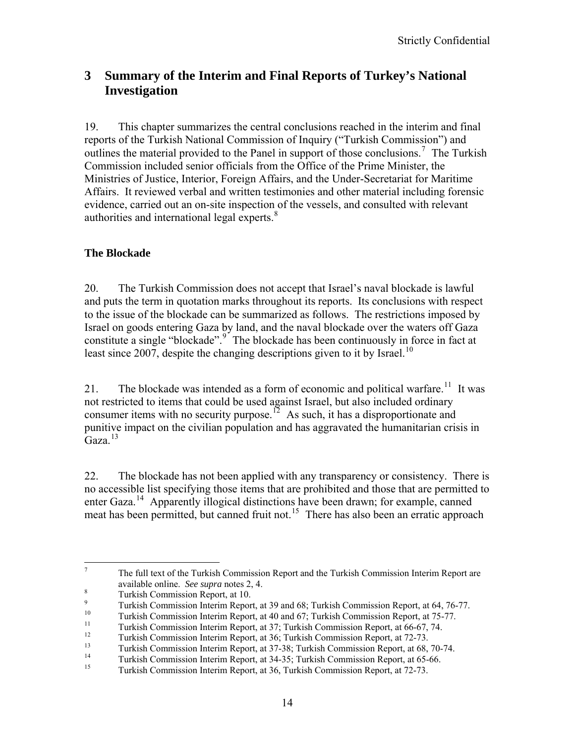# <span id="page-13-0"></span>**3 Summary of the Interim and Final Reports of Turkey's National Investigation**

19. This chapter summarizes the central conclusions reached in the interim and final reports of the Turkish National Commission of Inquiry ("Turkish Commission") and outlines the material provided to the Panel in support of those conclusions.<sup>[7](#page-13-2)</sup> The Turkish Commission included senior officials from the Office of the Prime Minister, the Ministries of Justice, Interior, Foreign Affairs, and the Under-Secretariat for Maritime Affairs. It reviewed verbal and written testimonies and other material including forensic evidence, carried out an on-site inspection of the vessels, and consulted with relevant authorities and international legal experts.<sup>[8](#page-13-3)</sup>

## <span id="page-13-1"></span>**The Blockade**

20. The Turkish Commission does not accept that Israel's naval blockade is lawful and puts the term in quotation marks throughout its reports. Its conclusions with respect to the issue of the blockade can be summarized as follows. The restrictions imposed by Israel on goods entering Gaza by land, and the naval blockade over the waters off Gaza constitute a single "blockade". $\frac{9}{2}$  $\frac{9}{2}$  $\frac{9}{2}$  The blockade has been continuously in force in fact at least since 2007, despite the changing descriptions given to it by Israel.<sup>[10](#page-13-5)</sup>

21. The blockade was intended as a form of economic and political warfare.<sup>[11](#page-13-6)</sup> It was not restricted to items that could be used against Israel, but also included ordinary consumer items with no security purpose. $12$  As such, it has a disproportionate and punitive impact on the civilian population and has aggravated the humanitarian crisis in  $\overline{G}$ aza<sup>[13](#page-13-8)</sup>

22. The blockade has not been applied with any transparency or consistency. There is no accessible list specifying those items that are prohibited and those that are permitted to enter Gaza.<sup>[14](#page-13-9)</sup> Apparently illogical distinctions have been drawn; for example, canned meat has been permitted, but canned fruit not.<sup>[15](#page-13-10)</sup> There has also been an erratic approach

<span id="page-13-2"></span> $\frac{1}{7}$  The full text of the Turkish Commission Report and the Turkish Commission Interim Report are available online. *See supra* notes 2, 4.<br><sup>8</sup> Turkish Commission Bonort, et 10.

<span id="page-13-3"></span>Turkish Commission Report, at 10.

<span id="page-13-4"></span> $\overline{9}$ Turkish Commission Interim Report, at 39 and 68; Turkish Commission Report, at 64, 76-77.

<sup>&</sup>lt;sup>10</sup> Turkish Commission Interim Report, at 40 and 67; Turkish Commission Report, at 75-77.<br><sup>11</sup> Turkish Commission Interim Report, at  $37$ ; Turkish Commission Report, at 66, 67, 74.

<span id="page-13-6"></span><span id="page-13-5"></span><sup>&</sup>lt;sup>11</sup> Turkish Commission Interim Report, at 37; Turkish Commission Report, at 66-67, 74.<br><sup>12</sup> Turkish Commission Interim Report, at 26; Turkish Commission Report, at 72.72

<span id="page-13-7"></span><sup>&</sup>lt;sup>12</sup> Turkish Commission Interim Report, at 36; Turkish Commission Report, at 72-73.<br>Turkish Commission Interim Report, at 27, 28; Turkish Commission Report, at 68.

<span id="page-13-8"></span><sup>&</sup>lt;sup>13</sup> Turkish Commission Interim Report, at  $37-38$ ; Turkish Commission Report, at  $68, 70-74$ .<br><sup>14</sup> Turkish Commission Interim Report, at  $34, 35$ ; Turkish Commission Report, at  $65, 66$ 

<span id="page-13-9"></span><sup>&</sup>lt;sup>14</sup> Turkish Commission Interim Report, at 34-35; Turkish Commission Report, at 65-66.<br>Turkish Commission Interim Report, at 36. Turkish Commission Report, at 72.73.

<span id="page-13-10"></span>Turkish Commission Interim Report, at 36, Turkish Commission Report, at 72-73.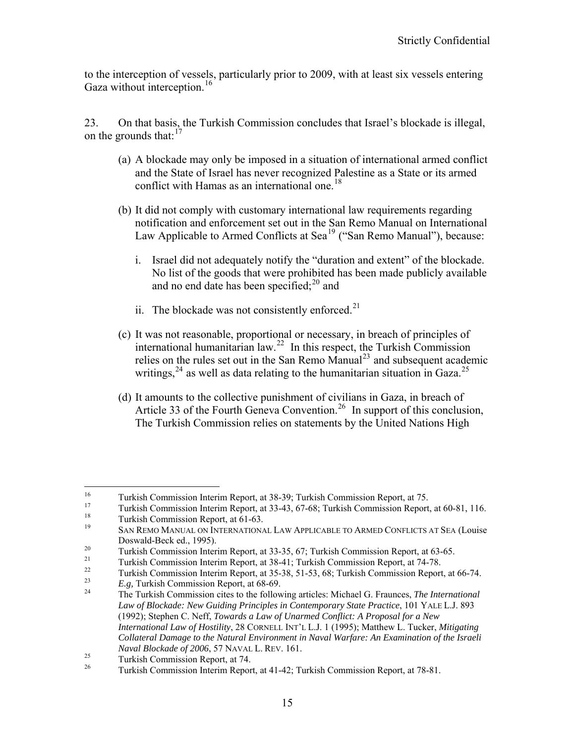to the interception of vessels, particularly prior to 2009, with at least six vessels entering Gaza without interception.<sup>16</sup>

23. On that basis, the Turkish Commission concludes that Israel's blockade is illegal, on the grounds that: $17$ 

- (a) A blockade may only be imposed in a situation of international armed conflict and the State of Israel has never recognized Palestine as a State or its armed conflict with Hamas as an international one.<sup>[18](#page-14-1)</sup>
- (b) It did not comply with customary international law requirements regarding notification and enforcement set out in the San Remo Manual on International Law Applicable to Armed Conflicts at Sea<sup>[19](#page-14-2)</sup> ("San Remo Manual"), because:
	- i. Israel did not adequately notify the "duration and extent" of the blockade. No list of the goods that were prohibited has been made publicly available and no end date has been specified; $^{20}$  $^{20}$  $^{20}$  and
	- ii. The blockade was not consistently enforced. $^{21}$  $^{21}$  $^{21}$
- (c) It was not reasonable, proportional or necessary, in breach of principles of international humanitarian law.[22](#page-14-5) In this respect, the Turkish Commission relies on the rules set out in the San Remo Manual<sup>[23](#page-14-6)</sup> and subsequent academic writings,  $^{24}$  $^{24}$  $^{24}$  as well as data relating to the humanitarian situation in Gaza.<sup>[25](#page-14-8)</sup>
- (d) It amounts to the collective punishment of civilians in Gaza, in breach of Article 33 of the Fourth Geneva Convention.<sup>[26](#page-14-9)</sup> In support of this conclusion, The Turkish Commission relies on statements by the United Nations High

 $16\,$ <sup>16</sup> Turkish Commission Interim Report, at  $38-39$ ; Turkish Commission Report, at  $75$ .<br><sup>17</sup> Turkish Commission Interim Report, at  $33-43-63$ , Turkish Commission Report.

<span id="page-14-0"></span><sup>&</sup>lt;sup>17</sup> Turkish Commission Interim Report, at 33-43, 67-68; Turkish Commission Report, at 60-81, 116.

<span id="page-14-1"></span><sup>&</sup>lt;sup>18</sup> Turkish Commission Report, at 61-63.<br><sup>19</sup> SAN REMO MANUAL ON INTERNATIONAL LAW APPLICABLE TO ARMED CONFLICTS AT SEA (Louise

<span id="page-14-3"></span><span id="page-14-2"></span><sup>20</sup> Doswald-Beck ed., 1995).<br>
<sup>20</sup> Turkish Commission Interim Report, at 33-35, 67; Turkish Commission Report, at 63-65.<br>
<sup>21</sup> Turkish Commission Interim Report, at <sup>38</sup>, 41; Turkish Commission Report, at 74, 78

<span id="page-14-4"></span><sup>&</sup>lt;sup>21</sup> Turkish Commission Interim Report, at 38-41; Turkish Commission Report, at 74-78.<br><sup>22</sup> Turkish Commission Interim Report, at 25, 28, 51, 52, 68; Turkish Commission Report

<span id="page-14-6"></span><span id="page-14-5"></span><sup>&</sup>lt;sup>22</sup> Turkish Commission Interim Report, at 35-38, 51-53, 68; Turkish Commission Report, at 66-74.

<span id="page-14-7"></span><sup>23</sup>*E.g,* Turkish Commission Report, at 68-69. 24 The Turkish Commission cites to the following articles: Michael G. Fraunces, *The International Law of Blockade: New Guiding Principles in Contemporary State Practice*, 101 YALE L.J. 893 (1992); Stephen C. Neff, *Towards a Law of Unarmed Conflict: A Proposal for a New International Law of Hostility*, 28 CORNELL INT'L L.J. 1 (1995); Matthew L. Tucker, *Mitigating Collateral Damage to the Natural Environment in Naval Warfare: An Examination of the Israeli Naval Blockade of 2006, 57 NAVAL L. REV. 161.*<br><sup>25</sup> Turkish Commission Report, at 74.<br><sup>26</sup> Turkish Commission Interim Report at 41.42: Tu

<span id="page-14-8"></span>

<span id="page-14-9"></span><sup>26</sup> Turkish Commission Interim Report, at 41-42; Turkish Commission Report, at 78-81.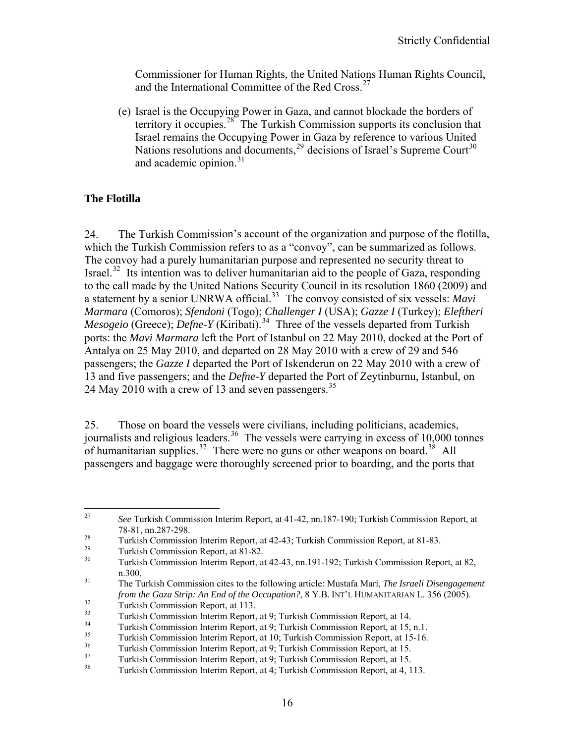Commissioner for Human Rights, the United Nations Human Rights Council, and the International Committee of the Red Cross.<sup>[27](#page-15-1)</sup>

(e) Israel is the Occupying Power in Gaza, and cannot blockade the borders of territory it occupies. $28^\circ$  $28^\circ$  The Turkish Commission supports its conclusion that Israel remains the Occupying Power in Gaza by reference to various United Nations resolutions and documents,  $^{29}$  $^{29}$  $^{29}$  decisions of Israel's Supreme Court<sup>[30](#page-15-4)</sup> and academic opinion. $31$ 

## <span id="page-15-0"></span>**The Flotilla**

24. The Turkish Commission's account of the organization and purpose of the flotilla, which the Turkish Commission refers to as a "convoy", can be summarized as follows. The convoy had a purely humanitarian purpose and represented no security threat to Israel.[32](#page-15-6) Its intention was to deliver humanitarian aid to the people of Gaza, responding to the call made by the United Nations Security Council in its resolution 1860 (2009) and a statement by a senior UNRWA official.[33](#page-15-7) The convoy consisted of six vessels: *Mavi Marmara* (Comoros); *Sfendoni* (Togo); *Challenger I* (USA); *Gazze I* (Turkey); *Eleftheri Mesogeio* (Greece); *Defne-Y* (Kiribati).<sup>[34](#page-15-8)</sup> Three of the vessels departed from Turkish ports: the *Mavi Marmara* left the Port of Istanbul on 22 May 2010, docked at the Port of Antalya on 25 May 2010, and departed on 28 May 2010 with a crew of 29 and 546 passengers; the *Gazze I* departed the Port of Iskenderun on 22 May 2010 with a crew of 13 and five passengers; and the *Defne-Y* departed the Port of Zeytinburnu, Istanbul, on 24 May 2010 with a crew of 13 and seven passengers.  $35$ 

25. Those on board the vessels were civilians, including politicians, academics, journalists and religious leaders.<sup>[36](#page-15-10)</sup> The vessels were carrying in excess of  $10,000$  tonnes of humanitarian supplies.<sup>[37](#page-15-11)</sup> There were no guns or other weapons on board.<sup>[38](#page-15-12)</sup> All passengers and baggage were thoroughly screened prior to boarding, and the ports that

<span id="page-15-1"></span> $27$ 27 *See* Turkish Commission Interim Report, at 41-42, nn.187-190; Turkish Commission Report, at

<sup>78-81,</sup> nn.287-298.<br>
<sup>28</sup> Turkish Commission Interim Report, at 42-43; Turkish Commission Report, at 81-83.<br>
<sup>29</sup> Turkish Commission Report, at 81-82.<br>
<sup>30</sup> Turkish Commission Interim Report, at 42.43, nn.101.102; Turkish C

<span id="page-15-3"></span><span id="page-15-2"></span>

<span id="page-15-4"></span><sup>30</sup> Turkish Commission Interim Report, at 42-43, nn.191-192; Turkish Commission Report, at 82, n.300. 31 The Turkish Commission cites to the following article: Mustafa Mari, *The Israeli Disengagement* 

<span id="page-15-5"></span>from the Gaza Strip: An End of the Occupation?, 8 Y.B. INT'L HUMANITARIAN L. 356 (2005).<br>
Turkish Commission Report, at 113.<br>
Turkish Commission Interim Report, at 9; Turkish Commission Report, at 14.<br>
Turkish Commission I

<span id="page-15-6"></span>

<span id="page-15-7"></span>

<span id="page-15-8"></span>

<span id="page-15-9"></span><sup>&</sup>lt;sup>35</sup><br>Turkish Commission Interim Report, at 10; Turkish Commission Report, at 15-16.<br>Turkish Commission Report, at 0; Turkish Commission Report, at 15

<span id="page-15-10"></span><sup>&</sup>lt;sup>36</sup> Turkish Commission Interim Report, at 9; Turkish Commission Report, at 15.<br><sup>37</sup> Turkish Commission Interim Report, at 9; Turkish Commission Report, at 15.

<span id="page-15-12"></span><span id="page-15-11"></span><sup>&</sup>lt;sup>37</sup> Turkish Commission Interim Report, at 9; Turkish Commission Report, at 15.<br><sup>38</sup> Turkish Commission Interim Report, at 4: Turkish Commission Report, at 4, 1

Turkish Commission Interim Report, at 4; Turkish Commission Report, at 4, 113.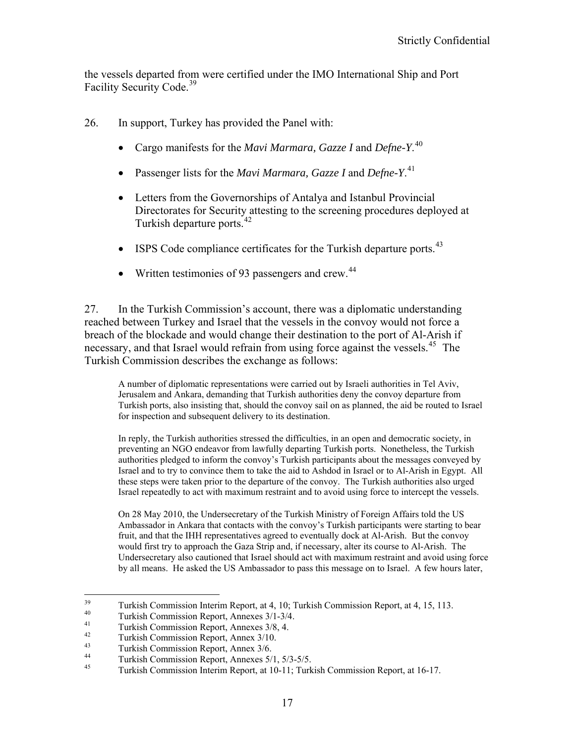the vessels departed from were certified under the IMO International Ship and Port Facility Security Code.<sup>39</sup>

- 26. In support, Turkey has provided the Panel with:
	- Cargo manifests for the *Mavi Marmara, Gazze I* and *Defne-Y*. [40](#page-16-0)
	- Passenger lists for the *Mavi Marmara, Gazze I* and *Defne-Y*. [41](#page-16-1)
	- Letters from the Governorships of Antalya and Istanbul Provincial Directorates for Security attesting to the screening procedures deployed at Turkish departure ports.<sup>[42](#page-16-2)</sup>
	- $\bullet$  ISPS Code compliance certificates for the Turkish departure ports.<sup>[43](#page-16-3)</sup>
	- Written testimonies of 93 passengers and crew. $44$

27. In the Turkish Commission's account, there was a diplomatic understanding reached between Turkey and Israel that the vessels in the convoy would not force a breach of the blockade and would change their destination to the port of Al-Arish if necessary, and that Israel would refrain from using force against the vessels.<sup>[45](#page-16-5)</sup> The Turkish Commission describes the exchange as follows:

A number of diplomatic representations were carried out by Israeli authorities in Tel Aviv, Jerusalem and Ankara, demanding that Turkish authorities deny the convoy departure from Turkish ports, also insisting that, should the convoy sail on as planned, the aid be routed to Israel for inspection and subsequent delivery to its destination.

In reply, the Turkish authorities stressed the difficulties, in an open and democratic society, in preventing an NGO endeavor from lawfully departing Turkish ports. Nonetheless, the Turkish authorities pledged to inform the convoy's Turkish participants about the messages conveyed by Israel and to try to convince them to take the aid to Ashdod in Israel or to Al-Arish in Egypt. All these steps were taken prior to the departure of the convoy. The Turkish authorities also urged Israel repeatedly to act with maximum restraint and to avoid using force to intercept the vessels.

On 28 May 2010, the Undersecretary of the Turkish Ministry of Foreign Affairs told the US Ambassador in Ankara that contacts with the convoy's Turkish participants were starting to bear fruit, and that the IHH representatives agreed to eventually dock at Al-Arish. But the convoy would first try to approach the Gaza Strip and, if necessary, alter its course to Al-Arish. The Undersecretary also cautioned that Israel should act with maximum restraint and avoid using force by all means. He asked the US Ambassador to pass this message on to Israel. A few hours later,

<sup>39</sup> <sup>39</sup> Turkish Commission Interim Report, at 4, 10; Turkish Commission Report, at 4, 15, 113.

<span id="page-16-0"></span><sup>&</sup>lt;sup>40</sup> Turkish Commission Report, Annexes  $3/1-3/4$ .<br><sup>41</sup> Turkish Commission Report, Annexes  $3/8$ .

<span id="page-16-1"></span><sup>&</sup>lt;sup>41</sup> Turkish Commission Report, Annexes  $3/8$ , 4.

<span id="page-16-2"></span> $\frac{42}{43}$  Turkish Commission Report, Annex 3/10.

<span id="page-16-3"></span> $\frac{43}{44}$  Turkish Commission Report, Annex 3/6.

<span id="page-16-5"></span><span id="page-16-4"></span><sup>&</sup>lt;sup>44</sup> Turkish Commission Report, Annexes  $5/1$ ,  $5/3-5/5$ .<br><sup>45</sup> Turkish Commission Interim Report, at 10, 11; Turki

Turkish Commission Interim Report, at 10-11; Turkish Commission Report, at 16-17.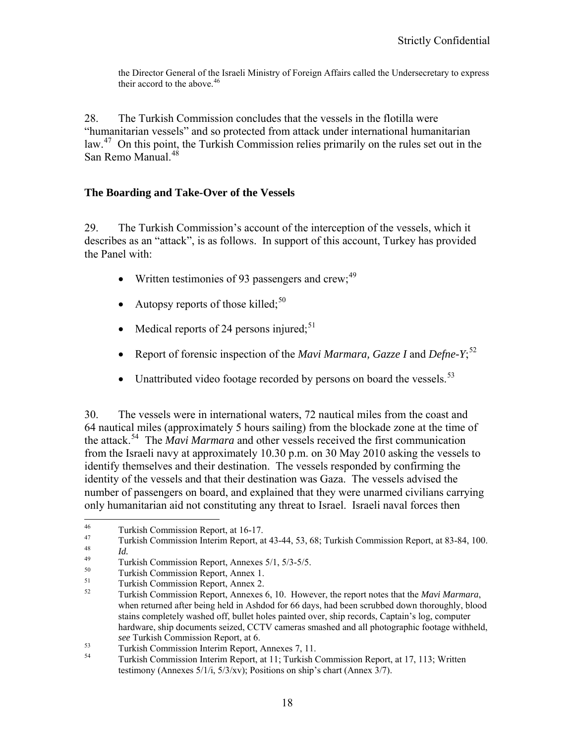the Director General of the Israeli Ministry of Foreign Affairs called the Undersecretary to express their accord to the above.<sup>[46](#page-17-1)</sup>

28. The Turkish Commission concludes that the vessels in the flotilla were "humanitarian vessels" and so protected from attack under international humanitarian law.<sup>[47](#page-17-2)</sup> On this point, the Turkish Commission relies primarily on the rules set out in the San Remo Manual<sup>[48](#page-17-3)</sup>

## <span id="page-17-0"></span>**The Boarding and Take-Over of the Vessels**

29. The Turkish Commission's account of the interception of the vessels, which it describes as an "attack", is as follows. In support of this account, Turkey has provided the Panel with:

- Written testimonies of 93 passengers and crew;  $49$
- Autopsy reports of those killed;  $50$
- $\bullet$  Medical reports of 24 persons injured;<sup>[51](#page-17-6)</sup>
- Report of forensic inspection of the *Mavi Marmara, Gazze I* and *Defne-Y*;<sup>[52](#page-17-7)</sup>
- Unattributed video footage recorded by persons on board the vessels.<sup>[53](#page-17-8)</sup>

30. The vessels were in international waters, 72 nautical miles from the coast and 64 nautical miles (approximately 5 hours sailing) from the blockade zone at the time of the attack.[54](#page-17-9) The *Mavi Marmara* and other vessels received the first communication from the Israeli navy at approximately 10.30 p.m. on 30 May 2010 asking the vesse ls to identify themselves and their destination. The vessels responded by confirming the identity of the vessels and that their destination was Gaza. The vessels advised the number of passengers on board, and explained that they were unarmed civilians carrying only humanitarian aid not constituting any threat to Israel. Israeli naval forces then

<span id="page-17-1"></span><sup>46</sup>  $^{46}$  Turkish Commission Report, at 16-17.

<span id="page-17-2"></span><sup>&</sup>lt;sup>47</sup> Turkish Commission Interim Report, at 43-44, 53, 68; Turkish Commission Report, at 83-84, 100.

<span id="page-17-4"></span><span id="page-17-3"></span><sup>48&</sup>lt;br> *Id.* Turkish Commission Report, Annexes 5/1, 5/3-5/5.<br>
<sup>50</sup>

<span id="page-17-5"></span> $^{50}$  Turkish Commission Report, Annex 1.

<span id="page-17-6"></span> $51$  Turkish Commission Report, Annex 2.<br>Turkish Commission Report, Annexes

<span id="page-17-7"></span><sup>52</sup> Turkish Commission Report, Annexes 6, 10. However, the report notes that the *Mavi Marmara*, when returned after being held in Ashdod for 66 days, had been scrubbed down thoroughly, blood stains completely washed off, bullet holes painted over, ship records, Captain's log, computer hardware, ship documents seized, CCTV cameras smashed and all photographic footage withheld,

*see* Turkish Commission Report, at 6.<br>Turkish Commission Interim Report, Annexes 7, 11.<br>Turkish Commission Interim Report, at 11: Turkish 6

<span id="page-17-9"></span><span id="page-17-8"></span><sup>54</sup> Turkish Commission Interim Report, at 11; Turkish Commission Report, at 17, 113; Written testimony (Annexes 5/1/i, 5/3/xv); Positions on ship's chart (Annex 3/7).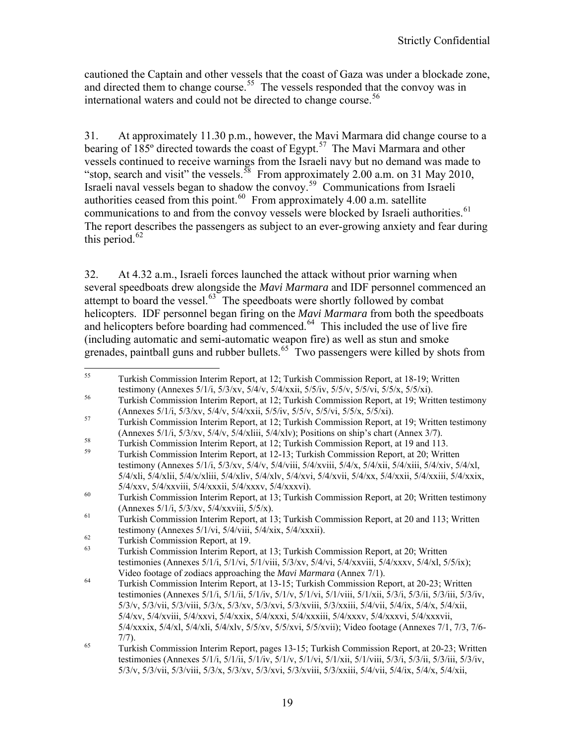cautioned the Captain and other vessels that the coast of Gaza was under a blockade zone, and directed them to change course.<sup>55</sup> The vessels responded that the convoy was in international waters and could not be directed to change course.<sup>56</sup>

31. At approximately 11.30 p.m., however, the Mavi Marmara did change course to a bearing of 185° directed towards the coast of Egypt.<sup>[57](#page-18-0)</sup> The Mavi Marmara and other vessels continued to receive warnings from the Israeli navy but no demand was made to "stop, search and visit" the vessels.<sup>[58](#page-18-1)</sup> From approximately 2.00 a.m. on 31 May 2010, Israeli naval vessels began to shadow the convoy.[59](#page-18-2) Communications from Israeli authorities ceased from this point.<sup>[60](#page-18-3)</sup> From approximately 4.00 a.m. satellite communications to and from the convoy vessels were blocked by Israeli authorities.<sup>[61](#page-18-4)</sup> The report describes the passengers as subject to an ever-growing anxiety and fear during this period. $62$ 

32. At 4.32 a.m., Israeli forces launched the attack without prior warning when several speedboats drew alongside the *Mavi Marmara* and IDF personnel commenced an attempt to board the vessel.<sup>[63](#page-18-6)</sup> The speedboats were shortly followed by combat helicopters. IDF personnel began firing on the *Mavi Marmara* from both the speedboats and helicopters before boarding had commenced. $64$  This included the use of live fire (including automatic and semi-automatic weapon fire) as well as stun and smoke grenades, paintball guns and rubber bullets.<sup>[65](#page-18-8)</sup> Two passengers were killed by shots from

<sup>55</sup> 55 Turkish Commission Interim Report, at 12; Turkish Commission Report, at 18-19; Written testimony (Annexes 5/1/i, 5/3/xv, 5/4/v, 5/4/xxii, 5/5/iv, 5/5/v, 5/5/vi, 5/5/x, 5/5/xi).<br>Turkish Commission Interim Report, at 12; Turkish Commission Report, at 19; Written testimony

<span id="page-18-0"></span><sup>(</sup>Annexes 5/1/i, 5/3/xv, 5/4/v, 5/4/xxii, 5/5/iv, 5/5/v, 5/5/vi, 5/5/x, 5/5/xi).<br>
57 Turkish Commission Interim Report, at 12; Turkish Commission Report, at 19; Written testimony

<span id="page-18-1"></span><sup>(</sup>Annexes 5/1/i, 5/3/xv, 5/4/v, 5/4/xliii, 5/4/xlv); Positions on ship's chart (Annex 3/7).<br>
<sup>58</sup> Turkish Commission Interim Report, at 12; Turkish Commission Report, at 19 and 113.<br>
<sup>59</sup> Turkish Commission Interim Report,

<span id="page-18-2"></span>Turkish Commission Interim Report, at 12-13; Turkish Commission Report, at 20; Written testimony (Annexes 5/1/i, 5/3/xv, 5/4/v, 5/4/viii, 5/4/xviii, 5/4/x, 5/4/xii, 5/4/xiii, 5/4/xiv, 5/4/xl, 5/4/xli, 5/4/xlii, 5/4/x/xliii, 5/4/xliv, 5/4/xlv, 5/4/xvi, 5/4/xvii, 5/4/xx, 5/4/xxii, 5/4/xxiii, 5/4/xxix,

<span id="page-18-3"></span><sup>5/4/</sup>xxv, 5/4/xxviii, 5/4/xxxii, 5/4/xxxv, 5/4/xxxvi).<br>
Turkish Commission Interim Report, at 13; Turkish Commission Report, at 20; Written testimony

<span id="page-18-4"></span><sup>(</sup>Annexes  $5/1/i$ ,  $5/3/xv$ ,  $5/4/xxviii$ ,  $5/5/x$ ).<br><sup>61</sup> Turkish Commission Interim Report, at 13; Turkish Commission Report, at 20 and 113; Written testimony (Annexes 5/1/vi, 5/4/viii, 5/4/xix, 5/4/xxxii).<br>Turkish Commission Report, at 19.<br> $\frac{63}{2}$  Turkish Commission Interim Report, at 12: Turkish Co.

<span id="page-18-5"></span>

<span id="page-18-6"></span>Turkish Commission Interim Report, at 13; Turkish Commission Report, at 20; Written testimonies (Annexes 5/1/i, 5/1/vi, 5/1/viii, 5/3/xv, 5/4/vi, 5/4/xxviii, 5/4/xxxv, 5/4/xl, 5/5/ix);

<span id="page-18-7"></span>Video footage of zodiacs approaching the *Mavi Marmara* (Annex 7/1).<br><sup>64</sup> Turkish Commission Interim Report, at 13-15; Turkish Commission Report, at 20-23; Written testimonies (Annexes 5/1/i, 5/1/ii, 5/1/iv, 5/1/v, 5/1/vi, 5/1/viii, 5/1/xii, 5/3/i, 5/3/ii, 5/3/iii, 5/3/iv, 5/3/v, 5/3/vii, 5/3/viii, 5/3/x, 5/3/xv, 5/3/xvi, 5/3/xviii, 5/3/xxiii, 5/4/vii, 5/4/ix, 5/4/x, 5/4/xii, 5/4/xv, 5/4/xviii, 5/4/xxvi, 5/4/xxix, 5/4/xxxi, 5/4/xxxiii, 5/4/xxxv, 5/4/xxxvi, 5/4/xxxvii, 5/4/xxxix, 5/4/xl, 5/4/xli, 5/4/xlv, 5/5/xv, 5/5/xvi, 5/5/xvii); Video footage (Annexes 7/1, 7/3, 7/6-

<span id="page-18-8"></span><sup>&</sup>lt;sup>65</sup> Turkish Commission Interim Report, pages 13-15; Turkish Commission Report, at 20-23; Written testimonies (Annexes 5/1/i, 5/1/ii, 5/1/iv, 5/1/v, 5/1/vi, 5/1/xii, 5/1/viii, 5/3/i, 5/3/ii, 5/3/iii, 5/3/iv, 5/3/v, 5/3/vii, 5/3/viii, 5/3/x, 5/3/xv, 5/3/xvi, 5/3/xviii, 5/3/xxiii, 5/4/vii, 5/4/ix, 5/4/x, 5/4/xii,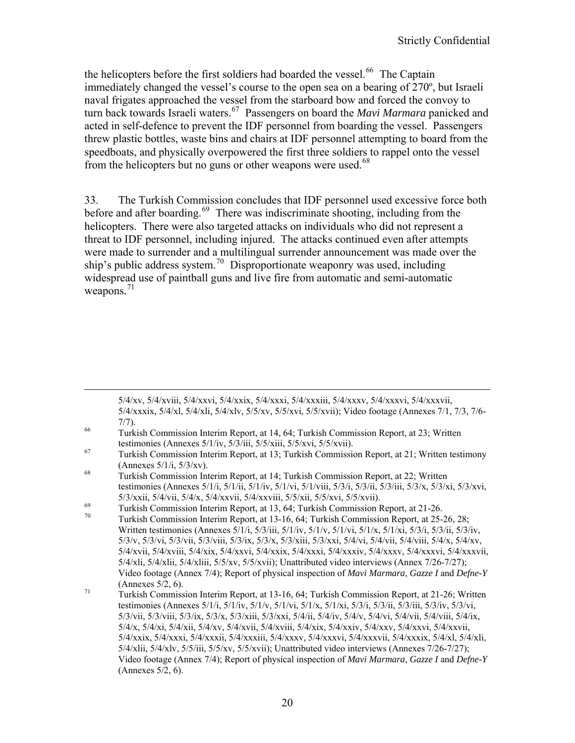the helicopters before the first soldiers had boarded the vessel.<sup>66</sup> The Captain immediately changed the vessel's course to the open sea on a bearing of 270º, but Israeli naval frigates approached the vessel from the starboard bow and forced the convoy to turn back towards Israeli waters.67 Passengers on board the *Mavi Marmara* panicked and acted in self-defence to prevent the IDF personnel from boarding the vessel. Passengers threw plastic bottles, waste bins and chairs at IDF personnel attempting to board from the speedboats, and physically overpowered the first three soldiers to rappel onto the vessel from the helicopters but no guns or other weapons were used.<sup>68</sup>

33. The Turkish Commission concludes that IDF personnel used excessive force both before and after boarding.<sup>[69](#page-19-0)</sup> There was indiscriminate shooting, including from the helicopters. There were also targeted attacks on individuals who did not represent a threat to IDF personnel, including injured. The attacks continued even after attempts were made to surrender and a multilingual surrender announcement was made over the ship's public address system.<sup>[70](#page-19-1)</sup> Disproportionate weaponry was used, including widespread use of paintball guns and live fire from automatic and semi-automatic weapons. $71$ 

 <sup>5/4/</sup>xv, 5/4/xviii, 5/4/xxvi, 5/4/xxix, 5/4/xxxi, 5/4/xxxiii, 5/4/xxxv, 5/4/xxxvi, 5/4/xxxvii, 5/4/xxxix, 5/4/xl, 5/4/xli, 5/4/xlv, 5/5/xv, 5/5/xvi, 5/5/xvii); Video footage (Annexes 7/1, 7/3, 7/6- <sup>66</sup> Turkish Commission Interim Report, at 14, 64; Turkish Commission Report, at 23; Written

testimonies (Annexes 5/1/iv, 5/3/iii, 5/5/xiii, 5/5/xvi, 5/5/xvii).<br>Turkish Commission Interim Report, at 13; Turkish Commission Report, at 21; Written testimony (Annexes 5/1/i, 5/3/xv).<br><sup>68</sup> Turkish Commission Interim Report, at 14: Turkish Commission Report, at 22; Written

testimonies (Annexes 5/1/i, 5/1/ii, 5/1/iv, 5/1/vi, 5/1/viii, 5/3/i, 5/3/ii, 5/3/iii, 5/3/x, 5/3/xi, 5/3/xvi,

<span id="page-19-0"></span><sup>5/3/</sup>xxii, 5/4/vii, 5/4/x, 5/4/xxvii, 5/4/xxviii, 5/5/xii, 5/5/xvi, 5/5/xvii).<br>
<sup>69</sup> Turkish Commission Interim Report, at 13, 64; Turkish Commission Report, at 21-26.<br>
<sup>70</sup> Turkish Commission Interim Report, at 13, 64; Tu

<span id="page-19-1"></span>Turkish Commission Interim Report, at 13-16, 64; Turkish Commission Report, at 25-26, 28; Written testimonies (Annexes 5/1/i, 5/3/iii, 5/1/iv, 5/1/v, 5/1/vi, 5/1/x, 5/1/xi, 5/3/i, 5/3/ii, 5/3/iv, 5/3/v, 5/3/vi, 5/3/vii, 5/3/viii, 5/3/ix, 5/3/x, 5/3/xiii, 5/3/xxi, 5/4/vi, 5/4/vii, 5/4/viii, 5/4/x, 5/4/xv, 5/4/xvii, 5/4/xviii, 5/4/xix, 5/4/xxvi, 5/4/xxix, 5/4/xxxi, 5/4/xxxiv, 5/4/xxxv, 5/4/xxxvi, 5/4/xxxvii,  $5/4$ /xli,  $5/4$ /xlii,  $5/4$ /xliii,  $5/5$ /xv,  $5/5/$ xvii); Unattributed video interviews (Annex 7/26-7/27); Video footage (Annex 7/4); Report of physical inspection of *Mavi Marmara*, *Gazze I* and *Defne-Y*

<span id="page-19-2"></span><sup>(</sup>Annexes 5/2, 6). (*Annexes 5/2, 6*). *Turkish Commission Report, at 21-26*; Written Turkish Commission Report, at 21-26; Written testimonies (Annexes 5/1/i, 5/1/iv, 5/1/v, 5/1/vi, 5/1/x, 5/1/xi, 5/3/i, 5/3/ii, 5/3/iii, 5/3/iv, 5/3/vi, 5/3/vii, 5/3/viii, 5/3/ix, 5/3/x, 5/3/xiii, 5/3/xxi, 5/4/ii, 5/4/iv, 5/4/v, 5/4/vi, 5/4/vii, 5/4/viii, 5/4/ix, 5/4/x, 5/4/xi, 5/4/xii, 5/4/xv, 5/4/xvii, 5/4/xviii, 5/4/xix, 5/4/xxiv, 5/4/xxv, 5/4/xxvi, 5/4/xxvii, 5/4/xxix, 5/4/xxxi, 5/4/xxxii, 5/4/xxxiii, 5/4/xxxv, 5/4/xxxvi, 5/4/xxxvii, 5/4/xxxix, 5/4/xl, 5/4/xli,  $5/4/x$ lii,  $5/4/x$ ly,  $5/5/iii$ ,  $5/5/xv$ ,  $5/5/xv$ ii); Unattributed video interviews (Annexes  $7/26-7/27$ ); Video footage (Annex 7/4); Report of physical inspection of *Mavi Marmara*, *Gazze I* and *Defne-Y* (Annexes 5/2, 6).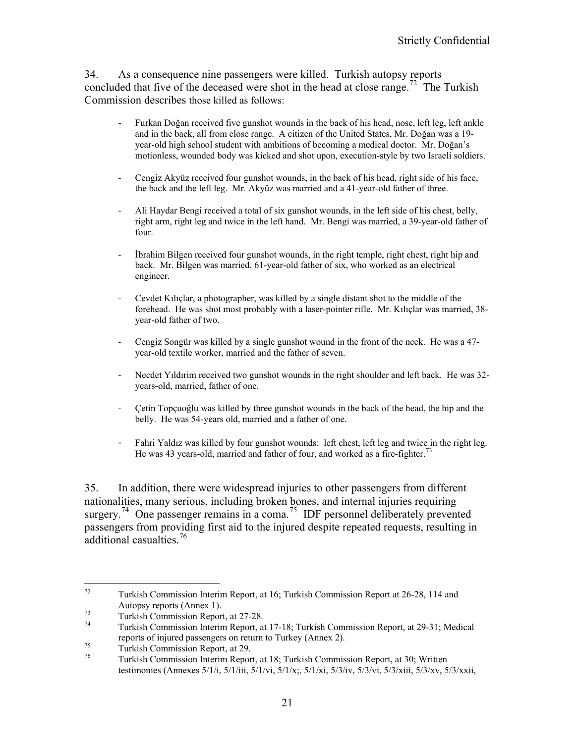34. As a consequence nine passengers were killed. Turkish autopsy reports concluded that five of the deceased were shot in the head at close range.<sup>[72](#page-20-0)</sup> The Turkish Commission describes those killed as follows:

- Furkan Doğan received five gunshot wounds in the back of his head, nose, left leg, left ankle and in the back, all from close range. A citizen of the United States, Mr. Doğan was a 19 year-old high school student with ambitions of becoming a medical doctor. Mr. Doğan's motionless, wounded body was kicked and shot upon, execution-style by two Israeli soldiers.
- ‐ Cengiz Akyüz received four gunshot wounds, in the back of his head, right side of his face, the back and the left leg. Mr. Akyüz was married and a 41-year-old father of three.
- ‐ Ali Haydar Bengi received a total of six gunshot wounds, in the left side of his chest, belly, right arm, right leg and twice in the left hand. Mr. Bengi was married, a 39-year-old father of four.
- ‐ İbrahim Bilgen received four gunshot wounds, in the right temple, right chest, right hip and back. Mr. Bilgen was married, 61-year-old father of six, who worked as an electrical engineer.
- ‐ Cevdet Kılıçlar, a photographer, was killed by a single distant shot to the middle of the forehead. He was shot most probably with a laser-pointer rifle. Mr. Kılıçlar was married, 38 year-old father of two.
- ‐ Cengiz Songür was killed by a single gunshot wound in the front of the neck. He was a 47 year-old textile worker, married and the father of seven.
- ‐ Necdet Yıldırim received two gunshot wounds in the right shoulder and left back. He was 32 years-old, married, father of one.
- ‐ Çetin Topçuoğlu was killed by three gunshot wounds in the back of the head, the hip and the belly. He was 54-years old, married and a father of one.
- ‐ Fahri Yaldız was killed by four gunshot wounds: left chest, left leg and twice in the right leg. He was 43 years-old, married and father of four, and worked as a fire-fighter.<sup>[73](#page-20-1)</sup>

35. In addition, there were widespread injuries to other passengers from different nationalities, many serious, including broken bones, and internal injuries requiring surgery.<sup>[74](#page-20-2)</sup> One passenger remains in a coma.<sup>[75](#page-20-3)</sup> IDF personnel deliberately prevented passengers from providing first aid to the injured despite repeated requests, resulting in additional casualties.[76](#page-20-4)

<span id="page-20-0"></span> $72$ 72 Turkish Commission Interim Report, at 16; Turkish Commission Report at 26-28, 114 and

<span id="page-20-1"></span>Autopsy reports (Annex 1).<br>
Turkish Commission Report, at 27-28.<br>
Turkish Commission Interim Report.

<span id="page-20-2"></span>Turkish Commission Interim Report, at 17-18; Turkish Commission Report, at 29-31; Medical reports of injured passengers on return to Turkey (Annex 2).<br>
Turkish Commission Report, at 29.<br>
Turkish Commission Interim Report, at 18: Turkish Commis

<span id="page-20-3"></span>

<span id="page-20-4"></span>Turkish Commission Interim Report, at 18; Turkish Commission Report, at 30; Written testimonies (Annexes 5/1/i, 5/1/iii, 5/1/vi, 5/1/x;, 5/1/xi, 5/3/iv, 5/3/vi, 5/3/xiii, 5/3/xv, 5/3/xxii,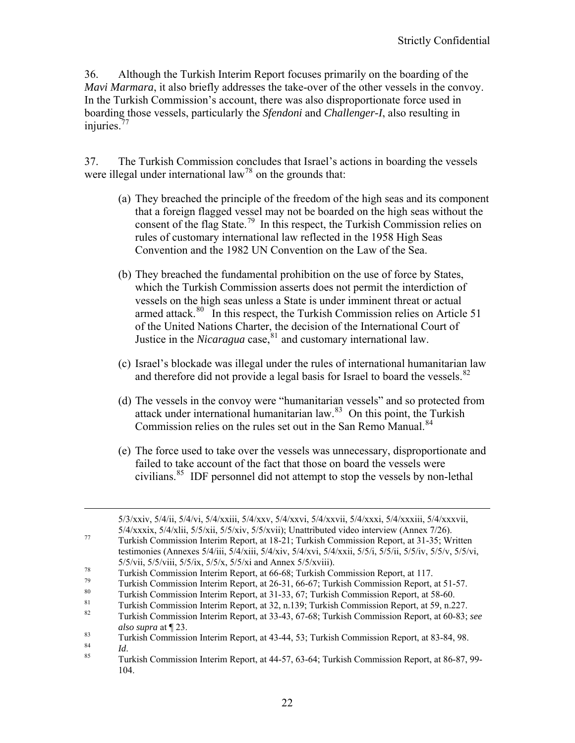36. Although the Turkish Interim Report focuses primarily on the boarding of the *Mavi Marmara*, it also briefly addresses the take-over of the other vessels in the convoy. In the Turkish Commission's account, there was also disproportionate force used in boarding those vessels, particularly the *Sfendoni* and *Challenger-I*, also resulting in injuries. $77$ 

37. The Turkish Commission concludes that Israel's actions in boarding the vessels were illegal under international law<sup>[78](#page-21-1)</sup> on the grounds that:

- (a) They breached the principle of the freedom of the high seas and its component that a foreign flagged vessel may not be boarded on the high seas without the consent of the flag State.<sup>[79](#page-21-2)</sup> In this respect, the Turkish Commission relies on rules of customary international law reflected in the 1958 High Seas Convention and the 1982 UN Convention on the Law of the Sea.
- (b) They breached the fundamental prohibition on the use of force by States, which the Turkish Commission asserts does not permit the interdiction of vessels on the high seas unless a State is under imminent threat or actual armed attack. $80$  In this respect, the Turkish Commission relies on Article 51 of the United Nations Charter, the decision of the International Court of Justice in the *Nicaragua* case,<sup>[81](#page-21-4)</sup> and customary international law.
- (c) Israel's blockade was illegal under the rules of international humanitarian law and therefore did not provide a legal basis for Israel to board the vessels.<sup>[82](#page-21-5)</sup>
- (d) The vessels in the convoy were "humanitarian vessels" and so protected from attack under international humanitarian law. $83$  On this point, the Turkish Commission relies on the rules set out in the San Remo Manual.<sup>[84](#page-21-7)</sup>
- (e) The force used to take over the vessels was unnecessary, disproportionate and failed to take account of the fact that those on board the vessels were civilians.[85](#page-21-8) IDF personnel did not attempt to stop the vessels by non-lethal

<span id="page-21-2"></span><span id="page-21-1"></span><span id="page-21-0"></span> 5/3/xxiv, 5/4/ii, 5/4/vi, 5/4/xxiii, 5/4/xxv, 5/4/xxvi, 5/4/xxvii, 5/4/xxxi, 5/4/xxxiii, 5/4/xxxvii, 5/4/xxxix, 5/4/xlii, 5/5/xii, 5/5/xiv, 5/5/xvii); Unattributed video interview (Annex 7/26).<br>Turkish Commission Interim Report, at 18-21; Turkish Commission Report, at 31-35; Written testimonies (Annexes 5/4/iii, 5/4/xiii, 5/4/xiv, 5/4/xvi, 5/4/xxii, 5/5/i, 5/5/ii, 5/5/iv, 5/5/v, 5/5/vi, 5/5/vii, 5/5/viii, 5/5/ix, 5/5/x, 5/5/xi and Annex 5/5/xviii).<br>
Turkish Commission Interim Report, at 66-68; Turkish Commission Report, at 117.<br>
<sup>79</sup> <sup>79</sup> Turkish Commission Interim Report, at  $26-31$ ,  $66-67$ ; Turkish Commission Report, at  $51-57$ . <sup>80</sup> Turkish Commission Interim Report, at 31-33, 67; Turkish Commission Report, at 58-60.<br><sup>81</sup> Turkish Commission Interim Report, at  $22 \times 120$ ; Turkish Commission Report, at 50, p. 2<sup>2</sup> <sup>81</sup> Turkish Commission Interim Report, at 32, n.139; Turkish Commission Report, at 59, n.227. 82 Turkish Commission Interim Report, at 33-43, 67-68; Turkish Commission Report, at 60-83; *see also supra* at ¶ 23.<br><sup>83</sup> Turkish Commission Interim Report, at 43-44, 53; Turkish Commission Report, at 83-84, 98.

<span id="page-21-8"></span><span id="page-21-7"></span><span id="page-21-6"></span><span id="page-21-5"></span><span id="page-21-4"></span><span id="page-21-3"></span><sup>&</sup>lt;sup>84</sup><br><sup>85</sup> Turkish Commission Interim Report, at 44-57, 63-64; Turkish Commission Report, at 86-87, 99-104.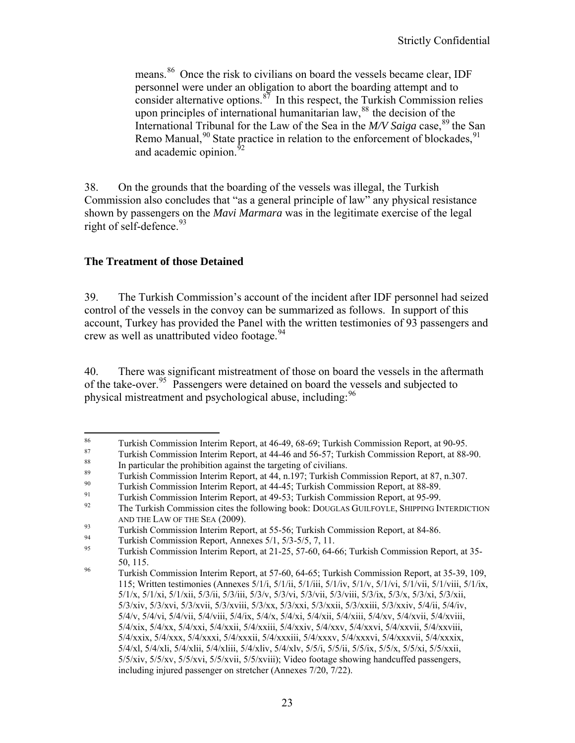means.[86](#page-22-1) Once the risk to civilians on board the vessels became clear, IDF personnel were under an obligation to abort the boarding attempt and to consider alternative options. $87$  In this respect, the Turkish Commission relies upon principles of international humanitarian law,<sup>[88](#page-22-3)</sup> the decision of the International Tribunal for the Law of the Sea in the *M/V Saiga* case,<sup>[89](#page-22-4)</sup> the San Remo Manual,  $90$  State practice in relation to the enforcement of blockades,  $91$ and academic opinion. $92$ 

38. On the grounds that the boarding of the vessels was illegal, the Turkish Commission also concludes that "as a general principle of law" any physical resistance shown by passengers on the *Mavi Marmara* was in the legitimate exercise of the legal right of self-defence.  $93$ 

## <span id="page-22-0"></span>**The Treatment of those Detained**

39. The Turkish Commission's account of the incident after IDF personnel had seized control of the vessels in the convoy can be summarized as follows. In support of this account, Turkey has provided the Panel with the written testimonies of 93 passengers and crew as well as unattributed video footage.<sup>[94](#page-22-9)</sup>

40. There was significant mistreatment of those on board the vessels in the aftermath of the take-over.<sup>[95](#page-22-10)</sup> Passengers were detained on board the vessels and subjected to physical mistreatment and psychological abuse, including:<sup>[96](#page-22-11)</sup>

<span id="page-22-1"></span><sup>86</sup> <sup>86</sup><br>Turkish Commission Interim Report, at 46-49, 68-69; Turkish Commission Report, at 90-95.<br>Turkish Commission Report at 88.

<span id="page-22-2"></span><sup>&</sup>lt;sup>87</sup> Turkish Commission Interim Report, at  $44-46$  and  $56-57$ ; Turkish Commission Report, at  $88-90$ .

<span id="page-22-3"></span><sup>&</sup>lt;sup>88</sup> In particular the prohibition against the targeting of civilians. <sup>89</sup> Turkish Commission Interim Report, at 44, n.197; Turkish Commission Report, at 87, n.307.<br><sup>90</sup> Turkish Commission Interim Report, at 44, 45; Turkish Commission Report, at 88, 80.

<span id="page-22-5"></span><span id="page-22-4"></span><sup>&</sup>lt;sup>90</sup> Turkish Commission Interim Report, at  $44-45$ ; Turkish Commission Report, at  $88-89$ .<br><sup>91</sup> Turkish Commission Interim Report, at  $49-53$ ; Turkish Commission Report, at  $95-99$ 

<span id="page-22-6"></span>Turkish Commission Interim Report, at  $49-53$ ; Turkish Commission Report, at  $95-99$ .<br><sup>92</sup> The Turkish Commission gites the following book: DOUCLAS GUILEOVLE, SUIDENIC IN

<span id="page-22-7"></span><sup>92</sup> The Turkish Commission cites the following book: DOUGLAS GUILFOYLE, SHIPPING INTERDICTION

<span id="page-22-8"></span>AND THE LAW OF THE SEA (2009).<br><sup>93</sup> Turkish Commission Interim Report, at 55-56; Turkish Commission Report, at 84-86.

<span id="page-22-10"></span><span id="page-22-9"></span><sup>&</sup>lt;sup>94</sup> Turkish Commission Report, Annexes 5/1, 5/3-5/5, 7, 11.

<sup>95</sup> Turkish Commission Interim Report, at 21-25, 57-60, 64-66; Turkish Commission Report, at 35-

<span id="page-22-11"></span><sup>50, 115.&</sup>lt;br>Turkish Commission Interim Report, at 57-60, 64-65; Turkish Commission Report, at 35-39, 109, 115; Written testimonies (Annexes 5/1/i, 5/1/ii, 5/1/iii, 5/1/iv, 5/1/vi, 5/1/vii, 5/1/viii, 5/1/ix, 5/1/x, 5/1/xi, 5/1/xii, 5/3/ii, 5/3/iii, 5/3/v, 5/3/vi, 5/3/vii, 5/3/viii, 5/3/ix, 5/3/x, 5/3/xi, 5/3/xii, 5/3/xiv, 5/3/xvi, 5/3/xvii, 5/3/xviii, 5/3/xx, 5/3/xxi, 5/3/xxii, 5/3/xxiii, 5/3/xxiv, 5/4/ii, 5/4/iv, 5/4/v, 5/4/vi, 5/4/vii, 5/4/viii, 5/4/ix, 5/4/x, 5/4/xi, 5/4/xii, 5/4/xiii, 5/4/xv, 5/4/xvii, 5/4/xviii, 5/4/xix, 5/4/xx, 5/4/xxi, 5/4/xxii, 5/4/xxiii, 5/4/xxiv, 5/4/xxv, 5/4/xxvi, 5/4/xxvii, 5/4/xxviii, 5/4/xxix, 5/4/xxx, 5/4/xxxi, 5/4/xxxii, 5/4/xxxiii, 5/4/xxxv, 5/4/xxxvi, 5/4/xxxvii, 5/4/xxxix, 5/4/xl, 5/4/xli, 5/4/xlii, 5/4/xliii, 5/4/xliv, 5/4/xlv, 5/5/i, 5/5/ii, 5/5/ix, 5/5/x, 5/5/xi, 5/5/xxii, 5/5/xiv, 5/5/xv, 5/5/xvi, 5/5/xvii, 5/5/xviii); Video footage showing handcuffed passengers, including injured passenger on stretcher (Annexes 7/20, 7/22).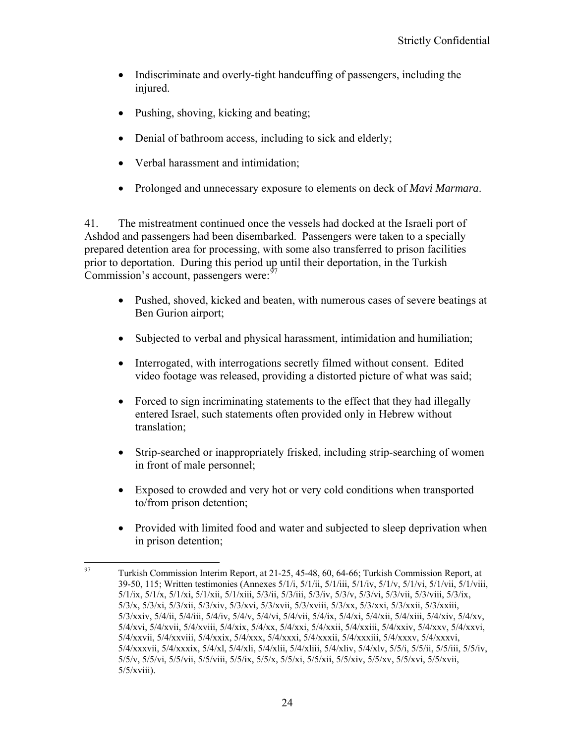- Indiscriminate and overly-tight handcuffing of passengers, including the injured.
- Pushing, shoving, kicking and beating;
- Denial of bathroom access, including to sick and elderly;
- Verbal harassment and intimidation;
- Prolonged and unnecessary exposure to elements on deck of *Mavi Marmara*.

41. The mistreatment continued once the vessels had docked at the Israeli port of Ashdod and passengers had been disembarked. Passengers were taken to a specially prepared detention area for processing, with some also transferred to prison facilities prior to deportation. During this period up until their deportation, in the Turkish Commission's account, passengers were:  $97$ 

- Pushed, shoved, kicked and beaten, with numerous cases of severe beatings at Ben Gurion airport;
- Subjected to verbal and physical harassment, intimidation and humiliation;
- Interrogated, with interrogations secretly filmed without consent. Edited video footage was released, providing a distorted picture of what was said;
- Forced to sign incriminating statements to the effect that they had illegally entered Israel, such statements often provided only in Hebrew without translation;
- Strip-searched or inappropriately frisked, including strip-searching of women in front of male personnel;
- Exposed to crowded and very hot or very cold conditions when transported to/from prison detention;
- Provided with limited food and water and subjected to sleep deprivation when in prison detention;

<span id="page-23-0"></span><sup>97</sup> 97 Turkish Commission Interim Report, at 21-25, 45-48, 60, 64-66; Turkish Commission Report, at 39-50, 115; Written testimonies (Annexes 5/1/i, 5/1/ii, 5/1/iii, 5/1/iv, 5/1/v, 5/1/vi, 5/1/vii, 5/1/viii, 5/1/ix, 5/1/x, 5/1/xi, 5/1/xii, 5/1/xiii, 5/3/ii, 5/3/iii, 5/3/iv, 5/3/v, 5/3/vi, 5/3/vii, 5/3/viii, 5/3/ix, 5/3/x, 5/3/xi, 5/3/xii, 5/3/xiv, 5/3/xvi, 5/3/xvii, 5/3/xviii, 5/3/xx, 5/3/xxi, 5/3/xxii, 5/3/xxiii, 5/3/xxiv, 5/4/ii, 5/4/iii, 5/4/iv, 5/4/v, 5/4/vi, 5/4/vii, 5/4/ix, 5/4/xi, 5/4/xii, 5/4/xiii, 5/4/xiv, 5/4/xv, 5/4/xvi, 5/4/xvii, 5/4/xviii, 5/4/xix, 5/4/xx, 5/4/xxi, 5/4/xxii, 5/4/xxiii, 5/4/xxiv, 5/4/xxv, 5/4/xxvi, 5/4/xxvii, 5/4/xxviii, 5/4/xxix, 5/4/xxx, 5/4/xxxi, 5/4/xxxii, 5/4/xxxiii, 5/4/xxxv, 5/4/xxxvi, 5/4/xxxvii, 5/4/xxxix, 5/4/xl, 5/4/xli, 5/4/xlii, 5/4/xliii, 5/4/xliv, 5/4/xlv, 5/5/i, 5/5/ii, 5/5/iii, 5/5/iv, 5/5/v, 5/5/vi, 5/5/vii, 5/5/viii, 5/5/ix, 5/5/x, 5/5/xi, 5/5/xii, 5/5/xiv, 5/5/xv, 5/5/xvi, 5/5/xvii,  $5/5/xviii$ ).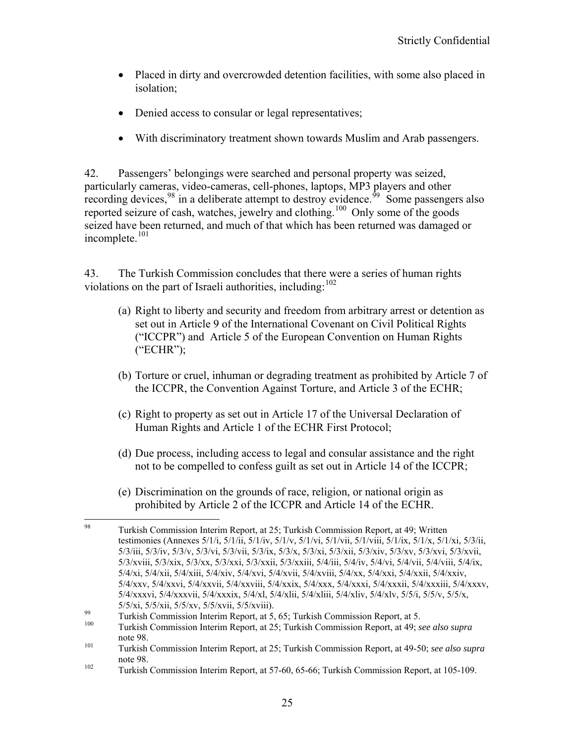- Placed in dirty and overcrowded detention facilities, with some also placed in isolation;
- Denied access to consular or legal representatives;
- With discriminatory treatment shown towards Muslim and Arab passengers.

42. Passengers' belongings were searched and personal property was seized, particularly cameras, video-cameras, cell-phones, laptops, MP3 players and other recording devices,  $98$  in a deliberate attempt to destroy evidence.  $99$  Some passengers also reported seizure of cash, watches, jewelry and clothing.<sup>[100](#page-24-2)</sup> Only some of the goods seized have been returned, and much of that which has been returned was damaged or incomplete.<sup>[101](#page-24-3)</sup>

43. The Turkish Commission concludes that there were a series of human rights violations on the part of Israeli authorities, including:  $102$ 

- (a) Right to liberty and security and freedom from arbitrary arrest or detention as set out in Article 9 of the International Covenant on Civil Political Rights ("ICCPR") and Article 5 of the European Convention on Human Rights  $("ECHR");$
- (b) Torture or cruel, inhuman or degrading treatment as prohibited by Article 7 of the ICCPR, the Convention Against Torture, and Article 3 of the ECHR;
- (c) Right to property as set out in Article 17 of the Universal Declaration of Human Rights and Article 1 of the ECHR First Protocol;
- (d) Due process, including access to legal and consular assistance and the right not to be compelled to confess guilt as set out in Article 14 of the ICCPR;
- (e) Discrimination on the grounds of race, religion, or national origin as prohibited by Article 2 of the ICCPR and Article 14 of the ECHR.

<span id="page-24-0"></span><sup>98</sup> 98 Turkish Commission Interim Report, at 25; Turkish Commission Report, at 49; Written testimonies (Annexes 5/1/i, 5/1/ii, 5/1/iv, 5/1/v, 5/1/vi, 5/1/vii, 5/1/viii, 5/1/ix, 5/1/x, 5/1/xi, 5/3/ii, 5/3/iii, 5/3/iv, 5/3/v, 5/3/vi, 5/3/vii, 5/3/ix, 5/3/x, 5/3/xi, 5/3/xii, 5/3/xiv, 5/3/xv, 5/3/xvi, 5/3/xvii, 5/3/xviii, 5/3/xix, 5/3/xx, 5/3/xxi, 5/3/xxii, 5/3/xxiii, 5/4/iii, 5/4/iv, 5/4/vi, 5/4/vii, 5/4/viii, 5/4/ix, 5/4/xi, 5/4/xii, 5/4/xiii, 5/4/xiv, 5/4/xvi, 5/4/xvii, 5/4/xviii, 5/4/xx, 5/4/xxi, 5/4/xxii, 5/4/xxiv, 5/4/xxv, 5/4/xxvi, 5/4/xxvii, 5/4/xxviii, 5/4/xxix, 5/4/xxx, 5/4/xxxi, 5/4/xxxii, 5/4/xxxiii, 5/4/xxxv, 5/4/xxxvi, 5/4/xxxvii, 5/4/xxxix, 5/4/xl, 5/4/xlii, 5/4/xliii, 5/4/xliv, 5/4/xlv, 5/5/i, 5/5/v, 5/5/x,

<sup>5/5/</sup>xi, 5/5/xii, 5/5/xv, 5/5/xvii, 5/5/xviii).<br><sup>99</sup> Turkish Commission Interim Report, at 5, 65; Turkish Commission Report, at 5.<br><sup>100</sup> Turkish Commission Interim Report, at 25; Turkish Commission Report, at 40; a

<span id="page-24-2"></span><span id="page-24-1"></span><sup>100</sup> Turkish Commission Interim Report, at 25; Turkish Commission Report, at 49; *see also supra*  note 98. 101 Turkish Commission Interim Report, at 25; Turkish Commission Report, at 49-50; *see also supra* 

<span id="page-24-3"></span>

<span id="page-24-4"></span>note 98.<br>
102 Turkish Commission Interim Report, at 57-60, 65-66; Turkish Commission Report, at 105-109.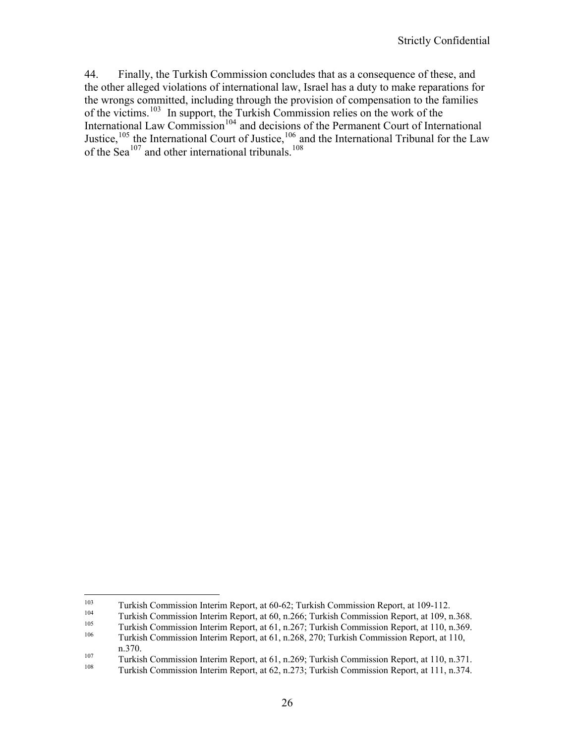44. Finally, the Turkish Commission concludes that as a consequence of these, and the other alleged violations of international law, Israel has a duty to make reparations for the wrongs committed, including through the provision of compensation to the families of the victims.[103](#page-25-0) In support, the Turkish Commission relies on the work of the International Law Commission<sup>[104](#page-25-1)</sup> and decisions of the Permanent Court of International Justice,  $105$  the International Court of Justice,  $106$  and the International Tribunal for the Law of the Sea<sup>[107](#page-25-4)</sup> and other international tribunals.<sup>[108](#page-25-5)</sup>

<span id="page-25-1"></span><span id="page-25-0"></span><sup>103</sup> Turkish Commission Interim Report, at 60-62; Turkish Commission Report, at 109-112.<br>
Turkish Commission Interim Report, at 60, n.266; Turkish Commission Report, at 109, n.368.<br>
Turkish Commission Interim Report, at 61, n.

<span id="page-25-3"></span><span id="page-25-2"></span>

<span id="page-25-4"></span>n.370.<br>
107 Turkish Commission Interim Report, at 61, n.269; Turkish Commission Report, at 110, n.371.<br>
108 Turkish Commission Interim Report, at 62, n.273; Turkish Commission Report, at 111, n.374.

<span id="page-25-5"></span>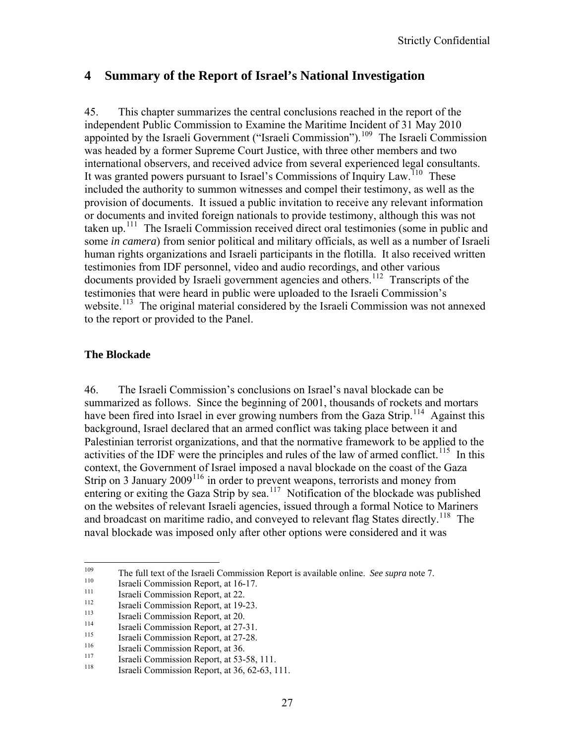## <span id="page-26-0"></span>**4 Summary of the Report of Israel's National Investigation**

45. This chapter summarizes the central conclusions reached in the report of the independent Public Commission to Examine the Maritime Incident of 31 May 2010 appointed by the Israeli Government ("Israeli Commission").<sup>[109](#page-26-2)</sup> The Israeli Commission was headed by a former Supreme Court Justice, with three other members and two international observers, and received advice from several experienced legal consultants. It was granted powers pursuant to Israel's Commissions of Inquiry Law.<sup>[110](#page-26-3)</sup> These included the authority to summon witnesses and compel their testimony, as well as the provision of documents. It issued a public invitation to receive any relevant information or documents and invited foreign nationals to provide testimony, although this was not taken up.<sup>[111](#page-26-4)</sup> The Israeli Commission received direct oral testimonies (some in public and some *in camera*) from senior political and military officials, as well as a number of Israeli human rights organizations and Israeli participants in the flotilla. It also received written testimonies from IDF personnel, video and audio recordings, and other various documents provided by Israeli government agencies and others.<sup>[112](#page-26-5)</sup> Transcripts of the testimonies that were heard in public were uploaded to the Israeli Commission's website.<sup>[113](#page-26-6)</sup> The original material considered by the Israeli Commission was not annexed to the report or provided to the Panel.

## <span id="page-26-1"></span>**The Blockade**

46. The Israeli Commission's conclusions on Israel's naval blockade can be summarized as follows. Since the beginning of 2001, thousands of rockets and mortars have been fired into Israel in ever growing numbers from the Gaza Strip.<sup>[114](#page-26-7)</sup> Against this background, Israel declared that an armed conflict was taking place between it and Palestinian terrorist organizations, and that the normative framework to be applied to the activities of the IDF were the principles and rules of the law of armed conflict.<sup>[115](#page-26-8)</sup> In this context, the Government of Israel imposed a naval blockade on the coast of the Gaza Strip on 3 January  $2009^{116}$  $2009^{116}$  $2009^{116}$  in order to prevent weapons, terrorists and money from entering or exiting the Gaza Strip by sea.<sup>[117](#page-26-10)</sup> Notification of the blockade was published on the websites of relevant Israeli agencies, issued through a formal Notice to Mariners and broadcast on maritime radio, and conveyed to relevant flag States directly.<sup>[118](#page-26-11)</sup> The naval blockade was imposed only after other options were considered and it was

<span id="page-26-2"></span><sup>109</sup> The full text of the Israeli Commission Report is available online. *See supra* note 7.<br>
110<br>
111 Israeli Commission Report, at 16-17.<br>
112 Israeli Commission Report, at 22.<br>
113 Israeli Commission Report, at 20.<br>
114 Isra

<span id="page-26-3"></span>

<span id="page-26-4"></span>

<span id="page-26-6"></span><span id="page-26-5"></span>

<span id="page-26-7"></span>

<span id="page-26-8"></span>

<span id="page-26-9"></span>

<span id="page-26-10"></span>

<span id="page-26-11"></span>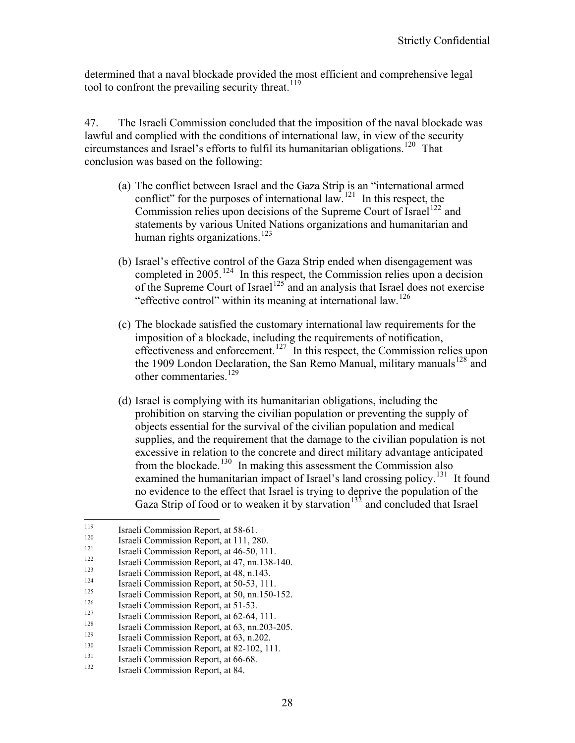determined that a naval blockade provided the most efficient and comprehensive legal tool to confront the prevailing security threat.<sup>119</sup>

47. The Israeli Commission concluded that the imposition of the naval blockade was lawful and complied with the conditions of international law, in view of the security circumstances and Israel's efforts to fulfil its humanitarian obligations.<sup>[120](#page-27-0)</sup> That conclusion was based on the following:

- (a) The conflict between Israel and the Gaza Strip is an "international armed conflict" for the purposes of international law.<sup>[121](#page-27-1)</sup> In this respect, the Commission relies upon decisions of the Supreme Court of Israel<sup>[122](#page-27-2)</sup> and statements by various United Nations organizations and humanitarian and human rights organizations. $123$
- (b) Israel's effective control of the Gaza Strip ended when disengagement was completed in 2005.<sup>[124](#page-27-4)</sup> In this respect, the Commission relies upon a decision of the Supreme Court of Israel<sup>[125](#page-27-5)</sup> and an analysis that Israel does not exercise "effective control" within its meaning at international law.[126](#page-27-6)
- (c) The blockade satisfied the customary international law requirements for the imposition of a blockade, including the requirements of notification, effectiveness and enforcement.<sup>[127](#page-27-7)</sup> In this respect, the Commission relies upon the 1909 London Declaration, the San Remo Manual, military manuals<sup>[128](#page-27-8)</sup> and other commentaries.<sup>[129](#page-27-9)</sup>
- (d) Israel is complying with its humanitarian obligations, including the prohibition on starving the civilian population or preventing the supply of objects essential for the survival of the civilian population and medical supplies, and the requirement that the damage to the civilian population is not excessive in relation to the concrete and direct military advantage anticipated from the blockade.<sup>[130](#page-27-10)</sup> In making this assessment the Commission also examined the humanitarian impact of Israel's land crossing policy.<sup>[131](#page-27-11)</sup> It found no evidence to the effect that Israel is trying to deprive the population of the Gaza Strip of food or to weaken it by starvation<sup>[132](#page-27-12)</sup> and concluded that Israel

<span id="page-27-0"></span><sup>119</sup> 

<span id="page-27-3"></span><span id="page-27-2"></span><span id="page-27-1"></span>

<span id="page-27-5"></span><span id="page-27-4"></span>

<sup>&</sup>lt;sup>119</sup><br>
Israeli Commission Report, at 58-61.<br>
<sup>120</sup><br>
Israeli Commission Report, at 41-50, 111.<br>
<sup>122</sup><br>
<sup>122</sup><br>
<sup>122</sup><br>
Israeli Commission Report, at 47, nn.138-140.<br>
Israeli Commission Report, at 48, n.143.<br>
Israeli Commissi

<span id="page-27-7"></span><span id="page-27-6"></span>

<span id="page-27-8"></span>

<span id="page-27-9"></span>

<span id="page-27-10"></span>

<span id="page-27-11"></span>

<span id="page-27-12"></span>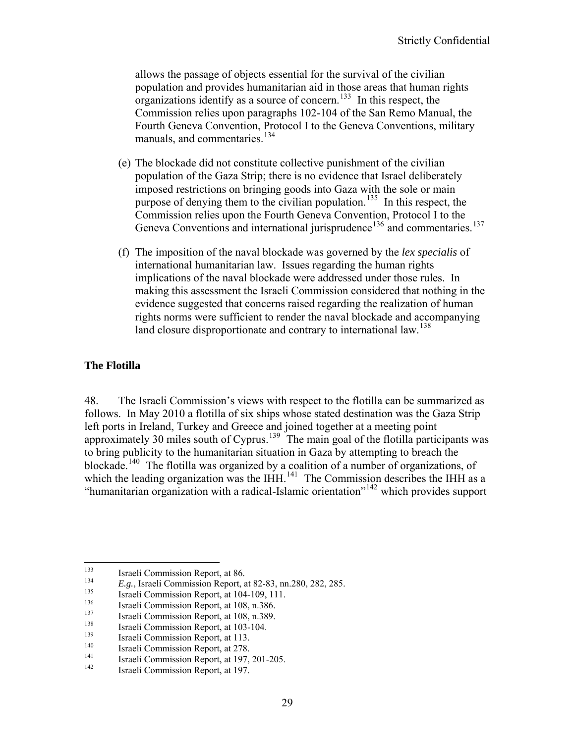allows the passage of objects essential for the survival of the civilian population and provides humanitarian aid in those areas that human rights organizations identify as a source of concern.<sup>133</sup> In this respect, the Commission relies upon paragraphs 102-104 of the San Remo Manual, the Fourth Geneva Convention, Protocol I to the Geneva Conventions, military manuals, and commentaries.<sup>134</sup>

- (e) The blockade did not constitute collective punishment of the civilian population of the Gaza Strip; there is no evidence that Israel deliberately imposed restrictions on bringing goods into Gaza with the sole or main purpose of denying them to the civilian population.<sup>[135](#page-28-1)</sup> In this respect, the Commission relies upon the Fourth Geneva Convention, Protocol I to the Geneva Conventions and international jurisprudence<sup>[136](#page-28-2)</sup> and commentaries.<sup>[137](#page-28-3)</sup>
- (f) The imposition of the naval blockade was governed by the *lex specialis* of international humanitarian law. Issues regarding the human rights implications of the naval blockade were addressed under those rules. In making this assessment the Israeli Commission considered that nothing in the evidence suggested that concerns raised regarding the realization of human rights norms were sufficient to render the naval blockade and accompanying land closure disproportionate and contrary to international law.<sup>[138](#page-28-4)</sup>

### <span id="page-28-0"></span>**The Flotilla**

48. The Israeli Commission's views with respect to the flotilla can be summarized as follows. In May 2010 a flotilla of six ships whose stated destination was the Gaza Strip left ports in Ireland, Turkey and Greece and joined together at a meeting point approximately 30 miles south of Cyprus.<sup>[139](#page-28-5)</sup> The main goal of the flotilla participants was to bring publicity to the humanitarian situation in Gaza by attempting to breach the blockade.<sup>[140](#page-28-6)</sup> The flotilla was organized by a coalition of a number of organizations, of which the leading organization was the IHH.<sup>[141](#page-28-7)</sup> The Commission describes the IHH as a "humanitarian organization with a radical-Islamic orientation"[142](#page-28-8) which provides support

<sup>133</sup> 

<sup>&</sup>lt;sup>133</sup><br>
Israeli Commission Report, at 86.<br> *E.g.*, Israeli Commission Report, at 82-83, nn.280, 282, 285.<br>
Israeli Commission Report, at 104-109, 111.<br>
Israeli Commission Report, at 108, n.386.<br>
Israeli Commission Report,

<span id="page-28-1"></span>

<span id="page-28-2"></span>

<span id="page-28-3"></span>

<span id="page-28-4"></span>

<span id="page-28-5"></span>

<span id="page-28-6"></span>

<span id="page-28-8"></span><span id="page-28-7"></span>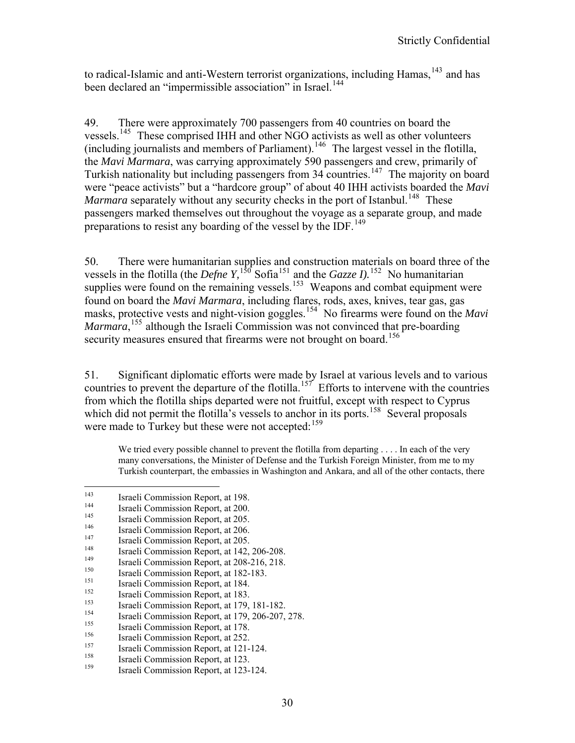to radical-Islamic and anti-Western terrorist organizations, including Hamas,<sup>143</sup> and has been declared an "impermissible association" in Israel.<sup>144</sup>

49. There were approximately 700 passengers from 40 countries on board the vessels.[145](#page-29-0) These comprised IHH and other NGO activists as well as other volunteers (including journalists and members of Parliament).<sup>[146](#page-29-1)</sup> The largest vessel in the flotilla, the *Mavi Marmara*, was carrying approximately 590 passengers and crew, primarily of Turkish nationality but including passengers from 34 countries.<sup>[147](#page-29-2)</sup> The majority on board were "peace activists" but a "hardcore group" of about 40 IHH activists boarded the *Mavi Marmara* separately without any security checks in the port of Istanbul.<sup>[148](#page-29-3)</sup> These passengers marked themselves out throughout the voyage as a separate group, and made preparations to resist any boarding of the vessel by the IDF.<sup>[149](#page-29-4)</sup>

50. There were humanitarian supplies and construction materials on board three of the vessels in the flotilla (the *Defne Y*, <sup>[150](#page-29-5)</sup> Sofia<sup>[151](#page-29-6)</sup> and the *Gazze I*).<sup>[152](#page-29-7)</sup> No humanitarian supplies were found on the remaining vessels.<sup>[153](#page-29-8)</sup> Weapons and combat equipment were found on board the *Mavi Marmara*, including flares, rods, axes, knives, tear gas, gas masks, protective vests and night-vision goggles.[154](#page-29-9) No firearms were found on the *Mavi*  Marmara,<sup>[155](#page-29-10)</sup> although the Israeli Commission was not convinced that pre-boarding security measures ensured that firearms were not brought on board.<sup>[156](#page-29-11)</sup>

51. Significant diplomatic efforts were made by Israel at various levels and to various countries to prevent the departure of the flotilla.<sup>[157](#page-29-12)</sup> Efforts to intervene with the countries from which the flotilla ships departed were not fruitful, except with respect to Cyprus which did not permit the flotilla's vessels to anchor in its ports.<sup>[158](#page-29-13)</sup> Several proposals were made to Turkey but these were not accepted:  $159$ 

We tried every possible channel to prevent the flotilla from departing . . . . In each of the very many conversations, the Minister of Defense and the Turkish Foreign Minister, from me to my Turkish counterpart, the embassies in Washington and Ankara, and all of the other contacts, there

<sup>143</sup> 

<span id="page-29-0"></span>

<span id="page-29-1"></span>

<span id="page-29-2"></span>

<span id="page-29-3"></span>

<span id="page-29-4"></span>

<span id="page-29-5"></span>

<span id="page-29-6"></span>

<span id="page-29-7"></span>

<span id="page-29-9"></span><span id="page-29-8"></span>

<sup>&</sup>lt;sup>143</sup><br>
Israeli Commission Report, at 198.<br>
<sup>144</sup><br>
Israeli Commission Report, at 200.<br>
Israeli Commission Report, at 205.<br>
Israeli Commission Report, at 206.<br>
Israeli Commission Report, at 120, 206-208.<br>
Israeli Commission

<span id="page-29-10"></span>

<span id="page-29-11"></span>

<span id="page-29-12"></span>

<span id="page-29-13"></span>

<span id="page-29-14"></span>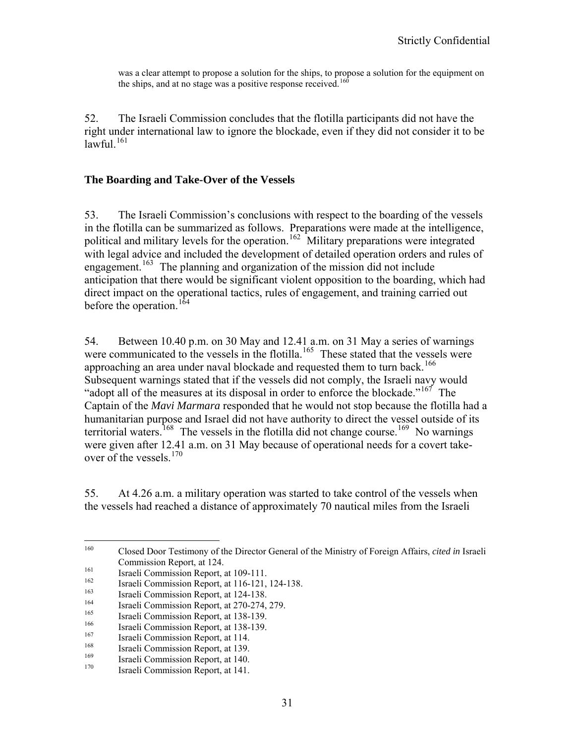was a clear attempt to propose a solution for the ships, to propose a solution for the equipment on the ships, and at no stage was a positive response received.<sup>[160](#page-30-1)</sup>

52. The Israeli Commission concludes that the flotilla participants did not have the right under international law to ignore the blockade, even if they did not consider it to be  $lawful<sup>161</sup>$  $lawful<sup>161</sup>$  $lawful<sup>161</sup>$ 

## <span id="page-30-0"></span>**The Boarding and Take-Over of the Vessels**

53. The Israeli Commission's conclusions with respect to the boarding of the vessels in the flotilla can be summarized as follows. Preparations were made at the intelligence, political and military levels for the operation.<sup>[162](#page-30-3)</sup> Military preparations were integrated with legal advice and included the development of detailed operation orders and rules of engagement.<sup>[163](#page-30-4)</sup> The planning and organization of the mission did not include anticipation that there would be significant violent opposition to the boarding, which had direct impact on the operational tactics, rules of engagement, and training carried out before the operation.<sup>164</sup>

54. Between 10.40 p.m. on 30 May and 12.41 a.m. on 31 May a series of warnings were communicated to the vessels in the flotilla.<sup>[165](#page-30-5)</sup> These stated that the vessels were approaching an area under naval blockade and requested them to turn back.<sup>[166](#page-30-6)</sup> Subsequent warnings stated that if the vessels did not comply, the Israeli navy would "adopt all of the measures at its disposal in order to enforce the blockade."<sup>[167](#page-30-7)</sup> The Captain of the *Mavi Marmara* responded that he would not stop because the flotilla had a humanitarian purpose and Israel did not have authority to direct the vessel outside of its territorial waters.<sup>[168](#page-30-8)</sup> The vessels in the flotilla did not change course.<sup>[169](#page-30-9)</sup> No warnings were given after 12.41 a.m. on 31 May because of operational needs for a covert take-over of the vessels.<sup>[170](#page-30-10)</sup>

55. At 4.26 a.m. a military operation was started to take control of the vessels when the vessels had reached a distance of approximately 70 nautical miles from the Israeli

<span id="page-30-1"></span><sup>160</sup> 160 Closed Door Testimony of the Director General of the Ministry of Foreign Affairs, *cited in* Israeli

<span id="page-30-2"></span>Commission Report, at 124.<br>
<sup>161</sup><br>
<sup>162</sup><br>
<sup>162</sup><br>
Israeli Commission Report, at 109-111.<br>
<sup>163</sup><br>
Israeli Commission Report, at 124-138.<br>
<sup>164</sup><br>
Israeli Commission Report, at 270-274, 279.<br>
<sup>165</sup><br>
<sup>165</sup><br>
Israeli Commission R

<span id="page-30-4"></span><span id="page-30-3"></span>

<span id="page-30-5"></span>

<span id="page-30-6"></span>

<span id="page-30-8"></span><span id="page-30-7"></span>

<span id="page-30-10"></span><span id="page-30-9"></span>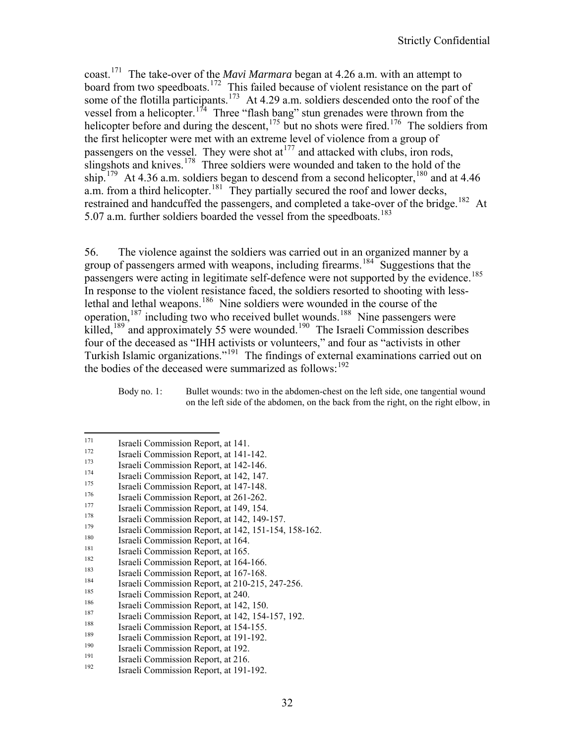coast.171 The take-over of the *Mavi Marmara* began at 4.26 a.m. with an attempt to board from two speedboats.<sup>172</sup> This failed because of violent resistance on the part of some of the flotilla participants.<sup>173</sup> At 4.29 a.m. soldiers descended onto the roof of the vessel from a helicopter.<sup>174</sup> Three "flash bang" stun grenades were thrown from the a.m. from a third helicopter.<sup>181</sup> They partially secured the roof and lower decks, 5.07 a.m. further soldiers boarded the vessel from the speedboats.<sup>183</sup> helicopter before and during the descent,  $175$  but no shots were fired.<sup>176</sup> The soldiers from the first helicopter were met with an extreme level of violence from a group of passengers on the vessel. They were shot at  $177$  and attacked with clubs, iron rods, slingshots and knives.<sup>178</sup> Three soldiers were wounded and taken to the hold of the ship.<sup>179</sup> At 4.36 a.m. soldiers began to descend from a second helicopter, <sup>180</sup> and at 4.46 restrained and handcuffed the passengers, and completed a take-over of the bridge.<sup>182</sup> At

Turkish Islamic organizations."<sup>[191](#page-31-7)</sup> The findings of external examinations carried out on 56. The violence against the soldiers was carried out in an organized manner by a group of passengers armed with weapons, including firearms.<sup>[184](#page-31-0)</sup> Suggestions that the passengers were acting in legitimate self-defence were not supported by the evidence.<sup>[185](#page-31-1)</sup> In response to the violent resistance faced, the soldiers resorted to shooting with less-lethal and lethal weapons.<sup>[186](#page-31-2)</sup> Nine soldiers were wounded in the course of the operation,<sup>[187](#page-31-3)</sup> including two who received bullet wounds.<sup>[188](#page-31-4)</sup> Nine passengers were killed,<sup>[189](#page-31-5)</sup> and approximately 55 were wounded.<sup>[190](#page-31-6)</sup> The Israeli Commission describes four of the deceased as "IHH activists or volunteers," and four as "activists in other the bodies of the deceased were summarized as follows:<sup>192</sup>

Body no. 1: Bullet wounds: two in the abdomen-chest on the left side, one tangential wound on the left side of the abdomen, on the back from the right, on the right elbow, in

<sup>171</sup> 

<sup>&</sup>lt;sup>171</sup><br>
Israeli Commission Report, at 141.<br>
172<br>
Israeli Commission Report, at 141-142.<br>
173<br>
174<br>
Israeli Commission Report, at 142-146.<br>
174<br>
Israeli Commission Report, at 147-148.<br>
Israeli Commission Report, at 147-148.

<span id="page-31-0"></span>

<span id="page-31-1"></span>

<span id="page-31-2"></span>

<span id="page-31-3"></span>

<span id="page-31-4"></span>

<span id="page-31-5"></span>

<span id="page-31-6"></span>

<span id="page-31-7"></span>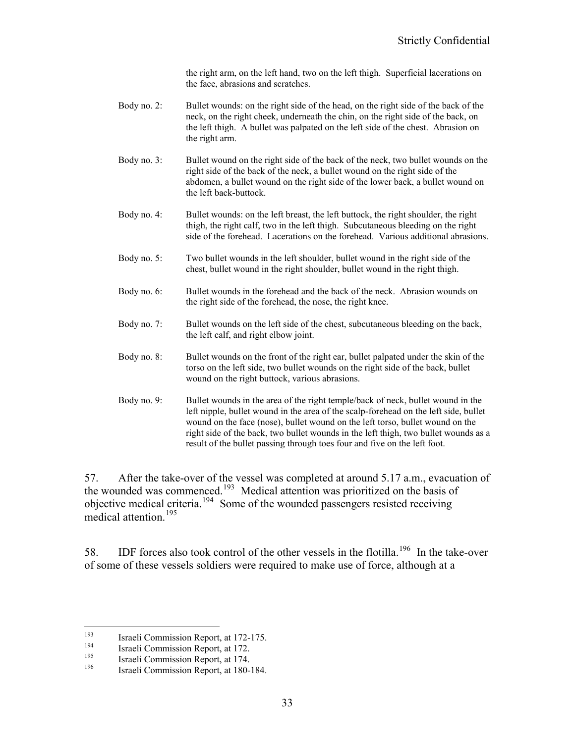the right arm, on the left hand, two on the left thigh. Superficial lacerations on the face, abrasions and scratches.

- Body no. 2: Bullet wounds: on the right side of the head, on the right side of the back of the neck, on the right cheek, underneath the chin, on the right side of the back, on the left thigh. A bullet was palpated on the left side of the chest. Abrasion on the right arm.
- Body no. 3: Bullet wound on the right side of the back of the neck, two bullet wounds on the right side of the back of the neck, a bullet wound on the right side of the abdomen, a bullet wound on the right side of the lower back, a bullet wound on the left back-buttock.
- Body no. 4: Bullet wounds: on the left breast, the left buttock, the right shoulder, the right thigh, the right calf, two in the left thigh. Subcutaneous bleeding on the right side of the forehead. Lacerations on the forehead. Various additional abrasions.
- Body no. 5: Two bullet wounds in the left shoulder, bullet wound in the right side of the chest, bullet wound in the right shoulder, bullet wound in the right thigh.
- Body no. 6: Bullet wounds in the forehead and the back of the neck. Abrasion wounds on the right side of the forehead, the nose, the right knee.
- Body no. 7: Bullet wounds on the left side of the chest, subcutaneous bleeding on the back, the left calf, and right elbow joint.
- Body no. 8: Bullet wounds on the front of the right ear, bullet palpated under the skin of the torso on the left side, two bullet wounds on the right side of the back, bullet wound on the right buttock, various abrasions.
- Body no. 9: Bullet wounds in the area of the right temple/back of neck, bullet wound in the left nipple, bullet wound in the area of the scalp-forehead on the left side, bullet wound on the face (nose), bullet wound on the left torso, bullet wound on the right side of the back, two bullet wounds in the left thigh, two bullet wounds as a result of the bullet passing through toes four and five on the left foot.

57. After the take-over of the vessel was completed at around 5.17 a.m., evacuation of the wounded was commenced.<sup>[193](#page-32-0)</sup> Medical attention was prioritized on the basis of objective medical criteria.<sup>[194](#page-32-1)</sup> Some of the wounded passengers resisted receiving medical attention.<sup>195</sup>

58. IDF forces also took control of the other vessels in the flotilla.<sup>[196](#page-32-2)</sup> In the take-over of some of these vessels soldiers were required to make use of force, although at a

<span id="page-32-0"></span><sup>193</sup> 

<span id="page-32-1"></span><sup>193</sup> Israeli Commission Report, at 172-175.<br>
195 Israeli Commission Report, at 172.<br>
196 Israeli Commission Report, at 180-184.

<span id="page-32-2"></span>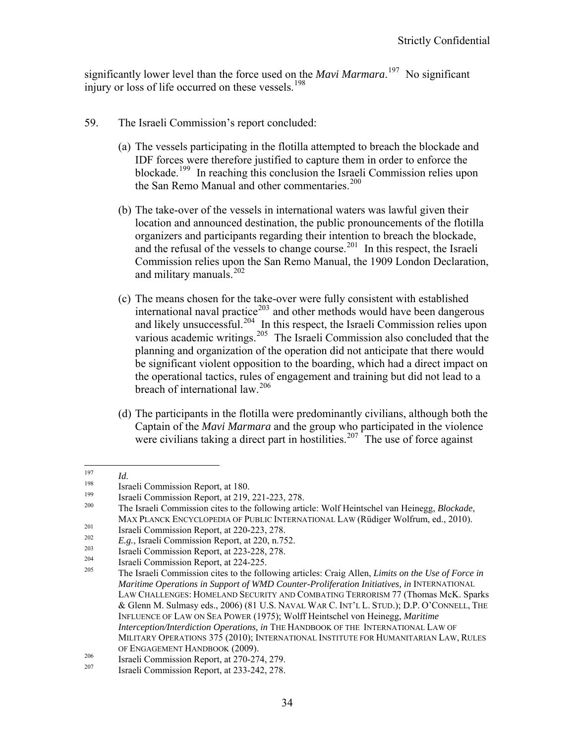significantly lower level than the force used on the *Mavi Marmara*. 197 No significant injury or loss of life occurred on these vessels.<sup>198</sup>

- 59. The Israeli Commission's report concluded:
	- (a) The vessels participating in the flotilla attempted to breach the blockade and IDF forces were therefore justified to capture them in order to enforce the blockade.<sup>[199](#page-33-0)</sup> In reaching this conclusion the Israeli Commission relies upon the San Remo Manual and other commentaries.<sup>[200](#page-33-1)</sup>
	- (b) The take-over of the vessels in international waters was lawful given their location and announced destination, the public pronouncements of the flotilla organizers and participants regarding their intention to breach the blockade, and the refusal of the vessels to change course.<sup>[201](#page-33-2)</sup> In this respect, the Israeli Commission relies upon the San Remo Manual, the 1909 London Declaration, and military manuals.<sup>[202](#page-33-3)</sup>
	- (c) The means chosen for the take-over were fully consistent with established international naval practice $^{203}$  $^{203}$  $^{203}$  and other methods would have been dangerous and likely unsuccessful.<sup>[204](#page-33-5)</sup> In this respect, the Israeli Commission relies upon various academic writings.<sup>[205](#page-33-6)</sup> The Israeli Commission also concluded that the planning and organization of the operation did not anticipate that there would be significant violent opposition to the boarding, which had a direct impact on the operational tactics, rules of engagement and training but did not lead to a breach of international law.[206](#page-33-7)
	- (d) The participants in the flotilla were predominantly civilians, although both the Captain of the *Mavi Marmara* and the group who participated in the violence were civilians taking a direct part in hostilities.<sup>[207](#page-33-8)</sup> The use of force against

<sup>197</sup> 

<span id="page-33-1"></span><span id="page-33-0"></span>

<sup>197&</sup>lt;br>
198 Israeli Commission Report, at 180.<br>
199 Israeli Commission Report, at 219, 221-223, 278.<br>
200 The Israeli Commission cites to the following article: Wolf Heintschel van Heinegg, *Blockade*, MAX PLANCK ENCYCLOPEDIA OF PUBLIC INTERNATIONAL LAW (Rüdiger Wolfrum, ed., 2010).<br>
Israeli Commission Report, at 220-223, 278.<br> *E.g.*, Israeli Commission Report, at 220, n.752.<br>
Israeli Commission Report, at 223-228, 278.

<span id="page-33-2"></span>

<span id="page-33-3"></span>

<span id="page-33-4"></span>

<span id="page-33-6"></span><span id="page-33-5"></span>

*Maritime Operations in Support of WMD Counter-Proliferation Initiatives, in INTERNATIONAL* LAW CHALLENGES: HOMELAND SECURITY AND COMBATING TERRORISM 77 (Thomas McK. Sparks & Glenn M. Sulmasy eds., 2006) (81 U.S. NAVAL WAR C. INT'L L. STUD.); D.P. O'CONNELL, THE INFLUENCE OF LAW ON SEA POWER (1975); Wolff Heintschel von Heinegg, *Maritime Interception/Interdiction Operations, in* THE HANDBOOK OF THE INTERNATIONAL LAW OF MILITARY OPERATIONS 375 (2010); INTERNATIONAL INSTITUTE FOR HUMANITARIAN LAW, RULES

<span id="page-33-7"></span>OF ENGAGEMENT HANDBOOK (2009).<br><sup>206</sup> Israeli Commission Report, at 270-274, 279.<br><sup>207</sup> Israeli Commission Report, at 233-242, 278.

<span id="page-33-8"></span>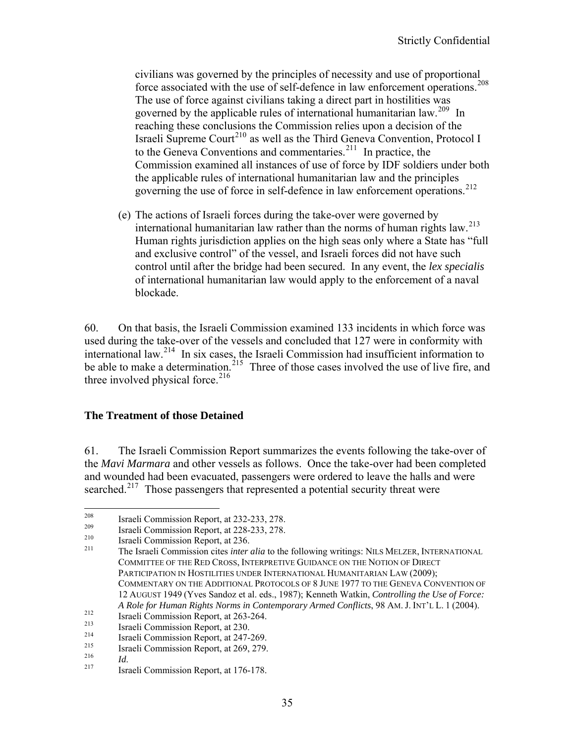civilians was governed by the principles of necessity and use of proportional force associated with the use of self-defence in law enforcement operations.<sup>208</sup> The use of force against civilians taking a direct part in hostilities was governed by the applicable rules of international humanitarian law.<sup>209</sup> In reaching these conclusions the Commission relies upon a decision of the Israeli Supreme Court<sup>210</sup> as well as the Third Geneva Convention, Protocol I to the Geneva Conventions and commentaries.<sup>211</sup> In practice, the Commission examined all instances of use of force by IDF soldiers un der both the applicable rules of international humanitarian law and the principl es governing the use of force in self-defence in law enforcement operations. 212

(e) The actions of Israeli forces during the take-over were governed by international humanitarian law rather than the norms of human rights law.<sup>[213](#page-34-1)</sup> Human rights jurisdiction applies on the high seas only where a State has "full and exclusive control" of the vessel, and Israeli forces did not have such control until after the bridge had been secured. In any event, the *lex specialis* of international humanitarian law would apply to the enforcement of a naval blockade.

60. On that basis, the Israeli Commission examined 133 incidents in which force was used during the take-over of the vessels and concluded that 127 were in conformity with international law.[214](#page-34-2) In six cases, the Israeli Commission had insufficient information to be able to make a determination.<sup>[215](#page-34-3)</sup> Three of those cases involved the use of live fire, and three involved physical force. $216$ 

### <span id="page-34-0"></span>**The Treatment of those Detained**

61. The Israeli Commission Report summarizes the events following the take-over of the *Mavi Marmara* and other vessels as follows. Once the take-over had been completed and wounded had been evacuated, passengers were ordered to leave the halls and were searched.<sup>[217](#page-34-5)</sup> Those passengers that represented a potential security threat were

<sup>208</sup> 

<sup>&</sup>lt;sup>208</sup><br>
Israeli Commission Report, at 232-233, 278.<br>
Israeli Commission Report, at 228-233, 278.<br>
Israeli Commission Report, at 236.<br>
The Israeli Commission cites *inter alia* to the following writings: NILS MELZER, INTERNA COMMITTEE OF THE RED CROSS, INTERPRETIVE GUIDANCE ON THE NOTION OF DIRECT PARTICIPATION IN HOSTILITIES UNDER INTERNATIONAL HUMANITARIAN LAW (2009); COMMENTARY ON THE ADDITIONAL PROTOCOLS OF 8 JUNE 1977 TO THE GENEVA CONVENTION OF 12 AUGUST 1949 (Yves Sandoz et al. eds., 1987); Kenneth Watkin, *Controlling the Use of Force:*  A Role for Human Rights Norms in Contemporary Armed Conflicts, 98 AM. J. INT'L L. 1 (2004).<br>
1212 Israeli Commission Report, at 263-264.<br>
1313 Israeli Commission Report, at 230.<br>
1314 Israeli Commission Report, at 247-269.

<span id="page-34-1"></span>

<span id="page-34-2"></span>

<span id="page-34-5"></span><span id="page-34-4"></span><span id="page-34-3"></span>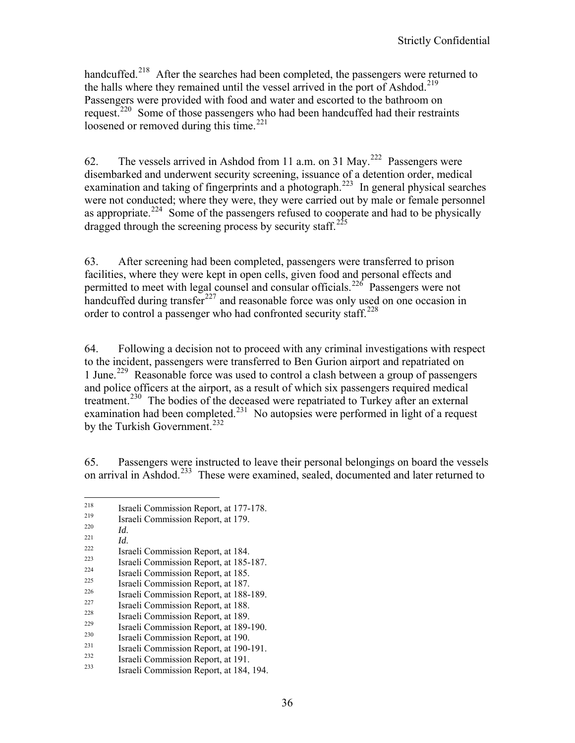handcuffed.<sup>218</sup> After the searches had been completed, the passengers were returned to the halls where they remained until the vessel arrived in the port of Ashdod.<sup>219</sup> Passengers were provided with food and water and escorted to the bathroom on request.<sup>220</sup> Some of those passengers who had been handcuffed had their restraints loosened or removed during this time.<sup>221</sup>

62. The vessels arrived in Ashdod from 11 a.m. on 31 May.<sup>[222](#page-35-0)</sup> Passengers were disembarked and underwent security screening, issuance of a detention order, medical examination and taking of fingerprints and a photograph.<sup>[223](#page-35-1)</sup> In general physical searches were not conducted; where they were, they were carried out by male or female personnel as appropriate.<sup>[224](#page-35-2)</sup> Some of the passengers refused to cooperate and had to be physically dragged through the screening process by security staff.<sup>[225](#page-35-3)</sup>

63. After screening had been completed, passengers were transferred to prison facilities, where they were kept in open cells, given food and personal effects and permitted to meet with legal counsel and consular officials.[226](#page-35-4) Passengers were not handcuffed during transfer<sup>[227](#page-35-5)</sup> and reasonable force was only used on one occasion in order to control a passenger who had confronted security staff.<sup>[228](#page-35-6)</sup>

64. Following a decision not to proceed with any criminal investigations with respect to the incident, passengers were transferred to Ben Gurion airport and repatriated on 1 June.<sup>[229](#page-35-7)</sup> Reasonable force was used to control a clash between a group of passengers and police officers at the airport, as a result of which six passengers required medical treatment.<sup>[230](#page-35-8)</sup> The bodies of the deceased were repatriated to Turkey after an external examination had been completed.<sup>[231](#page-35-9)</sup> No autopsies were performed in light of a request by the Turkish Government.<sup>[232](#page-35-10)</sup>

65. Passengers were instructed to leave their personal belongings on board the vessels on arrival in Ashdod.[233](#page-35-11) These were examined, sealed, documented and later returned to

- 218
- 
- 
- <span id="page-35-0"></span>
- 
- <span id="page-35-1"></span>
- <span id="page-35-2"></span>
- <span id="page-35-4"></span><span id="page-35-3"></span>
- 218 Israeli Commission Report, at 177-178. 219 Israeli Commission Report, at 179. 220 *Id*. 221 *Id*. 222 Israeli Commission Report, at 184. 223 Israeli Commission Report, at 185-187. 224 Israeli Commission Report, at 185. 225 Israeli Commission Report, at 187. 226 Israeli Commission Report, at 188-189. 227 Israeli Commission Report, at 188. 228 Israeli Commission Report, at 189. 229 Israeli Commission Report, at 189-190. 230 Israeli Commission Report, at 190. 231 Israeli Commission Report, at 190-191. 232 Israeli Commission Report, at 191. 233 Israeli Commission Report, at 184, 194.
- <span id="page-35-5"></span>
- <span id="page-35-6"></span>
- <span id="page-35-7"></span>
- <span id="page-35-8"></span>
- <span id="page-35-9"></span>
- <span id="page-35-10"></span>
- <span id="page-35-11"></span>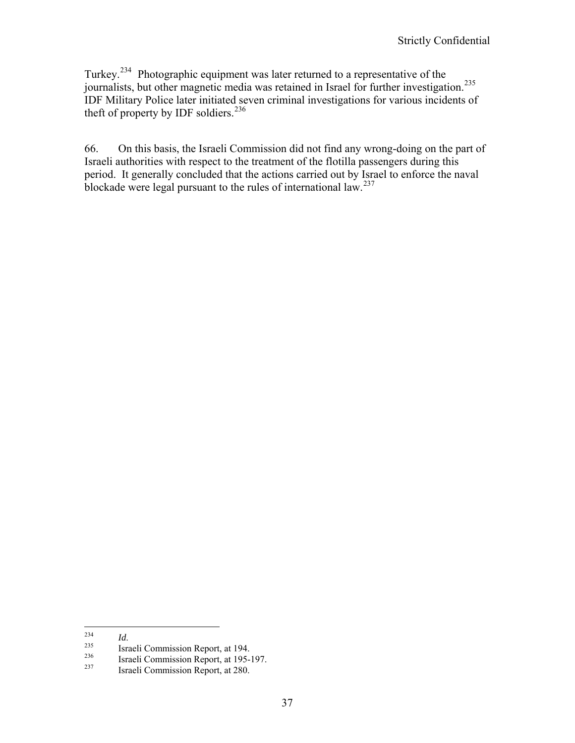Turkey.234 Photographic equipment was later returned to a representative of the journalists, but other magnetic media was retained in Israel for further investigation.<sup>235</sup> IDF Military Police later initiated seven criminal investigations for various incidents of theft of property by IDF soldiers. $^{236}$ 

66. On this basis, the Israeli Commission did not find any wrong-doing on the part of Israeli authorities with respect to the treatment of the flotilla passengers during this period. It generally concluded that the actions carried out by Israel to enforce the naval blockade were legal pursuant to the rules of international law.[237](#page-36-0)

<sup>234</sup> 

<sup>&</sup>lt;sup>234</sup> *Id.* Israeli Commission Report, at 194.<br><sup>236</sup> Israeli Commission Report, at 195-197.<br><sup>237</sup> Israeli Commission Report, at 280.

<span id="page-36-0"></span>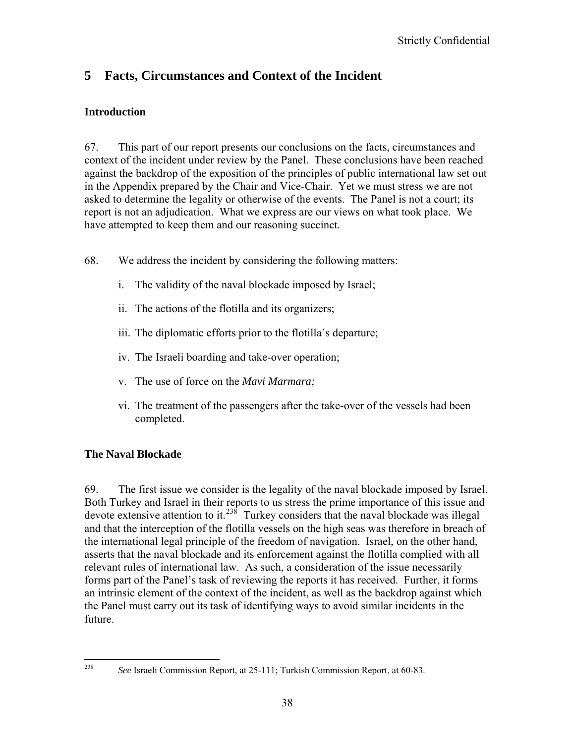# **5 Facts, Circumstances and Context of the Incident**

## **Introduction**

67. This part of our report presents our conclusions on the facts, circumstances and context of the incident under review by the Panel. These conclusions have been reached against the backdrop of the exposition of the principles of public international law set out in the Appendix prepared by the Chair and Vice-Chair. Yet we must stress we are not asked to determine the legality or otherwise of the events. The Panel is not a court; its report is not an adjudication. What we express are our views on what took place. We have attempted to keep them and our reasoning succinct.

- 68. We address the incident by considering the following matters:
	- i. The validity of the naval blockade imposed by Israel;
	- ii. The actions of the flotilla and its organizers;
	- iii. The diplomatic efforts prior to the flotilla's departure;
	- iv. The Israeli boarding and take-over operation;
	- v. The use of force on the *Mavi Marmara;*
	- vi. The treatment of the passengers after the take-over of the vessels had been completed.

## **The Naval Blockade**

69. The first issue we consider is the legality of the naval blockade imposed by Israel. Both Turkey and Israel in their reports to us stress the prime importance of this issue and devote extensive attention to it.<sup>[238](#page-37-0)</sup> Turkey considers that the naval blockade was illegal and that the interception of the flotilla vessels on the high seas was therefore in breach of the international legal principle of the freedom of navigation. Israel, on the other hand, asserts that the naval blockade and its enforcement against the flotilla complied with all relevant rules of international law. As such, a consideration of the issue necessarily forms part of the Panel's task of reviewing the reports it has received. Further, it forms an intrinsic element of the context of the incident, as well as the backdrop against which the Panel must carry out its task of identifying ways to avoid similar incidents in the future.

<span id="page-37-0"></span><sup>238</sup> 

<sup>238</sup> *See* Israeli Commission Report, at 25-111; Turkish Commission Report, at 60-83.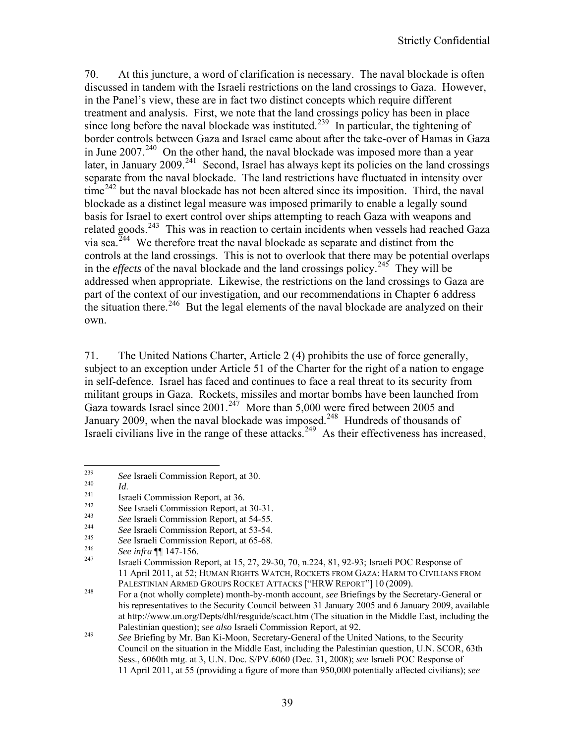70. At this juncture, a word of clarification is necessary. The naval blockade is often discussed in tandem with the Israeli restrictions on the land crossings to Gaza. However, in the Panel's view, these are in fact two distinct concepts which require different treatment and analysis. First, we note that the land crossings policy has been in place since long before the naval blockade was instituted.<sup>[239](#page-38-0)</sup> In particular, the tightening of border controls between Gaza and Israel came about after the take-over of Hamas in Gaza in June  $2007<sup>240</sup>$  $2007<sup>240</sup>$  $2007<sup>240</sup>$  On the other hand, the naval blockade was imposed more than a year later, in January 2009.<sup>[241](#page-38-2)</sup> Second, Israel has always kept its policies on the land crossings separate from the naval blockade. The land restrictions have fluctuated in intensity over  $time<sup>242</sup>$  $time<sup>242</sup>$  $time<sup>242</sup>$  but the naval blockade has not been altered since its imposition. Third, the naval blockade as a distinct legal measure was imposed primarily to enable a legally sound basis for Israel to exert control over ships attempting to reach Gaza with weapons and related goods.<sup>[243](#page-38-4)</sup> This was in reaction to certain incidents when vessels had reached Gaza via sea.<sup>[244](#page-38-5)</sup> We therefore treat the naval blockade as separate and distinct from the controls at the land crossings. This is not to overlook that there may be potential overlaps in the *effects* of the naval blockade and the land crossings policy.<sup>[245](#page-38-6)'</sup> They will be addressed when appropriate. Likewise, the restrictions on the land crossings to Gaza are part of the context of our investigation, and our recommendations in Chapter 6 address the situation there.<sup>[246](#page-38-7)</sup> But the legal elements of the naval blockade are analyzed on their own.

71. The United Nations Charter, Article 2 (4) prohibits the use of force generally, subject to an exception under Article 51 of the Charter for the right of a nation to engage in self-defence. Israel has faced and continues to face a real threat to its security from militant groups in Gaza. Rockets, missiles and mortar bombs have been launched from Gaza towards Israel since  $2001$ .<sup>[247](#page-38-8)</sup> More than 5,000 were fired between 2005 and January 2009, when the naval blockade was imposed.<sup>[248](#page-38-9)</sup> Hundreds of thousands of Israeli civilians live in the range of these attacks.<sup>[249](#page-38-10)</sup> As their effectiveness has increased,

<sup>239</sup> 

<span id="page-38-2"></span><span id="page-38-1"></span>

<span id="page-38-3"></span>

<span id="page-38-4"></span>

<span id="page-38-5"></span>

<span id="page-38-6"></span>

<span id="page-38-8"></span><span id="page-38-7"></span>

<span id="page-38-0"></span><sup>&</sup>lt;sup>239</sup> See Israeli Commission Report, at 30.<br>
<sup>240</sup> Id.<br>
<sup>241</sup> Israeli Commission Report, at 36.<br>
<sup>242</sup> See Israeli Commission Report, at 30-31.<br>
<sup>243</sup> See Israeli Commission Report, at 54-55.<br> *See* Israeli Commission Rep 11 April 2011, at 52; HUMAN RIGHTS WATCH, ROCKETS FROM GAZA: HARM TO CIVILIANS FROM PALESTINIAN ARMED GROUPS ROCKET ATTACKS ["HRW REPORT"] 10 (2009).<br><sup>248</sup> For a (not wholly complete) month-by-month account, *see* Briefings by the Secretary-General or

<span id="page-38-9"></span>his representatives to the Security Council between 31 January 2005 and 6 January 2009, available at http://www.un.org/Depts/dhl/resguide/scact.htm (The situation in the Middle East, including the

<span id="page-38-10"></span>Palestinian question); *see also* Israeli Commission Report, at 92.<br><sup>249</sup> *See Briefing by Mr. Ban Ki-Moon, Secretary-General of the United Nations, to the Security* Council on the situation in the Middle East, including the Palestinian question, U.N. SCOR, 63th Sess., 6060th mtg. at 3, U.N. Doc. S/PV.6060 (Dec. 31, 2008); *see* Israeli POC Response of 11 April 2011, at 55 (providing a figure of more than 950,000 potentially affected civilians); *see*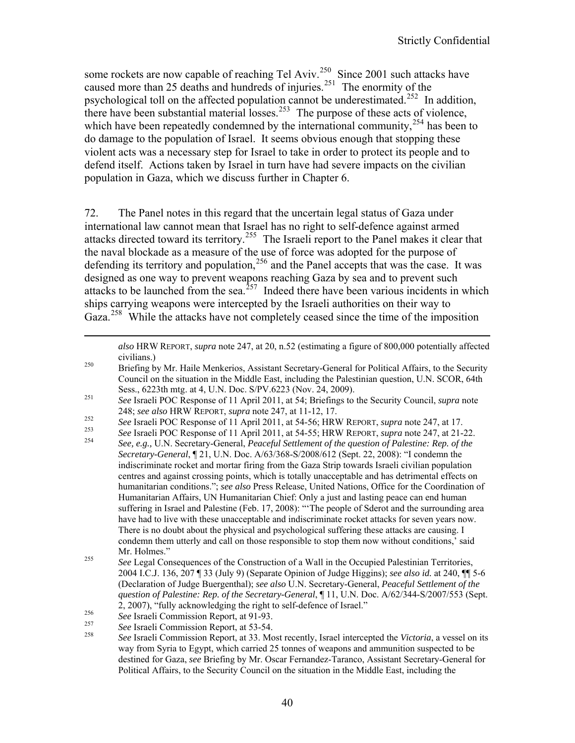some rockets are now capable of reaching Tel Aviv.<sup>250</sup> Since 2001 such attacks have caused more than 25 deaths and hundreds of injuries.<sup>251</sup> The enormity of the psychological toll on the affected population cannot be underestimated.<sup>252</sup> In addition, there have been substantial material losses.<sup>253</sup> The purpose of these acts of violence, which have been repeatedly condemned by the international community,  $^{254}$  has been to do damage to the population of Israel. It seems obvious enough that stopping these violent acts was a necessary step for Israel to take in order to protect its people and to defend itself. Actions taken by Israel in turn have had severe impacts on the civilian population in Gaza, which we discuss further in Chapter 6.

72. The Panel notes in this regard that the uncertain legal status of Gaza under international law cannot mean that Israel has no right to self-defence against armed attacks directed toward its territory.[255](#page-39-0) The Israeli report to the Panel makes it clear that the naval blockade as a measure of the use of force was adopted for the purpose of defending its territory and population,<sup>[256](#page-39-1)</sup> and the Panel accepts that was the case. It was designed as one way to prevent weapons reaching Gaza by sea and to prevent such attacks to be launched from the sea.<sup> $257$ </sup> Indeed there have been various incidents in which ships carrying weapons were intercepted by the Israeli authorities on their way to Gaza.<sup>[258](#page-39-3)</sup> While the attacks have not completely ceased since the time of the imposition

*also* HRW REPORT, *supra* note 247, at 20, n.52 (estimating a figure of 800,000 potentially affected civilians.) 250 Briefing by Mr. Haile Menkerios, Assistant Secretary-General for Political Affairs, to the Security

- Council on the situation in the Middle East, including the Palestinian question, U.N. SCOR, 64th Sess., 6223th mtg. at 4, U.N. Doc. S/PV.6223 (Nov. 24, 2009). 251 *See* Israeli POC Response of 11 April 2011, at 54; Briefings to the Security Council, *supra* note
- 
- 248; see also HRW REPORT, supra note 247, at 11-12, 17.<br>
See Israeli POC Response of 11 April 2011, at 54-56; HRW REPORT, supra note 247, at 17.<br>
See Israeli POC Response of 11 April 2011, at 54-55; HRW REPORT, supra note
- *Secretary-General*, ¶ 21, U.N. Doc. A/63/368-S/2008/612 (Sept. 22, 2008): "I condemn the indiscriminate rocket and mortar firing from the Gaza Strip towards Israeli civilian population centres and against crossing points, which is totally unacceptable and has detrimental effects on humanitarian conditions."; *see also* Press Release, United Nations, Office for the Coordination of Humanitarian Affairs, UN Humanitarian Chief: Only a just and lasting peace can end human suffering in Israel and Palestine (Feb. 17, 2008): "'The people of Sderot and the surrounding area have had to live with these unacceptable and indiscriminate rocket attacks for seven years now. There is no doubt about the physical and psychological suffering these attacks are causing. I condemn them utterly and call on those responsible to stop them now without conditions,' said
- <span id="page-39-0"></span>Mr. Holmes."<br><sup>255</sup> *See* Legal Consequences of the Construction of a Wall in the Occupied Palestinian Territories, 2004 I.C.J. 136, 207 ¶ 33 (July 9) (Separate Opinion of Judge Higgins); *see also id.* at 240, ¶¶ 5-6 (Declaration of Judge Buergenthal); *see also* U.N. Secretary-General, *Peaceful Settlement of the question of Palestine: Rep. of the Secretary-General*, ¶ 11, U.N. Doc. A/62/344-S/2007/553 (Sept.

1

<span id="page-39-1"></span>

<span id="page-39-3"></span><span id="page-39-2"></span>

<sup>2, 2007), &</sup>quot;fully acknowledging the right to self-defence of Israel."<br>
See Israeli Commission Report, at 91-93.<br>
See Israeli Commission Report, at 53-54.<br>
See Israeli Commission Report, at 33. Most recently, Israel intercep way from Syria to Egypt, which carried 25 tonnes of weapons and ammunition suspected to be destined for Gaza, *see* Briefing by Mr. Oscar Fernandez-Taranco, Assistant Secretary-General for Political Affairs, to the Security Council on the situation in the Middle East, including the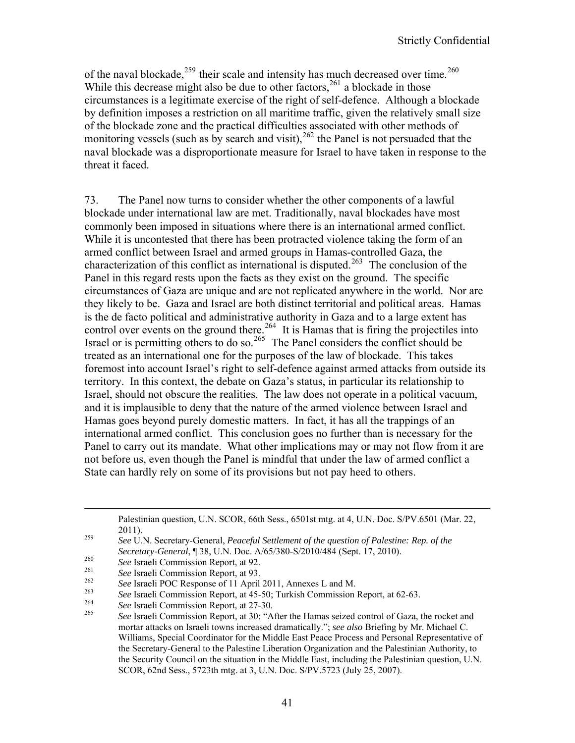of the naval blockade,<sup>259</sup> their scale and intensity has much decreased over time.<sup>260</sup> While this decrease might also be due to other factors,  $261$  a blockade in those circumstances is a legitimate exercise of the right of self-defence. Although a block ade by definition imposes a restriction on all maritime traffic, given the relatively sma ll size of the blockade zone and the practical difficulties associated with other methods of monitoring vessels (such as by search and visit),  $^{262}$  the Panel is not persuaded that the threat it faced. naval blockade was a disproportionate measure for Israel to have taken in response to the

While it is uncontested that there has been protracted violence taking the form of an characterization of this conflict as international is disputed.<sup>[263](#page-40-0)</sup> The conclusion of the they likely to be. Gaza and Israel are both distinct territorial and political areas. Hamas control over events on the ground there.<sup>[264](#page-40-1)</sup> It is Hamas that is firing the projectiles into Israel or is permitting others to do so.<sup>[265](#page-40-2)</sup> The Panel considers the conflict should be foremost into account Israel's right to self-defence against armed attacks from outside its , Israel, should not obscure the realities. The law does not operate in a political vacuum and it is implausible to deny that the nature of the armed violence between Israel and Panel to carry out its mandate. What other implications may or may not flow from it are not before us, even though the Panel is mindful that under the law of armed conflict a State can hardly rely on some of its provisions but not pay heed to others. 73. The Panel now turns to consider whether the other components of a lawful blockade under international law are met. Traditionally, naval blockades have most commonly been imposed in situations where there is an international armed conflict. armed conflict between Israel and armed groups in Hamas-controlled Gaza, the Panel in this regard rests upon the facts as they exist on the ground. The specific circumstances of Gaza are unique and are not replicated anywhere in the world. Nor are is the de facto political and administrative authority in Gaza and to a large extent has treated as an international one for the purposes of the law of blockade. This takes territory. In this context, the debate on Gaza's status, in particular its relationship to Hamas goes beyond purely domestic matters. In fact, it has all the trappings of an international armed conflict. This conclusion goes no further than is necessary for the

 $\overline{a}$ 

- <span id="page-40-0"></span>
- <span id="page-40-2"></span><span id="page-40-1"></span>

Palestinian question, U.N. SCOR, 66th Sess., 6501st mtg. at 4, U.N. Doc. S/PV.6501 (Mar. 22,

<sup>2011).&</sup>lt;br><sup>259</sup> See U.N. Secretary-General, *Peaceful Settlement of the question of Palestine: Rep. of the* 

Secretary-General, ¶ 38, U.N. Doc. A/65/380-S/2010/484 (Sept. 17, 2010).<br>
<sup>260</sup> See Israeli Commission Report, at 92.<br>
<sup>261</sup> See Israeli Commission Report, at 93.<br>
<sup>262</sup> See Israeli POC Response of 11 April 2011, Annexes L mortar attacks on Israeli towns increased dramatically."; *see also* Briefing by Mr. Michael C. Williams, Special Coordinator for the Middle East Peace Process and Personal Representative of the Secretary-General to the Palestine Liberation Organization and the Palestinian Authority, to the Security Council on the situation in the Middle East, including the Palestinian question, U.N. SCOR, 62nd Sess., 5723th mtg. at 3, U.N. Doc. S/PV.5723 (July 25, 2007).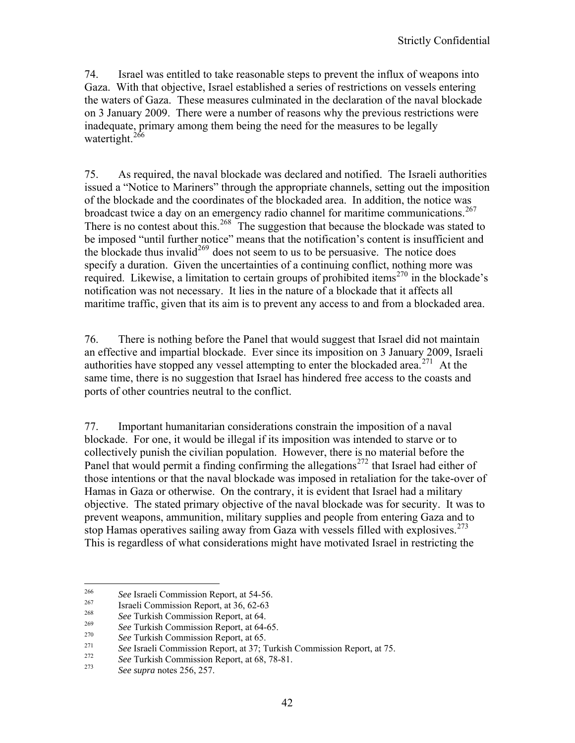74. Israel was entitled to take reasonable steps to prevent the influx of weapons into Gaza. With that objective, Israel established a series of restrictions on vessels entering the waters of Gaza. These measures culminated in the declaration of the naval blockade on 3 January 2009. There were a number of reasons why the previous restrictions were inadequate, primary among them being the need for the measures to be legally watertight.<sup>[266](#page-41-0)</sup>

75. As required, the naval blockade was declared and notified. The Israeli authorities issued a "Notice to Mariners" through the appropriate channels, setting out the imposition of the blockade and the coordinates of the blockaded area. In addition, the notice was broadcast twice a day on an emergency radio channel for maritime communications.<sup>[267](#page-41-1)</sup> There is no contest about this.<sup>[268](#page-41-2)</sup> The suggestion that because the blockade was stated to be imposed "until further notice" means that the notification's content is insufficient and the blockade thus invalid<sup>[269](#page-41-3)</sup> does not seem to us to be persuasive. The notice does specify a duration. Given the uncertainties of a continuing conflict, nothing more was required. Likewise, a limitation to certain groups of prohibited items<sup>[270](#page-41-4)</sup> in the blockade's notification was not necessary. It lies in the nature of a blockade that it affects all maritime traffic, given that its aim is to prevent any access to and from a blockaded area.

76. There is nothing before the Panel that would suggest that Israel did not maintain an effective and impartial blockade. Ever since its imposition on 3 January 2009, Israeli authorities have stopped any vessel attempting to enter the blockaded area.<sup>[271](#page-41-5)</sup> At the same time, there is no suggestion that Israel has hindered free access to the coasts and ports of other countries neutral to the conflict.

77. Important humanitarian considerations constrain the imposition of a naval blockade. For one, it would be illegal if its imposition was intended to starve or to collectively punish the civilian population. However, there is no material before the Panel that would permit a finding confirming the allegations<sup>[272](#page-41-6)</sup> that Israel had either of those intentions or that the naval blockade was imposed in retaliation for the take-over of Hamas in Gaza or otherwise. On the contrary, it is evident that Israel had a military objective. The stated primary objective of the naval blockade was for security. It was to prevent weapons, ammunition, military supplies and people from entering Gaza and to stop Hamas operatives sailing away from Gaza with vessels filled with explosives.<sup>[273](#page-41-7)</sup> This is regardless of what considerations might have motivated Israel in restricting the

<sup>266</sup> 

<span id="page-41-1"></span>

<span id="page-41-3"></span><span id="page-41-2"></span>

<span id="page-41-5"></span><span id="page-41-4"></span>

<span id="page-41-0"></span><sup>&</sup>lt;sup>266</sup> See Israeli Commission Report, at 54-56.<br>
<sup>267</sup> Israeli Commission Report, at 36, 62-63<br>
<sup>268</sup> See Turkish Commission Report, at 64.<br>
<sup>269</sup> See Turkish Commission Report, at 64-65.<br>
<sup>270</sup> See Israeli Commission Repo

<span id="page-41-6"></span>

<span id="page-41-7"></span>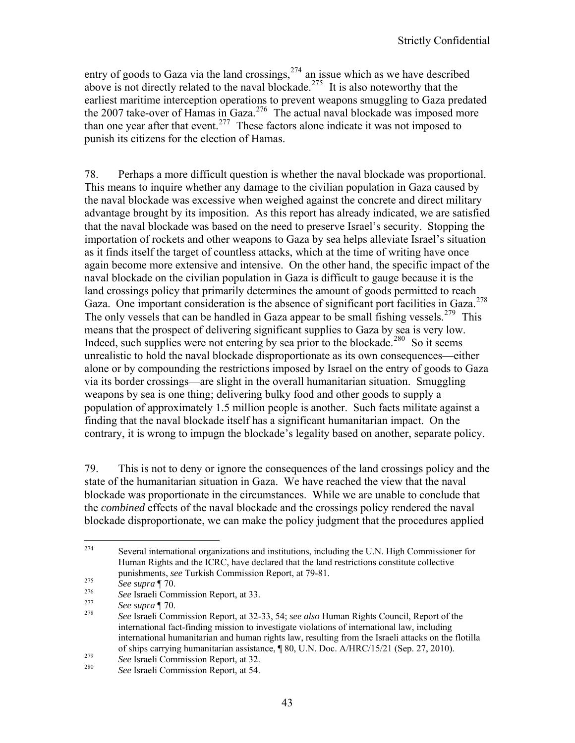entry of goods to Gaza via the land crossings,<sup>274</sup> an issue which as we have described above is not directly related to the naval blockade.<sup>275</sup> It is also noteworthy that the earliest maritime interception operations to prevent weapons smuggling to Gaza predated the 2007 take-over of Hamas in Gaza.<sup>276</sup> The actual naval blockade was imposed more than one year after that event.<sup>277</sup> These factors alone indicate it was not imposed to punish its citizens for the election of Hamas.

78. Perhaps a more difficult question is whether the naval blockade was proportional. This means to inquire whether any damage to the civilian population in Gaza caused by the naval blockade was excessive when weighed against the concrete and direct military advantage brought by its imposition. As this report has already indicated, we are satisfied that the naval blockade was based on the need to preserve Israel's security. Stopping the importation of rockets and other weapons to Gaza by sea helps alleviate Israel's situation as it finds itself the target of countless attacks, which at the time of writing have once again become more extensive and intensive. On the other hand, the specific impact of the naval blockade on the civilian population in Gaza is difficult to gauge because it is the land crossings policy that primarily determines the amount of goods permitted to reach Gaza. One important consideration is the absence of significant port facilities in Gaza.<sup>[278](#page-42-0)</sup> The only vessels that can be handled in Gaza appear to be small fishing vessels.<sup>[279](#page-42-1)</sup> This means that the prospect of delivering significant supplies to Gaza by sea is very low. Indeed, such supplies were not entering by sea prior to the blockade.<sup>[280](#page-42-2)</sup> So it seems unrealistic to hold the naval blockade disproportionate as its own consequences—either alone or by compounding the restrictions imposed by Israel on the entry of goods to Gaza via its border crossings—are slight in the overall humanitarian situation. Smuggling weapons by sea is one thing; delivering bulky food and other goods to supply a population of approximately 1.5 million people is another. Such facts militate against a finding that the naval blockade itself has a significant humanitarian impact. On the contrary, it is wrong to impugn the blockade's legality based on another, separate policy.

79. This is not to deny or ignore the consequences of the land crossings policy and the state of the humanitarian situation in Gaza. We have reached the view that the naval blockade was proportionate in the circumstances. While we are unable to conclude that the *combined* effects of the naval blockade and the crossings policy rendered the naval blockade disproportionate, we can make the policy judgment that the procedures applied

<sup>274</sup> 274 Several international organizations and institutions, including the U.N. High Commissioner for Human Rights and the ICRC, have declared that the land restrictions constitute collective

<span id="page-42-0"></span>

punishments, *see* Turkish Commission Report, at 79-81.<br> *See supra* ¶ 70.<br> *See Israeli Commission Report, at 33.*<br> *See supra* ¶ 70.<br> *See supra* ¶ 70.<br> *See Israeli Commission Report, at 32-33, 54; <i>see also* Human Righ international fact-finding mission to investigate violations of international law, including international humanitarian and human rights law, resulting from the Israeli attacks on the flotilla of ships carrying humanitarian assistance, ¶ 80, U.N. Doc. A/HRC/15/21 (Sep. 27, 2010).<br> *See* Israeli Commission Report, at 32.<br> *See* Israeli Commission Report, at 54.

<span id="page-42-1"></span>

<span id="page-42-2"></span>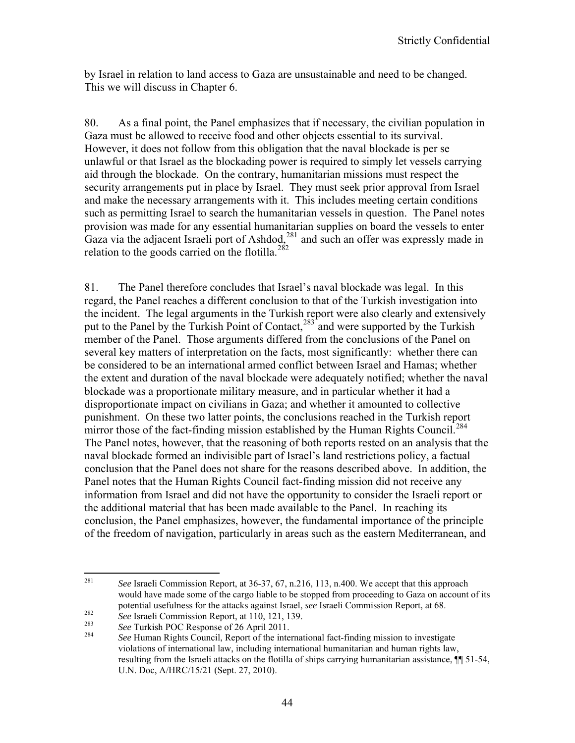by Israel in relation to land access to Gaza are unsustainable and need to be changed. This we will discuss in Chapter 6.

80. As a final point, the Panel emphasizes that if necessary, the civilian population in Gaza must be allowed to receive food and other objects essential to its survival. However, it does not follow from this obligation that the naval blockade is per se unlawful or that Israel as the blockading power is required to simply let vessels carrying aid through the blockade. On the contrary, humanitarian missions must respect the security arrangements put in place by Israel. They must seek prior approval from Israel and make the necessary arrangements with it. This includes meeting certain conditions such as permitting Israel to search the humanitarian vessels in question. The Panel notes provision was made for any essential humanitarian supplies on board the vessels to enter Gaza via the adjacent Israeli port of Ashdod, $^{281}$  $^{281}$  $^{281}$  and such an offer was expressly made in relation to the goods carried on the flotilla.<sup>[282](#page-43-1)</sup>

81. The Panel therefore concludes that Israel's naval blockade was legal. In this regard, the Panel reaches a different conclusion to that of the Turkish investigation into the incident. The legal arguments in the Turkish report were also clearly and extensively put to the Panel by the Turkish Point of Contact,<sup>[283](#page-43-2)</sup> and were supported by the Turkish member of the Panel. Those arguments differed from the conclusions of the Panel on several key matters of interpretation on the facts, most significantly: whether there can be considered to be an international armed conflict between Israel and Hamas; whether the extent and duration of the naval blockade were adequately notified; whether the naval blockade was a proportionate military measure, and in particular whether it had a disproportionate impact on civilians in Gaza; and whether it amounted to collective punishment. On these two latter points, the conclusions reached in the Turkish report mirror those of the fact-finding mission established by the Human Rights Council.<sup>[284](#page-43-3)</sup> The Panel notes, however, that the reasoning of both reports rested on an analysis that the naval blockade formed an indivisible part of Israel's land restrictions policy, a factual conclusion that the Panel does not share for the reasons described above. In addition, the Panel notes that the Human Rights Council fact-finding mission did not receive any information from Israel and did not have the opportunity to consider the Israeli report or the additional material that has been made available to the Panel. In reaching its conclusion, the Panel emphasizes, however, the fundamental importance of the principle of the freedom of navigation, particularly in areas such as the eastern Mediterranean, and

<span id="page-43-0"></span><sup>281</sup> See Israeli Commission Report, at 36-37, 67, n.216, 113, n.400. We accept that this approach would have made some of the cargo liable to be stopped from proceeding to Gaza on account of its potential usefulness for the attacks against Israel, *see* Israeli Commission Report, at 68.<br> *See* Israeli Commission Report, at 110, 121, 139.<br> *See* Turkish POC Response of 26 April 2011.<br> *See* Human Rights Council, Re

<span id="page-43-3"></span><span id="page-43-2"></span><span id="page-43-1"></span>

violations of international law, including international humanitarian and human rights law, resulting from the Israeli attacks on the flotilla of ships carrying humanitarian assistance, ¶¶ 51-54, U.N. Doc, A/HRC/15/21 (Sept. 27, 2010).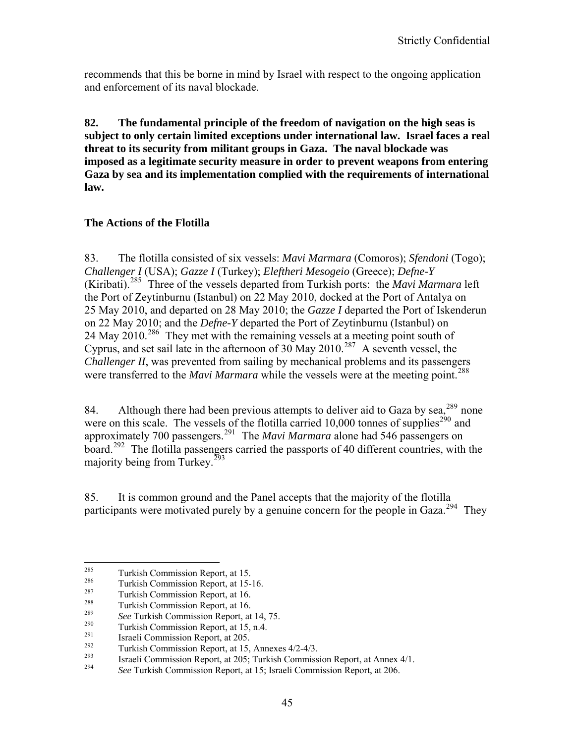recommends that this be borne in mind by Israel with respect to the ongoing application and enforcement of its naval blockade.

**82. The fundamental principle of the freedom of navigation on the high seas is subject to only certain limited exceptions under international law. Israel faces a real threat to its security from militant groups in Gaza. The naval blockade was imposed as a legitimate security measure in order to prevent weapons from entering Gaza by sea and its implementation complied with the requirements of international law.** 

#### **The Actions of the Flotilla**

83. The flotilla consisted of six vessels: *Mavi Marmara* (Comoros); *Sfendoni* (Togo); *Challenger I* (USA); *Gazze I* (Turkey); *Eleftheri Mesogeio* (Greece); *Defne-Y*  (Kiribati).[285](#page-44-0) Three of the vessels departed from Turkish ports: the *Mavi Marmara* left the Port of Zeytinburnu (Istanbul) on 22 May 2010, docked at the Port of Antalya on 25 May 2010, and departed on 28 May 2010; the *Gazze I* departed the Port of Iskenderun on 22 May 2010; and the *Defne-Y* departed the Port of Zeytinburnu (Istanbul) on 24 May 2010.[286](#page-44-1) They met with the remaining vessels at a meeting point south of Cyprus, and set sail late in the afternoon of 30 May 2010.<sup>[287](#page-44-2)</sup> A seventh vessel, the *Challenger II*, was prevented from sailing by mechanical problems and its passengers were transferred to the *Mavi Marmara* while the vessels were at the meeting point.<sup>[288](#page-44-3)</sup>

84. Although there had been previous attempts to deliver aid to Gaza by sea,  $^{289}$  $^{289}$  $^{289}$  none were on this scale. The vessels of the flotilla carried 10,000 tonnes of supplies<sup>[290](#page-44-5)</sup> and approximately 700 passengers.[291](#page-44-6) The *Mavi Marmara* alone had 546 passengers on board.<sup>[292](#page-44-7)</sup> The flotilla passengers carried the passports of 40 different countries, with the majority being from Turkey.<sup>[293](#page-44-8)</sup>

85. It is common ground and the Panel accepts that the majority of the flotilla participants were motivated purely by a genuine concern for the people in Gaza.<sup>[294](#page-44-9)</sup> They

<sup>285</sup> 

<span id="page-44-2"></span>

<span id="page-44-3"></span>

<span id="page-44-4"></span>

<span id="page-44-5"></span>

<span id="page-44-6"></span>

<span id="page-44-8"></span><span id="page-44-7"></span>

<span id="page-44-1"></span><span id="page-44-0"></span>Turkish Commission Report, at 15.<br>
Turkish Commission Report, at 15-16.<br>
Turkish Commission Report, at 16.<br>
Turkish Commission Report, at 16.<br>
See Turkish Commission Report, at 14, 75.<br>
Turkish Commission Report, at 15, n.

<span id="page-44-9"></span>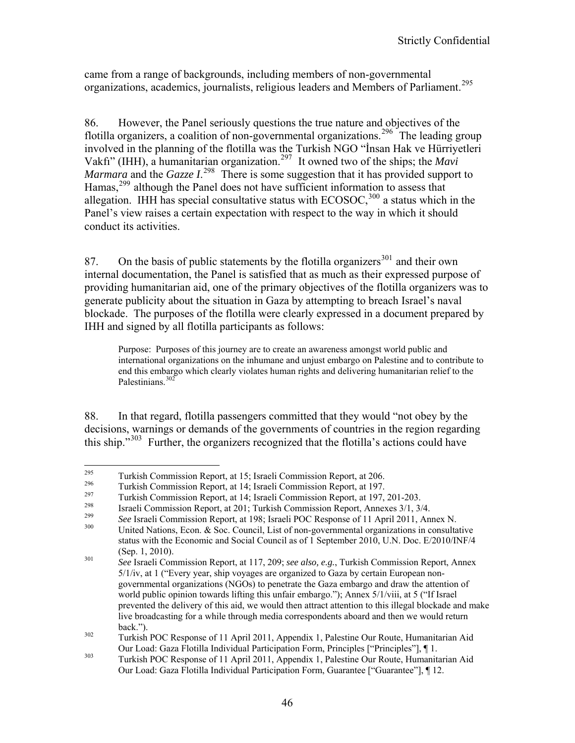came from a range of backgrounds, including members of non-governmental organizations, academics, journalists, religious leaders and Members of Parliament.<sup>295</sup>

86. However, the Panel seriously questions the true nature and objectives of the flotilla organizers, a coalition of non-governmental organizations.<sup>[296](#page-45-0)</sup> The leading group involved in the planning of the flotilla was the Turkish NGO "İnsan Hak ve Hürriyetleri Vakfi" (IHH), a humanitarian organization.<sup>[297](#page-45-1)</sup> It owned two of the ships; the *Mavi* Marmara and the *Gazze I*.<sup>[298](#page-45-2)</sup> There is some suggestion that it has provided support to Hamas,<sup>[299](#page-45-3)</sup> although the Panel does not have sufficient information to assess that allegation. IHH has special consultative status with  $ECOSOC$ ,  $300$  a status which in the Panel's view raises a certain expectation with respect to the way in which it should conduct its activities.

87. On the basis of public statements by the flotilla organizers<sup>[301](#page-45-5)</sup> and their own internal documentation, the Panel is satisfied that as much as their expressed purpose of providing humanitarian aid, one of the primary objectives of the flotilla organizers was to generate publicity about the situation in Gaza by attempting to breach Israel's naval blockade. The purposes of the flotilla were clearly expressed in a document prepared by IHH and signed by all flotilla participants as follows:

Purpose: Purposes of this journey are to create an awareness amongst world public and international organizations on the inhumane and unjust embargo on Palestine and to contribute to end this embargo which clearly violates human rights and delivering humanitarian relief to the Palestinians.<sup>[302](#page-45-6)</sup>

88. In that regard, flotilla passengers committed that they would "not obey by the decisions, warnings or demands of the governments of countries in the region regarding this ship."<sup>[303](#page-45-7)</sup> Further, the organizers recognized that the flotilla's actions could have

<sup>295</sup> 

<span id="page-45-1"></span>

<span id="page-45-3"></span><span id="page-45-2"></span>

<span id="page-45-0"></span>Turkish Commission Report, at 15; Israeli Commission Report, at 206.<br>
Turkish Commission Report, at 14; Israeli Commission Report, at 197.<br>
Turkish Commission Report, at 14; Israeli Commission Report, at 197, 201-203.<br>
Isr

<span id="page-45-4"></span>status with the Economic and Social Council as of 1 September 2010, U.N. Doc. E/2010/INF/4 (Sep. 1, 2010). 301 *See* Israeli Commission Report, at 117, 209; *see also, e.g.*, Turkish Commission Report, Annex

<span id="page-45-5"></span><sup>5/1/</sup>iv, at 1 ("Every year, ship voyages are organized to Gaza by certain European nongovernmental organizations (NGOs) to penetrate the Gaza embargo and draw the attention of world public opinion towards lifting this unfair embargo."); Annex 5/1/viii, at 5 ("If Israel prevented the delivery of this aid, we would then attract attention to this illegal blockade and make live broadcasting for a while through media correspondents aboard and then we would return

<span id="page-45-6"></span>back.").<br><sup>302</sup> Turkish POC Response of 11 April 2011, Appendix 1, Palestine Our Route, Humanitarian Aid

<span id="page-45-7"></span>Our Load: Gaza Flotilla Individual Participation Form, Principles ["Principles"], ¶ 1.<br>
Turkish POC Response of 11 April 2011, Appendix 1, Palestine Our Route, Humanitarian Aid Our Load: Gaza Flotilla Individual Participation Form, Guarantee ["Guarantee"], ¶ 12.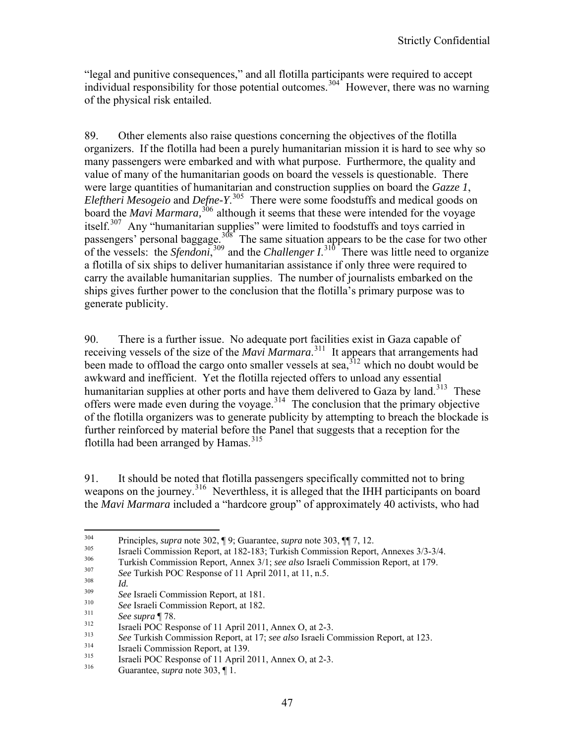"legal and punitive consequences," and all flotilla participants were required to accept individual responsibility for those potential outcomes.<sup>304</sup> However, there was no warning of the physical risk entailed.

89. Other elements also raise questions concerning the objectives of the flotilla organizers. If the flotilla had been a purely humanitarian mission it is hard to see why so many passengers were embarked and with what purpose. Furthermore, the quality and value of many of the humanitarian goods on board the vessels is questionable. There were large quantities of humanitarian and construction supplies on board the *Gazze 1*, *Eleftheri Mesogeio* and *Defne-Y*. [305](#page-46-0) There were some foodstuffs and medical goods on board the *Mavi Marmara*,<sup>[306](#page-46-1)</sup> although it seems that these were intended for the voyage itself.<sup>[307](#page-46-2)</sup> Any "humanitarian supplies" were limited to foodstuffs and toys carried in passengers' personal baggage.<sup>[308](#page-46-3)</sup> The same situation appears to be the case for two other of the vessels: the *Sfendoni*, [309](#page-46-4) and the *Challenger I*. [310](#page-46-5) There was little need to organize a flotilla of six ships to deliver humanitarian assistance if only three were required to carry the available humanitarian supplies. The number of journalists embarked on the ships gives further power to the conclusion that the flotilla's primary purpose was to generate publicity.

90. There is a further issue. No adequate port facilities exist in Gaza capable of receiving vessels of the size of the *Mavi Marmara*.<sup>[311](#page-46-6)</sup> It appears that arrangements had been made to offload the cargo onto smaller vessels at sea,  $3^{312}$  $3^{312}$  $3^{312}$  which no doubt would be awkward and inefficient. Yet the flotilla rejected offers to unload any essential humanitarian supplies at other ports and have them delivered to Gaza by land.<sup>[313](#page-46-8)</sup> These offers were made even during the voyage.<sup>[314](#page-46-9)</sup> The conclusion that the primary objective of the flotilla organizers was to generate publicity by attempting to breach the blockade is further reinforced by material before the Panel that suggests that a reception for the flotilla had been arranged by Hamas.<sup>[315](#page-46-10)</sup>

91. It should be noted that flotilla passengers specifically committed not to bring weapons on the journey.<sup>[316](#page-46-11)</sup> Neverthless, it is alleged that the IHH participants on board the *Mavi Marmara* included a "hardcore group" of approximately 40 activists, who had

<span id="page-46-0"></span><sup>304</sup> 

Principles, *supra* note 302,  $\P$  9; Guarantee, *supra* note 303,  $\P$  7, 12.<br>
Israeli Commission Report, at 182-183; Turkish Commission Report, Annexes 3/3-3/4.<br>
Turkish Commission Report, Annex 3/1; *see also* Israeli Co

<span id="page-46-2"></span><span id="page-46-1"></span>

<span id="page-46-4"></span><span id="page-46-3"></span>

<span id="page-46-5"></span>

<span id="page-46-7"></span><span id="page-46-6"></span>

<span id="page-46-9"></span><span id="page-46-8"></span>

<span id="page-46-10"></span>

<span id="page-46-11"></span>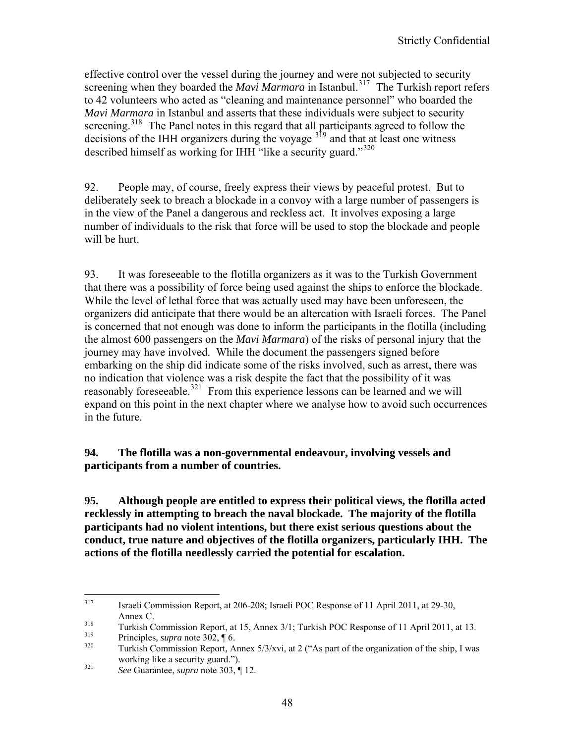effective control over the vessel during the journey and were not subjected to security screening when they boarded the *Mavi Marmara* in Istanbul.<sup>317</sup> The Turkish report refers to 42 volunteers who acted as "cleaning and maintenance personnel" who boarded the *Mavi Marmara* in Istanbul and asserts that these individuals were subject to security screening.<sup>318</sup> The Panel notes in this regard that all participants agreed to follow the decisions of the IHH organizers during the voyage 319 and that at least one witness described himself as working for IHH "like a security guard."<sup>320</sup>

92. People may, of course, freely express their views by peaceful protest. But to deliberately seek to breach a blockade in a convoy with a large number of passengers is in the view of the Panel a dangerous and reckless act. It involves exposing a large number of individuals to the risk that force will be used to stop the blockade and people will be hurt.

93. It was foreseeable to the flotilla organizers as it was to the Turkish Government that there was a possibility of force being used against the ships to enforce the blockade. While the level of lethal force that was actually used may have been unforeseen, the organizers did anticipate that there would be an altercation with Israeli forces. The Panel is concerned that not enough was done to inform the participants in the flotilla (including the almost 600 passengers on the *Mavi Marmara*) of the risks of personal injury that the journey may have involved. While the document the passengers signed before embarking on the ship did indicate some of the risks involved, such as arrest, there was no indication that violence was a risk despite the fact that the possibility of it was reasonably foreseeable.<sup>[321](#page-47-0)</sup> From this experience lessons can be learned and we will expand on this point in the next chapter where we analyse how to avoid such occurrences in the future.

#### **94. The flotilla was a non-governmental endeavour, involving vessels and participants from a number of countries.**

**95. Although people are entitled to express their political views, the flotilla acted recklessly in attempting to breach the naval blockade. The majority of the flotilla participants had no violent intentions, but there exist serious questions about the conduct, true nature and objectives of the flotilla organizers, particularly IHH. The actions of the flotilla needlessly carried the potential for escalation.** 

<sup>317</sup> 317 Israeli Commission Report, at 206-208; Israeli POC Response of 11 April 2011, at 29-30,

Annex C.<br>
Turkish Commission Report, at 15, Annex 3/1; Turkish POC Response of 11 April 2011, at 13.<br>
Principles, *supra* note 302, ¶ 6.<br>
Turkish Commission Report, Annex 5/3/xvi, at 2 ("As part of the organization of the

<span id="page-47-0"></span>working like a security guard."). 321 *See* Guarantee, *supra* note 303, ¶ 12.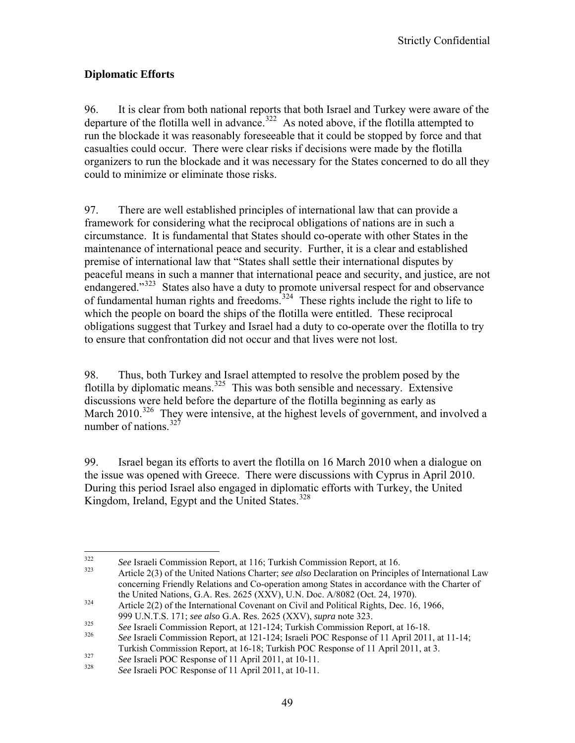## **Diplomatic Efforts**

96. It is clear from both national reports that both Israel and Turkey were aware of the departure of the flotilla well in advance.<sup>[322](#page-48-0)</sup> As noted above, if the flotilla attempted to run the blockade it was reasonably foreseeable that it could be stopped by force and that casualties could occur. There were clear risks if decisions were made by the flotilla organizers to run the blockade and it was necessary for the States concerned to do all they could to minimize or eliminate those risks.

97. There are well established principles of international law that can provide a framework for considering what the reciprocal obligations of nations are in such a circumstance. It is fundamental that States should co-operate with other States in the maintenance of international peace and security. Further, it is a clear and established premise of international law that "States shall settle their international disputes by peaceful means in such a manner that international peace and security, and justice, are not endangered."<sup>[323](#page-48-1)</sup> States also have a duty to promote universal respect for and observance of fundamental human rights and freedoms.<sup>[324](#page-48-2)</sup> These rights include the right to life to which the people on board the ships of the flotilla were entitled. These reciprocal obligations suggest that Turkey and Israel had a duty to co-operate over the flotilla to try to ensure that confrontation did not occur and that lives were not lost.

98. Thus, both Turkey and Israel attempted to resolve the problem posed by the flotilla by diplomatic means. $325$  This was both sensible and necessary. Extensive discussions were held before the departure of the flotilla beginning as early as March 2010.<sup>[326](#page-48-4)</sup> They were intensive, at the highest levels of government, and involved a number of nations.  $327$ 

99. Israel began its efforts to avert the flotilla on 16 March 2010 when a dialogue on the issue was opened with Greece. There were discussions with Cyprus in April 2010. During this period Israel also engaged in diplomatic efforts with Turkey, the United Kingdom, Ireland, Egypt and the United States.<sup>[328](#page-48-6)</sup>

<sup>322</sup> 

<span id="page-48-1"></span><span id="page-48-0"></span><sup>&</sup>lt;sup>322</sup> See Israeli Commission Report, at 116; Turkish Commission Report, at 16.<br><sup>323</sup> Article 2(3) of the United Nations Charter; *see also* Declaration on Principles of International Law concerning Friendly Relations and Co-operation among States in accordance with the Charter of the United Nations, G.A. Res. 2625 (XXV), U.N. Doc. A/8082 (Oct. 24, 1970).<br>324 Article 2(2) of the International Covenant on Civil and Political Rights, Dec. 16, 1966,

<span id="page-48-2"></span>

<span id="page-48-3"></span><sup>999</sup> U.N.T.S. 171; see also G.A. Res. 2625 (XXV), supra note 323.<br>See Israeli Commission Report, at 121-124; Turkish Commission Report, at 16-18.<br>See Israeli Commission Report, at 121-124; Israeli POC Response of 11 April 2

<span id="page-48-4"></span>Turkish Commission Report, at 16-18; Turkish POC Response of 11 April 2011, at 3. 327 *See* Israeli POC Response of 11 April 2011, at 10-11. 328 *See* Israeli POC Response of 11 April 2011, at 10-11.

<span id="page-48-5"></span>

<span id="page-48-6"></span>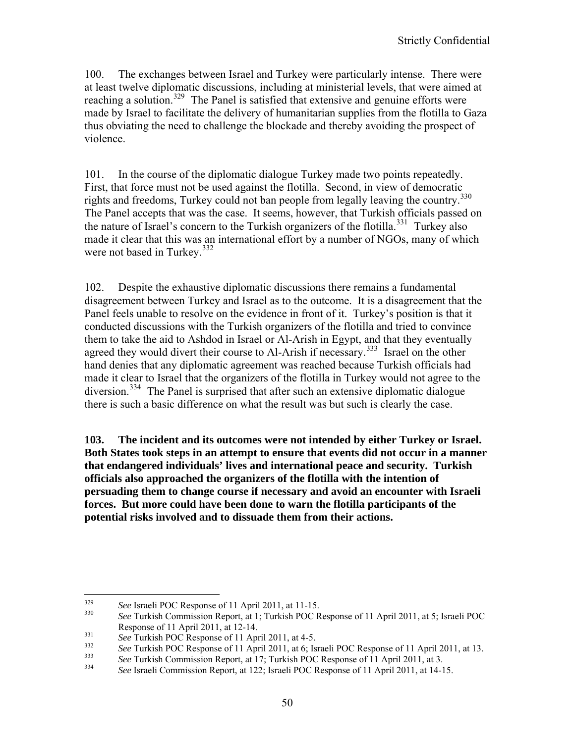100. The exchanges between Israel and Turkey were particularly intense. There were at least twelve diplomatic discussions, including at ministerial levels, that were aimed at reaching a solution.<sup>[329](#page-49-0)</sup> The Panel is satisfied that extensive and genuine efforts were made by Israel to facilitate the delivery of humanitarian supplies from the flotilla to Gaza thus obviating the need to challenge the blockade and thereby avoiding the prospect of violence.

101. In the course of the diplomatic dialogue Turkey made two points repeatedly. First, that force must not be used against the flotilla. Second, in view of democratic rights and freedoms, Turkey could not ban people from legally leaving the country.<sup>[330](#page-49-1)</sup> The Panel accepts that was the case. It seems, however, that Turkish officials passed on the nature of Israel's concern to the Turkish organizers of the flotilla.<sup>[331](#page-49-2)</sup> Turkey also made it clear that this was an international effort by a number of NGOs, many of which were not based in Turkey.<sup>[332](#page-49-3)</sup>

102. Despite the exhaustive diplomatic discussions there remains a fundamental disagreement between Turkey and Israel as to the outcome. It is a disagreement that the Panel feels unable to resolve on the evidence in front of it. Turkey's position is that it conducted discussions with the Turkish organizers of the flotilla and tried to convince them to take the aid to Ashdod in Israel or Al-Arish in Egypt, and that they eventually agreed they would divert their course to Al-Arish if necessary.<sup>[333](#page-49-4)</sup> Israel on the other hand denies that any diplomatic agreement was reached because Turkish officials had made it clear to Israel that the organizers of the flotilla in Turkey would not agree to the diversion. [334](#page-49-5) The Panel is surprised that after such an extensive diplomatic dialogue there is such a basic difference on what the result was but such is clearly the case.

**103. The incident and its outcomes were not intended by either Turkey or Israel. Both States took steps in an attempt to ensure that events did not occur in a manner that endangered individuals' lives and international peace and security. Turkish officials also approached the organizers of the flotilla with the intention of persuading them to change course if necessary and avoid an encounter with Israeli forces. But more could have been done to warn the flotilla participants of the potential risks involved and to dissuade them from their actions.** 

<sup>329</sup> 

<span id="page-49-1"></span><span id="page-49-0"></span><sup>329</sup>*See* Israeli POC Response of 11 April 2011, at 11-15. 330 *See* Turkish Commission Report, at 1; Turkish POC Response of 11 April 2011, at 5; Israeli POC

<span id="page-49-3"></span><span id="page-49-2"></span>

Response of 11 April 2011, at 12-14.<br>
See Turkish POC Response of 11 April 2011, at 4-5.<br>
See Turkish POC Response of 11 April 2011, at 6; Israeli POC Response of 11 April 2011, at 13.<br>
See Turkish Commission Report, at 17

<span id="page-49-4"></span>

<span id="page-49-5"></span>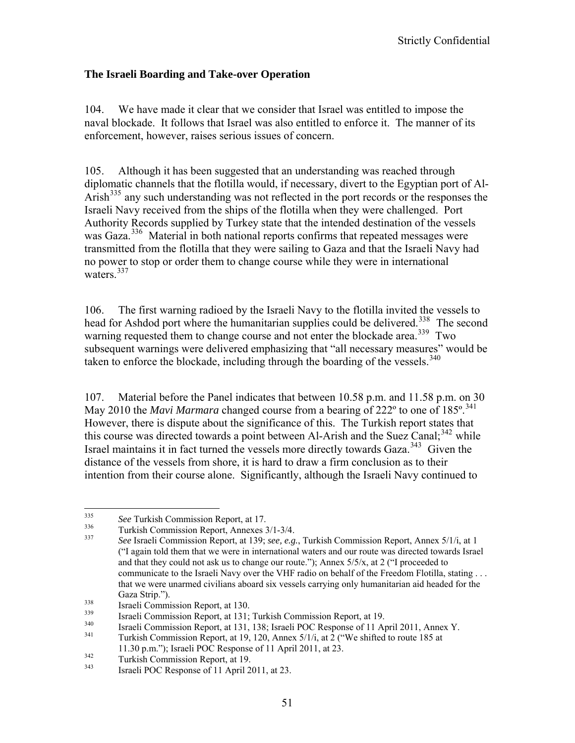#### **The Israeli Boarding and Take-over Operation**

104. We have made it clear that we consider that Israel was entitled to impose the naval blockade. It follows that Israel was also entitled to enforce it. The manner of its enforcement, however, raises serious issues of concern.

105. Although it has been suggested that an understanding was reached through diplomatic channels that the flotilla would, if necessary, divert to the Egyptian port of Al-Arish<sup>[335](#page-50-0)</sup> any such understanding was not reflected in the port records or the responses the Israeli Navy received from the ships of the flotilla when they were challenged. Port Authority Records supplied by Turkey state that the intended destination of the vessels was Gaza.<sup>[336](#page-50-1)</sup> Material in both national reports confirms that repeated messages were transmitted from the flotilla that they were sailing to Gaza and that the Israeli Navy had no power to stop or order them to change course while they were in international waters.<sup>[337](#page-50-2)</sup>

106. The first warning radioed by the Israeli Navy to the flotilla invited the vessels to head for Ashdod port where the humanitarian supplies could be delivered.<sup>[338](#page-50-3)</sup> The second warning requested them to change course and not enter the blockade area.<sup>[339](#page-50-4)</sup> Two subsequent warnings were delivered emphasizing that "all necessary measures" would be taken to enforce the blockade, including through the boarding of the vessels.<sup>[340](#page-50-5)</sup>

107. Material before the Panel indicates that between 10.58 p.m. and 11.58 p.m. on 30 May 2010 the *Mavi Marmara* changed course from a bearing of 222<sup>°</sup> to one of 185<sup>°</sup>.<sup>[341](#page-50-6)</sup> However, there is dispute about the significance of this. The Turkish report states that this course was directed towards a point between Al-Arish and the Suez Canal;<sup>[342](#page-50-7)</sup> while Israel maintains it in fact turned the vessels more directly towards Gaza.<sup>[343](#page-50-8)</sup> Given the distance of the vessels from shore, it is hard to draw a firm conclusion as to their intention from their course alone. Significantly, although the Israeli Navy continued to

<sup>335</sup> 

<span id="page-50-2"></span><span id="page-50-1"></span>

<span id="page-50-0"></span><sup>335</sup>*See* Turkish Commission Report, at 17. 336 Turkish Commission Report, Annexes 3/1-3/4. 337 *See* Israeli Commission Report, at 139; *see, e.g.*, Turkish Commission Report, Annex 5/1/i, at 1 ("I again told them that we were in international waters and our route was directed towards Israel and that they could not ask us to change our route."); Annex  $5/5/x$ , at 2 ("I proceeded to communicate to the Israeli Navy over the VHF radio on behalf of the Freedom Flotilla, stating ... that we were unarmed civilians aboard six vessels carrying only humanitarian aid headed for the

<span id="page-50-3"></span>

<span id="page-50-5"></span><span id="page-50-4"></span>

Gaza Strip.").<br>
Israeli Commission Report, at 130.<br>
Israeli Commission Report, at 131; Turkish Commission Report, at 19.<br>
Israeli Commission Report, at 131, 138; Israeli POC Response of 11 April 2011, Annex Y.<br>
Turkish Com

<span id="page-50-8"></span><span id="page-50-7"></span>

<span id="page-50-6"></span><sup>11.30</sup> p.m."); Israeli POC Response of 11 April 2011, at 23.<br>
Turkish Commission Report, at 19.<br>
Israeli POC Response of 11 April 2011, at 23.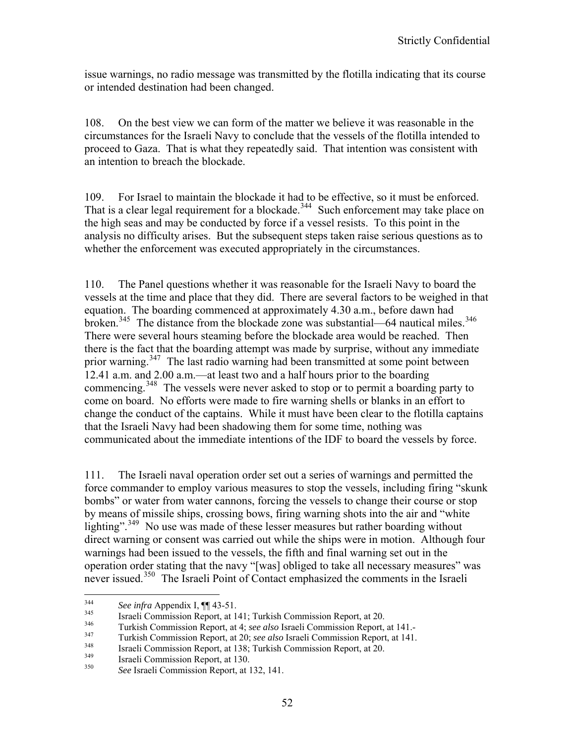issue warnings, no radio message was transmitted by the flotilla indicating that its course or intended destination had been changed.

108. On the best view we can form of the matter we believe it was reasonable in the circumstances for the Israeli Navy to conclude that the vessels of the flotilla intended to proceed to Gaza. That is what they repeatedly said. That intention was consistent with an intention to breach the blockade.

109. For Israel to maintain the blockade it had to be effective, so it must be enforced. That is a clear legal requirement for a blockade.<sup>[344](#page-51-0)</sup> Such enforcement may take place on the high seas and may be conducted by force if a vessel resists. To this point in the analysis no difficulty arises. But the subsequent steps taken raise serious questions as to whether the enforcement was executed appropriately in the circumstances.

110. The Panel questions whether it was reasonable for the Israeli Navy to board the vessels at the time and place that they did. There are several factors to be weighed in that equation. The boarding commenced at approximately 4.30 a.m., before dawn had broken.<sup>[345](#page-51-1)</sup> The distance from the blockade zone was substantial—64 nautical miles.<sup>[346](#page-51-2)</sup> There were several hours steaming before the blockade area would be reached. Then there is the fact that the boarding attempt was made by surprise, without any immediate prior warning.<sup>[347](#page-51-3)</sup> The last radio warning had been transmitted at some point between 12.41 a.m. and 2.00 a.m.—at least two and a half hours prior to the boarding commencing.<sup>[348](#page-51-4)</sup> The vessels were never asked to stop or to permit a boarding party to come on board. No efforts were made to fire warning shells or blanks in an effort to change the conduct of the captains. While it must have been clear to the flotilla captains that the Israeli Navy had been shadowing them for some time, nothing was communicated about the immediate intentions of the IDF to board the vessels by force.

111. The Israeli naval operation order set out a series of warnings and permitted the force commander to employ various measures to stop the vessels, including firing "skunk bombs" or water from water cannons, forcing the vessels to change their course or stop by means of missile ships, crossing bows, firing warning shots into the air and "white lighting"<sup>[349](#page-51-5)</sup> No use was made of these lesser measures but rather boarding without direct warning or consent was carried out while the ships were in motion. Although four warnings had been issued to the vessels, the fifth and final warning set out in the operation order stating that the navy "[was] obliged to take all necessary measures" was never issued. [350](#page-51-6) The Israeli Point of Contact emphasized the comments in the Israeli

<sup>344</sup> 

<span id="page-51-3"></span><span id="page-51-2"></span><span id="page-51-1"></span>

<span id="page-51-0"></span>See infra Appendix I,  $\P$  43-51.<br>
<sup>344</sup> See infra Appendix I,  $\P$  43-51.<br>
<sup>345</sup> Israeli Commission Report, at 141; Turkish Commission Report, at 20.<br>
Turkish Commission Report, at 4; *see also* Israeli Commission Report, a

<span id="page-51-5"></span><span id="page-51-4"></span>

<span id="page-51-6"></span>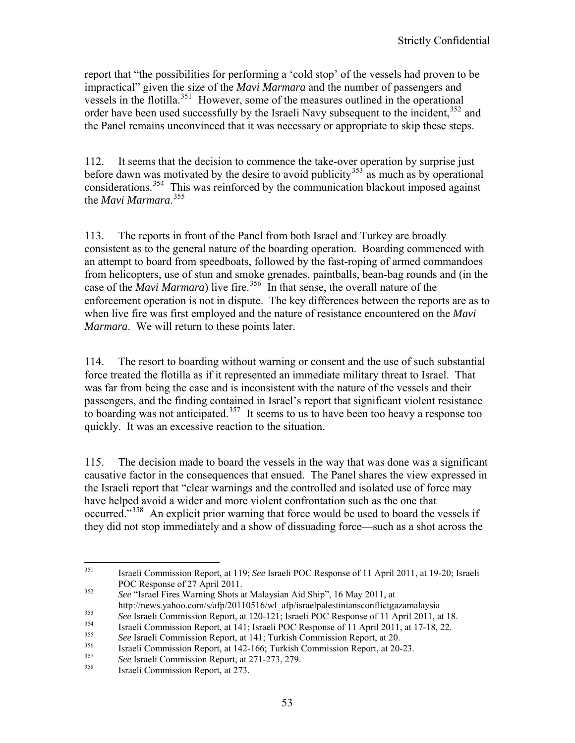report that "the possibilities for performing a 'cold stop' of the vessels had proven to be impractical" given the size of the *Mavi Marmara* and the number of passengers and vessels in the flotilla.<sup>351</sup> However, some of the measures outlined in the operational order have been used successfully by the Israeli Navy subsequent to the incident,  $352$  and the Panel remains unconvinced that it was necessary or appropriate to skip these step s.

112. It seems that the decision to commence the take-over operation by surprise just before dawn was motivated by the desire to avoid publicity<sup>[353](#page-52-0)</sup> as much as by operational considerations.[354](#page-52-1) This was reinforced by the communication blackout imposed against the *Mavi Marmara*. [355](#page-52-2)

113. The reports in front of the Panel from both Israel and Turkey are broadly consistent as to the general nature of the boarding operation. Boarding commenced with an attempt to board from speedboats, followed by the fast-roping of armed commandoes from helicopters, use of stun and smoke grenades, paintballs, bean-bag rounds and (in the case of the *Mavi Marmara*) live fire.<sup>[356](#page-52-3)</sup> In that sense, the overall nature of the enforcement operation is not in dispute. The key differences between the reports are as to when live fire was first employed and the nature of resistance encountered on the *Mavi Marmara*. We will return to these points later.

114. The resort to boarding without warning or consent and the use of such substantial force treated the flotilla as if it represented an immediate military threat to Israel. That was far from being the case and is inconsistent with the nature of the vessels and their passengers, and the finding contained in Israel's report that significant violent resistance to boarding was not anticipated.<sup>[357](#page-52-4)</sup> It seems to us to have been too heavy a response too quickly. It was an excessive reaction to the situation.

115. The decision made to board the vessels in the way that was done was a significant causative factor in the consequences that ensued. The Panel shares the view expressed in the Israeli report that "clear warnings and the controlled and isolated use of force may have helped avoid a wider and more violent confrontation such as the one that occurred."<sup>[358](#page-52-5)</sup> An explicit prior warning that force would be used to board the vessels if they did not stop immediately and a show of dissuading force—such as a shot across the

<span id="page-52-1"></span><span id="page-52-0"></span><sup>353</sup><br>
See Israeli Commission Report, at 120-121; Israeli POC Response of 11 April 2011, at 18.<br>
Israeli Commission Report, at 141; Israeli POC Response of 11 April 2011, at 17-18, 22.<br> *See* Israeli Commission Report, at

<sup>351</sup> 351 Israeli Commission Report, at 119; *See* Israeli POC Response of 11 April 2011, at 19-20; Israeli POC Response of 27 April 2011.<br>See "Israel Fires Warning Shots at Malaysian Aid Ship", 16 May 2011, at<br>http://news.yahoo.com/s/afp/20110516/wl afp/israelpalestiniansconflictgazamalaysia

<span id="page-52-2"></span>

<span id="page-52-3"></span>

<span id="page-52-4"></span>

<span id="page-52-5"></span>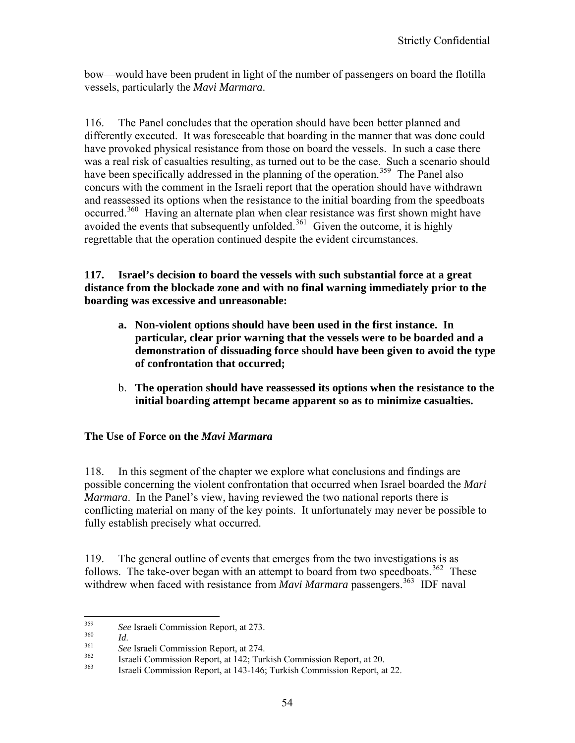bow—would have been prudent in light of the number of passengers on board the flotilla vessels, particularly the *Mavi Marmara*.

116. The Panel concludes that the operation should have been better planned and differently executed. It was foreseeable that boarding in the manner that was done could have provoked physical resistance from those on board the vessels. In such a case there was a real risk of casualties resulting, as turned out to be the case. Such a scenario should have been specifically addressed in the planning of the operation.<sup>[359](#page-53-0)</sup> The Panel also concurs with the comment in the Israeli report that the operation should have withdrawn and reassessed its options when the resistance to the initial boarding from the speedboats occurred.<sup>[360](#page-53-1)</sup> Having an alternate plan when clear resistance was first shown might have avoided the events that subsequently unfolded.<sup>[361](#page-53-2)</sup> Given the outcome, it is highly regrettable that the operation continued despite the evident circumstances.

**117. Israel's decision to board the vessels with such substantial force at a great distance from the blockade zone and with no final warning immediately prior to the boarding was excessive and unreasonable:** 

- **a. Non-violent options should have been used in the first instance. In particular, clear prior warning that the vessels were to be boarded and a demonstration of dissuading force should have been given to avoid the type of confrontation that occurred;**
- b. **The operation should have reassessed its options when the resistance to the initial boarding attempt became apparent so as to minimize casualties.**

#### **The Use of Force on the** *Mavi Marmara*

118. In this segment of the chapter we explore what conclusions and findings are possible concerning the violent confrontation that occurred when Israel boarded the *Mari Marmara*. In the Panel's view, having reviewed the two national reports there is conflicting material on many of the key points. It unfortunately may never be possible to fully establish precisely what occurred.

119. The general outline of events that emerges from the two investigations is as follows. The take-over began with an attempt to board from two speedboats.<sup>[362](#page-53-3)</sup> These withdrew when faced with resistance from *Mavi Marmara* passengers.<sup>[363](#page-53-4)</sup> IDF naval

<sup>359</sup> 

<span id="page-53-2"></span><span id="page-53-1"></span>

<span id="page-53-0"></span><sup>&</sup>lt;sup>359</sup> See Israeli Commission Report, at 273.<br> *Id.*<br> *See* Israeli Commission Report, at 274.<br>
Israeli Commission Report, at 142; Turkish Commission Report, at 20.<br>
Israeli Commission Report, at 143-146; Turkish Commission

<span id="page-53-4"></span><span id="page-53-3"></span>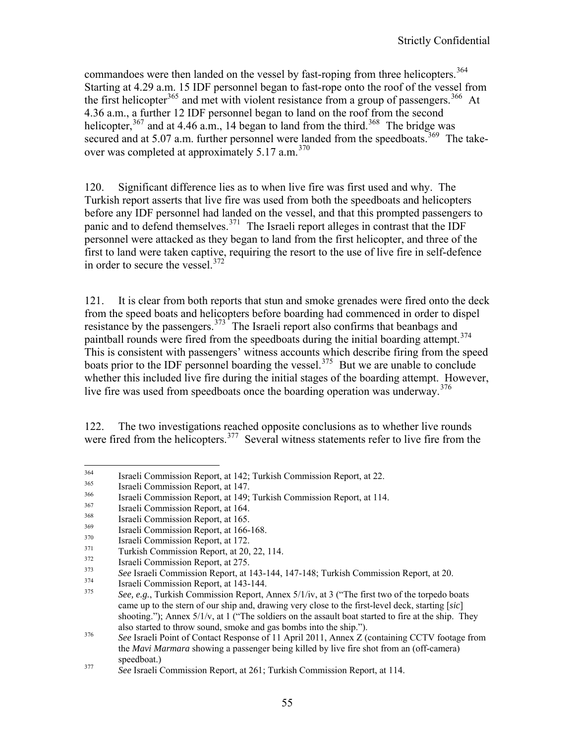commandoes were then landed on the vessel by fast-roping from three helicopters.<sup>364</sup> Starting at 4.29 a.m. 15 IDF personnel began to fast-rope onto the roof of the vessel from the first helicopter<sup>365</sup> and met with violent resistance from a group of passengers.<sup>366</sup> At 4.36 a.m., a further 12 IDF personnel began to land on the roof from the second helicopter,  $367$  and at 4.46 a.m., 14 began to land from the third.  $368$  The bridge was secured and at 5.07 a.m. further personnel were landed from the speedboats.<sup>369</sup> The takeover was completed at approximately  $5.17$  a.m.<sup>370</sup>

120. Significant difference lies as to when live fire was first used and why. The Turkish report asserts that live fire was used from both the speedboats and helicopters before any IDF personnel had landed on the vessel, and that this prompted passengers to panic and to defend themselves.[371](#page-54-0) The Israeli report alleges in contrast that the IDF personnel were attacked as they began to land from the first helicopter, and three of the first to land were taken captive, requiring the resort to the use of live fire in self-defence in order to secure the vessel.<sup>[372](#page-54-1)</sup>

121. It is clear from both reports that stun and smoke grenades were fired onto the deck from the speed boats and helicopters before boarding had commenced in order to dispel resistance by the passengers.<sup>[373](#page-54-2)</sup> The Israeli report also confirms that beanbags and paintball rounds were fired from the speedboats during the initial boarding attempt.<sup>[374](#page-54-3)</sup> This is consistent with passengers' witness accounts which describe firing from the speed boats prior to the IDF personnel boarding the vessel.<sup>[375](#page-54-4)</sup> But we are unable to conclude whether this included live fire during the initial stages of the boarding attempt. However, live fire was used from speedboats once the boarding operation was underway.<sup>[376](#page-54-5)</sup>

122. The two investigations reached opposite conclusions as to whether live rounds were fired from the helicopters.<sup>[377](#page-54-6)</sup> Several witness statements refer to live fire from the

<sup>364</sup> 

<span id="page-54-0"></span>

<span id="page-54-1"></span>

<span id="page-54-2"></span>

<span id="page-54-4"></span><span id="page-54-3"></span>

<sup>&</sup>lt;sup>364</sup><br>
Israeli Commission Report, at 142; Turkish Commission Report, at 22.<br>
<sup>365</sup><br>
Israeli Commission Report, at 147.<br>
Israeli Commission Report, at 149; Turkish Commission Report, at 114.<br>
Israeli Commission Report, at 1 came up to the stern of our ship and, drawing very close to the first-level deck, starting [*sic*] shooting."); Annex  $5/1/v$ , at 1 ("The soldiers on the assault boat started to fire at the ship. They

<span id="page-54-5"></span>also started to throw sound, smoke and gas bombs into the ship.").<br><sup>376</sup> *See* Israeli Point of Contact Response of 11 April 2011, Annex Z (containing CCTV footage from the *Mavi Marmara* showing a passenger being killed by live fire shot from an (off-camera)

<span id="page-54-6"></span>speedboat.) 377 *See* Israeli Commission Report, at 261; Turkish Commission Report, at 114.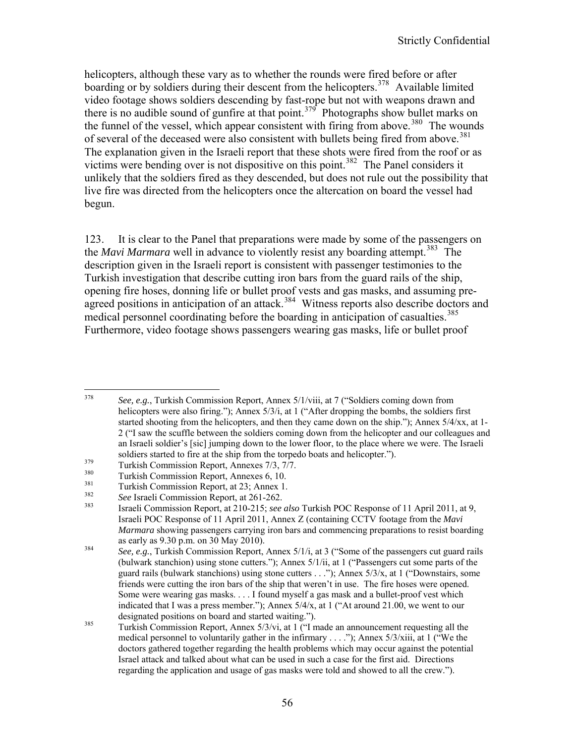helicopters, although these vary as to whether the rounds were fired before or after boarding or by soldiers during their descent from the helicopters.<sup>378</sup> Available limited video footage shows soldiers descending by fast-rope but not with weapons drawn and there is no audible sound of gunfire at that point.<sup>379</sup> Photographs show bullet marks on the funnel of the vessel, which appear consistent with firing from above.<sup>380</sup> The wounds of several of the deceased were also consistent with bullets being fired from above.<sup>381</sup> The explanation given in the Israeli report that these shots were fired from the roof or as victims were bending over is not dispositive on this point.<sup>382</sup> The Panel considers it unlikely that the soldiers fired as they descended, but does not rule out the possibility that live fire was directed from the helicopters once the altercation on board the vessel had begun.

123. It is clear to the Panel that preparations were made by some of the passengers on the *Mavi Marmara* well in advance to violently resist any boarding attempt.<sup>[383](#page-55-0)</sup> The description given in the Israeli report is consistent with passenger testimonies to the Turkish investigation that describe cutting iron bars from the guard rails of the ship, opening fire hoses, donning life or bullet proof vests and gas masks, and assuming pre-agreed positions in anticipation of an attack.<sup>[384](#page-55-1)</sup> Witness reports also describe doctors and medical personnel coordinating before the boarding in anticipation of casualties.<sup>[385](#page-55-2)</sup> Furthermore, video footage shows passengers wearing gas masks, life or bullet proof

<sup>378</sup> 378 *See, e.g.*, Turkish Commission Report, Annex 5/1/viii, at 7 ("Soldiers coming down from helicopters were also firing."); Annex  $5/3/i$ , at 1 ("After dropping the bombs, the soldiers first started shooting from the helicopters, and then they came down on the ship."); Annex 5/4/xx, at 1- 2 ("I saw the scuffle between the soldiers coming down from the helicopter and our colleagues and an Israeli soldier's [sic] jumping down to the lower floor, to the place where we were. The Israeli

<span id="page-55-0"></span>

soldiers started to fire at the ship from the torpedo boats and helicopter.").<br>
Turkish Commission Report, Annexes 7/3, 7/7.<br>
Turkish Commission Report, Annexes 6, 10.<br>
Turkish Commission Report, at 23; Annex 1.<br> *See* Isr Israeli POC Response of 11 April 2011, Annex Z (containing CCTV footage from the *Mavi Marmara* showing passengers carrying iron bars and commencing preparations to resist boarding as early as 9.30 p.m. on 30 May 2010).<br><sup>384</sup> *See, e.g.*, Turkish Commission Report, Annex 5/1/i, at 3 ("Some of the passengers cut guard rails

<span id="page-55-1"></span><sup>(</sup>bulwark stanchion) using stone cutters."); Annex 5/1/ii, at 1 ("Passengers cut some parts of the guard rails (bulwark stanchions) using stone cutters . . ."); Annex  $5/3/x$ , at 1 ("Downstairs, some friends were cutting the iron bars of the ship that weren't in use. The fire hoses were opened. Some were wearing gas masks. . . . I found myself a gas mask and a bullet-proof vest which indicated that I was a press member."); Annex  $5/4/x$ , at 1 ("At around 21.00, we went to our

<span id="page-55-2"></span>designated positions on board and started waiting.").<br>385 Turkish Commission Report, Annex 5/3/vi, at 1 ("I made an announcement requesting all the medical personnel to voluntarily gather in the infirmary . . . ."); Annex 5/3/xiii, at 1 ("We the doctors gathered together regarding the health problems which may occur against the potential Israel attack and talked about what can be used in such a case for the first aid. Directions regarding the application and usage of gas masks were told and showed to all the crew.").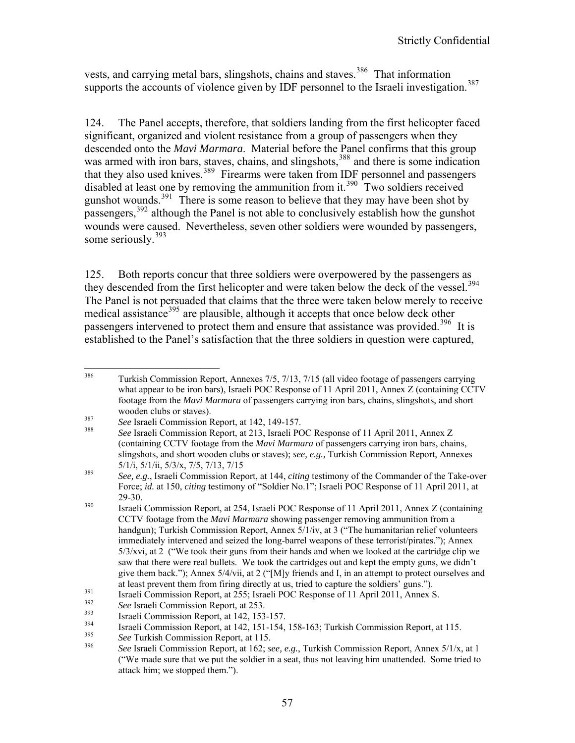vests, and carrying metal bars, slingshots, chains and staves.<sup>386</sup> That information supports the accounts of violence given by IDF personnel to the Israeli investigation.<sup>387</sup>

124. The Panel accepts, therefore, that soldiers landing from the first helicopter faced significant, organized and violent resistance from a group of passengers when they descended onto the *Mavi Marmara*. Material before the Panel confirms that this group was armed with iron bars, staves, chains, and slingshots,<sup>[388](#page-56-0)</sup> and there is some indication that they also used knives.<sup>[389](#page-56-1)</sup> Firearms were taken from IDF personnel and passengers disabled at least one by removing the ammunition from it.<sup>[390](#page-56-2)</sup> Two soldiers received gunshot wounds.<sup>[391](#page-56-3)</sup> There is some reason to believe that they may have been shot by passengers,  $392$  although the Panel is not able to conclusively establish how the gunshot wounds were caused. Nevertheless, seven other soldiers were wounded by passengers, some seriously.<sup>[393](#page-56-5)</sup>

125. Both reports concur that three soldiers were overpowered by the passengers as they descended from the first helicopter and were taken below the deck of the vessel.<sup>[394](#page-56-6)</sup> The Panel is not persuaded that claims that the three were taken below merely to receive medical assistance<sup>[395](#page-56-7)</sup> are plausible, although it accepts that once below deck other passengers intervened to protect them and ensure that assistance was provided.<sup>[396](#page-56-8)</sup> It is established to the Panel's satisfaction that the three soldiers in question were captured,

<sup>386</sup> 386 Turkish Commission Report, Annexes 7/5, 7/13, 7/15 (all video footage of passengers carrying what appear to be iron bars), Israeli POC Response of 11 April 2011, Annex Z (containing CCTV footage from the *Mavi Marmara* of passengers carrying iron bars, chains, slingshots, and short

<span id="page-56-0"></span>

wooden clubs or staves). 387 *See* Israeli Commission Report, at 142, 149-157. 388 *See* Israeli Commission Report, at 213, Israeli POC Response of 11 April 2011, Annex Z (containing CCTV footage from the *Mavi Marmara* of passengers carrying iron bars, chains, slingshots, and short wooden clubs or staves); *see, e.g.,* Turkish Commission Report, Annexes

<span id="page-56-1"></span><sup>5/1/</sup>i, 5/1/ii, 5/3/x, 7/5, 7/13, 7/15 389 *See, e.g.*, Israeli Commission Report, at 144, *citing* testimony of the Commander of the Take-over Force; *id.* at 150, *citing* testimony of "Soldier No.1"; Israeli POC Response of 11 April 2011, at 29-30.<br><sup>390</sup> Israeli Commission Report, at 254, Israeli POC Response of 11 April 2011, Annex Z (containing

<span id="page-56-2"></span>CCTV footage from the *Mavi Marmara* showing passenger removing ammunition from a handgun); Turkish Commission Report, Annex 5/1/iv, at 3 ("The humanitarian relief volunteers immediately intervened and seized the long-barrel weapons of these terrorist/pirates."); Annex 5/3/xvi, at 2 ("We took their guns from their hands and when we looked at the cartridge clip we saw that there were real bullets. We took the cartridges out and kept the empty guns, we didn't give them back."); Annex 5/4/vii, at 2 ("[M]y friends and I, in an attempt to protect ourselves and

<span id="page-56-5"></span><span id="page-56-4"></span>

<span id="page-56-3"></span>at least prevent them from firing directly at us, tried to capture the soldiers' guns.").<br>
Israeli Commission Report, at 255; Israeli POC Response of 11 April 2011, Annex S.<br> *See* Israeli Commission Report, at 142, 153-15

<span id="page-56-8"></span><span id="page-56-7"></span><span id="page-56-6"></span>

<sup>(&</sup>quot;We made sure that we put the soldier in a seat, thus not leaving him unattended. Some tried to attack him; we stopped them.").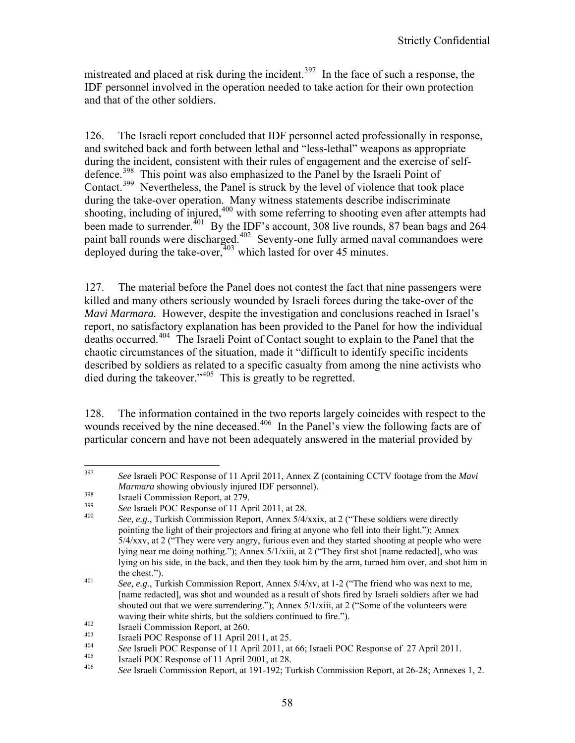mistreated and placed at risk during the incident.<sup>397</sup> In the face of such a response, the IDF personnel involved in the operation needed to take action for their own protection and that of the other soldiers.

126. The Israeli report concluded that IDF personnel acted professionally in response, and switched back and forth between lethal and "less-lethal" weapons as appropriate during the incident, consistent with their rules of engagement and the exercise of self-defence.<sup>[398](#page-57-0)</sup> This point was also emphasized to the Panel by the Israeli Point of Contact.<sup>[399](#page-57-1)</sup> Nevertheless, the Panel is struck by the level of violence that took place during the take-over operation. Many witness statements describe indiscriminate shooting, including of injured,<sup>[400](#page-57-2)</sup> with some referring to shooting even after attempts had been made to surrender.<sup>[401](#page-57-3)</sup> By the IDF's account,  $308$  live rounds, 87 bean bags and 264 paint ball rounds were discharged.<sup>[402](#page-57-4)</sup> Seventy-one fully armed naval commandoes were deployed during the take-over,  $403$  which lasted for over 45 minutes.

127. The material before the Panel does not contest the fact that nine passengers were killed and many others seriously wounded by Israeli forces during the take-over of the *Mavi Marmara.* However, despite the investigation and conclusions reached in Israel's report, no satisfactory explanation has been provided to the Panel for how the individual deaths occurred.[404](#page-57-6) The Israeli Point of Contact sought to explain to the Panel that the chaotic circumstances of the situation, made it "difficult to identify specific incidents described by soldiers as related to a specific casualty from among the nine activists who died during the takeover."<sup>[405](#page-57-7)</sup> This is greatly to be regretted.

128. The information contained in the two reports largely coincides with respect to the wounds received by the nine deceased.<sup>[406](#page-57-8)</sup> In the Panel's view the following facts are of particular concern and have not been adequately answered in the material provided by

<sup>397</sup> 397 *See* Israeli POC Response of 11 April 2011, Annex Z (containing CCTV footage from the *Mavi* 

<span id="page-57-2"></span><span id="page-57-1"></span><span id="page-57-0"></span>

Marmara showing obviously injured IDF personnel).<br>
Israeli Commission Report, at 279.<br>
See Israeli POC Response of 11 April 2011, at 28.<br>
See, e.g., Turkish Commission Report, Annex 5/4/xxix, at 2 ("These soldiers were dir pointing the light of their projectors and firing at anyone who fell into their light."); Annex 5/4/xxv, at 2 ("They were very angry, furious even and they started shooting at people who were lying near me doing nothing."); Annex 5/1/xiii, at 2 ("They first shot [name redacted], who was lying on his side, in the back, and then they took him by the arm, turned him over, and shot him in

<span id="page-57-3"></span>the chest.").<br><sup>401</sup> *See, e.g.*, Turkish Commission Report, Annex 5/4/xv, at 1-2 ("The friend who was next to me, [name redacted], was shot and wounded as a result of shots fired by Israeli soldiers after we had shouted out that we were surrendering."); Annex  $5/1/xiii$ , at 2 ("Some of the volunteers were

<span id="page-57-4"></span>

<span id="page-57-5"></span>

<span id="page-57-6"></span>

<span id="page-57-8"></span><span id="page-57-7"></span>

waving their white shirts, but the soldiers continued to fire.").<br>
1922<br>
1922<br>
1922<br>
1922<br>
1923<br>
1924<br>
1926<br>
1927<br>
1927 Turkish Commission Report, at 26-28; Annexes 1, 2.<br>
1946<br>
1920 Turkish Commission Report, at 191-192;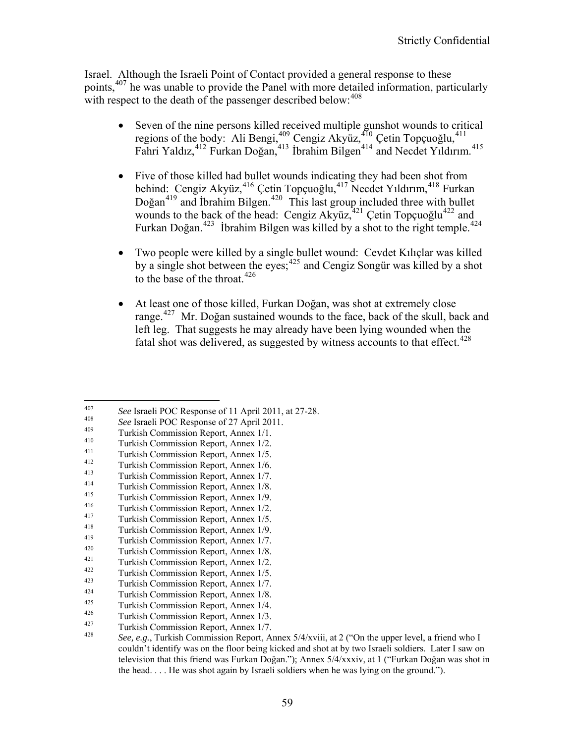Israel. Although the Israeli Point of Contact provided a general response to these points,<sup>407</sup> he was unable to provide the Panel with more detailed information, particularly with respect to the death of the passenger described below:  $408$ 

- Seven of the nine persons killed received multiple gunshot wounds to critical regions of the body: Ali Bengi,  $409$  Cengiz Akyüz,  $4\frac{10}{10}$  Cetin Topçuoğlu,  $411$ Fahri Yaldız,<sup>[412](#page-58-3)</sup> Furkan Doğan,<sup>[413](#page-58-4)</sup> İbrahim Bilgen<sup>[414](#page-58-5)</sup> and Necdet Yıldırım.<sup>[415](#page-58-6)</sup>
- Five of those killed had bullet wounds indicating they had been shot from behind: Cengiz Akyüz,<sup>[416](#page-58-7)</sup> Çetin Topçuoğlu,<sup>[417](#page-58-8)</sup> Necdet Yıldırım,<sup>[418](#page-58-9)</sup> Furkan Doğan<sup>[419](#page-58-10)</sup> and İbrahim Bilgen.<sup>[420](#page-58-11)</sup> This last group included three with bullet wounds to the back of the head: Cengiz Akyüz, $421$  Çetin Topçuoğlu<sup>[422](#page-58-13)</sup> and Furkan Doğan.<sup>[423](#page-58-14)</sup> İbrahim Bilgen was killed by a shot to the right temple.<sup>[424](#page-58-15)</sup>
- Two people were killed by a single bullet wound: Cevdet Kılıçlar was killed by a single shot between the eyes;  $425$  and Cengiz Songür was killed by a shot to the base of the throat.<sup>[426](#page-58-17)</sup>
- At least one of those killed, Furkan Doğan, was shot at extremely close range.<sup>[427](#page-58-18)</sup> Mr. Doğan sustained wounds to the face, back of the skull, back and left leg. That suggests he may already have been lying wounded when the fatal shot was delivered, as suggested by witness accounts to that effect.<sup>[428](#page-58-19)</sup>

<sup>407</sup> 

<span id="page-58-0"></span>

<span id="page-58-1"></span>

<span id="page-58-2"></span>

<span id="page-58-3"></span>

<span id="page-58-4"></span>

<span id="page-58-5"></span>

<span id="page-58-7"></span><span id="page-58-6"></span>

<span id="page-58-8"></span>

<span id="page-58-10"></span><span id="page-58-9"></span>

<span id="page-58-12"></span><span id="page-58-11"></span>

<span id="page-58-13"></span>

<span id="page-58-15"></span><span id="page-58-14"></span>

<span id="page-58-17"></span><span id="page-58-16"></span>

<span id="page-58-19"></span><span id="page-58-18"></span>

<sup>&</sup>lt;sup>407</sup><br>
<sup>408</sup><br>
<sup>408</sup><br> *See* Israeli POC Response of 27 April 2011, at 27-28.<br> *Hee* Israeli POC Response of 27 April 2011.<br>
Turkish Commission Report, Annex 1/2.<br>
<sup>419</sup><br>
<sup>414</sup><br>
Turkish Commission Report, Annex 1/5.<br>
Turkis couldn't identify was on the floor being kicked and shot at by two Israeli soldiers. Later I saw on television that this friend was Furkan Doğan."); Annex 5/4/xxxiv, at 1 ("Furkan Doğan was shot in the head. . . . He was shot again by Israeli soldiers when he was lying on the ground.").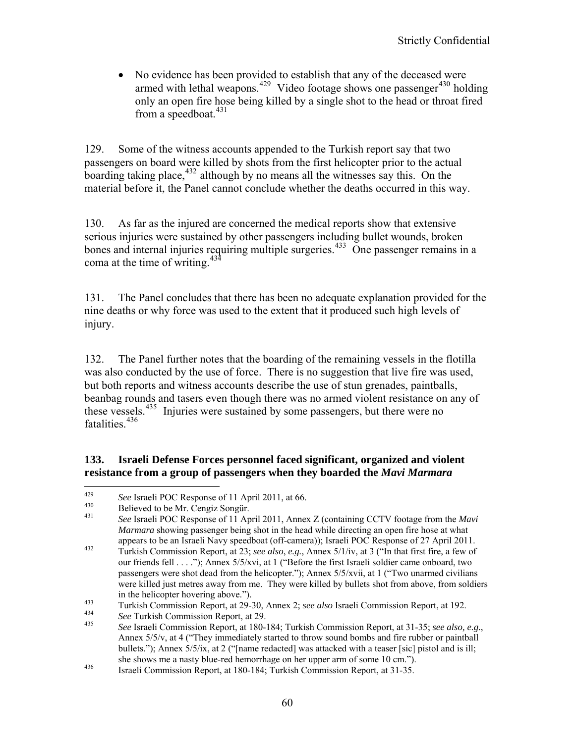No evidence has been provided to establish that any of the deceased were armed with lethal weapons.<sup>[429](#page-59-0)</sup> Video footage shows one passenger<sup>[430](#page-59-1)</sup> holding only an open fire hose being killed by a single shot to the head or throat fired from a speedboat. $431$ 

129. Some of the witness accounts appended to the Turkish report say that two passengers on board were killed by shots from the first helicopter prior to the actual boarding taking place,  $432$  although by no means all the witnesses say this. On the material before it, the Panel cannot conclude whether the deaths occurred in this way.

130. As far as the injured are concerned the medical reports show that extensive serious injuries were sustained by other passengers including bullet wounds, broken bones and internal injuries requiring multiple surgeries.<sup>[433](#page-59-4)</sup> One passenger remains in a coma at the time of writing.  $434$ 

131. The Panel concludes that there has been no adequate explanation provided for the nine deaths or why force was used to the extent that it produced such high levels of injury.

132. The Panel further notes that the boarding of the remaining vessels in the flotilla was also conducted by the use of force. There is no suggestion that live fire was used, but both reports and witness accounts describe the use of stun grenades, paintballs, beanbag rounds and tasers even though there was no armed violent resistance on any of these vessels.<sup>[435](#page-59-6)</sup> Injuries were sustained by some passengers, but there were no fatalities $436$ 

### **133. Israeli Defense Forces personnel faced significant, organized and violent resistance from a group of passengers when they boarded the** *Mavi Marmara*

<sup>429</sup> 

<span id="page-59-2"></span><span id="page-59-1"></span>

<span id="page-59-0"></span><sup>429</sup> *See* Israeli POC Response of 11 April 2011, at 66. 430 Believed to be Mr. Cengiz Songür. 431 *See* Israeli POC Response of 11 April 2011, Annex Z (containing CCTV footage from the *Mavi Marmara* showing passenger being shot in the head while directing an open fire hose at what

<span id="page-59-3"></span>appears to be an Israeli Navy speedboat (off-camera)); Israeli POC Response of 27 April 2011.<br><sup>432</sup> Turkish Commission Report, at 23; *see also*, *e.g.*, Annex 5/1/iv, at 3 ("In that first fire, a few of our friends fell . . . ."); Annex 5/5/xvi, at 1 ("Before the first Israeli soldier came onboard, two passengers were shot dead from the helicopter."); Annex 5/5/xvii, at 1 ("Two unarmed civilians were killed just metres away from me. They were killed by bullets shot from above, from soldiers

<span id="page-59-4"></span>in the helicopter hovering above.").<br>
Turkish Commission Report, at 29-30, Annex 2; see also Israeli Commission Report, at 192.<br>
See Turkish Commission Report, at 29.<br>
See Israeli Commission Report, at 180-184; Turkish Com

<span id="page-59-6"></span><span id="page-59-5"></span>Annex 5/5/v, at 4 ("They immediately started to throw sound bombs and fire rubber or paintball bullets."); Annex 5/5/ix, at 2 ("[name redacted] was attacked with a teaser [sic] pistol and is ill;

<span id="page-59-7"></span>she shows me a nasty blue-red hemorrhage on her upper arm of some 10 cm.").<br>Israeli Commission Report, at 180-184; Turkish Commission Report, at 31-35.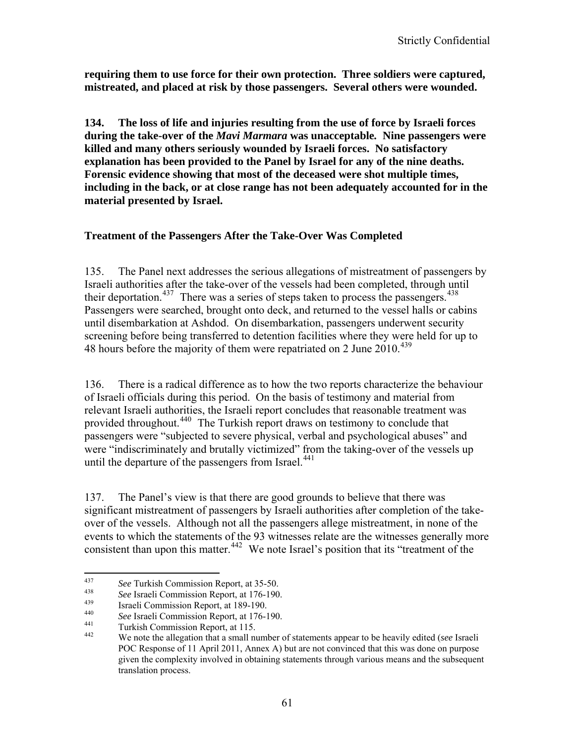**requiring them to use force for their own protection. Three soldiers were captured, mistreated, and placed at risk by those passengers. Several others were wounded.** 

**134. The loss of life and injuries resulting from the use of force by Israeli forces during the take-over of the** *Mavi Marmara* **was unacceptable***.* **Nine passengers were killed and many others seriously wounded by Israeli forces. No satisfactory explanation has been provided to the Panel by Israel for any of the nine deaths. Forensic evidence showing that most of the deceased were shot multiple times, including in the back, or at close range has not been adequately accounted for in the material presented by Israel.** 

### **Treatment of the Passengers After the Take-Over Was Completed**

135. The Panel next addresses the serious allegations of mistreatment of passengers by Israeli authorities after the take-over of the vessels had been completed, through until their deportation.<sup>[437](#page-60-0)</sup> There was a series of steps taken to process the passengers.<sup>[438](#page-60-1)</sup> Passengers were searched, brought onto deck, and returned to the vessel halls or cabins until disembarkation at Ashdod. On disembarkation, passengers underwent security screening before being transferred to detention facilities where they were held for up to 48 hours before the majority of them were repatriated on 2 June  $2010^{439}$  $2010^{439}$  $2010^{439}$ 

136. There is a radical difference as to how the two reports characterize the behaviour of Israeli officials during this period. On the basis of testimony and material from relevant Israeli authorities, the Israeli report concludes that reasonable treatment was provided throughout.<sup>[440](#page-60-3)</sup> The Turkish report draws on testimony to conclude that passengers were "subjected to severe physical, verbal and psychological abuses" and were "indiscriminately and brutally victimized" from the taking-over of the vessels up until the departure of the passengers from Israel.<sup>[441](#page-60-4)</sup>

137. The Panel's view is that there are good grounds to believe that there was significant mistreatment of passengers by Israeli authorities after completion of the takeover of the vessels. Although not all the passengers allege mistreatment, in none of the events to which the statements of the 93 witnesses relate are the witnesses generally more consistent than upon this matter.<sup>[442](#page-60-5)</sup> We note Israel's position that its "treatment of the

<sup>437</sup> 

<span id="page-60-2"></span>

<span id="page-60-3"></span>

<span id="page-60-5"></span><span id="page-60-4"></span>

<span id="page-60-1"></span><span id="page-60-0"></span><sup>&</sup>lt;sup>437</sup> See Turkish Commission Report, at 35-50.<br>
<sup>438</sup> See Israeli Commission Report, at 176-190.<br>
<sup>439</sup> Israeli Commission Report, at 189-190.<br>
<sup>440</sup> See Israeli Commission Report, at 176-190.<br>
Turkish Commission Report, POC Response of 11 April 2011, Annex A) but are not convinced that this was done on purpose given the complexity involved in obtaining statements through various means and the subsequent translation process.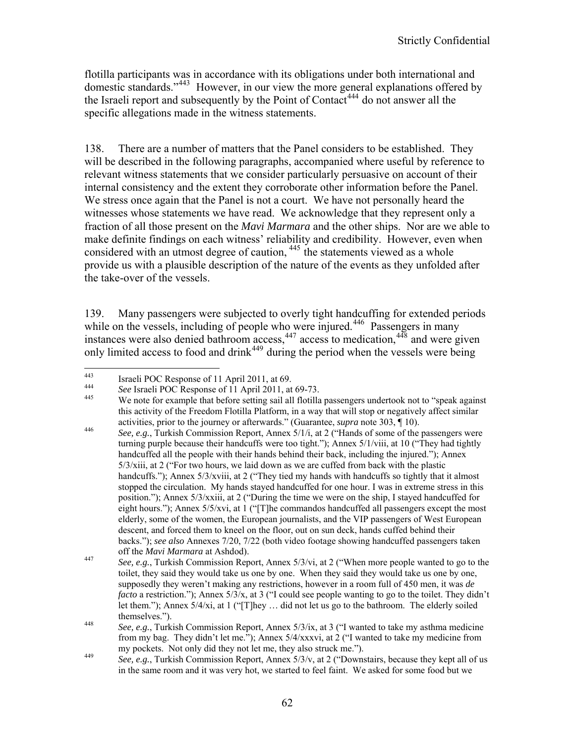flotilla participants was in accordance with its obligations under both international and domestic standards."443 However, in our view the more general explanations offered by the Israeli report and subsequently by the Point of Contact<sup>444</sup> do not answer all the specific allegations made in the witness statements.

138. There are a number of matters that the Panel considers to be established. They will be described in the following paragraphs, accompanied where useful by reference to relevant witness statements that we consider particularly persuasive on account of their internal consistency and the extent they corroborate other information before the Panel. We stress once again that the Panel is not a court. We have not personally heard the witnesses whose statements we have read. We acknowledge that they represent only a fraction of all those present on the *Mavi Marmara* and the other ships. Nor are we able to make definite findings on each witness' reliability and credibility. However, even when considered with an utmost degree of caution, <sup>[445](#page-61-0)</sup> the statements viewed as a whole provide us with a plausible description of the nature of the events as they unfolded after the take-over of the vessels.

139. Many passengers were subjected to overly tight handcuffing for extended periods while on the vessels, including of people who were injured.<sup>[446](#page-61-1)</sup> Passengers in many instances were also denied bathroom  $\arccos x^{447}$  $\arccos x^{447}$  $\arccos x^{447}$  access to medication,  $448$  and were given only limited access to food and drink<sup>[449](#page-61-4)</sup> during the period when the vessels were being

<sup>443</sup> 

<span id="page-61-0"></span>

<sup>443</sup> Israeli POC Response of 11 April 2011, at 69. 444 *See* Israeli POC Response of 11 April 2011, at 69-73. 445 We note for example that before setting sail all flotilla passengers undertook not to "speak against this activity of the Freedom Flotilla Platform, in a way that will stop or negatively affect similar activities, prior to the journey or afterwards." (Guarantee, *supra* note 303, \ep 10).<br><sup>446</sup> *See, e.g.*, Turkish Commission Report, Annex 5/1/i, at 2 ("Hands of some of the passengers were

<span id="page-61-1"></span>turning purple because their handcuffs were too tight."); Annex 5/1/viii, at 10 ("They had tightly handcuffed all the people with their hands behind their back, including the injured."); Annex 5/3/xiii, at 2 ("For two hours, we laid down as we are cuffed from back with the plastic handcuffs."); Annex 5/3/xviii, at 2 ("They tied my hands with handcuffs so tightly that it almost stopped the circulation. My hands stayed handcuffed for one hour. I was in extreme stress in this position."); Annex  $5/3/xx$  iii, at 2 ("During the time we were on the ship, I stayed handcuffed for eight hours."); Annex 5/5/xvi, at 1 ("[T]he commandos handcuffed all passengers except the most elderly, some of the women, the European journalists, and the VIP passengers of West European descent, and forced them to kneel on the floor, out on sun deck, hands cuffed behind their backs."); *see also* Annexes 7/20, 7/22 (both video footage showing handcuffed passengers taken

<span id="page-61-2"></span>off the *Mavi Marmara* at Ashdod). 447 *See, e.g.*, Turkish Commission Report, Annex 5/3/vi, at 2 ("When more people wanted to go to the toilet, they said they would take us one by one. When they said they would take us one by one, supposedly they weren't making any restrictions, however in a room full of 450 men, it was *de facto* a restriction."); Annex  $5/3/x$ , at 3 ("I could see people wanting to go to the toilet. They didn't let them."); Annex  $5/4/xi$ , at 1 ("[T]hey ... did not let us go to the bathroom. The elderly soiled themselves."). 448 *See, e.g.*, Turkish Commission Report, Annex 5/3/ix, at 3 ("I wanted to take my asthma medicine

<span id="page-61-3"></span>from my bag. They didn't let me."); Annex 5/4/xxxvi, at 2 ("I wanted to take my medicine from

<span id="page-61-4"></span>my pockets. Not only did they not let me, they also struck me.").<br> *See, e.g.*, Turkish Commission Report, Annex 5/3/v, at 2 ("Downstairs, because they kept all of us in the same room and it was very hot, we started to feel faint. We asked for some food but we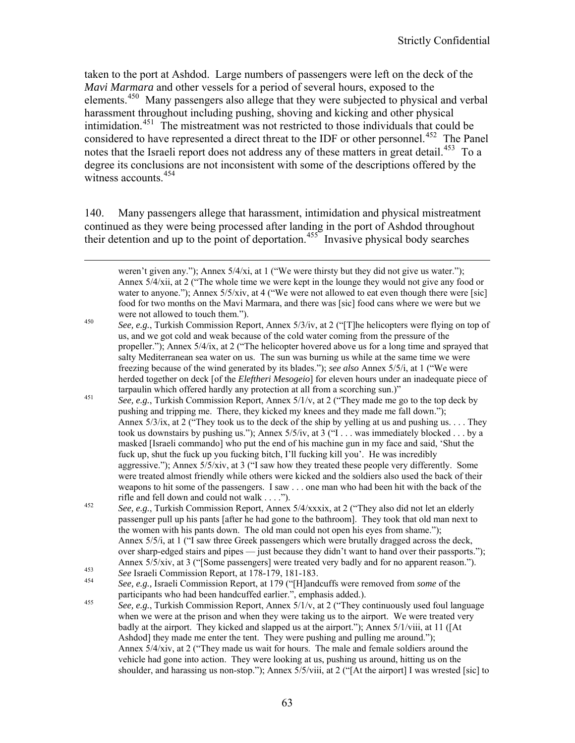taken to the port at Ashdod. Large numbers of passengers were left on the deck of the *Mavi Marmara* and other vessels for a period of several hours, exposed to the elements.<sup>450</sup> Many passengers also allege that they were subjected to physical and verbal harassment throughout including pushing, shoving and kicking and other physical intimidation.<sup>451</sup> The mistreatment was not restricted to those individuals that could be considered to have represented a direct threat to the IDF or other personnel.<sup>452</sup> The Panel notes that the Israeli report does not address any of these matters in great detail.<sup>453</sup> To a degree its conclusions are not inconsistent with some of the descriptions offered by the witness accounts  $454$ 

140. Many passengers allege that harassment, intimidation and physical mistreatment continued as they were being processed after landing in the port of Ashdod throughout their detention and up to the point of deportation.<sup>[455](#page-62-0)</sup> Invasive physical body searches

- $t_{\text{1}}$  *See, e.g.*, Turkish Commission Report, Annex  $5/1/\text{v}$ , at 2 ("They made me go to the top deck by pushing and tripping me. There, they kicked my knees and they made me fall down."); Annex 5/3/ix, at 2 ("They took us to the deck of the ship by yelling at us and pushing us. . . . They took us downstairs by pushing us."); Annex 5/5/iv, at 3 ("I . . . was immediately blocked . . . by a masked [Israeli commando] who put the end of his machine gun in my face and said, 'Shut the fuck up, shut the fuck up you fucking bitch, I'll fucking kill you'. He was incredibly aggressive."); Annex  $5/5/x$ iv, at 3 ("I saw how they treated these people very differently. Some were treated almost friendly while others were kicked and the soldiers also used the back of their weapons to hit some of the passengers. I saw . . . one man who had been hit with the back of the
- rifle and fell down and could not walk . . . ."). 452 *See, e.g.*, Turkish Commission Report, Annex 5/4/xxxix, at 2 ("They also did not let an elderly passenger pull up his pants [after he had gone to the bathroom]. They took that old man next to the women with his pants down. The old man could not open his eyes from shame."); Annex 5/5/i, at 1 ("I saw three Greek passengers which were brutally dragged across the deck, over sharp-edged stairs and pipes — just because they didn't want to hand over their passports."); Annex 5/5/xiv, at 3 ("[Some passengers] were treated very badly and for no apparent reason.").<br>
See Israeli Commission Report, at 178-179, 181-183.<br>
See, e.g., Israeli Commission Report, at 179 ("[H]andcuffs were removed f

weren't given any."); Annex  $5/4/xi$ , at 1 ("We were thirsty but they did not give us water."); Annex 5/4/xii, at 2 ("The whole time we were kept in the lounge they would not give any food or water to anyone."); Annex 5/5/xiv, at 4 ("We were not allowed to eat even though there were [sic] food for two months on the Mavi Marmara, and there was [sic] food cans where we were but we

were not allowed to touch them.").<br><sup>450</sup> *See, e.g.*, Turkish Commission Report, Annex 5/3/iv, at 2 ("[T]he helicopters were flying on top of us, and we got cold and weak because of the cold water coming from the pressure of the propeller."); Annex 5/4/ix, at 2 ("The helicopter hovered above us for a long time and sprayed that salty Mediterranean sea water on us. The sun was burning us while at the same time we were freezing because of the wind generated by its blades."); *see also* Annex 5/5/i, at 1 ("We were herded together on deck [of the *Eleftheri Mesogeio*] for eleven hours under an inadequate piece of tarpaulin which offered hardly any protection at all from a scorching sun.)"

<span id="page-62-0"></span>participants who had been handcuffed earlier.", emphasis added.).<br> *See, e.g.*, Turkish Commission Report, Annex 5/1/v, at 2 ("They continuously used foul language when we were at the prison and when they were taking us to the airport. We were treated very badly at the airport. They kicked and slapped us at the airport."); Annex  $5/1$ /viii, at 11 ([At Ashdod] they made me enter the tent. They were pushing and pulling me around."); Annex 5/4/xiv, at 2 ("They made us wait for hours. The male and female soldiers around the vehicle had gone into action. They were looking at us, pushing us around, hitting us on the shoulder, and harassing us non-stop."); Annex 5/5/viii, at 2 ("[At the airport] I was wrested [sic] to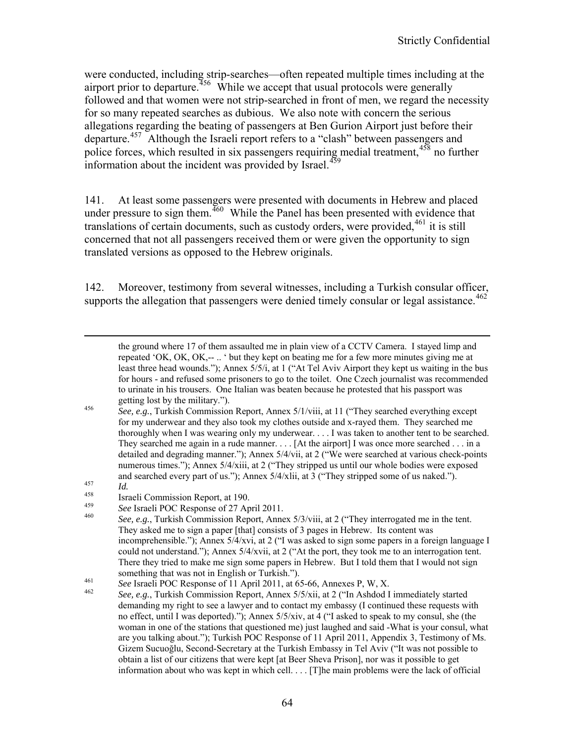were conducted, including strip-searches—often repeated multiple times including at the airport prior to departure.<sup> $456$ </sup> While we accept that usual protocols were generally followed and that women were not strip-searched in front of men, we regard the necessity for so many repeated searches as dubious. We also note with concern the serious allegations regarding the beating of passengers at Ben Gurion Airport just before their departure.457 Although the Israeli report refers to a "clash" between passengers and police forces, which resulted in six passengers requiring medial treatment,  $458$  no further information about the incident was provided by Israel. $459$ 

141. At least some passengers were presented with documents in Hebrew and placed under pressure to sign them.<sup>[460](#page-63-0)</sup> While the Panel has been presented with evidence that translations of certain documents, such as custody orders, were provided,  $461$  it is still concerned that not all passengers received them or were given the opportunity to sign translated versions as opposed to the Hebrew originals.

142. Moreover, testimony from several witnesses, including a Turkish consular officer, supports the allegation that passengers were denied timely consular or legal assistance.<sup> $462$ </sup>

the ground where 17 of them assaulted me in plain view of a CCTV Camera. I stayed limp and repeated 'OK, OK, OK,-- .. ' but they kept on beating me for a few more minutes giving me at least three head wounds."); Annex 5/5/i, at 1 ("At Tel Aviv Airport they kept us waiting in the bus for hours - and refused some prisoners to go to the toilet. One Czech journalist was recommended to urinate in his trousers. One Italian was beaten because he protested that his passport was

getting lost by the military."). 456 *See, e.g.*, Turkish Commission Report, Annex 5/1/viii, at 11 ("They searched everything except for my underwear and they also took my clothes outside and x-rayed them. They searched me thoroughly when I was wearing only my underwear. . . . I was taken to another tent to be searched. They searched me again in a rude manner. . . . [At the airport] I was once more searched . . . in a detailed and degrading manner."); Annex 5/4/vii, at 2 ("We were searched at various check-points numerous times."); Annex  $5/4/x$ iii, at 2 ("They stripped us until our whole bodies were exposed and searched every part of us."); Annex 5/4/xlii, at 3 ("They stripped some of us naked.").<br> *Id.*<br>
Israeli Commission Report, at 190.<br> *See* Israeli POC Response of 27 April 2011.<br> *See, e.g.*, Turkish Commission Report,

<span id="page-63-0"></span>They asked me to sign a paper [that] consists of 3 pages in Hebrew. Its content was incomprehensible."); Annex 5/4/xvi, at 2 ("I was asked to sign some papers in a foreign language I could not understand."); Annex  $5/4/x$ vii, at 2 ("At the port, they took me to an interrogation tent. There they tried to make me sign some papers in Hebrew. But I told them that I would not sign

<span id="page-63-2"></span><span id="page-63-1"></span>

something that was not in English or Turkish.").<br>
See Israeli POC Response of 11 April 2011, at 65-66, Annexes P, W, X.<br>
See, e.g., Turkish Commission Report, Annex 5/5/xii, at 2 ("In Ashdod I immediately started demanding my right to see a lawyer and to contact my embassy (I continued these requests with no effect, until I was deported)."); Annex  $5/5/x$ iv, at 4 ("I asked to speak to my consul, she (the woman in one of the stations that questioned me) just laughed and said -What is your consul, what are you talking about."); Turkish POC Response of 11 April 2011, Appendix 3, Testimony of Ms. Gizem Sucuoğlu, Second-Secretary at the Turkish Embassy in Tel Aviv ("It was not possible to obtain a list of our citizens that were kept [at Beer Sheva Prison], nor was it possible to get information about who was kept in which cell. . . . [T]he main problems were the lack of official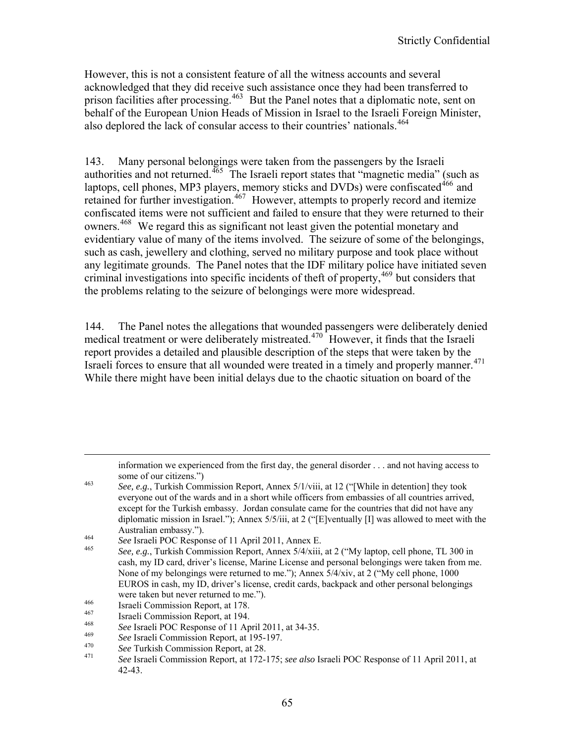However, this is not a consistent feature of all the witness accounts and several acknowledged that they did receive such assistance once they had been transferred to prison facilities after processing.<sup>463</sup> But the Panel notes that a diplomatic note, sent on behalf of the European Union Heads of Mission in Israel to the Israeli Foreign Minister, also deplored the lack of consular access to their countries' nationals.  $464$ 

143. Many personal belongings were taken from the passengers by the Israeli authorities and not returned.<sup>[465](#page-64-0)</sup> The Israeli report states that "magnetic media" (such as laptops, cell phones, MP3 players, memory sticks and DVDs) were confiscated $466$  and retained for further investigation.<sup>[467](#page-64-2)</sup> However, attempts to properly record and itemize confiscated items were not sufficient and failed to ensure that they were returned to their owners.[468](#page-64-3) We regard this as significant not least given the potential monetary and evidentiary value of many of the items involved. The seizure of some of the belongings, such as cash, jewellery and clothing, served no military purpose and took place without any legitimate grounds. The Panel notes that the IDF military police have initiated seven criminal investigations into specific incidents of theft of property,<sup>[469](#page-64-4)</sup> but considers that the problems relating to the seizure of belongings were more widespread.

144. The Panel notes the allegations that wounded passengers were deliberately denied medical treatment or were deliberately mistreated.<sup>[470](#page-64-5)</sup> However, it finds that the Israeli report provides a detailed and plausible description of the steps that were taken by the Israeli forces to ensure that all wounded were treated in a timely and properly manner.<sup>[471](#page-64-6)</sup> While there might have been initial delays due to the chaotic situation on board of the

 information we experienced from the first day, the general disorder . . . and not having access to some of our citizens.") 463 *See, e.g.*, Turkish Commission Report, Annex 5/1/viii, at 12 ("[While in detention] they took

everyone out of the wards and in a short while officers from embassies of all countries arrived, except for the Turkish embassy. Jordan consulate came for the countries that did not have any diplomatic mission in Israel."); Annex 5/5/iii, at 2 ("[E]ventually [I] was allowed to meet with the

<span id="page-64-0"></span>

Australian embassy.").<br> *See Israeli POC Response of 11 April 2011*, Annex E.<br> *See, e.g.*, Turkish Commission Report, Annex 5/4/xiii, at 2 ("My laptop, cell phone, TL 300 in cash, my ID card, driver's license, Marine License and personal belongings were taken from me. None of my belongings were returned to me."); Annex 5/4/xiv, at 2 ("My cell phone, 1000 EUROS in cash, my ID, driver's license, credit cards, backpack and other personal belongings

<span id="page-64-2"></span><span id="page-64-1"></span>

<span id="page-64-5"></span><span id="page-64-4"></span><span id="page-64-3"></span>

<span id="page-64-6"></span>

were taken but never returned to me.").<br>
166 Israeli Commission Report, at 178.<br>
167 Israeli Commission Report, at 194.<br>
168 See Israeli POC Response of 11 April 2011, at 34-35.<br>
169 See Israeli Commission Report, at 195-1 42-43.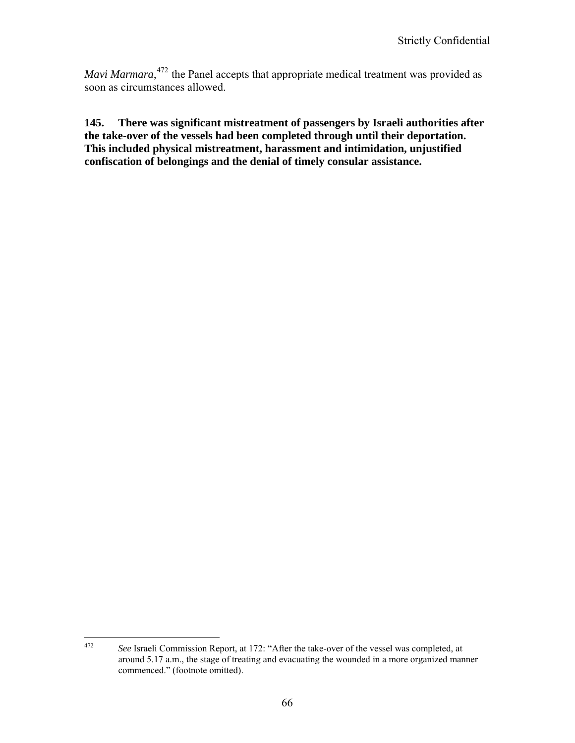*Mavi Marmara*,<sup>472</sup> the Panel accepts that appropriate medical treatment was provided as soon as circumstances allowed.

**145. There was significant mistreatment of passengers by Israeli authorities after the take-over of the vessels had been completed through until their deportation. This included physical mistreatment, harassment and intimidation, unjustified confiscation of belongings and the denial of timely consular assistance.** 

<sup>472</sup> See Israeli Commission Report, at 172: "After the take-over of the vessel was completed, at around 5.17 a.m., the stage of treating and evacuating the wounded in a more organized manner commenced." (footnote omitted).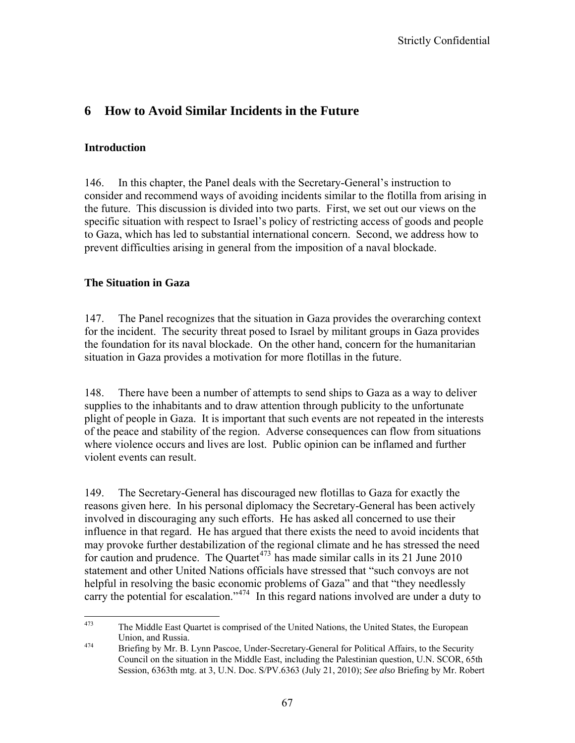## **6 How to Avoid Similar Incidents in the Future**

#### **Introduction**

146. In this chapter, the Panel deals with the Secretary-General's instruction to consider and recommend ways of avoiding incidents similar to the flotilla from arising in the future. This discussion is divided into two parts. First, we set out our views on the specific situation with respect to Israel's policy of restricting access of goods and people to Gaza, which has led to substantial international concern. Second, we address how to prevent difficulties arising in general from the imposition of a naval blockade.

#### **The Situation in Gaza**

147. The Panel recognizes that the situation in Gaza provides the overarching context for the incident. The security threat posed to Israel by militant groups in Gaza provides the foundation for its naval blockade. On the other hand, concern for the humanitarian situation in Gaza provides a motivation for more flotillas in the future.

148. There have been a number of attempts to send ships to Gaza as a way to deliver supplies to the inhabitants and to draw attention through publicity to the unfortunate plight of people in Gaza. It is important that such events are not repeated in the interests of the peace and stability of the region. Adverse consequences can flow from situations where violence occurs and lives are lost. Public opinion can be inflamed and further violent events can result.

149. The Secretary-General has discouraged new flotillas to Gaza for exactly the reasons given here. In his personal diplomacy the Secretary-General has been actively involved in discouraging any such efforts. He has asked all concerned to use their influence in that regard. He has argued that there exists the need to avoid incidents that may provoke further destabilization of the regional climate and he has stressed the need for caution and prudence. The Quartet<sup> $473$ </sup> has made similar calls in its 21 June 2010 statement and other United Nations officials have stressed that "such convoys are not helpful in resolving the basic economic problems of Gaza" and that "they needlessly carry the potential for escalation."<sup>[474](#page-66-1)</sup> In this regard nations involved are under a duty to

<span id="page-66-0"></span><sup>473</sup> The Middle East Quartet is comprised of the United Nations, the United States, the European Union, and Russia.<br><sup>474</sup> Briefing by Mr. B. Lynn Pascoe, Under-Secretary-General for Political Affairs, to the Security

<span id="page-66-1"></span>Council on the situation in the Middle East, including the Palestinian question, U.N. SCOR, 65th Session, 6363th mtg. at 3, U.N. Doc. S/PV.6363 (July 21, 2010); *See also* Briefing by Mr. Robert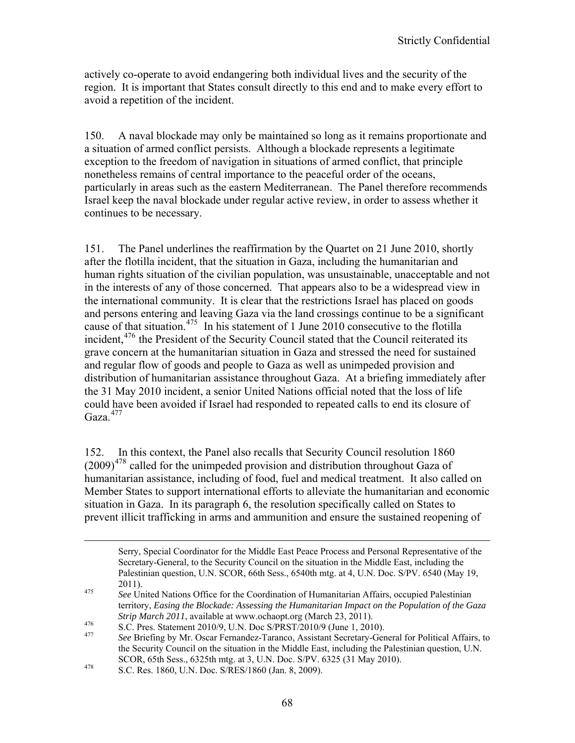actively co-operate to avoid endangering both individual lives and the security of the region. It is important that States consult directly to this end and to make every effort to avoid a repetition of the incident.

150. A naval blockade may only be maintained so long as it remains proportionate and a situation of armed conflict persists. Although a blockade represents a legitimate exception to the freedom of navigation in situations of armed conflict, that principle nonetheless remains of central importance to the peaceful order of the oceans, particularly in areas such as the eastern Mediterranean. The Panel therefore recommends Israel keep the naval blockade under regular active review, in order to assess whether it continues to be necessary.

151. The Panel underlines the reaffirmation by the Quartet on 21 June 2010, shortly after the flotilla incident, that the situation in Gaza, including the humanitarian and human rights situation of the civilian population, was unsustainable, unacceptable and not in the interests of any of those concerned. That appears also to be a widespread view in the international community. It is clear that the restrictions Israel has placed on goods and persons entering and leaving Gaza via the land crossings continue to be a significant cause of that situation.<sup>[475](#page-67-0)</sup> In his statement of 1 June 2010 consecutive to the flotilla incident,<sup>[476](#page-67-1)</sup> the President of the Security Council stated that the Council reiterated its grave concern at the humanitarian situation in Gaza and stressed the need for sustained and regular flow of goods and people to Gaza as well as unimpeded provision and distribution of humanitarian assistance throughout Gaza. At a briefing immediately after the 31 May 2010 incident, a senior United Nations official noted that the loss of life could have been avoided if Israel had responded to repeated calls to end its closure of Gaza. $477$ 

152. In this context, the Panel also recalls that Security Council resolution 1860  $(2009)^{478}$  $(2009)^{478}$  $(2009)^{478}$  called for the unimpeded provision and distribution throughout Gaza of humanitarian assistance, including of food, fuel and medical treatment. It also called on Member States to support international efforts to alleviate the humanitarian and economic situation in Gaza. In its paragraph 6, the resolution specifically called on States to prevent illicit trafficking in arms and ammunition and ensure the sustained reopening of

Serry, Special Coordinator for the Middle East Peace Process and Personal Representative of the Secretary-General, to the Security Council on the situation in the Middle East, including the Palestinian question, U.N. SCOR, 66th Sess., 6540th mtg. at 4, U.N. Doc. S/PV. 6540 (May 19, 2011). 475 *See* United Nations Office for the Coordination of Humanitarian Affairs, occupied Palestinian

<span id="page-67-0"></span>territory, *Easing the Blockade: Assessing the Humanitarian Impact on the Population of the Gaza* 

<span id="page-67-2"></span>

<span id="page-67-1"></span>Strip March 2011, available at www.ochaopt.org (March 23, 2011).<br>S.C. Pres. Statement 2010/9, U.N. Doc S/PRST/2010/9 (June 1, 2010).<br><sup>477</sup> See Briefing by Mr. Oscar Fernandez-Taranco, Assistant Secretary-General for Politi the Security Council on the situation in the Middle East, including the Palestinian question, U.N. SCOR, 65th Sess., 6325th mtg. at 3, U.N. Doc. S/PV. 6325 (31 May 2010).<br>S.C. Res. 1860, U.N. Doc. S/RES/1860 (Jan. 8, 2009).

<span id="page-67-3"></span>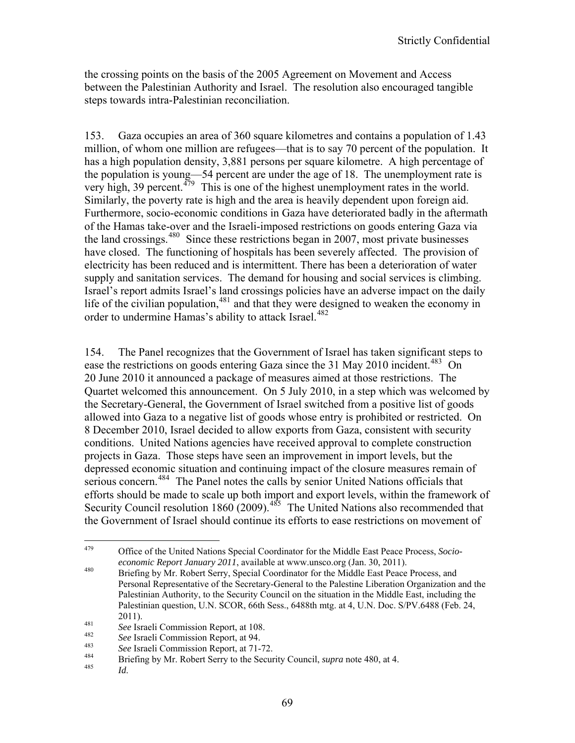the crossing points on the basis of the 2005 Agreement on Movement and Access between the Palestinian Authority and Israel. The resolution also encouraged tangible steps towards intra-Palestinian reconciliation.

153. Gaza occupies an area of 360 square kilometres and contains a population of 1.43 million, of whom one million are refugees—that is to say 70 percent of the population. It has a high population density, 3,881 persons per square kilometre. A high percentage of the population is young—54 percent are under the age of 18. The unemployment rate is very high, 39 percent. $479$  This is one of the highest unemployment rates in the world. Similarly, the poverty rate is high and the area is heavily dependent upon foreign aid. Furthermore, socio-economic conditions in Gaza have deteriorated badly in the aftermath of the Hamas take-over and the Israeli-imposed restrictions on goods entering Gaza via the land crossings.[480](#page-68-1) Since these restrictions began in 2007, most private businesses have closed. The functioning of hospitals has been severely affected. The provision of electricity has been reduced and is intermittent. There has been a deterioration of water supply and sanitation services. The demand for housing and social services is climbing. Israel's report admits Israel's land crossings policies have an adverse impact on the daily life of the civilian population,  $481$  and that they were designed to weaken the economy in order to undermine Hamas's ability to attack Israel.<sup>[482](#page-68-3)</sup>

154. The Panel recognizes that the Government of Israel has taken significant steps to ease the restrictions on goods entering Gaza since the 31 May 2010 incident.<sup>[483](#page-68-4)</sup> On 20 June 2010 it announced a package of measures aimed at those restrictions. The Quartet welcomed this announcement. On 5 July 2010, in a step which was welcomed by the Secretary-General, the Government of Israel switched from a positive list of goods allowed into Gaza to a negative list of goods whose entry is prohibited or restricted. On 8 December 2010, Israel decided to allow exports from Gaza, consistent with security conditions. United Nations agencies have received approval to complete construction projects in Gaza. Those steps have seen an improvement in import levels, but the depressed economic situation and continuing impact of the closure measures remain of serious concern.<sup>[484](#page-68-5)</sup> The Panel notes the calls by senior United Nations officials that efforts should be made to scale up both import and export levels, within the framework of Security Council resolution 1860 (2009).  $485$  The United Nations also recommended that the Government of Israel should continue its efforts to ease restrictions on movement of

<span id="page-68-0"></span><sup>479</sup> 479 Office of the United Nations Special Coordinator for the Middle East Peace Process, *Socio-*

<span id="page-68-1"></span>*economic Report January 2011*, available at www.unsco.org (Jan. 30, 2011).<br><sup>480</sup> Briefing by Mr. Robert Serry, Special Coordinator for the Middle East Peace Process, and Personal Representative of the Secretary-General to the Palestine Liberation Organization and the Palestinian Authority, to the Security Council on the situation in the Middle East, including the Palestinian question, U.N. SCOR, 66th Sess., 6488th mtg. at 4, U.N. Doc. S/PV.6488 (Feb. 24,

<span id="page-68-2"></span>

<span id="page-68-4"></span><span id="page-68-3"></span>

<span id="page-68-5"></span>

<sup>2011).&</sup>lt;br>
<sup>481</sup> See Israeli Commission Report, at 108.<br>
<sup>481</sup> See Israeli Commission Report, at 94.<br>
<sup>483</sup> See Israeli Commission Report, at 71-72.<br>
<sup>484</sup> Briefing by Mr. Robert Serry to the Security Council, *supra* note 48

<span id="page-68-6"></span>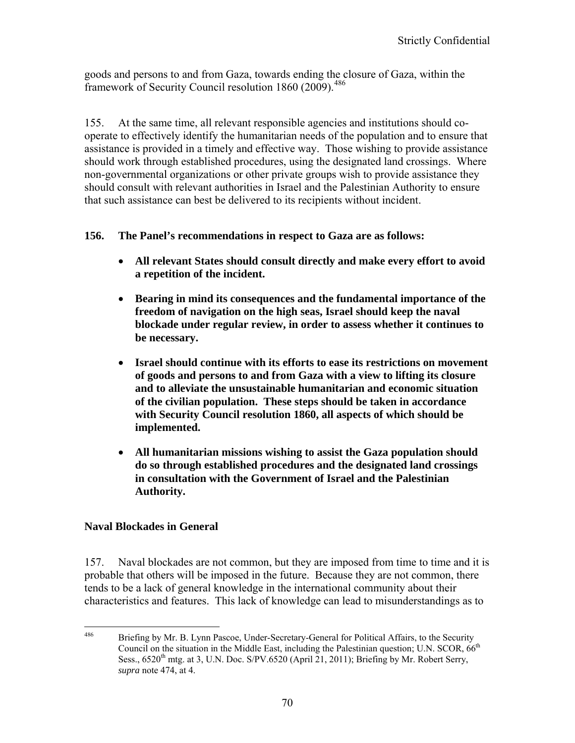goods and persons to and from Gaza, towards ending the closure of Gaza, within the framework of Security Council resolution 1860 (2009).<sup>486</sup>

155. At the same time, all relevant responsible agencies and institutions should cooperate to effectively identify the humanitarian needs of the population and to ensure that assistance is provided in a timely and effective way. Those wishing to provide assistance should work through established procedures, using the designated land crossings. Where non-governmental organizations or other private groups wish to provide assistance they should consult with relevant authorities in Israel and the Palestinian Authority to ensure that such assistance can best be delivered to its recipients without incident.

#### **156. The Panel's recommendations in respect to Gaza are as follows:**

- **All relevant States should consult directly and make every effort to avoid a repetition of the incident.**
- **Bearing in mind its consequences and the fundamental importance of the freedom of navigation on the high seas, Israel should keep the naval blockade under regular review, in order to assess whether it continues to be necessary.**
- **Israel should continue with its efforts to ease its restrictions on movement of goods and persons to and from Gaza with a view to lifting its closure and to alleviate the unsustainable humanitarian and economic situation of the civilian population. These steps should be taken in accordance with Security Council resolution 1860, all aspects of which should be implemented.**
- **All humanitarian missions wishing to assist the Gaza population should do so through established procedures and the designated land crossings in consultation with the Government of Israel and the Palestinian Authority.**

### **Naval Blockades in General**

157. Naval blockades are not common, but they are imposed from time to time and it is probable that others will be imposed in the future. Because they are not common, there tends to be a lack of general knowledge in the international community about their characteristics and features. This lack of knowledge can lead to misunderstandings as to

<sup>486</sup> Briefing by Mr. B. Lynn Pascoe, Under-Secretary-General for Political Affairs, to the Security Council on the situation in the Middle East, including the Palestinian question; U.N. SCOR, 66<sup>th</sup> Sess., 6520<sup>th</sup> mtg. at 3, U.N. Doc. S/PV.6520 (April 21, 2011); Briefing by Mr. Robert Serry, *supra* note 474, at 4.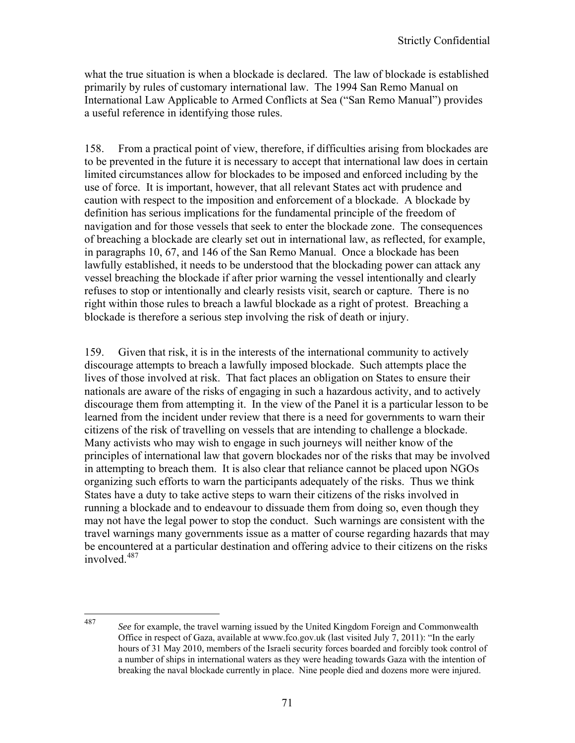what the true situation is when a blockade is declared. The law of blockade is established primarily by rules of customary international law. The 1994 San Remo Manual on International Law Applicable to Armed Conflicts at Sea ("San Remo Manual") provides a useful reference in identifying those rules.

158. From a practical point of view, therefore, if difficulties arising from blockades are to be prevented in the future it is necessary to accept that international law does in certain limited circumstances allow for blockades to be imposed and enforced including by the use of force. It is important, however, that all relevant States act with prudence and caution with respect to the imposition and enforcement of a blockade. A blockade by definition has serious implications for the fundamental principle of the freedom of navigation and for those vessels that seek to enter the blockade zone. The consequences of breaching a blockade are clearly set out in international law, as reflected, for example, in paragraphs 10, 67, and 146 of the San Remo Manual. Once a blockade has been lawfully established, it needs to be understood that the blockading power can attack any vessel breaching the blockade if after prior warning the vessel intentionally and clearly refuses to stop or intentionally and clearly resists visit, search or capture. There is no right within those rules to breach a lawful blockade as a right of protest. Breaching a blockade is therefore a serious step involving the risk of death or injury.

159. Given that risk, it is in the interests of the international community to actively discourage attempts to breach a lawfully imposed blockade. Such attempts place the lives of those involved at risk. That fact places an obligation on States to ensure their nationals are aware of the risks of engaging in such a hazardous activity, and to actively discourage them from attempting it. In the view of the Panel it is a particular lesson to be learned from the incident under review that there is a need for governments to warn their citizens of the risk of travelling on vessels that are intending to challenge a blockade. Many activists who may wish to engage in such journeys will neither know of the principles of international law that govern blockades nor of the risks that may be involved in attempting to breach them. It is also clear that reliance cannot be placed upon NGOs organizing such efforts to warn the participants adequately of the risks. Thus we think States have a duty to take active steps to warn their citizens of the risks involved in running a blockade and to endeavour to dissuade them from doing so, even though they may not have the legal power to stop the conduct. Such warnings are consistent with the travel warnings many governments issue as a matter of course regarding hazards that may be encountered at a particular destination and offering advice to their citizens on the risks involved<sup>[487](#page-70-0)</sup>

<span id="page-70-0"></span><sup>487</sup> See for example, the travel warning issued by the United Kingdom Foreign and Commonwealth Office in respect of Gaza, available at www.fco.gov.uk (last visited July 7, 2011): "In the early hours of 31 May 2010, members of the Israeli security forces boarded and forcibly took control of a number of ships in international waters as they were heading towards Gaza with the intention of breaking the naval blockade currently in place. Nine people died and dozens more were injured.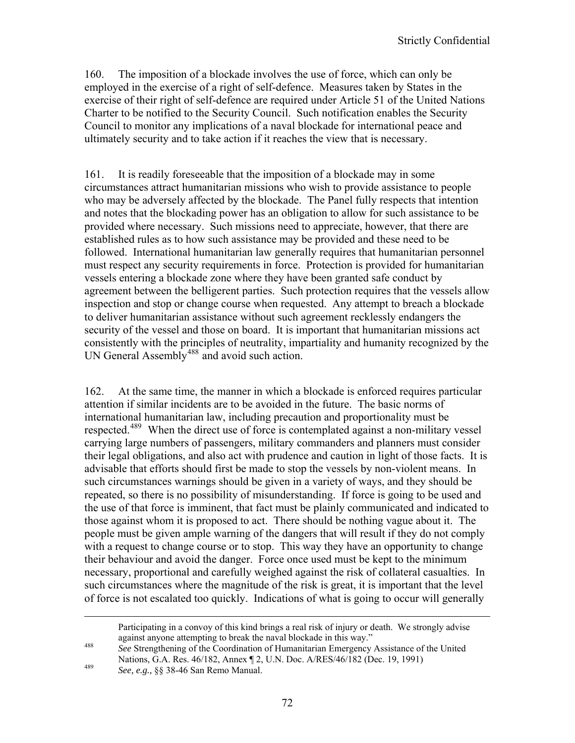160. The imposition of a blockade involves the use of force, which can only be employed in the exercise of a right of self-defence. Measures taken by States in the exercise of their right of self-defence are required under Article 51 of the United Nations Charter to be notified to the Security Council. Such notification enables the Security Council to monitor any implications of a naval blockade for international peace and ultimately security and to take action if it reaches the view that is necessary.

161. It is readily foreseeable that the imposition of a blockade may in some circumstances attract humanitarian missions who wish to provide assistance to people who may be adversely affected by the blockade. The Panel fully respects that intention and notes that the blockading power has an obligation to allow for such assistance to be provided where necessary. Such missions need to appreciate, however, that there are established rules as to how such assistance may be provided and these need to be followed. International humanitarian law generally requires that humanitarian personnel must respect any security requirements in force. Protection is provided for humanitarian vessels entering a blockade zone where they have been granted safe conduct by agreement between the belligerent parties. Such protection requires that the vessels allow inspection and stop or change course when requested. Any attempt to breach a blockade to deliver humanitarian assistance without such agreement recklessly endangers the security of the vessel and those on board. It is important that humanitarian missions act consistently with the principles of neutrality, impartiality and humanity recognized by the UN General Assembly<sup>[488](#page-71-0)</sup> and avoid such action.

162. At the same time, the manner in which a blockade is enforced requires particular attention if similar incidents are to be avoided in the future. The basic norms of international humanitarian law, including precaution and proportionality must be respected.<sup>[489](#page-71-1)</sup> When the direct use of force is contemplated against a non-military vessel carrying large numbers of passengers, military commanders and planners must consider their legal obligations, and also act with prudence and caution in light of those facts. It is advisable that efforts should first be made to stop the vessels by non-violent means. In such circumstances warnings should be given in a variety of ways, and they should be repeated, so there is no possibility of misunderstanding. If force is going to be used and the use of that force is imminent, that fact must be plainly communicated and indicated to those against whom it is proposed to act. There should be nothing vague about it. The people must be given ample warning of the dangers that will result if they do not comply with a request to change course or to stop. This way they have an opportunity to change their behaviour and avoid the danger. Force once used must be kept to the minimum necessary, proportional and carefully weighed against the risk of collateral casualties. In such circumstances where the magnitude of the risk is great, it is important that the level of force is not escalated too quickly. Indications of what is going to occur will generally

Participating in a convoy of this kind brings a real risk of injury or death. We strongly advise against anyone attempting to break the naval blockade in this way."<br><sup>488</sup> See Strengthening of the Coordination of Humanitarian Emergency Assistance of the United

<span id="page-71-0"></span>Nations, G.A. Res. 46/182, Annex ¶ 2, U.N. Doc. A/RES/46/182 (Dec. 19, 1991)<br><sup>489</sup> *See, e.g.,* §§ 38-46 San Remo Manual.

<span id="page-71-1"></span>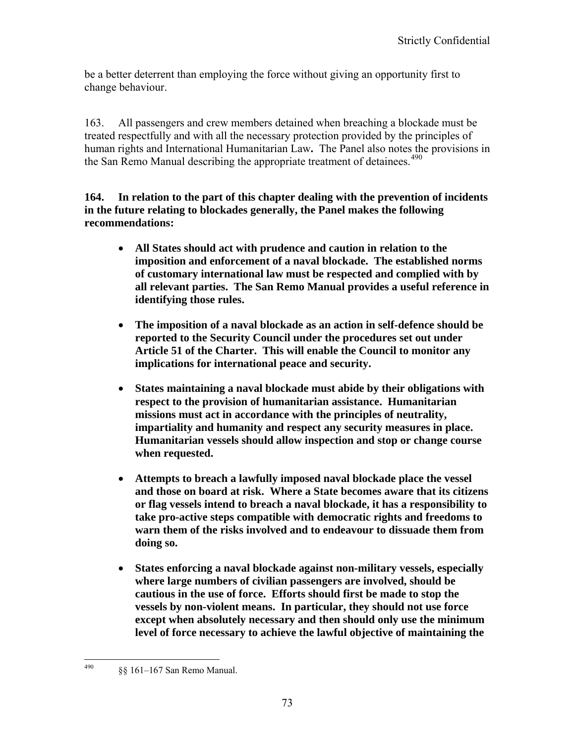be a better deterrent than employing the force without giving an opportunity first to change behaviour.

163. All passengers and crew members detained when breaching a blockade must be treated respectfully and with all the necessary protection provided by the principles of human rights and International Humanitarian Law**.** The Panel also notes the provisions in the San Remo Manual describing the appropriate treatment of detainees.<sup>[490](#page-72-0)</sup>

**164. In relation to the part of this chapter dealing with the prevention of incidents in the future relating to blockades generally, the Panel makes the following recommendations:** 

- **All States should act with prudence and caution in relation to the imposition and enforcement of a naval blockade. The established norms of customary international law must be respected and complied with by all relevant parties. The San Remo Manual provides a useful reference in identifying those rules.**
- **The imposition of a naval blockade as an action in self-defence should be reported to the Security Council under the procedures set out under Article 51 of the Charter. This will enable the Council to monitor any implications for international peace and security.**
- **States maintaining a naval blockade must abide by their obligations with respect to the provision of humanitarian assistance. Humanitarian missions must act in accordance with the principles of neutrality, impartiality and humanity and respect any security measures in place. Humanitarian vessels should allow inspection and stop or change course when requested.**
- **Attempts to breach a lawfully imposed naval blockade place the vessel and those on board at risk. Where a State becomes aware that its citizens or flag vessels intend to breach a naval blockade, it has a responsibility to take pro-active steps compatible with democratic rights and freedoms to warn them of the risks involved and to endeavour to dissuade them from doing so.**
- **States enforcing a naval blockade against non-military vessels, especially where large numbers of civilian passengers are involved, should be cautious in the use of force. Efforts should first be made to stop the vessels by non-violent means. In particular, they should not use force except when absolutely necessary and then should only use the minimum level of force necessary to achieve the lawful objective of maintaining the**

<span id="page-72-0"></span><sup>490</sup> §§ 161-167 San Remo Manual.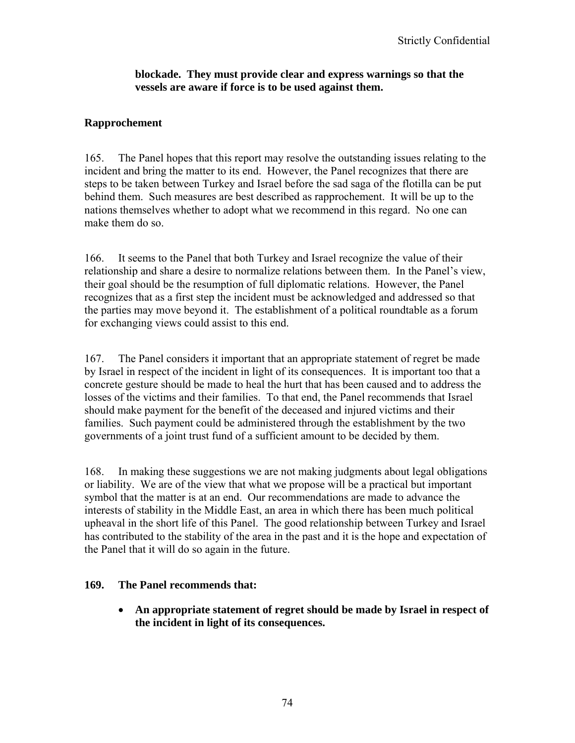#### **blockade. They must provide clear and express warnings so that the vessels are aware if force is to be used against them.**

### **Rapprochement**

165. The Panel hopes that this report may resolve the outstanding issues relating to the incident and bring the matter to its end. However, the Panel recognizes that there are steps to be taken between Turkey and Israel before the sad saga of the flotilla can be put behind them. Such measures are best described as rapprochement. It will be up to the nations themselves whether to adopt what we recommend in this regard. No one can make them do so.

166. It seems to the Panel that both Turkey and Israel recognize the value of their relationship and share a desire to normalize relations between them. In the Panel's view, their goal should be the resumption of full diplomatic relations. However, the Panel recognizes that as a first step the incident must be acknowledged and addressed so that the parties may move beyond it. The establishment of a political roundtable as a forum for exchanging views could assist to this end.

167. The Panel considers it important that an appropriate statement of regret be made by Israel in respect of the incident in light of its consequences. It is important too that a concrete gesture should be made to heal the hurt that has been caused and to address the losses of the victims and their families. To that end, the Panel recommends that Israel should make payment for the benefit of the deceased and injured victims and their families. Such payment could be administered through the establishment by the two governments of a joint trust fund of a sufficient amount to be decided by them.

168. In making these suggestions we are not making judgments about legal obligations or liability. We are of the view that what we propose will be a practical but important symbol that the matter is at an end. Our recommendations are made to advance the interests of stability in the Middle East, an area in which there has been much political upheaval in the short life of this Panel. The good relationship between Turkey and Israel has contributed to the stability of the area in the past and it is the hope and expectation of the Panel that it will do so again in the future.

#### **169. The Panel recommends that:**

 **An appropriate statement of regret should be made by Israel in respect of the incident in light of its consequences.**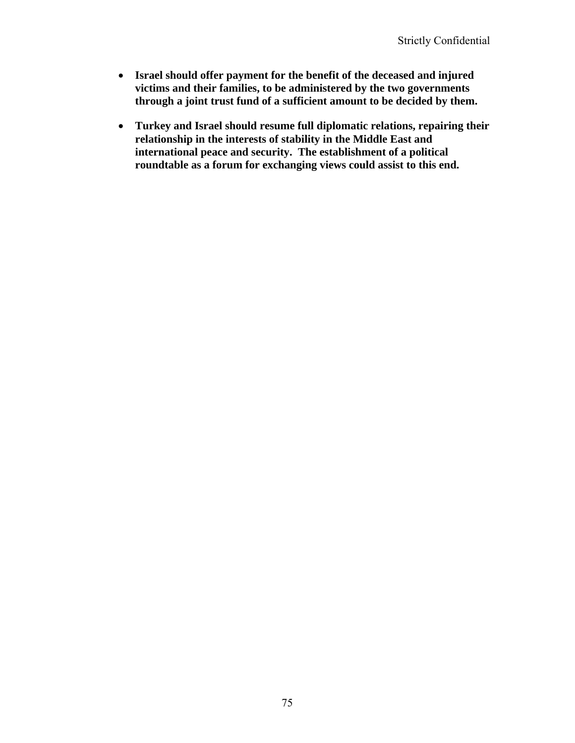- **Israel should offer payment for the benefit of the deceased and injured victims and their families, to be administered by the two governments through a joint trust fund of a sufficient amount to be decided by them.**
- **Turkey and Israel should resume full diplomatic relations, repairing their relationship in the interests of stability in the Middle East and international peace and security. The establishment of a political roundtable as a forum for exchanging views could assist to this end.**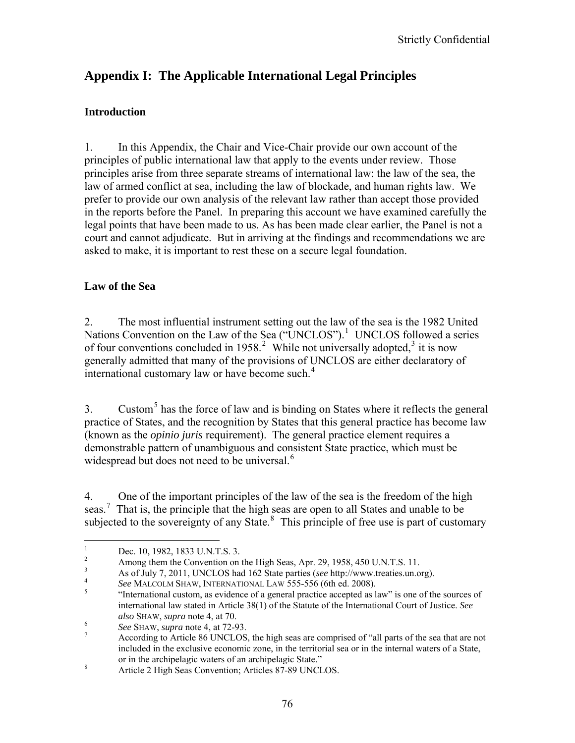# **Appendix I: The Applicable International Legal Principles**

### **Introduction**

1. In this Appendix, the Chair and Vice-Chair provide our own account of the principles of public international law that apply to the events under review. Those principles arise from three separate streams of international law: the law of the sea, the law of armed conflict at sea, including the law of blockade, and human rights law. We prefer to provide our own analysis of the relevant law rather than accept those provided in the reports before the Panel. In preparing this account we have examined carefully the legal points that have been made to us. As has been made clear earlier, the Panel is not a court and cannot adjudicate. But in arriving at the findings and recommendations we are asked to make, it is important to rest these on a secure legal foundation.

### **Law of the Sea**

2. The most influential instrument setting out the law of the sea is the 1982 United Nations Convention on the Law of the Sea  $("UNCLOS")$ .<sup>[1](#page-75-0)</sup> UNCLOS followed a series of four conventions concluded in 1958.<sup>[2](#page-75-1)</sup> While not universally adopted,<sup>[3](#page-75-2)</sup> it is now generally admitted that many of the provisions of UNCLOS are either declaratory of international customary law or have become such.<sup>[4](#page-75-3)</sup>

3. Custom<sup>[5](#page-75-4)</sup> has the force of law and is binding on States where it reflects the general practice of States, and the recognition by States that this general practice has become law (known as the *opinio juris* requirement). The general practice element requires a demonstrable pattern of unambiguous and consistent State practice, which must be widespread but does not need to be universal.<sup>[6](#page-75-5)</sup>

4. One of the important principles of the law of the sea is the freedom of the high seas.<sup>[7](#page-75-6)</sup> That is, the principle that the high seas are open to all States and unable to be subjected to the sovereignty of any State. $8$  This principle of free use is part of customary

<span id="page-75-7"></span>Article 2 High Seas Convention; Articles 87-89 UNCLOS.

 $\frac{1}{1}$ Dec. 10, 1982, 1833 U.N.T.S. 3.

<span id="page-75-1"></span><span id="page-75-0"></span><sup>2</sup> Among them the Convention on the High Seas, Apr. 29, 1958, 450 U.N.T.S. 11.

<span id="page-75-2"></span><sup>3</sup> As of July 7, 2011, UNCLOS had 162 State parties (*see* http://www.treaties.un.org).

<span id="page-75-3"></span><sup>&</sup>lt;sup>4</sup> See MALCOLM SHAW, INTERNATIONAL LAW 555-556 (6th ed. 2008).

<span id="page-75-4"></span> <sup>&</sup>quot;International custom, as evidence of a general practice accepted as law" is one of the sources of international law stated in Article 38(1) of the Statute of the International Court of Justice. *See also* SHAW, *supra* note 4, at 70. 6

<span id="page-75-5"></span><sup>&</sup>lt;sup>6</sup> See SHAW, *supra* note 4, at 72-93.

<span id="page-75-6"></span>According to Article 86 UNCLOS, the high seas are comprised of "all parts of the sea that are not included in the exclusive economic zone, in the territorial sea or in the internal waters of a State, or in the archipelagic waters of an archipelagic State."<br>Article 2 High Seas Convention: Articles 87,80 UNCU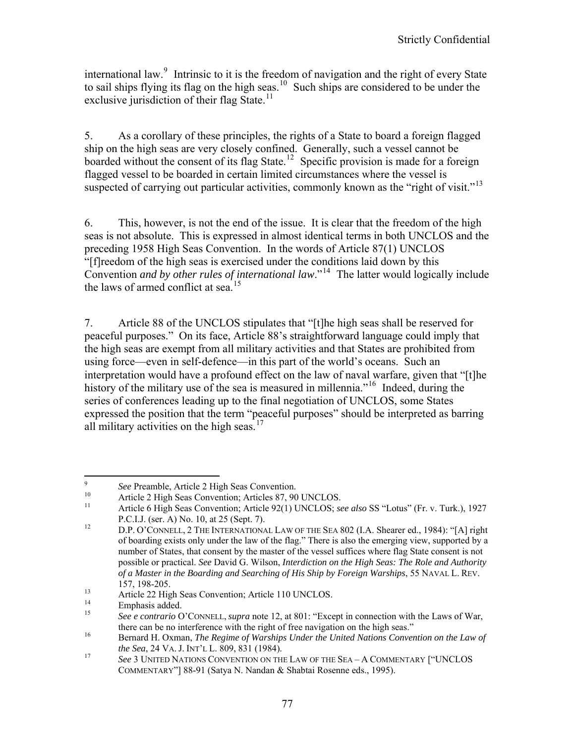international law.<sup>9</sup> Intrinsic to it is the freedom of navigation and the right of every State to sail ships flying its flag on the high seas.<sup>10</sup> Such ships are considered to be under the exclusive jurisdiction of their flag State.<sup>11</sup>

5. As a corollary of these principles, the rights of a State to board a foreign flagged ship on the high seas are very closely confined. Generally, such a vessel cannot be boarded without the consent of its flag State.<sup>[12](#page-76-0)</sup> Specific provision is made for a foreign flagged vessel to be boarded in certain limited circumstances where the vessel is suspected of carrying out particular activities, commonly known as the "right of visit."<sup>[13](#page-76-1)</sup>

6. This, however, is not the end of the issue. It is clear that the freedom of the high seas is not absolute. This is expressed in almost identical terms in both UNCLOS and the preceding 1958 High Seas Convention. In the words of Article 87(1) UNCLOS "[f]reedom of the high seas is exercised under the conditions laid down by this Convention *and by other rules of international law*."[14](#page-76-2) The latter would logically include the laws of armed conflict at sea.<sup>[15](#page-76-3)</sup>

7. Article 88 of the UNCLOS stipulates that "[t]he high seas shall be reserved for peaceful purposes." On its face, Article 88's straightforward language could imply that the high seas are exempt from all military activities and that States are prohibited from using force—even in self-defence—in this part of the world's oceans. Such an interpretation would have a profound effect on the law of naval warfare, given that "[t]he history of the military use of the sea is measured in millennia.<sup>"[16](#page-76-4)</sup> Indeed, during the series of conferences leading up to the final negotiation of UNCLOS, some States expressed the position that the term "peaceful purposes" should be interpreted as barring all military activities on the high seas. $17$ 

<sup>-&</sup>lt;br>9

*See* Preamble, Article 2 High Seas Convention.<br>
Article 2 High Seas Convention; Articles 87, 90 UNCLOS.<br>
A rticle 6 Uigh Seas Convention; Article 92(1) UNCLOS: a

<sup>11</sup> Article 6 High Seas Convention; Article 92(1) UNCLOS; *see also* SS "Lotus" (Fr. v. Turk.), 1927 P.C.I.J. (ser. A) No. 10, at 25 (Sept. 7).<br>D.P. O'CONNELL, 2 THE INTERNATIONAL LAW OF THE SEA 802 (I.A. Shearer ed., 1984): "[A] right

<span id="page-76-0"></span>of boarding exists only under the law of the flag." There is also the emerging view, supported by a number of States, that consent by the master of the vessel suffices where flag State consent is not possible or practical. *See* David G. Wilson, *Interdiction on the High Seas: The Role and Authority of a Master in the Boarding and Searching of His Ship by Foreign Warships*, 55 NAVAL L. REV.

<span id="page-76-1"></span><sup>157, 198-205.&</sup>lt;br>Article 22 High Seas Convention; Article 110 UNCLOS.<br><sup>14</sup> Emphasis added

<span id="page-76-2"></span> $\frac{14}{15}$  Emphasis added.

<span id="page-76-3"></span><sup>15</sup> *See e contrario* O'CONNELL, *supra* note 12, at 801: "Except in connection with the Laws of War,

<span id="page-76-4"></span>there can be no interference with the right of free navigation on the high seas."<br>Bernard H. Oxman, *The Regime of Warships Under the United Nations Convention on the Law of* 

<span id="page-76-5"></span>*the Sea*, 24 Va. J. Int'l L. 809, 831 (1984).<br><sup>17</sup> See 3 UNITED NATIONS CONVENTION ON THE LAW OF THE SEA – A COMMENTARY ["UNCLOS COMMENTARY"] 88-91 (Satya N. Nandan & Shabtai Rosenne eds., 1995).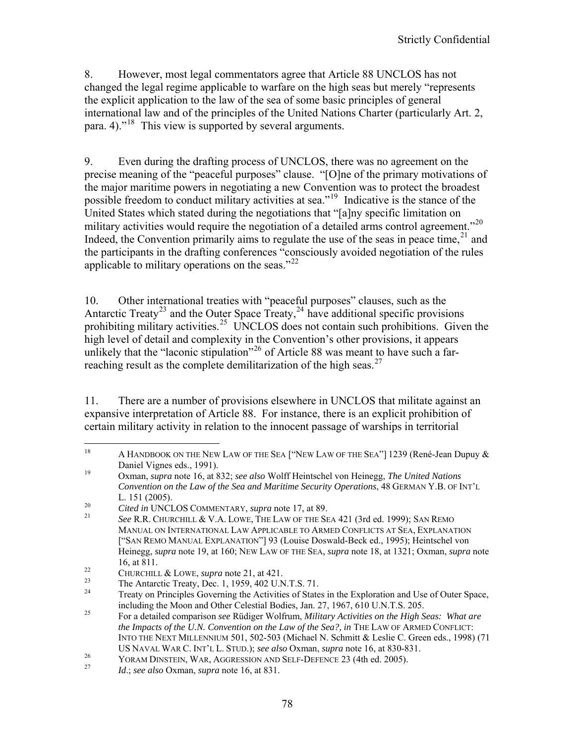8. However, most legal commentators agree that Article 88 UNCLOS has not changed the legal regime applicable to warfare on the high seas but merely "represents the explicit application to the law of the sea of some basic principles of general international law and of the principles of the United Nations Charter (particularly Art. 2, para. 4).<sup>"[18](#page-77-0)</sup> This view is supported by several arguments.

9. Even during the drafting process of UNCLOS, there was no agreement on the precise meaning of the "peaceful purposes" clause. "[O]ne of the primary motivations of the major maritime powers in negotiating a new Convention was to protect the broadest possible freedom to conduct military activities at sea."<sup>[19](#page-77-1)</sup> Indicative is the stance of the United States which stated during the negotiations that "[a]ny specific limitation on military activities would require the negotiation of a detailed arms control agreement."<sup>[20](#page-77-2)</sup> Indeed, the Convention primarily aims to regulate the use of the seas in peace time,  $2<sup>1</sup>$  and the participants in the drafting conferences "consciously avoided negotiation of the rules applicable to military operations on the seas." $^{22}$  $^{22}$  $^{22}$ 

10. Other international treaties with "peaceful purposes" clauses, such as the Antarctic Treaty<sup>[23](#page-77-5)</sup> and the Outer Space Treaty,<sup>[24](#page-77-6)</sup> have additional specific provisions prohibiting military activities.<sup>[25](#page-77-7)</sup> UNCLOS does not contain such prohibitions. Given the high level of detail and complexity in the Convention's other provisions, it appears unlikely that the "laconic stipulation"<sup>[26](#page-77-8)</sup> of Article 88 was meant to have such a far-reaching result as the complete demilitarization of the high seas.<sup>[27](#page-77-9)</sup>

11. There are a number of provisions elsewhere in UNCLOS that militate against an expansive interpretation of Article 88. For instance, there is an explicit prohibition of certain military activity in relation to the innocent passage of warships in territorial

<span id="page-77-0"></span><sup>18</sup> A HANDBOOK ON THE NEW LAW OF THE SEA ["NEW LAW OF THE SEA"] 1239 (René-Jean Dupuy & Daniel Vignes eds., 1991). 19 Oxman, *supra* note 16, at 832; *see also* Wolff Heintschel von Heinegg, *The United Nations* 

<span id="page-77-1"></span>*Convention on the Law of the Sea and Maritime Security Operations*, 48 GERMAN Y.B. OF INT'L L. 151 (2005). 20 *Cited in* UNCLOS COMMENTARY, *supra* note 17, at 89. 21 *See* R.R. CHURCHILL & V.A. LOWE, THE LAW OF THE SEA 421 (3rd ed. 1999); SAN REMO

<span id="page-77-2"></span>

<span id="page-77-3"></span>MANUAL ON INTERNATIONAL LAW APPLICABLE TO ARMED CONFLICTS AT SEA, EXPLANATION ["SAN REMO MANUAL EXPLANATION"] 93 (Louise Doswald-Beck ed., 1995); Heintschel von Heinegg, *supra* note 19, at 160; NEW LAW OF THE SEA, *supra* note 18, at 1321; Oxman, *supra* note 16, at 811.<br>
<sup>22</sup> CHURCHILL & LOWE, *supra* note 21, at 421.<br>
<sup>24</sup> Treaty on Principles Governing the Activities of State

<span id="page-77-4"></span>

<span id="page-77-5"></span>

<span id="page-77-6"></span><sup>24</sup> Treaty on Principles Governing the Activities of States in the Exploration and Use of Outer Space, including the Moon and Other Celestial Bodies, Jan. 27, 1967, 610 U.N.T.S. 205.<br><sup>25</sup> For a detailed comparison *see* Rüdiger Wolfrum, *Military Activities on the High Seas: What are* 

<span id="page-77-7"></span>*the Impacts of the U.N. Convention on the Law of the Sea?, in THE LAW OF ARMED CONFLICT:* INTO THE NEXT MILLENNIUM 501, 502-503 (Michael N. Schmitt & Leslie C. Green eds., 1998) (71

<span id="page-77-8"></span>US NAVAL WAR C. INT'L L. STUD.); see also Oxman, supra note 16, at 830-831.<br>
YORAM DINSTEIN, WAR, AGGRESSION AND SELF-DEFENCE 23 (4th ed. 2005).<br> *Id.*; see also Oxman, supra note 16, at 831.

<span id="page-77-9"></span>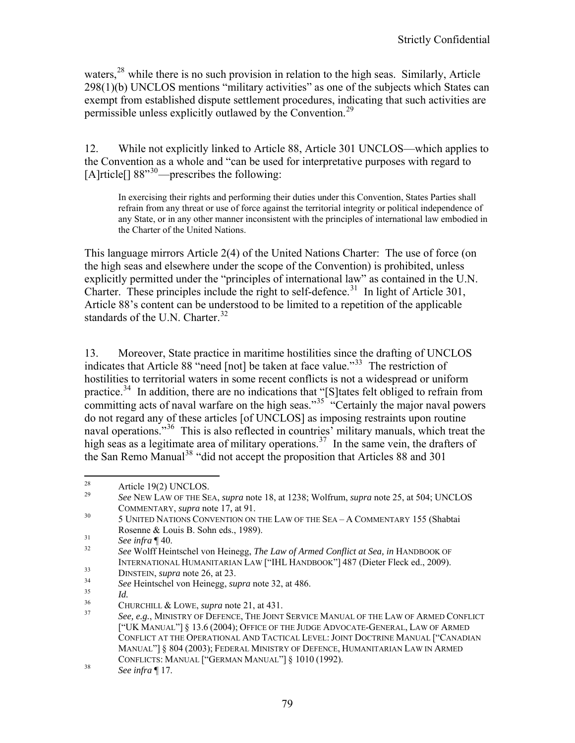waters,<sup>28</sup> while there is no such provision in relation to the high seas. Similarly, Article 298(1)(b) UNCLOS mentions "military activities" as one of the subjects which States can exempt from established dispute settlement procedures, indicating that such activities are permissible unless explicitly outlawed by the Convention.<sup>29</sup>

12. While not explicitly linked to Article 88, Article 301 UNCLOS—which applies to the Convention as a whole and "can be used for interpretative purposes with regard to [A]rticle[]  $88^{\prime\prime}^{30}$  $88^{\prime\prime}^{30}$  $88^{\prime\prime}^{30}$  - prescribes the following:

In exercising their rights and performing their duties under this Convention, States Parties shall refrain from any threat or use of force against the territorial integrity or political independence of any State, or in any other manner inconsistent with the principles of international law embodied in the Charter of the United Nations.

This language mirrors Article 2(4) of the United Nations Charter: The use of force (on the high seas and elsewhere under the scope of the Convention) is prohibited, unless explicitly permitted under the "principles of international law" as contained in the U.N. Charter. These principles include the right to self-defence.<sup>[31](#page-78-1)</sup> In light of Article 301, Article 88's content can be understood to be limited to a repetition of the applicable standards of the U.N. Charter. $32$ 

13. Moreover, State practice in maritime hostilities since the drafting of UNCLOS indicates that Article 88 "need [not] be taken at face value."[33](#page-78-3) The restriction of hostilities to territorial waters in some recent conflicts is not a widespread or uniform practice.<sup>[34](#page-78-4)</sup> In addition, there are no indications that "[S] tates felt obliged to refrain from committing acts of naval warfare on the high seas."<sup>[35](#page-78-5)</sup> "Certainly the major naval powers do not regard any of these articles [of UNCLOS] as imposing restraints upon routine naval operations."[36](#page-78-6) This is also reflected in countries' military manuals, which treat the high seas as a legitimate area of military operations.<sup>[37](#page-78-7)</sup> In the same vein, the drafters of the San Remo Manual<sup>[38](#page-78-8)</sup> "did not accept the proposition that Articles  $88$  and 301

 $28\,$ <sup>28</sup> Article 19(2) UNCLOS.<br>  $^{29}$  See NEW LAW OF THE SE

<sup>29</sup> *See* NEW LAW OF THE SEA, *supra* note 18, at 1238; Wolfrum, *supra* note 25, at 504; UNCLOS COMMENTARY, *supra* note 17, at 91.<br><sup>30</sup> 5 UNITED NATIONS CONVENTION ON THE LAW OF THE SEA – A COMMENTARY 155 (Shabtai

<span id="page-78-0"></span>Rosenne & Louis B. Sohn eds., 1989).<br><sup>31</sup> *See infra* ¶ 40.<br><sup>32</sup> *See* Wolff Heintschel von Heinegg, *The Law of Armed Conflict at Sea, in* HANDBOOK OF

<span id="page-78-1"></span>

<span id="page-78-2"></span>INTERNATIONAL HUMANITARIAN LAW ["IHL HANDBOOK"] 487 (Dieter Fleck ed., 2009).<br>
DINSTEIN, *supra* note 26, at 23.<br> *See* Heintschel von Heinegg, *supra* note 32, at 486.<br> *Id.*<br>
CHURCHILL & LOWE, *supra* note 21, at 431.<br>

<span id="page-78-3"></span>

<span id="page-78-5"></span><span id="page-78-4"></span>

<span id="page-78-6"></span>

<span id="page-78-7"></span><sup>[&</sup>quot;UK MANUAL"] § 13.6 (2004); OFFICE OF THE JUDGE ADVOCATE-GENERAL, LAW OF ARMED CONFLICT AT THE OPERATIONAL AND TACTICAL LEVEL: JOINT DOCTRINE MANUAL ["CANADIAN MANUAL"] § 804 (2003); FEDERAL MINISTRY OF DEFENCE, HUMANITARIAN LAW IN ARMED CONFLICTS: MANUAL ["GERMAN MANUAL"] § 1010 (1992). 38 *See infra* ¶ 17.

<span id="page-78-8"></span>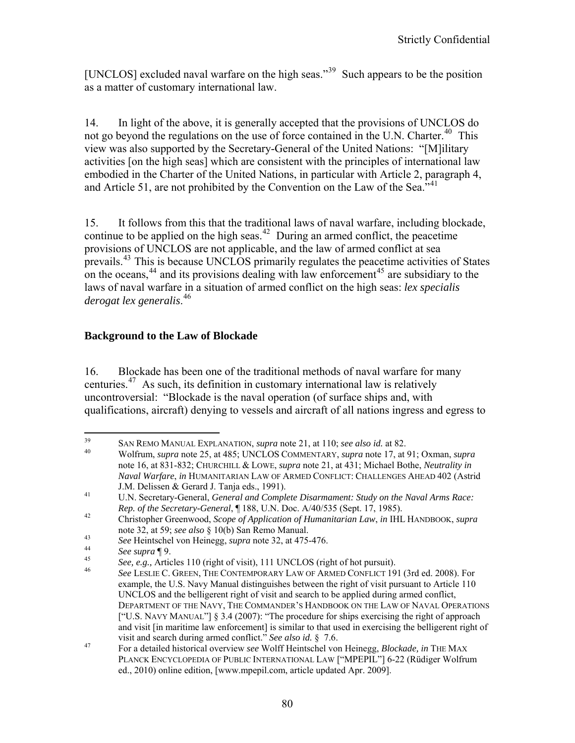[UNCLOS] excluded naval warfare on the high seas."<sup>39</sup> Such appears to be the position as a matter of customary international law.

14. In light of the above, it is generally accepted that the provisions of UNCLOS do not go beyond the regulations on the use of force contained in the U.N. Charter.<sup>[40](#page-79-0)</sup> This view was also supported by the Secretary-General of the United Nations: "[M]ilitary activities [on the high seas] which are consistent with the principles of international law embodied in the Charter of the United Nations, in particular with Article 2, paragraph 4, and Article 51, are not prohibited by the Convention on the Law of the Sea."<sup>[41](#page-79-1)</sup>

15. It follows from this that the traditional laws of naval warfare, including blockade, continue to be applied on the high seas.<sup>[42](#page-79-2)</sup> During an armed conflict, the peacetime provisions of UNCLOS are not applicable, and the law of armed conflict at sea prevails.<sup>[43](#page-79-3)</sup> This is because UNCLOS primarily regulates the peacetime activities of States on the oceans,  $44$  and its provisions dealing with law enforcement  $45$  are subsidiary to the derogat lex generalis.<sup>46</sup> laws of naval warfare in a situation of armed conflict on the high seas: *lex specialis* 

### **Background to the Law of Blockade**

16. Blockade has been one of the traditional methods of naval warfare for many centuries.<sup>[47](#page-79-6)</sup> As such, its definition in customary international law is relatively uncontroversial: "Blockade is the naval operation (of surface ships and, with qualifications, aircraft) denying to vessels and aircraft of all nations ingress and egress to

<sup>39</sup> 

<span id="page-79-0"></span><sup>39</sup> SAN REMO MANUAL EXPLANATION, *supra* note 21, at 110; *see also id.* at 82. 40 Wolfrum, *supra* note 25, at 485; UNCLOS COMMENTARY, *supra* note 17, at 91; Oxman, *supra* note 16, at 831-832; CHURCHILL & LOWE, *supra* note 21, at 431; Michael Bothe, *Neutrality in Naval Warfare*, *in* HUMANITARIAN LAW OF ARMED CONFLICT: CHALLENGES AHEAD 402 (Astrid J.M. Delissen & Gerard J. Tanja eds., 1991).<br><sup>41</sup> U.N. Secretary-General, *General and Complete Disarmament: Study on the Naval Arms Race:* 

<span id="page-79-1"></span>*Rep. of the Secretary-General,* ¶ 188, U.N. Doc. A/40/535 (Sept. 17, 1985).<br><sup>42</sup> Christopher Greenwood, *Scope of Application of Humanitarian Law*, *in* IHL HANDBOOK, *supra* 

<span id="page-79-4"></span>

<span id="page-79-5"></span>

<span id="page-79-3"></span><span id="page-79-2"></span>note 32, at 59; *see also* § 10(b) San Remo Manual.<br>
<sup>43</sup> See Heintschel von Heinegg, *supra* note 32, at 475-476.<br>
<sup>44</sup> See supra ¶ 9.<br> *See, e.g.*, Articles 110 (right of visit), 111 UNCLOS (right of hot pursuit).<br>
<sup>45</sup> example, the U.S. Navy Manual distinguishes between the right of visit pursuant to Article 110 UNCLOS and the belligerent right of visit and search to be applied during armed conflict, DEPARTMENT OF THE NAVY, THE COMMANDER'S HANDBOOK ON THE LAW OF NAVAL OPERATIONS ["U.S. NAVY MANUAL"] § 3.4 (2007): "The procedure for ships exercising the right of approach and visit [in maritime law enforcement] is similar to that used in exercising the belligerent right of visit and search during armed conflict." *See also id.* § 7.6.<br><sup>47</sup> For a detailed historical overview *see* Wolff Heintschel von Heinegg, *Blockade, in* THE MAX

<span id="page-79-6"></span>PLANCK ENCYCLOPEDIA OF PUBLIC INTERNATIONAL LAW ["MPEPIL"] 6-22 (Rüdiger Wolfrum ed., 2010) online edition, [www.mpepil.com, article updated Apr. 2009].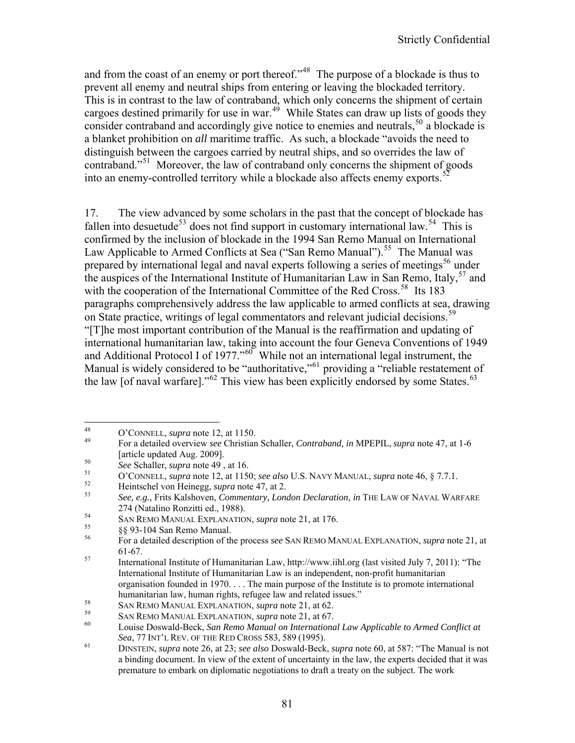and from the coast of an enemy or port thereof."<sup>48</sup> The purpose of a blockade is thus to prevent all enemy and neutral ships from entering or leaving the blockaded territory. This is in contrast to the law of contraband, which only concerns the shipment of certain cargoes destined primarily for use in war.<sup>49</sup> While States can draw up lists of goods they consider contraband and accordingly give notice to enemies and neutrals,  $50$  a blockade is a blanket prohibition on *all* maritime traffic. As such, a blockade "avoids the need to distinguish between the cargoes carried by neutral ships, and so overrides the law of contraband."<sup>51</sup> Moreover, the law of contraband only concerns the shipment of goods into an enemy-controlled territory while a blockade also affects enemy exports.<sup>52</sup>

17. The view advanced by some scholars in the past that the concept of blockade has fallen into desuetude<sup>[53](#page-80-0)</sup> does not find support in customary international law.<sup>[54](#page-80-1)</sup> This is confirmed by the inclusion of blockade in the 1994 San Remo Manual on International Law Applicable to Armed Conflicts at Sea ("San Remo Manual").<sup>[55](#page-80-2)</sup> The Manual was prepared by international legal and naval experts following a series of meetings<sup>[56](#page-80-3)</sup> under the auspices of the International Institute of Humanitarian Law in San Remo, Italy,  $57$  and with the cooperation of the International Committee of the Red Cross.<sup>[58](#page-80-5)</sup> Its 183 paragraphs comprehensively address the law applicable to armed conflicts at sea, drawing on State practice, writings of legal commentators and relevant judicial decisions.<sup>[59](#page-80-6)</sup> "[T]he most important contribution of the Manual is the reaffirmation and updating of international humanitarian law, taking into account the four Geneva Conventions of 1949 and Additional Protocol I of  $1977$ ."<sup>[60](#page-80-7)</sup> While not an international legal instrument, the Manual is widely considered to be "authoritative,"<sup>[61](#page-80-8)</sup> providing a "reliable restatement of the law [of naval warfare]." $62$  This view has been explicitly endorsed by some States. $63$ 

<sup>48</sup> 

<sup>48</sup> O'CONNELL, *supra* note 12, at 1150. 49 For a detailed overview *see* Christian Schaller, *Contraband, in* MPEPIL, *supra* note 47, at 1-6 [article updated Aug. 2009].<br>
See Schaller, *supra* note 49, at 16.<br>
O'CONNELL, *supra* note 12, at 1150; *see also* U.S. NAVY MANUAL, *supra* note 46, § 7.7.1.<br>
Heintschel von Heinegg, *supra* note 47, at 2.<br>
See, e.g., F

<span id="page-80-9"></span>

<span id="page-80-10"></span>

<span id="page-80-0"></span>

<span id="page-80-1"></span><sup>274 (</sup>Natalino Ronzitti ed., 1988).<br>
SAN REMO MANUAL EXPLANATION, *supra* note 21, at 176.<br>
<sup>55</sup> §§ 93-104 San Remo Manual.<br>
<sup>56</sup> Eor a detailed description of the process see SAN REMO M.

<span id="page-80-2"></span>

<span id="page-80-3"></span><sup>56</sup> For a detailed description of the process *see* SAN REMO MANUAL EXPLANATION, *supra* note 21, at

<span id="page-80-4"></span><sup>61-67. 57</sup> International Institute of Humanitarian Law, http://www.iihl.org (last visited July 7, 2011): "The International Institute of Humanitarian Law is an independent, non-profit humanitarian organisation founded in 1970. . . . The main purpose of the Institute is to promote international

<span id="page-80-5"></span>

<span id="page-80-7"></span><span id="page-80-6"></span>

humanitarian law, human rights, refugee law and related issues."<br>
SAN REMO MANUAL EXPLANATION, *supra* note 21, at 62.<br>
SAN REMO MANUAL EXPLANATION, *supra* note 21, at 67.<br>
Louise Doswald-Beck, *San Remo Manual on Interna Sea*, 77 INT'L REV. OF THE RED CROSS 583, 589 (1995).<br><sup>61</sup> DINSTEIN, *supra* note 26, at 23; *see also* Doswald-Beck, *supra* note 60, at 587: "The Manual is not

<span id="page-80-8"></span>a binding document. In view of the extent of uncertainty in the law, the experts decided that it was premature to embark on diplomatic negotiations to draft a treaty on the subject. The work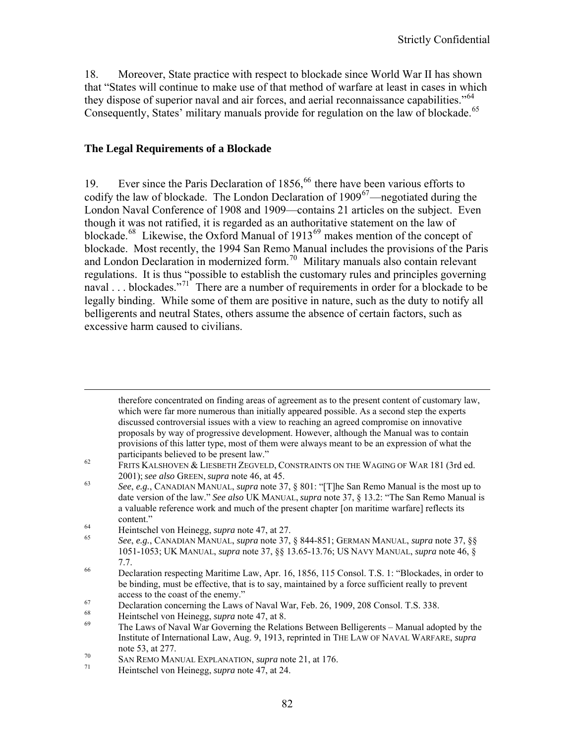18. Moreover, State practice with respect to blockade since World War II has shown that "States will continue to make use of that method of warfare at least in cases in which they dispose of superior naval and air forces, and aerial reconnaissance capabilities."<sup>[64](#page-81-0)</sup> Consequently, States' military manuals provide for regulation on the law of blockade.<sup>[65](#page-81-1)</sup>

## **The Legal Requirements of a Blockade**

19. Ever since the Paris Declaration of  $1856$ ,<sup>[66](#page-81-2)</sup> there have been various efforts to codify the law of blockade. The London Declaration of  $1909^{67}$  $1909^{67}$  $1909^{67}$ —negotiated during the London Naval Conference of 1908 and 1909—contains 21 articles on the subject. Even though it was not ratified, it is regarded as an authoritative statement on the law of blockade.<sup>[68](#page-81-4)</sup> Likewise, the Oxford Manual of 1913<sup>[69](#page-81-5)</sup> makes mention of the concept of blockade. Most recently, the 1994 San Remo Manual includes the provisions of the Paris and London Declaration in modernized form.<sup>[70](#page-81-6)</sup> Military manuals also contain relevant regulations. It is thus "possible to establish the customary rules and principles governing naval . . . blockades."<sup>[71](#page-81-7)</sup> There are a number of requirements in order for a blockade to be legally binding. While some of them are positive in nature, such as the duty to notify all belligerents and neutral States, others assume the absence of certain factors, such as excessive harm caused to civilians.

 therefore concentrated on finding areas of agreement as to the present content of customary law, which were far more numerous than initially appeared possible. As a second step the experts discussed controversial issues with a view to reaching an agreed compromise on innovative proposals by way of progressive development. However, although the Manual was to contain provisions of this latter type, most of them were always meant to be an expression of what the

participants believed to be present law."<br>FRITS KALSHOVEN & LIESBETH ZEGVELD, CONSTRAINTS ON THE WAGING OF WAR 181 (3rd ed. 2001); *see also* GREEN, *supra* note 46, at 45.<br><sup>63</sup> *See*, *e.g.*, CANADIAN MANUAL, *supra* note 37, § 801: "[T]he San Remo Manual is the most up to

date version of the law." *See also* UK MANUAL, *supra* note 37, § 13.2: "The San Remo Manual is a valuable reference work and much of the present chapter [on maritime warfare] reflects its content."<br>
Heintschel von Heinegg, *supra* note 47, at 27.<br> *See, e.g.*, CANADIAN MANUAL, *supra* note 37, § 844-851; GERMAN MANUAL, *supra* note 37, §§

<span id="page-81-0"></span>

<span id="page-81-1"></span><sup>1051-1053;</sup> UK MANUAL, *supra* note 37, §§ 13.65-13.76; US NAVY MANUAL, *supra* note 46, §

<span id="page-81-2"></span><sup>7.7. 66</sup> Declaration respecting Maritime Law, Apr. 16, 1856, 115 Consol. T.S. 1: "Blockades, in order to be binding, must be effective, that is to say, maintained by a force sufficient really to prevent

<span id="page-81-3"></span>access to the coast of the enemy."<br>
Declaration concerning the Laws of Naval War, Feb. 26, 1909, 208 Consol. T.S. 338.<br>  $\frac{68}{25}$ 

<span id="page-81-5"></span><span id="page-81-4"></span><sup>&</sup>lt;sup>68</sup> Heintschel von Heinegg, *supra* note 47, at 8.<br><sup>69</sup> The Laws of Naval War Governing the Relations Between Belligerents – Manual adopted by the Institute of International Law, Aug. 9, 1913, reprinted in THE LAW OF NAVAL WARFARE, *supra*

<span id="page-81-6"></span>note 53, at 277.<br>
SAN REMO MANUAL EXPLANATION, *supra* note 21, at 176.<br>
Heintschel von Heinegg, *supra* note 47, at 24.

<span id="page-81-7"></span>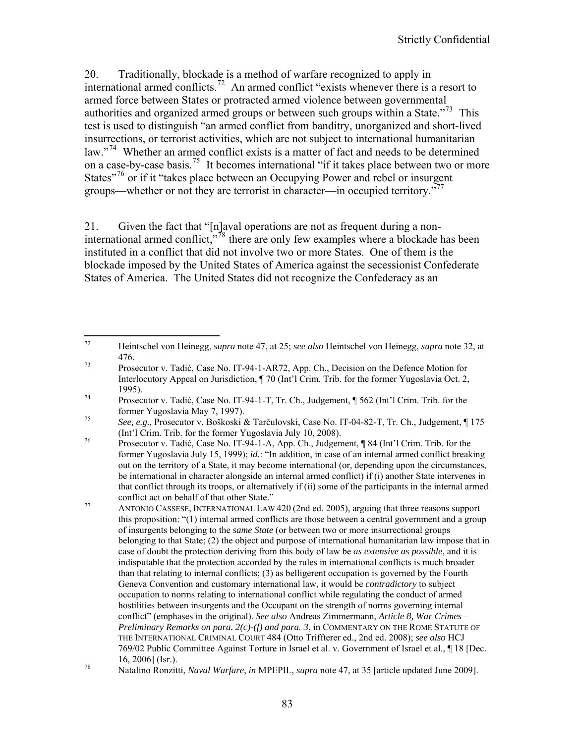20. Traditionally, blockade is a method of warfare recognized to apply in international armed conflicts.[72](#page-82-0) An armed conflict "exists whenever there is a resort to armed force between States or protracted armed violence between governmental authorities and organized armed groups or between such groups within a State.<sup> $373$  $373$ </sup> This test is used to distinguish "an armed conflict from banditry, unorganized and short-lived insurrections, or terrorist activities, which are not subject to international humanitarian law."<sup>[74](#page-82-2)</sup> Whether an armed conflict exists is a matter of fact and needs to be determined on a case-by-case basis.<sup>[75](#page-82-3)</sup> It becomes international "if it takes place between two or more States<sup>"[76](#page-82-4)</sup> or if it "takes place between an Occupying Power and rebel or insurgent groups—whether or not they are terrorist in character—in occupied territory."<sup>[77](#page-82-5)</sup>

21. Given the fact that "[n]aval operations are not as frequent during a noninternational armed conflict, $\frac{1}{2}$  there are only few examples where a blockade has been instituted in a conflict that did not involve two or more States. One of them is the blockade imposed by the United States of America against the secessionist Confederate States of America. The United States did not recognize the Confederacy as an

<span id="page-82-0"></span> $\overline{a}$ 72 Heintschel von Heinegg, *supra* note 47, at 25; *see also* Heintschel von Heinegg, *supra* note 32, at 476.<br>Prosecutor v. Tadić, Case No. IT-94-1-AR72, App. Ch., Decision on the Defence Motion for

<span id="page-82-1"></span>Interlocutory Appeal on Jurisdiction, ¶ 70 (Int'l Crim. Trib. for the former Yugoslavia Oct. 2, 1995). 74 Prosecutor v. Tadić, Case No. IT-94-1-T, Tr. Ch., Judgement, ¶ 562 (Int'l Crim. Trib. for the

<span id="page-82-2"></span>

<span id="page-82-3"></span>former Yugoslavia May 7, 1997). 75 *See, e.g.,* Prosecutor v. Boškoski & Tarčulovski, Case No. IT-04-82-T, Tr. Ch., Judgement, ¶ 175 (Int'l Crim. Trib. for the former Yugoslavia July 10, 2008).<br> *To* Prosecutor v. Tadić, Case No. IT-94-1-A, App. Ch., Judgement, ¶ 84 (Int'l Crim. Trib. for the

<span id="page-82-4"></span>former Yugoslavia July 15, 1999); *id.*: "In addition, in case of an internal armed conflict breaking out on the territory of a State, it may become international (or, depending upon the circumstances, be international in character alongside an internal armed conflict) if (i) another State intervenes in that conflict through its troops, or alternatively if (ii) some of the participants in the internal armed conflict act on behalf of that other State."<br>ANTONIO CASSESE, INTERNATIONAL LAW 420 (2nd ed. 2005), arguing that three reasons support

<span id="page-82-5"></span>this proposition: "(1) internal armed conflicts are those between a central government and a group of insurgents belonging to the *same State* (or between two or more insurrectional groups belonging to that State; (2) the object and purpose of international humanitarian law impose that in case of doubt the protection deriving from this body of law be *as extensive as possible*, and it is indisputable that the protection accorded by the rules in international conflicts is much broader than that relating to internal conflicts; (3) as belligerent occupation is governed by the Fourth Geneva Convention and customary international law, it would be *contradictory* to subject occupation to norms relating to international conflict while regulating the conduct of armed hostilities between insurgents and the Occupant on the strength of norms governing internal conflict" (emphases in the original). *See also* Andreas Zimmermann, *Article 8, War Crimes – Preliminary Remarks on para. 2(c)-(f) and para. 3*, in COMMENTARY ON THE ROME STATUTE OF THE INTERNATIONAL CRIMINAL COURT 484 (Otto Triffterer ed., 2nd ed. 2008); *see also* HCJ 769/02 Public Committee Against Torture in Israel et al. v. Government of Israel et al., ¶ 18 [Dec.

<span id="page-82-6"></span><sup>16, 2006] (</sup>Isr.). 78 Natalino Ronzitti, *Naval Warfare*, *in* MPEPIL, *supra* note 47, at 35 [article updated June 2009].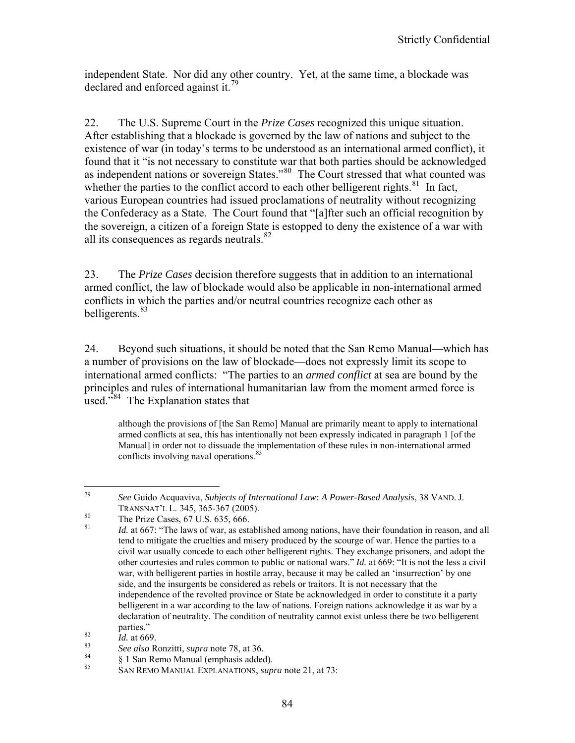independent State. Nor did any other country. Yet, at the same time, a blockade was declared and enforced against it.<sup>79</sup>

22. The U.S. Supreme Court in the *Prize Cases* recognized this unique situation. After establishing that a blockade is governed by the law of nations and subject to the existence of war (in today's terms to be understood as an international armed conflict), it found that it "is not necessary to constitute war that both parties should be acknowledged as independent nations or sovereign States."[80](#page-83-0) The Court stressed that what counted was whether the parties to the conflict accord to each other belligerent rights. $81$  In fact, various European countries had issued proclamations of neutrality without recognizing the Confederacy as a State. The Court found that "[a]fter such an official recognition by the sovereign, a citizen of a foreign State is estopped to deny the existence of a war with all its consequences as regards neutrals.<sup>[82](#page-83-2)</sup>

23. The *Prize Cases* decision therefore suggests that in addition to an international armed conflict, the law of blockade would also be applicable in non-international armed conflicts in which the parties and/or neutral countries recognize each other as belligerents.<sup>[83](#page-83-3)</sup>

24. Beyond such situations, it should be noted that the San Remo Manual—which has a number of provisions on the law of blockade—does not expressly limit its scope to international armed conflicts: "The parties to an *armed conflict* at sea are bound by the principles and rules of international humanitarian law from the moment armed force is used."<sup>[84](#page-83-4)</sup> The Explanation states that

although the provisions of [the San Remo] Manual are primarily meant to apply to international armed conflicts at sea, this has intentionally not been expressly indicated in paragraph 1 [of the Manual] in order not to dissuade the implementation of these rules in non-international armed conflicts involving naval operations.<sup>[85](#page-83-5)</sup>

parties."<br> *Id.* at 669.<br> *See also* Ronzitti, *supra* note 78, at 36.<br>
<sup>84</sup> § 1 San Remo Manual (emphasis added).

<sup>79</sup> 79 *See* Guido Acquaviva, *Subjects of International Law: A Power-Based Analysis*, 38 VAND. J.

TRANSNAT'L L. 345, 365-367 (2005).<br><sup>80</sup> The Prize Cases, 67 U.S. 635, 666.<br><sup>81</sup> *Le* at 667: "The laws of war, as estable

<span id="page-83-1"></span><span id="page-83-0"></span>Id. at 667: "The laws of war, as established among nations, have their foundation in reason, and all tend to mitigate the cruelties and misery produced by the scourge of war. Hence the parties to a civil war usually concede to each other belligerent rights. They exchange prisoners, and adopt the other courtesies and rules common to public or national wars." *Id.* at 669: "It is not the less a civil war, with belligerent parties in hostile array, because it may be called an 'insurrection' by one side, and the insurgents be considered as rebels or traitors. It is not necessary that the independence of the revolted province or State be acknowledged in order to constitute it a party belligerent in a war according to the law of nations. Foreign nations acknowledge it as war by a declaration of neutrality. The condition of neutrality cannot exist unless there be two belligerent

<span id="page-83-2"></span>

<span id="page-83-4"></span><span id="page-83-3"></span>

<span id="page-83-5"></span>SAN REMO MANUAL EXPLANATIONS, *supra* note 21, at 73: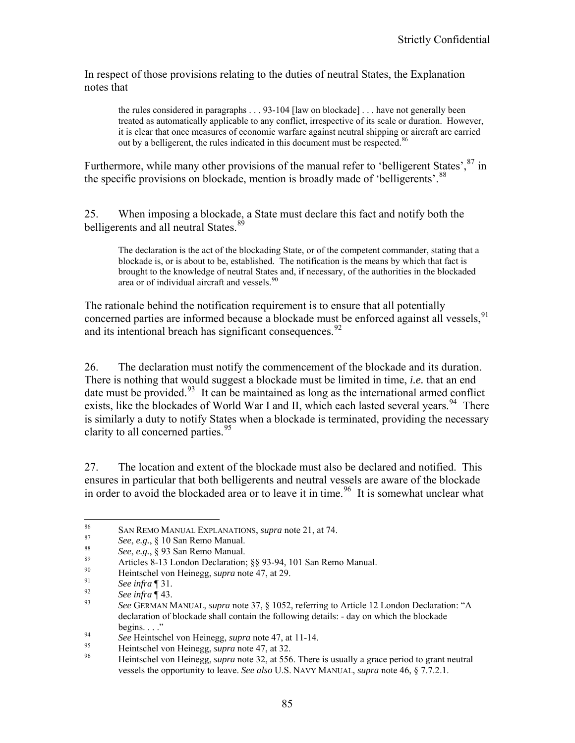In respect of those provisions relating to the duties of neutral States, the Explanation notes that

the rules considered in paragraphs . . . 93-104 [law on blockade] . . . have not generally been treated as automatically applicable to any conflict, irrespective of its scale or duration. However, it is clear that once measures of economic warfare against neutral shipping or aircraft are carried out by a belligerent, the rules indicated in this document must be respected.<sup>[86](#page-84-0)</sup>

Furthermore, while many other provisions of the manual refer to 'belligerent States', <sup>[87](#page-84-1)</sup> in the specific provisions on blockade, mention is broadly made of 'belligerents'.<sup>[88](#page-84-2)</sup>

25. When imposing a blockade, a State must declare this fact and notify both the belligerents and all neutral States.<sup>[89](#page-84-3)</sup>

The declaration is the act of the blockading State, or of the competent commander, stating that a blockade is, or is about to be, established. The notification is the means by which that fact is brought to the knowledge of neutral States and, if necessary, of the authorities in the blockaded area or of individual aircraft and vessels.<sup>[90](#page-84-4)</sup>

The rationale behind the notification requirement is to ensure that all potentially concerned parties are informed because a blockade must be enforced against all vessels,<sup>[91](#page-84-5)</sup> and its intentional breach has significant consequences.  $92$ 

26. The declaration must notify the commencement of the blockade and its duration. There is nothing that would suggest a blockade must be limited in time, *i.e.* that an end date must be provided.<sup>[93](#page-84-7)</sup> It can be maintained as long as the international armed conflict exists, like the blockades of World War I and II, which each lasted several years.<sup>[94](#page-84-8)</sup> There is similarly a duty to notify States when a blockade is terminated, providing the necessary clarity to all concerned parties.<sup>[95](#page-84-9)</sup>

27. The location and extent of the blockade must also be declared and notified. This ensures in particular that both belligerents and neutral vessels are aware of the blockade in order to avoid the blockaded area or to leave it in time.<sup>[96](#page-84-10)</sup> It is somewhat unclear what

<sup>86</sup> 

<span id="page-84-1"></span>

<span id="page-84-2"></span>

<span id="page-84-0"></span><sup>&</sup>lt;sup>86</sup><br>
SAN REMO MANUAL EXPLANATIONS, *supra* note 21, at 74.<br> *See*, *e.g.*, § 10 San Remo Manual.<br> *See*, *e.g.*, § 93 San Remo Manual.<br>
Atticles 8-13 London Declaration; §§ 93-94, 101 San Remo Manual.<br>
29

<span id="page-84-5"></span>

<span id="page-84-7"></span><span id="page-84-6"></span>

<span id="page-84-4"></span><span id="page-84-3"></span><sup>90</sup> Heintschel von Heinegg, *supra* note 47, at 29.<br>
91 *See infra* ¶ 31.<br>
92 *See infra* ¶ 43.<br> *See* GERMAN MANUAL, *supra* note 37, § 1052, referring to Article 12 London Declaration: "A declaration of blockade shall contain the following details: - day on which the blockade

<span id="page-84-8"></span>

<span id="page-84-10"></span><span id="page-84-9"></span>

begins...."<br>See Heintschel von Heinegg, *supra* note 47, at 11-14.<br><sup>95</sup><br>Heintschel von Heinegg, *supra* note 47, at 32.<br>Heintschel von Heinegg, *supra* note 32, at 556. There is usually a grace period to grant neutral vessels the opportunity to leave. *See also* U.S. NAVY MANUAL, *supra* note 46, § 7.7.2.1.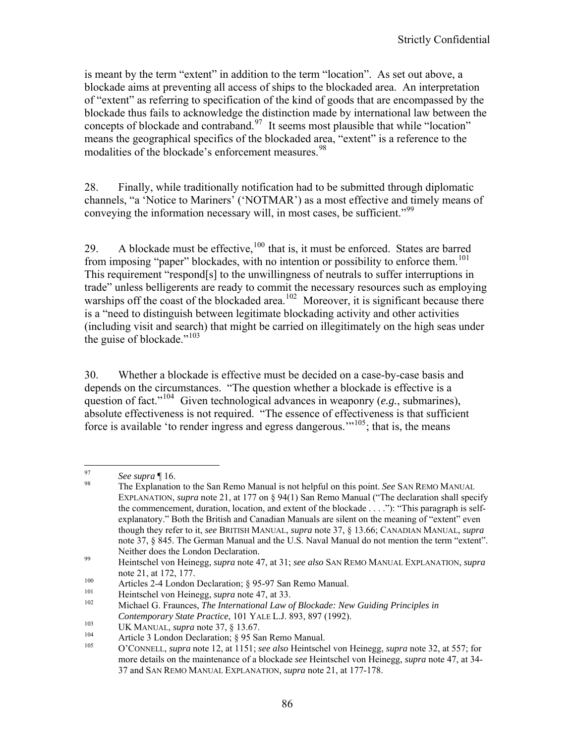is meant by the term "extent" in addition to the term "location". As set out above, a blockade aims at preventing all access of ships to the blockaded area. An interpretation of "extent" as referring to specification of the kind of goods that are encompassed by the blockade thus fails to acknowledge the distinction made by international law between the concepts of blockade and contraband. $97$  It seems most plausible that while "location" means the geographical specifics of the blockaded area, "extent" is a reference to the modalities of the blockade's enforcement measures.<sup>98</sup>

28. Finally, while traditionally notification had to be submitted through diplomatic channels, "a 'Notice to Mariners' ('NOTMAR') as a most effective and timely means of conveying the information necessary will, in most cases, be sufficient."<sup>[99](#page-85-0)</sup>

29. A blockade must be effective,  $100$  that is, it must be enforced. States are barred from imposing "paper" blockades, with no intention or possibility to enforce them.<sup>[101](#page-85-2)</sup> This requirement "respond[s] to the unwillingness of neutrals to suffer interruptions in trade" unless belligerents are ready to commit the necessary resources such as employing warships off the coast of the blockaded area.<sup>[102](#page-85-3)</sup> Moreover, it is significant because there is a "need to distinguish between legitimate blockading activity and other activities (including visit and search) that might be carried on illegitimately on the high seas under the guise of blockade."<sup>[103](#page-85-4)</sup>

30. Whether a blockade is effective must be decided on a case-by-case basis and depends on the circumstances. "The question whether a blockade is effective is a question of fact."<sup>[104](#page-85-5)</sup> Given technological advances in weaponry (*e.g.*, submarines), absolute effectiveness is not required. "The essence of effectiveness is that sufficient force is available 'to render ingress and egress dangerous.'"[105](#page-85-6); that is, the means

<sup>97</sup> 

<sup>&</sup>lt;sup>97</sup> See supra<sup>q</sup> 16.<br><sup>98</sup> The Explanation to the San Remo Manual is not helpful on this point. *See* SAN REMO MANUAL EXPLANATION, *supra* note 21, at 177 on § 94(1) San Remo Manual ("The declaration shall specify the commencement, duration, location, and extent of the blockade . . . ."): "This paragraph is selfexplanatory." Both the British and Canadian Manuals are silent on the meaning of "extent" even though they refer to it, *see* BRITISH MANUAL, *supra* note 37, § 13.66; CANADIAN MANUAL, *supra* note 37, § 845. The German Manual and the U.S. Naval Manual do not mention the term "extent".

<span id="page-85-0"></span>Neither does the London Declaration.<br><sup>99</sup> Heintschel von Heinegg, *supra* note 47, at 31; *see also* SAN REMO MANUAL EXPLANATION, *supra* note 21, at 172, 177.<br>Articles 2-4 London Declaration; § 95-97 San Remo Manual.<br>Heintschel von Heinegg, *supra* note 47, at 33.<br>Michael G. Fraunces, *The International Law of Blockade: New Guiding Principles in* 

<span id="page-85-1"></span>

<span id="page-85-2"></span>

<span id="page-85-3"></span>

<span id="page-85-6"></span><span id="page-85-5"></span>

<span id="page-85-4"></span>Contemporary State Practice, 101 YALE L.J. 893, 897 (1992).<br>
UK MANUAL, *supra* note 37, § 13.67.<br>
Article 3 London Declaration; § 95 San Remo Manual.<br>
O'CONNELL, *supra* note 12, at 1151; *see also* Heintschel von Heinegg more details on the maintenance of a blockade *see* Heintschel von Heinegg, *supra* note 47, at 34- 37 and SAN REMO MANUAL EXPLANATION, *supra* note 21, at 177-178.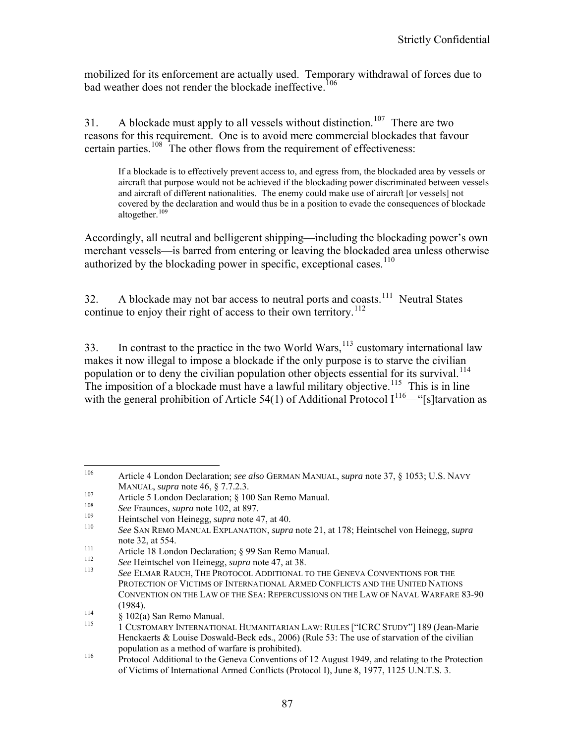mobilized for its enforcement are actually used. Temporary withdrawal of forces due to bad weather does not render the blockade ineffective.<sup>106</sup>

31. A blockade must apply to all vessels without distinction.<sup>[107](#page-86-0)</sup> There are two reasons for this requirement. One is to avoid mere commercial blockades that favour certain parties.<sup>[108](#page-86-1)</sup> The other flows from the requirement of effectiveness:

If a blockade is to effectively prevent access to, and egress from, the blockaded area by vessels or aircraft that purpose would not be achieved if the blockading power discriminated between vessels and aircraft of different nationalities. The enemy could make use of aircraft [or vessels] not covered by the declaration and would thus be in a position to evade the consequences of blockade altogether.<sup>[109](#page-86-2)</sup>

Accordingly, all neutral and belligerent shipping—including the blockading power's own merchant vessels—is barred from entering or leaving the blockaded area unless otherwise authorized by the blockading power in specific, exceptional cases.<sup>[110](#page-86-3)</sup>

32. A blockade may not bar access to neutral ports and coasts.<sup>[111](#page-86-4)</sup> Neutral States continue to enjoy their right of access to their own territory.<sup>[112](#page-86-5)</sup>

33. In contrast to the practice in the two World Wars,  $^{113}$  $^{113}$  $^{113}$  customary international law makes it now illegal to impose a blockade if the only purpose is to starve the civilian population or to deny the civilian population other objects essential for its survival.<sup>[114](#page-86-7)</sup> The imposition of a blockade must have a lawful military objective.<sup>[115](#page-86-8)</sup> This is in line with the general prohibition of Article 54(1) of Additional Protocol  $I^{116}$  $I^{116}$  $I^{116}$ —"[s]tarvation as

<sup>106</sup> 106 Article 4 London Declaration; *see also* GERMAN MANUAL, s*upra* note 37, § 1053; U.S. NAVY MANUAL, *supra* note 46, § 7.7.2.3.<br>
Article 5 London Declaration; § 100 San Remo Manual.<br> *See* Fraunces, *supra* note 102, at 897.<br>
Heintschel von Heinegg, *supra* note 47, at 40.<br> *See* SAN REMO MANUAL EXPLANATION, *sup* 

<span id="page-86-0"></span>

<span id="page-86-1"></span>

<span id="page-86-2"></span>

<span id="page-86-3"></span>note 32, at 554.<br>Article 18 London Declaration; § 99 San Remo Manual.<br><sup>112</sup> See Heintschel von Heinegg, *supra* note 47, at 38.<br>See ELMAR RAUCH, THE PROTOCOL ADDITIONAL TO THE GENEVA CONVENTIONS FOR THE

<span id="page-86-4"></span>

<span id="page-86-5"></span>

<span id="page-86-6"></span>PROTECTION OF VICTIMS OF INTERNATIONAL ARMED CONFLICTS AND THE UNITED NATIONS CONVENTION ON THE LAW OF THE SEA: REPERCUSSIONS ON THE LAW OF NAVAL WARFARE 83-90

<span id="page-86-8"></span>

<span id="page-86-7"></span><sup>(1984). 114 § 102(</sup>a) San Remo Manual. 115 1 CUSTOMARY INTERNATIONAL HUMANITARIAN LAW: RULES ["ICRC STUDY"] <sup>189</sup> (Jean-Marie Henckaerts & Louise Doswald-Beck eds., 2006) (Rule 53: The use of starvation of the civilian population as a method of warfare is prohibited).<br>
Protocol Additional to the Geneva Conventions of 12 August 1949, and relating to the Protection

<span id="page-86-9"></span>of Victims of International Armed Conflicts (Protocol I), June 8, 1977, 1125 U.N.T.S. 3.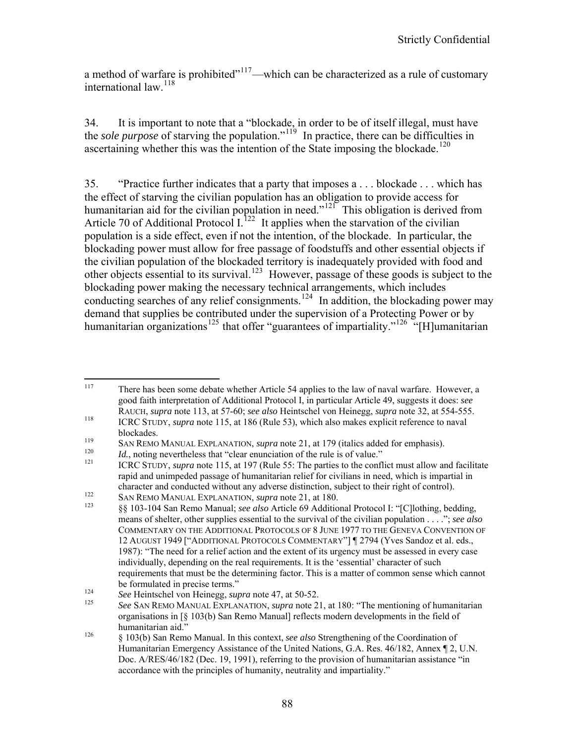a method of warfare is prohibited"<sup>117</sup>—which can be characterized as a rule of customary international law<sup>118</sup>

34. It is important to note that a "blockade, in order to be of itself illegal, must have the *sole purpose* of starving the population."[119](#page-87-0) In practice, there can be difficulties in ascertaining whether this was the intention of the State imposing the blockade.<sup>[120](#page-87-1)</sup>

35. "Practice further indicates that a party that imposes a . . . blockade . . . which has the effect of starving the civilian population has an obligation to provide access for humanitarian aid for the civilian population in need."<sup>[121](#page-87-2)</sup> This obligation is derived from Article 70 of Additional Protocol I.<sup>[122](#page-87-3)</sup> It applies when the starvation of the civilian population is a side effect, even if not the intention, of the blockade. In particular, the blockading power must allow for free passage of foodstuffs and other essential objects if the civilian population of the blockaded territory is inadequately provided with food and other objects essential to its survival.<sup>[123](#page-87-4)</sup> However, passage of these goods is subject to the blockading power making the necessary technical arrangements, which includes conducting searches of any relief consignments.<sup>[124](#page-87-5)</sup> In addition, the blockading power may demand that supplies be contributed under the supervision of a Protecting Power or by humanitarian organizations<sup>[125](#page-87-6)</sup> that offer "guarantees of impartiality."<sup>[126](#page-87-7)</sup> "[H]umanitarian

<sup>117</sup> 117 There has been some debate whether Article 54 applies to the law of naval warfare. However, a good faith interpretation of Additional Protocol I, in particular Article 49, suggests it does: *see*

RAUCH, *supra* note 113, at 57-60; *see also* Heintschel von Heinegg, *supra* note 32, at 554-555.<br>ICRC STUDY, *supra* note 115, at 186 (Rule 53), which also makes explicit reference to naval

<span id="page-87-0"></span>blockades.<br>
SAN REMO MANUAL EXPLANATION, *supra* note 21, at 179 (italics added for emphasis).<br> *Id.*, noting nevertheless that "clear enunciation of the rule is of value."<br>
ICRC STUDY, *supra* note 115, at 197 (Rule 55: T

<span id="page-87-2"></span><span id="page-87-1"></span>rapid and unimpeded passage of humanitarian relief for civilians in need, which is impartial in character and conducted without any adverse distinction, subject to their right of control).<br>
SAN REMO MANUAL EXPLANATION, *supra* note 21, at 180.<br>
§§ 103-104 San Remo Manual; *see also* Article 69 Additional Protocol I:

<span id="page-87-4"></span><span id="page-87-3"></span>

means of shelter, other supplies essential to the survival of the civilian population . . . ."; *see also* COMMENTARY ON THE ADDITIONAL PROTOCOLS OF 8 JUNE 1977 TO THE GENEVA CONVENTION OF 12 AUGUST 1949 ["ADDITIONAL PROTOCOLS COMMENTARY"] ¶ 2794 (Yves Sandoz et al. eds., 1987): "The need for a relief action and the extent of its urgency must be assessed in every case individually, depending on the real requirements. It is the 'essential' character of such requirements that must be the determining factor. This is a matter of common sense which cannot

<span id="page-87-6"></span>

<span id="page-87-5"></span>be formulated in precise terms."<br>
<sup>124</sup> *See* Heintschel von Heinegg, *supra* note 47, at 50-52.<br>
<sup>125</sup> *See* SAN REMO MANUAL EXPLANATION, *supra* note 21, at 180: "The mentioning of humanitarian organisations in [§ 103(b) San Remo Manual] reflects modern developments in the field of

<span id="page-87-7"></span>humanitarian aid."<br><sup>126</sup> § 103(b) San Remo Manual. In this context, *see also* Strengthening of the Coordination of Humanitarian Emergency Assistance of the United Nations, G.A. Res. 46/182, Annex ¶ 2, U.N. Doc. A/RES/46/182 (Dec. 19, 1991), referring to the provision of humanitarian assistance "in accordance with the principles of humanity, neutrality and impartiality."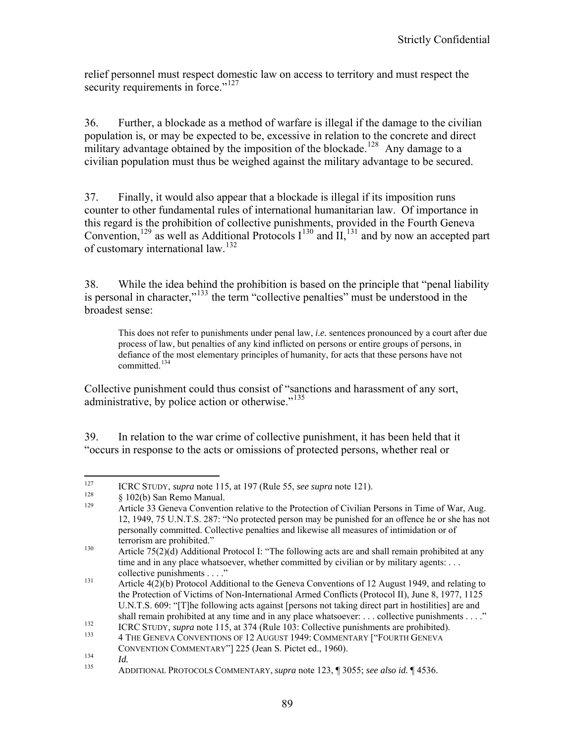relief personnel must respect domestic law on access to territory and must respect the security requirements in force."<sup>127</sup>

36. Further, a blockade as a method of warfare is illegal if the damage to the civilian population is, or may be expected to be, excessive in relation to the concrete and direct military advantage obtained by the imposition of the blockade.<sup>[128](#page-88-0)</sup> Any damage to a civilian population must thus be weighed against the military advantage to be secured.

37. Finally, it would also appear that a blockade is illegal if its imposition runs counter to other fundamental rules of international humanitarian law. Of importance in this regard is the prohibition of collective punishments, provided in the Fourth Geneva Convention,<sup>[129](#page-88-1)</sup> as well as Additional Protocols  $I^{130}$  $I^{130}$  $I^{130}$  and  $II^{131}$  $II^{131}$  $II^{131}$  and by now an accepted part of customary international law.[132](#page-88-4)

38. While the idea behind the prohibition is based on the principle that "penal liability is personal in character,"<sup>[133](#page-88-5)</sup> the term "collective penalties" must be understood in the broadest sense:

This does not refer to punishments under penal law, *i.e.* sentences pronounced by a court after due process of law, but penalties of any kind inflicted on persons or entire groups of persons, in defiance of the most elementary principles of humanity, for acts that these persons have not committed.<sup>[134](#page-88-6)</sup>

Collective punishment could thus consist of "sanctions and harassment of any sort, administrative, by police action or otherwise."<sup>[135](#page-88-7)</sup>

39. In relation to the war crime of collective punishment, it has been held that it "occurs in response to the acts or omissions of protected persons, whether real or

<span id="page-88-7"></span>

<sup>127</sup> 

<span id="page-88-1"></span>

<span id="page-88-0"></span>ICRC STUDY, *supra* note 115, at 197 (Rule 55, *see supra* note 121).<br>
<sup>128</sup> § 102(b) San Remo Manual.<br>
Article 33 Geneva Convention relative to the Protection of Civilian Persons in Time of War, Aug. 12, 1949, 75 U.N.T.S. 287: "No protected person may be punished for an offence he or she has not personally committed. Collective penalties and likewise all measures of intimidation or of terrorism are prohibited."<br>
Article 75(2)(d) Additional Protocol I: "The following acts are and shall remain prohibited at any

<span id="page-88-2"></span>time and in any place whatsoever, whether committed by civilian or by military agents: ...

<span id="page-88-3"></span>collective punishments . . . ."<br>Article 4(2)(b) Protocol Additional to the Geneva Conventions of 12 August 1949, and relating to the Protection of Victims of Non-International Armed Conflicts (Protocol II), June 8, 1977, 1125 U.N.T.S. 609: "[T]he following acts against [persons not taking direct part in hostilities] are and

<span id="page-88-5"></span><span id="page-88-4"></span>

shall remain prohibited at any time and in any place whatsoever: ... collective punishments ...."<br>ICRC STUDY, *supra* note 115, at 374 (Rule 103: Collective punishments are prohibited).<br>4 THE GENEVA CONVENTIONS OF 12 AUGUS

<span id="page-88-6"></span><sup>134</sup> *Id.*<br>
ADDITIONAL PROTOCOLS COMMENTARY, *supra* note 123, ¶ 3055; *see also id.* ¶ 4536.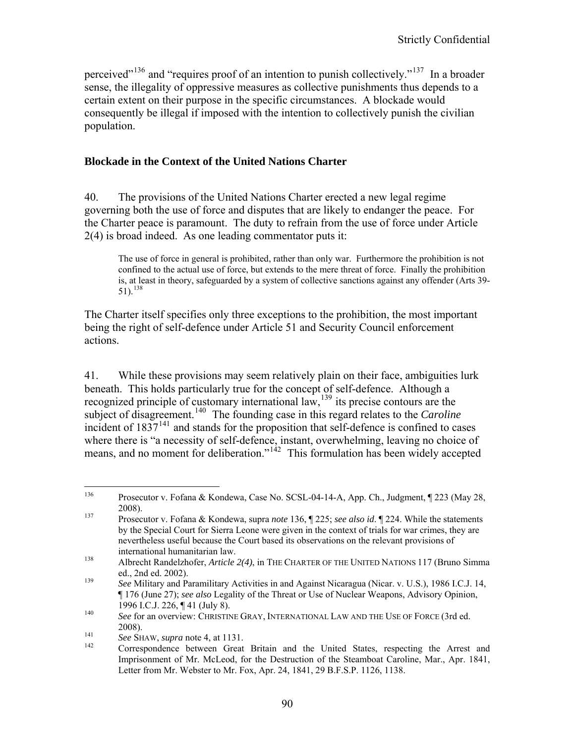perceived"<sup>136</sup> and "requires proof of an intention to punish collectively."<sup>137</sup> In a broader sense, the illegality of oppressive measures as collective punishments thus depends to a certain extent on their purpose in the specific circumstances. A blockade would consequently be illegal if imposed with the intention to collectively punish the civilian population.

## **Blockade in the Context of the United Nations Charter**

40. The provisions of the United Nations Charter erected a new legal regime governing both the use of force and disputes that are likely to endanger the peace. For the Charter peace is paramount. The duty to refrain from the use of force under Article 2(4) is broad indeed. As one leading commentator puts it:

The use of force in general is prohibited, rather than only war. Furthermore the prohibition is not confined to the actual use of force, but extends to the mere threat of force. Finally the prohibition is, at least in theory, safeguarded by a system of collective sanctions against any offender (Arts 39-  $51$ ).<sup>[138](#page-89-0)</sup>

The Charter itself specifies only three exceptions to the prohibition, the most important being the right of self-defence under Article 51 and Security Council enforcement actions.

41. While these provisions may seem relatively plain on their face, ambiguities lurk beneath. This holds particularly true for the concept of self-defence. Although a recognized principle of customary international law,<sup>[139](#page-89-1)</sup> its precise contours are the subject of disagreement.<sup>[140](#page-89-2)</sup> The founding case in this regard relates to the *Caroline* incident of  $1837<sup>141</sup>$  $1837<sup>141</sup>$  $1837<sup>141</sup>$  and stands for the proposition that self-defence is confined to cases where there is "a necessity of self-defence, instant, overwhelming, leaving no choice of means, and no moment for deliberation." $142$  This formulation has been widely accepted

<sup>136</sup> 136 Prosecutor v. Fofana & Kondewa, Case No. SCSL-04-14-A, App. Ch., Judgment, ¶ 223 (May 28, 2008). 137 Prosecutor v. Fofana & Kondewa, supra *note* 136, ¶ 225; *see also id*. ¶ 224. While the statements

by the Special Court for Sierra Leone were given in the context of trials for war crimes, they are nevertheless useful because the Court based its observations on the relevant provisions of

<span id="page-89-0"></span>international humanitarian law.<br>Albrecht Randelzhofer, *Article 2(4)*, in THE CHARTER OF THE UNITED NATIONS 117 (Bruno Simma

<span id="page-89-1"></span>ed., 2nd ed. 2002). 139 *See* Military and Paramilitary Activities in and Against Nicaragua (Nicar. v. U.S.), 1986 I.C.J. 14, ¶ 176 (June 27); *see also* Legality of the Threat or Use of Nuclear Weapons, Advisory Opinion,

<span id="page-89-2"></span><sup>1996</sup> I.C.J. 226, ¶ 41 (July 8).<br><sup>140</sup> *See* for an overview: CHRISTINE GRAY, INTERNATIONAL LAW AND THE USE OF FORCE (3rd ed.

<span id="page-89-4"></span>

<span id="page-89-3"></span><sup>2008).&</sup>lt;br>
<sup>141</sup> *See* SHAW, *supra* note 4, at 1131.<br>
<sup>142</sup> Correspondence between Great Britain and the United States, respecting the Arrest and Imprisonment of Mr. McLeod, for the Destruction of the Steamboat Caroline, Mar., Apr. 1841, Letter from Mr. Webster to Mr. Fox, Apr. 24, 1841, 29 B.F.S.P. 1126, 1138.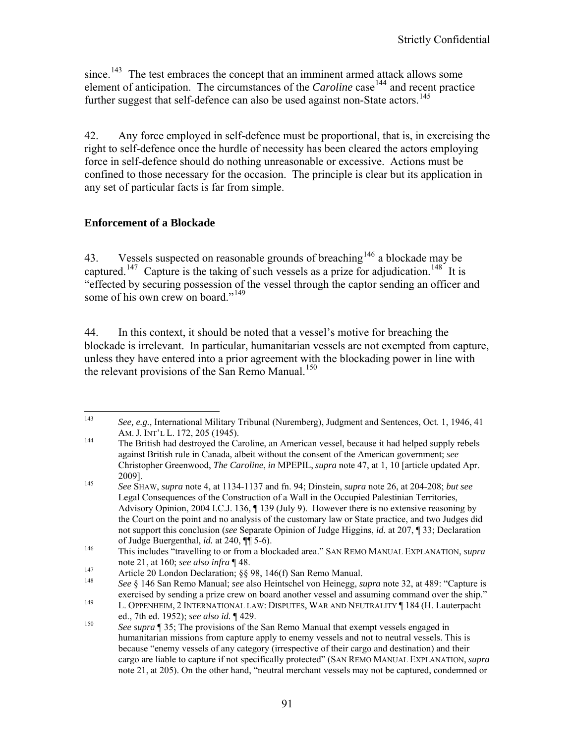since.<sup>143</sup> The test embraces the concept that an imminent armed attack allows some element of anticipation. The circumstances of the *Caroline* case<sup>144</sup> and recent practice further suggest that self-defence can also be used against non-State actors.<sup>145</sup>

42. Any force employed in self-defence must be proportional, that is, in exercising the right to self-defence once the hurdle of necessity has been cleared the actors employing force in self-defence should do nothing unreasonable or excessive. Actions must be confined to those necessary for the occasion. The principle is clear but its application in any set of particular facts is far from simple.

# **Enforcement of a Blockade**

43. Vessels suspected on reasonable grounds of breaching  $146$  a blockade may be captured.<sup>[147](#page-90-1)</sup> Capture is the taking of such vessels as a prize for adjudication.<sup>[148](#page-90-2)</sup> It is "effected by securing possession of the vessel through the captor sending an officer and some of his own crew on board."<sup>[149](#page-90-3)</sup>

44. In this context, it should be noted that a vessel's motive for breaching the blockade is irrelevant. In particular, humanitarian vessels are not exempted from capture, unless they have entered into a prior agreement with the blockading power in line with the relevant provisions of the San Remo Manual.<sup>[150](#page-90-4)</sup>

143 143 *See, e.g.,* International Military Tribunal (Nuremberg), Judgment and Sentences, Oct. 1, 1946, 41

AM. J. INT'L L. 172, 205 (1945).<br><sup>144</sup> The British had destroyed the Caroline, an American vessel, because it had helped supply rebels against British rule in Canada, albeit without the consent of the American government; *see* Christopher Greenwood, *The Caroline*, *in* MPEPIL, *supra* note 47, at 1, 10 [article updated Apr.

<sup>2009].</sup> <sup>145</sup>*See* SHAW, *supra* note 4, at 1134-1137 and fn. 94; Dinstein, *supra* note 26, at 204-208; *but see* Legal Consequences of the Construction of a Wall in the Occupied Palestinian Territories, Advisory Opinion, 2004 I.C.J. 136, ¶ 139 (July 9). However there is no extensive reasoning by the Court on the point and no analysis of the customary law or State practice, and two Judges did not support this conclusion (*see* Separate Opinion of Judge Higgins, *id.* at 207, ¶ 33; Declaration

<span id="page-90-0"></span>of Judge Buergenthal, *id.* at 240, ¶¶ 5-6). 146 This includes "travelling to or from a blockaded area." SAN REMO MANUAL EXPLANATION, *supra*

<span id="page-90-1"></span>note 21, at 160; see also infra ¶ 48.<br>Article 20 London Declaration; §§ 98, 146(f) San Remo Manual.<br><sup>148</sup> See § 146 San Remo Manual; see also Heintschel von Heinegg, *supra* note 32, at 489: "Capture is

<span id="page-90-3"></span><span id="page-90-2"></span>exercised by sending a prize crew on board another vessel and assuming command over the ship."<br>
L. OPPENHEIM, 2 INTERNATIONAL LAW: DISPUTES, WAR AND NEUTRALITY ¶ 184 (H. Lauterpacht

<span id="page-90-4"></span>ed., 7th ed. 1952); *see also id.* ¶ 429.<br><sup>150</sup> *See supra* ¶ 35; The provisions of the San Remo Manual that exempt vessels engaged in humanitarian missions from capture apply to enemy vessels and not to neutral vessels. This is because "enemy vessels of any category (irrespective of their cargo and destination) and their cargo are liable to capture if not specifically protected" (SAN REMO MANUAL EXPLANATION, *supra* note 21, at 205). On the other hand, "neutral merchant vessels may not be captured, condemned or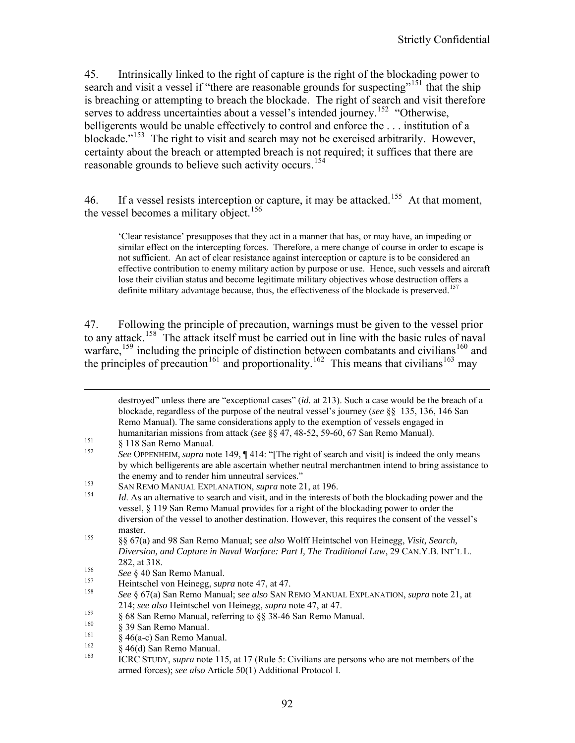45. Intrinsically linked to the right of capture is the right of the blockading power to search and visit a vessel if "there are reasonable grounds for suspecting"<sup>[151](#page-91-0)</sup> that the ship is breaching or attempting to breach the blockade. The right of search and visit therefore serves to address uncertainties about a vessel's intended journey.<sup>[152](#page-91-1)</sup> "Otherwise, belligerents would be unable effectively to control and enforce the . . . institution of a blockade."<sup>[153](#page-91-2)</sup> The right to visit and search may not be exercised arbitrarily. However, certainty about the breach or attempted breach is not required; it suffices that there are reasonable grounds to believe such activity occurs.<sup>[154](#page-91-3)</sup>

46. If a vessel resists interception or capture, it may be attacked.<sup>[155](#page-91-4)</sup> At that moment, the vessel becomes a military object.<sup>[156](#page-91-5)</sup>

'Clear resistance' presupposes that they act in a manner that has, or may have, an impeding or similar effect on the intercepting forces. Therefore, a mere change of course in order to escape is not sufficient. An act of clear resistance against interception or capture is to be considered an effective contribution to enemy military action by purpose or use. Hence, such vessels and aircraft lose their civilian status and become legitimate military objectives whose destruction offers a definite military advantage because, thus, the effectiveness of the blockade is preserved.<sup>[157](#page-91-6)</sup>

47. Following the principle of precaution, warnings must be given to the vessel prior to any attack.<sup>[158](#page-91-7)</sup> The attack itself must be carried out in line with the basic rules of naval warfare,  $159$  including the principle of distinction between combatants and civilians  $160$  and the principles of precaution<sup>[161](#page-91-10)</sup> and proportionality.<sup>162</sup> This means that civilians<sup>[163](#page-91-12)</sup> may

 destroyed" unless there are "exceptional cases" (*id.* at 213). Such a case would be the breach of a blockade, regardless of the purpose of the neutral vessel's journey (*see* §§ 135, 136, 146 San Remo Manual). The same considerations apply to the exemption of vessels engaged in

<span id="page-91-1"></span><span id="page-91-0"></span>humanitarian missions from attack (see §§ 47, 48-52, 59-60, 67 San Remo Manual).<br>
§ 118 San Remo Manual.<br>
See OPPENHEIM, *supra* note 149, ¶ 414: "[The right of search and visit] is indeed the only means by which belligerents are able ascertain whether neutral merchantmen intend to bring assistance to

<span id="page-91-3"></span>

<span id="page-91-2"></span>the enemy and to render him unneutral services."<br>
153 SAN REMO MANUAL EXPLANATION, *supra* note 21, at 196.<br>
154 *Id*. As an alternative to search and visit, and in the interests of both the blockading power and the vessel, § 119 San Remo Manual provides for a right of the blockading power to order the diversion of the vessel to another destination. However, this requires the consent of the vessel's

<span id="page-91-4"></span>master.<br><sup>155</sup> §§ 67(a) and 98 San Remo Manual; *see also* Wolff Heintschel von Heinegg, *Visit, Search*, *Diversion, and Capture in Naval Warfare: Part I, The Traditional Law*, 29 CAN.Y.B. INT'L L. 282, at 318.<br> *See* § 40 San Remo Manual.<br>
Heintschel von Heinegg, *supra* note 47, at 47.<br> *See* § 67(a) San Remo Manual; *see also* SAN REMO MANUAL EXPLANATION, *supra* note 21, at

<span id="page-91-5"></span>

<span id="page-91-6"></span>

<span id="page-91-9"></span>

<span id="page-91-10"></span>

<span id="page-91-12"></span><span id="page-91-11"></span>

<span id="page-91-8"></span><span id="page-91-7"></span><sup>214;</sup> see also Heintschel von Heinegg, supra note 47, at 47.<br>
§ 68 San Remo Manual, referring to §§ 38-46 San Remo Manual.<br>
§ 39 San Remo Manual.<br>
§ 46(a-c) San Remo Manual.<br>
§ 46(d) San Remo Manual.<br>
IG2 § 46(d) San Remo armed forces); *see also* Article 50(1) Additional Protocol I.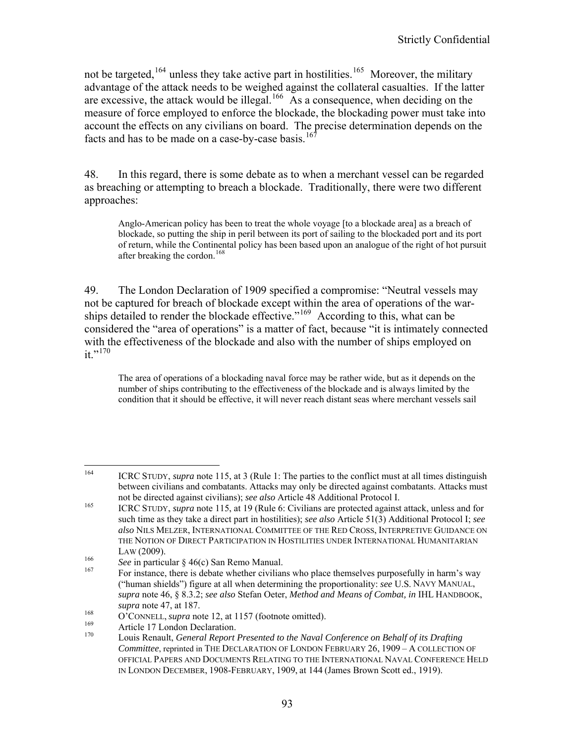not be targeted,<sup>164</sup> unless they take active part in hostilities.<sup>165</sup> Moreover, the military advantage of the attack needs to be weighed against the collateral casualties. If the latter are excessive, the attack would be illegal.<sup>166</sup> As a consequence, when deciding on the measure of force employed to enforce the blockade, the blockading power must take into account the effects on any civilians on board. The precise determination depends on the facts and has to be made on a case-by-case basis.<sup>167</sup>

48. In this regard, there is some debate as to when a merchant vessel can be regarded as breaching or attempting to breach a blockade. Traditionally, there were two different approaches:

Anglo-American policy has been to treat the whole voyage [to a blockade area] as a breach of blockade, so putting the ship in peril between its port of sailing to the blockaded port and its port of return, while the Continental policy has been based upon an analogue of the right of hot pursuit after breaking the cordon.<sup>[168](#page-92-0)</sup>

49. The London Declaration of 1909 specified a compromise: "Neutral vessels may not be captured for breach of blockade except within the area of operations of the war-ships detailed to render the blockade effective."<sup>[169](#page-92-1)</sup> According to this, what can be considered the "area of operations" is a matter of fact, because "it is intimately connected with the effectiveness of the blockade and also with the number of ships employed on it."<sup>[170](#page-92-2)</sup>

The area of operations of a blockading naval force may be rather wide, but as it depends on the number of ships contributing to the effectiveness of the blockade and is always limited by the condition that it should be effective, it will never reach distant seas where merchant vessels sail

<sup>164</sup> 164 ICRC STUDY, *supra* note 115, at 3 (Rule 1: The parties to the conflict must at all times distinguish between civilians and combatants. Attacks may only be directed against combatants. Attacks must

not be directed against civilians); *see also* Article 48 Additional Protocol I.<br><sup>165</sup> ICRC STUDY, *supra* note 115, at 19 (Rule 6: Civilians are protected against attack, unless and for such time as they take a direct part in hostilities); *see also* Article 51(3) Additional Protocol I; *see also* NILS MELZER, INTERNATIONAL COMMITTEE OF THE RED CROSS, INTERPRETIVE GUIDANCE ON THE NOTION OF DIRECT PARTICIPATION IN HOSTILITIES UNDER INTERNATIONAL HUMANITARIAN

LAW (2009).<br>See in particular § 46(c) San Remo Manual.<br><sup>167</sup> For instance, there is debate whether civilians who place themselves purposefully in harm's way ("human shields") figure at all when determining the proportionality: *see* U.S. NAVY MANUAL, *supra* note 46, § 8.3.2; *see also* Stefan Oeter, *Method and Means of Combat, in* IHL HANDBOOK, <sup>168</sup> supra note 47, at 187.<br>
O'CONNELL, *supra* note 12, at 1157 (footnote omitted).<br>
Article 17 London Declaration.<br>
Louis Renault, *General Report Presented to the Naval Conference on Behalf of its Drafting* 

<span id="page-92-0"></span>

<span id="page-92-1"></span>

<span id="page-92-2"></span>*Committee*, reprinted in THE DECLARATION OF LONDON FEBRUARY 26, 1909 – A COLLECTION OF OFFICIAL PAPERS AND DOCUMENTS RELATING TO THE INTERNATIONAL NAVAL CONFERENCE HELD IN LONDON DECEMBER, 1908-FEBRUARY, 1909, at 144 (James Brown Scott ed., 1919).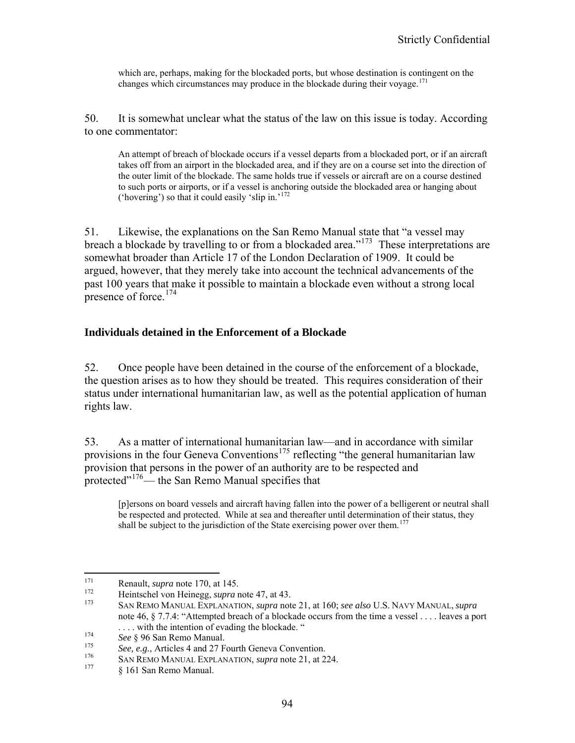which are, perhaps, making for the blockaded ports, but whose destination is contingent on the changes which circumstances may produce in the blockade during their voyage.<sup>[171](#page-93-0)</sup>

50. It is somewhat unclear what the status of the law on this issue is today. According to one commentator:

An attempt of breach of blockade occurs if a vessel departs from a blockaded port, or if an aircraft takes off from an airport in the blockaded area, and if they are on a course set into the direction of the outer limit of the blockade. The same holds true if vessels or aircraft are on a course destined to such ports or airports, or if a vessel is anchoring outside the blockaded area or hanging about ('hovering') so that it could easily 'slip in.' $172$ 

51. Likewise, the explanations on the San Remo Manual state that "a vessel may breach a blockade by travelling to or from a blockaded area."<sup>[173](#page-93-2)</sup> These interpretations are somewhat broader than Article 17 of the London Declaration of 1909. It could be argued, however, that they merely take into account the technical advancements of the past 100 years that make it possible to maintain a blockade even without a strong local presence of force.[174](#page-93-3)

#### **Individuals detained in the Enforcement of a Blockade**

52. Once people have been detained in the course of the enforcement of a blockade, the question arises as to how they should be treated. This requires consideration of their status under international humanitarian law, as well as the potential application of human rights law.

53. As a matter of international humanitarian law—and in accordance with similar provisions in the four Geneva Conventions<sup> $175$ </sup> reflecting "the general humanitarian law provision that persons in the power of an authority are to be respected and protected"<sup>[176](#page-93-5)</sup>— the San Remo Manual specifies that

[p]ersons on board vessels and aircraft having fallen into the power of a belligerent or neutral shall be respected and protected. While at sea and thereafter until determination of their status, they shall be subject to the jurisdiction of the State exercising power over them.<sup>[177](#page-93-6)</sup>

<sup>171</sup> 

<span id="page-93-2"></span>

<span id="page-93-1"></span><span id="page-93-0"></span><sup>171</sup> Renault, *supra* note 170, at 145.<br>
172 Heintschel von Heinegg, *supra* note 47, at 43.<br>
SAN REMO MANUAL EXPLANATION, *supra* note 21, at 160; *see also* U.S. NAVY MANUAL, *supra* note 46, § 7.7.4: "Attempted breach of a blockade occurs from the time a vessel . . . . leaves a port

<span id="page-93-3"></span>

<span id="page-93-5"></span><span id="page-93-4"></span>

<sup>174&</sup>lt;br>
See § 96 San Remo Manual.<br>
See, e.g., Articles 4 and 27 Fourth Geneva Convention.<br>
SAN REMO MANUAL EXPLANATION, *supra* note 21, at 224.<br>
§ 161 San Remo Manual.

<span id="page-93-6"></span>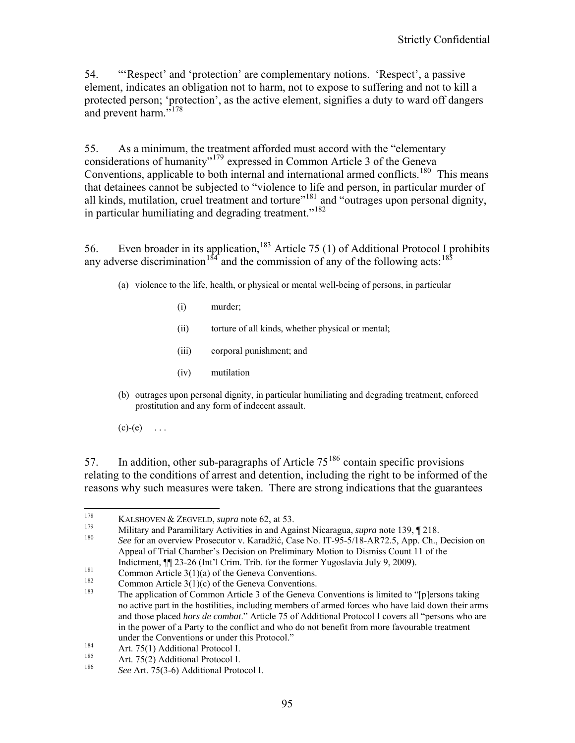54. "'Respect' and 'protection' are complementary notions. 'Respect', a passive element, indicates an obligation not to harm, not to expose to suffering and not to kill a protected person; 'protection', as the active element, signifies a duty to ward off dangers and prevent harm."<sup>[178](#page-94-0)</sup>

55. As a minimum, the treatment afforded must accord with the "elementary considerations of humanity"[179](#page-94-1) expressed in Common Article 3 of the Geneva Conventions, applicable to both internal and international armed conflicts.<sup>[180](#page-94-2)</sup> This means that detainees cannot be subjected to "violence to life and person, in particular murder of all kinds, mutilation, cruel treatment and torture"<sup>[181](#page-94-3)</sup> and "outrages upon personal dignity, in particular humiliating and degrading treatment."<sup>[182](#page-94-4)</sup>

56. Even broader in its application,<sup>[183](#page-94-5)</sup> Article 75 (1) of Additional Protocol I prohibits any adverse discrimination<sup>[184](#page-94-6)</sup> and the commission of any of the following acts:<sup>[185](#page-94-7)</sup>

(a) violence to the life, health, or physical or mental well-being of persons, in particular

- (i) murder;
- (ii) torture of all kinds, whether physical or mental;
- (iii) corporal punishment; and
- (iv) mutilation
- (b) outrages upon personal dignity, in particular humiliating and degrading treatment, enforced prostitution and any form of indecent assault.

 $(c)-(e)$  ...

57. In addition, other sub-paragraphs of Article  $75^{186}$  $75^{186}$  $75^{186}$  contain specific provisions relating to the conditions of arrest and detention, including the right to be informed of the reasons why such measures were taken. There are strong indications that the guarantees

<sup>178</sup> 

<span id="page-94-0"></span><sup>&</sup>lt;sup>178</sup><br>KALSHOVEN & ZEGVELD, *supra* note 62, at 53.<br>I<sup>179</sup><br>I<sup>80</sup> See for an overview Prosecutor v. Karadžić, Case No. IT-95-5/18-AR72.5, App. Ch., Decision on

<span id="page-94-2"></span><span id="page-94-1"></span>Appeal of Trial Chamber's Decision on Preliminary Motion to Dismiss Count 11 of the

<span id="page-94-5"></span><span id="page-94-4"></span>

<span id="page-94-3"></span>Indictment,  $\P$  23-26 (Int'l Crim. Trib. for the former Yugoslavia July 9, 2009).<br>
Common Article 3(1)(a) of the Geneva Conventions.<br>
The application of Common Article 3 of the Geneva Conventions is limited to "[p]ersons no active part in the hostilities, including members of armed forces who have laid down their arms and those placed *hors de combat*." Article 75 of Additional Protocol I covers all "persons who are in the power of a Party to the conflict and who do not benefit from more favourable treatment under the Conventions or under this Protocol."<br>
Art. 75(1) Additional Protocol I.<br>
<sup>185</sup> Art. 75(2) Additional Protocol I.<br> *See* Art. 75(3-6) Additional Protocol I.

<span id="page-94-6"></span>

<span id="page-94-7"></span>

<span id="page-94-8"></span>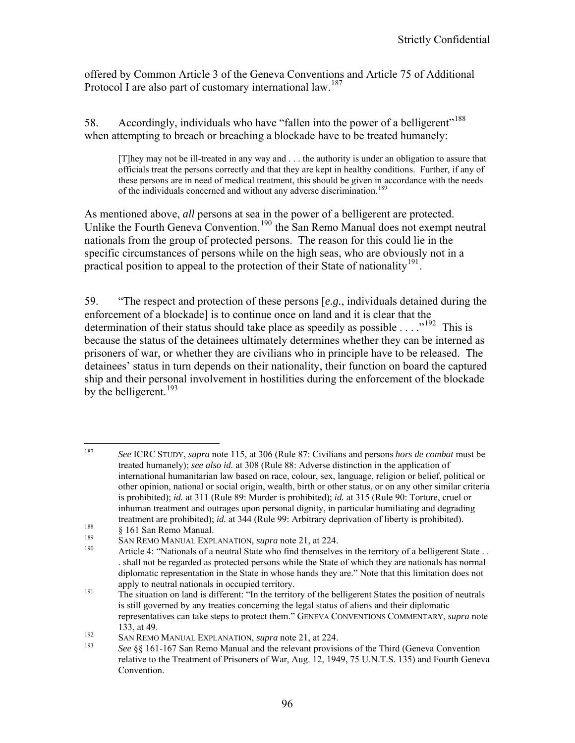offered by Common Article 3 of the Geneva Conventions and Article 75 of Additional Protocol I are also part of customary international law.<sup>187</sup>

58. Accordingly, individuals who have "fallen into the power of a belligerent"<sup>[188](#page-95-0)</sup> when attempting to breach or breaching a blockade have to be treated humanely:

[T]hey may not be ill-treated in any way and . . . the authority is under an obligation to assure that officials treat the persons correctly and that they are kept in healthy conditions. Further, if any of these persons are in need of medical treatment, this should be given in accordance with the needs of the individuals concerned and without any adverse discrimination.<sup>[189](#page-95-1)</sup>

As mentioned above, *all* persons at sea in the power of a belligerent are protected. Unlike the Fourth Geneva Convention,<sup>[190](#page-95-2)</sup> the San Remo Manual does not exempt neutral nationals from the group of protected persons. The reason for this could lie in the specific circumstances of persons while on the high seas, who are obviously not in a practical position to appeal to the protection of their State of nationality $191$ .

59. "The respect and protection of these persons [*e.g.*, individuals detained during the enforcement of a blockade] is to continue once on land and it is clear that the determination of their status should take place as speedily as possible  $\dots$ <sup>[192](#page-95-4)</sup> This is because the status of the detainees ultimately determines whether they can be interned as prisoners of war, or whether they are civilians who in principle have to be released. The detainees' status in turn depends on their nationality, their function on board the captured ship and their personal involvement in hostilities during the enforcement of the blockade by the belligerent.<sup>[193](#page-95-5)</sup>

<sup>187</sup> 187 *See* ICRC STUDY, *supra* note 115, at 306 (Rule 87: Civilians and persons *hors de combat* must be treated humanely); *see also id.* at 308 (Rule 88: Adverse distinction in the application of international humanitarian law based on race, colour, sex, language, religion or belief, political or other opinion, national or social origin, wealth, birth or other status, or on any other similar criteria is prohibited); *id.* at 311 (Rule 89: Murder is prohibited); *id.* at 315 (Rule 90: Torture, cruel or inhuman treatment and outrages upon personal dignity, in particular humiliating and degrading treatment are prohibited); *id.* at 344 (Rule 99: Arbitrary deprivation of liberty is prohibited).<br>
§ 161 San Remo Manual.<br>
SAN REMO MANUAL EXPLANATION, *supra* note 21, at 224.<br>
Article 4: "Nationals of a neutral State wh

<span id="page-95-0"></span>

<span id="page-95-1"></span>

<span id="page-95-2"></span><sup>.</sup> shall not be regarded as protected persons while the State of which they are nationals has normal diplomatic representation in the State in whose hands they are." Note that this limitation does not apply to neutral nationals in occupied territory.<br>The situation on land is different: "In the territory of the belligerent States the position of neutrals

<span id="page-95-3"></span>is still governed by any treaties concerning the legal status of aliens and their diplomatic representatives can take steps to protect them." GENEVA CONVENTIONS COMMENTARY, *supra* note 133, at 49.<br><sup>192</sup> SAN REMO MANUAL EXPLANATION, *supra* note 21, at 224.<br><sup>193</sup> *See* §§ 161-167 San Remo Manual and the relevant provisions of the Third (Geneva Convention

<span id="page-95-4"></span>

<span id="page-95-5"></span>relative to the Treatment of Prisoners of War, Aug. 12, 1949, 75 U.N.T.S. 135) and Fourth Geneva Convention.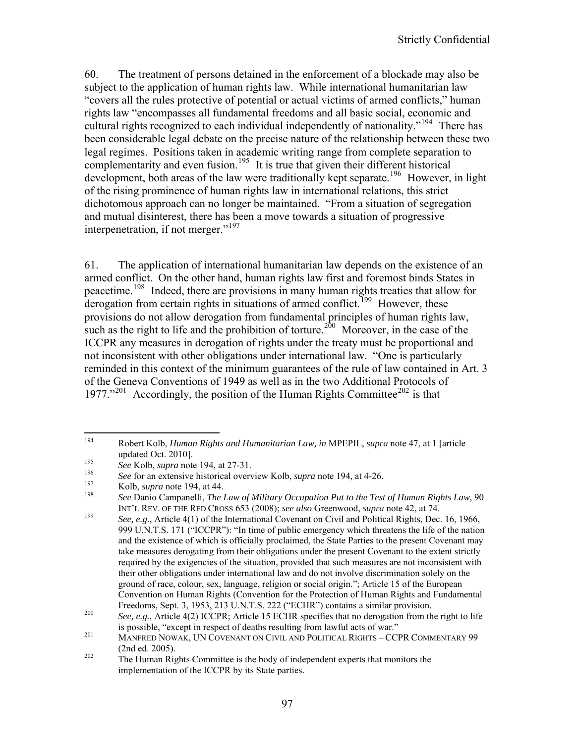60. The treatment of persons detained in the enforcement of a blockade may also be subject to the application of human rights law. While international humanitarian law "covers all the rules protective of potential or actual victims of armed conflicts," human rights law "encompasses all fundamental freedoms and all basic social, economic and cultural rights recognized to each individual independently of nationality."<sup>[194](#page-96-0)</sup> There has been considerable legal debate on the precise nature of the relationship between these two legal regimes. Positions taken in academic writing range from complete separation to complementarity and even fusion.<sup>[195](#page-96-1)</sup> It is true that given their different historical development, both areas of the law were traditionally kept separate.<sup>[196](#page-96-2)</sup> However, in light of the rising prominence of human rights law in international relations, this strict dichotomous approach can no longer be maintained. "From a situation of segregation and mutual disinterest, there has been a move towards a situation of progressive interpenetration, if not merger."<sup>[197](#page-96-3)</sup>

61. The application of international humanitarian law depends on the existence of an armed conflict. On the other hand, human rights law first and foremost binds States in peacetime.[198](#page-96-4) Indeed, there are provisions in many human rights treaties that allow for derogation from certain rights in situations of armed conflict.<sup>[199](#page-96-5)</sup> However, these provisions do not allow derogation from fundamental principles of human rights law, such as the right to life and the prohibition of torture.<sup>[200](#page-96-6)</sup> Moreover, in the case of the ICCPR any measures in derogation of rights under the treaty must be proportional and not inconsistent with other obligations under international law. "One is particularly reminded in this context of the minimum guarantees of the rule of law contained in Art. 3 of the Geneva Conventions of 1949 as well as in the two Additional Protocols of 1977."<sup>[201](#page-96-7)</sup> Accordingly, the position of the Human Rights Committee<sup>[202](#page-96-8)</sup> is that

<span id="page-96-0"></span><sup>194</sup> 194 Robert Kolb, *Human Rights and Humanitarian Law, in* MPEPIL, *supra* note 47, at 1 [article updated Oct. 2010].<br>
See Kolb, *supra* note 194, at 27-31.<br>
See for an extensive historical overview Kolb, *supra* note 194, at 4-26.<br>
Kolb, *supra* note 194, at 44.<br>
See Danio Campanelli, *The Law of Military Occupation P* 

<span id="page-96-2"></span><span id="page-96-1"></span>

<span id="page-96-3"></span>

<span id="page-96-5"></span><span id="page-96-4"></span>INT'L REV. OF THE RED CROSS 653 (2008); *see also* Greenwood, *supra* note 42, at 74.<br> *See, e.g.*, Article 4(1) of the International Covenant on Civil and Political Rights, Dec. 16, 1966, 999 U.N.T.S. 171 ("ICCPR"): "In time of public emergency which threatens the life of the nation and the existence of which is officially proclaimed, the State Parties to the present Covenant may take measures derogating from their obligations under the present Covenant to the extent strictly required by the exigencies of the situation, provided that such measures are not inconsistent with their other obligations under international law and do not involve discrimination solely on the ground of race, colour, sex, language, religion or social origin."; Article 15 of the European Convention on Human Rights (Convention for the Protection of Human Rights and Fundamental Freedoms, Sept. 3, 1953, 213 U.N.T.S. 222 ("ECHR") contains a similar provision.<br><sup>200</sup> *See, e.g.*, Article 4(2) ICCPR; Article 15 ECHR specifies that no derogation from the right to life

<span id="page-96-6"></span>

<span id="page-96-7"></span>is possible, "except in respect of deaths resulting from lawful acts of war."<br>201 MANFRED NOWAK, UN COVENANT ON CIVIL AND POLITICAL RIGHTS – CCPR COMMENTARY 99

<span id="page-96-8"></span><sup>(2</sup>nd ed. 2005).<br><sup>202</sup> The Human Rights Committee is the body of independent experts that monitors the implementation of the ICCPR by its State parties.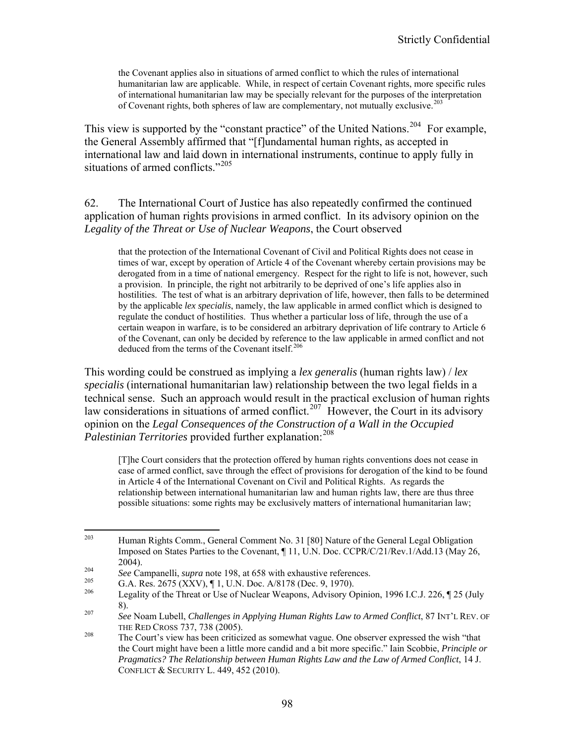the Covenant applies also in situations of armed conflict to which the rules of international humanitarian law are applicable. While, in respect of certain Covenant rights, more specific rules of international humanitarian law may be specially relevant for the purposes of the interpretation of Covenant rights, both spheres of law are complementary, not mutually exclusive.<sup>[203](#page-97-0)</sup>

This view is supported by the "constant practice" of the United Nations.<sup>[204](#page-97-1)</sup> For example, the General Assembly affirmed that "[f]undamental human rights, as accepted in international law and laid down in international instruments, continue to apply fully in situations of armed conflicts."<sup>[205](#page-97-2)</sup>

62. The International Court of Justice has also repeatedly confirmed the continued application of human rights provisions in armed conflict. In its advisory opinion on the *Legality of the Threat or Use of Nuclear Weapons*, the Court observed

that the protection of the International Covenant of Civil and Political Rights does not cease in times of war, except by operation of Article 4 of the Covenant whereby certain provisions may be derogated from in a time of national emergency. Respect for the right to life is not, however, such a provision. In principle, the right not arbitrarily to be deprived of one's life applies also in hostilities. The test of what is an arbitrary deprivation of life, however, then falls to be determined by the applicable *lex specialis*, namely, the law applicable in armed conflict which is designed to regulate the conduct of hostilities. Thus whether a particular loss of life, through the use of a certain weapon in warfare, is to be considered an arbitrary deprivation of life contrary to Article 6 of the Covenant, can only be decided by reference to the law applicable in armed conflict and not deduced from the terms of the Covenant itself.<sup>[206](#page-97-3)</sup>

This wording could be construed as implying a *lex generalis* (human rights law) / *lex specialis* (international humanitarian law) relationship between the two legal fields in a technical sense. Such an approach would result in the practical exclusion of human rights law considerations in situations of armed conflict.<sup>[207](#page-97-4)</sup> However, the Court in its advisory opinion on the *Legal Consequences of the Construction of a Wall in the Occupied Palestinian Territories* provided further explanation:<sup>[208](#page-97-5)</sup>

[T]he Court considers that the protection offered by human rights conventions does not cease in case of armed conflict, save through the effect of provisions for derogation of the kind to be found in Article 4 of the International Covenant on Civil and Political Rights. As regards the relationship between international humanitarian law and human rights law, there are thus three possible situations: some rights may be exclusively matters of international humanitarian law;

<span id="page-97-0"></span><sup>203</sup> 203 Human Rights Comm., General Comment No. 31 [80] Nature of the General Legal Obligation Imposed on States Parties to the Covenant, ¶ 11, U.N. Doc. CCPR/C/21/Rev.1/Add.13 (May 26, 2004).<br> *See* Campanelli, *supra* note 198, at 658 with exhaustive references.<br>
G.A. Res. 2675 (XXV),  $\P$ 1, U.N. Doc. A/8178 (Dec. 9, 1970).<br> *Legality of the Threat or Use of Nuclear Weapons, Advisory Opinion, 1996 I.C.J* 

<span id="page-97-1"></span>

<span id="page-97-3"></span><span id="page-97-2"></span>

<span id="page-97-4"></span><sup>8). 207</sup> *See* Noam Lubell, *Challenges in Applying Human Rights Law to Armed Conflict*, 87 INT'L REV. OF THE RED CROSS 737, 738 (2005).<br><sup>208</sup> The Court's view has been criticized as somewhat vague. One observer expressed the wish "that

<span id="page-97-5"></span>the Court might have been a little more candid and a bit more specific." Iain Scobbie, *Principle or Pragmatics? The Relationship between Human Rights Law and the Law of Armed Conflict*, 14 J. CONFLICT & SECURITY L. 449, 452 (2010).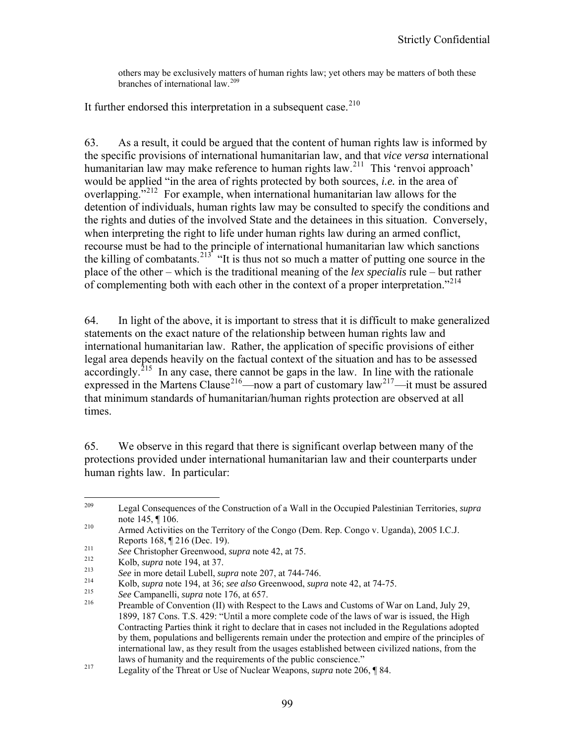others may be exclusively matters of human rights law; yet others may be matters of both these branches of international law.[209](#page-98-0)

It further endorsed this interpretation in a subsequent case. $210$ 

63. As a result, it could be argued that the content of human rights law is informed by the specific provisions of international humanitarian law, and that *vice versa* international humanitarian law may make reference to human rights law.<sup>[211](#page-98-2)</sup> This 'renvoi approach' would be applied "in the area of rights protected by both sources, *i.e.* in the area of overlapping."<sup>[212](#page-98-3)</sup> For example, when international humanitarian law allows for the detention of individuals, human rights law may be consulted to specify the conditions and the rights and duties of the involved State and the detainees in this situation. Conversely, when interpreting the right to life under human rights law during an armed conflict, recourse must be had to the principle of international humanitarian law which sanctions the killing of combatants.<sup>[213](#page-98-4)</sup> "It is thus not so much a matter of putting one source in the place of the other – which is the traditional meaning of the *lex specialis* rule – but rather of complementing both with each other in the context of a proper interpretation.<sup> $214$ </sup>

64. In light of the above, it is important to stress that it is difficult to make generalized statements on the exact nature of the relationship between human rights law and international humanitarian law. Rather, the application of specific provisions of either legal area depends heavily on the factual context of the situation and has to be assessed accordingly.<sup>[215](#page-98-6)</sup> In any case, there cannot be gaps in the law. In line with the rationale expressed in the Martens Clause<sup>[216](#page-98-7)</sup>—now a part of customary law<sup>[217](#page-98-8)</sup>—it must be assured that minimum standards of humanitarian/human rights protection are observed at all times.

65. We observe in this regard that there is significant overlap between many of the protections provided under international humanitarian law and their counterparts under human rights law. In particular:

<span id="page-98-0"></span><sup>209</sup> 209 Legal Consequences of the Construction of a Wall in the Occupied Palestinian Territories, *supra*  note 145,  $\parallel$  106.<br><sup>210</sup> Armed Activities on the Territory of the Congo (Dem. Rep. Congo v. Uganda), 2005 I.C.J.

<span id="page-98-1"></span>

<span id="page-98-3"></span><span id="page-98-2"></span>

<span id="page-98-5"></span><span id="page-98-4"></span>

<span id="page-98-7"></span><span id="page-98-6"></span>

Reports 168, ¶ 216 (Dec. 19).<br>
See Christopher Greenwood, *supra* note 42, at 75.<br>
Kolb, *supra* note 194, at 37.<br>
See in more detail Lubell, *supra* note 207, at 744-746.<br>
Kolb, *supra* note 194, at 36; *see also* Greenwo 1899, 187 Cons. T.S. 429: "Until a more complete code of the laws of war is issued, the High Contracting Parties think it right to declare that in cases not included in the Regulations adopted by them, populations and belligerents remain under the protection and empire of the principles of international law, as they result from the usages established between civilized nations, from the

<span id="page-98-8"></span>laws of humanity and the requirements of the public conscience." 217 Legality of the Threat or Use of Nuclear Weapons, *supra* note 206, ¶ 84.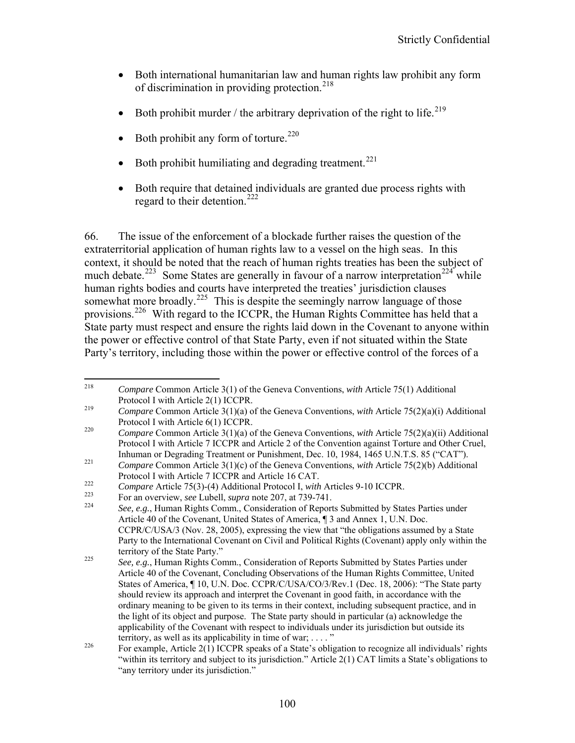- Both international humanitarian law and human rights law prohibit any form of discrimination in providing protection.<sup>[218](#page-99-0)</sup>
- Both prohibit murder / the arbitrary deprivation of the right to life.<sup>[219](#page-99-1)</sup>
- $\bullet$  Both prohibit any form of torture.<sup>[220](#page-99-2)</sup>
- $\bullet$  Both prohibit humiliating and degrading treatment.<sup>[221](#page-99-3)</sup>
- Both require that detained individuals are granted due process rights with regard to their detention.<sup>[222](#page-99-4)</sup>

66. The issue of the enforcement of a blockade further raises the question of the extraterritorial application of human rights law to a vessel on the high seas. In this context, it should be noted that the reach of human rights treaties has been the subject of much debate.<sup>[223](#page-99-5)</sup> Some States are generally in favour of a narrow interpretation<sup>224</sup> while human rights bodies and courts have interpreted the treaties' jurisdiction clauses somewhat more broadly.<sup>[225](#page-99-7)</sup> This is despite the seemingly narrow language of those provisions.[226](#page-99-8) With regard to the ICCPR, the Human Rights Committee has held that a State party must respect and ensure the rights laid down in the Covenant to anyone within the power or effective control of that State Party, even if not situated within the State Party's territory, including those within the power or effective control of the forces of a

<span id="page-99-0"></span><sup>218</sup> *Compare* Common Article 3(1) of the Geneva Conventions, *with* Article 75(1) Additional

<span id="page-99-1"></span>Protocol I with Article 2(1) ICCPR.<br>
<sup>219</sup> *Compare* Common Article 3(1)(a) of the Geneva Conventions, *with* Article 75(2)(a)(i) Additional Protocol I with Article 6(1) ICCPR.<br>
<sup>220</sup> *Compare* Common Article 3(1)(a) of the Geneva Conventions, *with* Article 75(2)(a)(ii) Additional

<span id="page-99-2"></span>Protocol I with Article 7 ICCPR and Article 2 of the Convention against Torture and Other Cruel, Inhuman or Degrading Treatment or Punishment, Dec. 10, 1984, 1465 U.N.T.S. 85 ("CAT").<br> *Compare* Common Article 3(1)(c) of the Geneva Conventions, *with* Article 75(2)(b) Additional

<span id="page-99-3"></span>Protocol I with Article 7 ICCPR and Article 16 CAT.<br> *Compare* Article 75(3)-(4) Additional Protocol I, *with* Articles 9-10 ICCPR.<br>
For an overview, *see* Lubell, *supra* note 207, at 739-741.<br> *See, e.g.*, Human Rights C

<span id="page-99-4"></span>

<span id="page-99-5"></span>

<span id="page-99-6"></span>Article 40 of the Covenant, United States of America, ¶ 3 and Annex 1, U.N. Doc. CCPR/C/USA/3 (Nov. 28, 2005), expressing the view that "the obligations assumed by a State Party to the International Covenant on Civil and Political Rights (Covenant) apply only within the

<span id="page-99-7"></span>territory of the State Party." 225 *See, e.g.*, Human Rights Comm., Consideration of Reports Submitted by States Parties under Article 40 of the Covenant, Concluding Observations of the Human Rights Committee, United States of America, ¶ 10, U.N. Doc. CCPR/C/USA/CO/3/Rev.1 (Dec. 18, 2006): "The State party should review its approach and interpret the Covenant in good faith, in accordance with the ordinary meaning to be given to its terms in their context, including subsequent practice, and in the light of its object and purpose. The State party should in particular (a) acknowledge the applicability of the Covenant with respect to individuals under its jurisdiction but outside its territory, as well as its applicability in time of war; . . . . "<br><sup>226</sup> For example, Article 2(1) ICCPR speaks of a State's obligation to recognize all individuals' rights

<span id="page-99-8"></span><sup>&</sup>quot;within its territory and subject to its jurisdiction." Article 2(1) CAT limits a State's obligations to "any territory under its jurisdiction."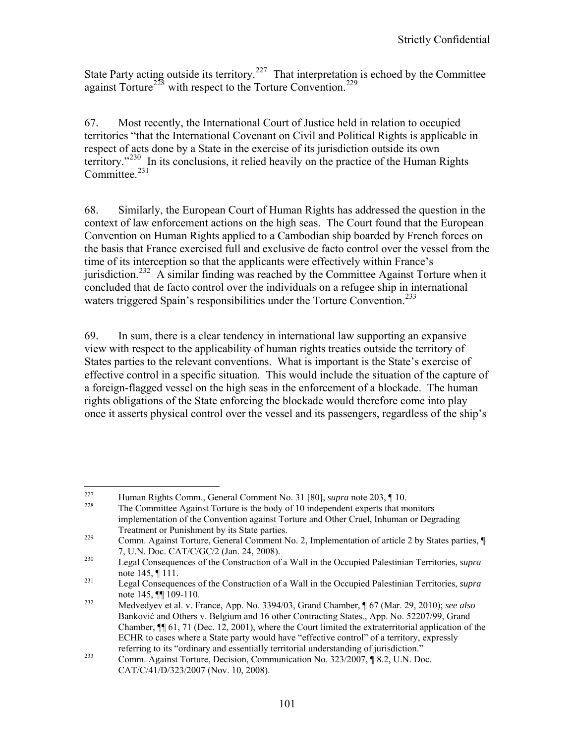State Party acting outside its territory.<sup>227</sup> That interpretation is echoed by the Committee against Torture<sup>228</sup> with respect to the Torture Convention.<sup>229</sup>

67. Most recently, the International Court of Justice held in relation to occupied territories "that the International Covenant on Civil and Political Rights is applicable in respect of acts done by a State in the exercise of its jurisdiction outside its own territory."<sup>[230](#page-100-0)</sup> In its conclusions, it relied heavily on the practice of the Human Rights Committee. $231$ 

68. Similarly, the European Court of Human Rights has addressed the question in the context of law enforcement actions on the high seas. The Court found that the European Convention on Human Rights applied to a Cambodian ship boarded by French forces on the basis that France exercised full and exclusive de facto control over the vessel from the time of its interception so that the applicants were effectively within France's jurisdiction.<sup>[232](#page-100-2)</sup> A similar finding was reached by the Committee Against Torture when it concluded that de facto control over the individuals on a refugee ship in international waters triggered Spain's responsibilities under the Torture Convention.<sup>[233](#page-100-3)</sup>

69. In sum, there is a clear tendency in international law supporting an expansive view with respect to the applicability of human rights treaties outside the territory of States parties to the relevant conventions. What is important is the State's exercise of effective control in a specific situation. This would include the situation of the capture of a foreign-flagged vessel on the high seas in the enforcement of a blockade. The human rights obligations of the State enforcing the blockade would therefore come into play once it asserts physical control over the vessel and its passengers, regardless of the ship's

<sup>227</sup> <sup>227</sup> Human Rights Comm., General Comment No. 31 [80], *supra* note 203, ¶ 10.<br><sup>228</sup> The Committee Against Torture is the body of 10 independent experts that monitors

implementation of the Convention against Torture and Other Cruel, Inhuman or Degrading Treatment or Punishment by its State parties.<br><sup>229</sup> Comm. Against Torture, General Comment No. 2, Implementation of article 2 by States parties, ¶

<sup>7,</sup> U.N. Doc. CAT/C/GC/2 (Jan. 24, 2008). 230 Legal Consequences of the Construction of a Wall in the Occupied Palestinian Territories, *supra* 

<span id="page-100-0"></span>note 145, ¶ 111.<br>Legal Consequences of the Construction of a Wall in the Occupied Palestinian Territories, *supra* 

<span id="page-100-1"></span>note 145, **[1]** 109-110.<br><sup>232</sup> Medvedyev et al. v. France, App. No. 3394/03, Grand Chamber, **1** 67 (Mar. 29, 2010); *see also* 

<span id="page-100-2"></span>Banković and Others v. Belgium and 16 other Contracting States., App. No. 52207/99, Grand Chamber, ¶¶ 61, 71 (Dec. 12, 2001), where the Court limited the extraterritorial application of the ECHR to cases where a State party would have "effective control" of a territory, expressly

<span id="page-100-3"></span>referring to its "ordinary and essentially territorial understanding of jurisdiction."<br>
Comm. Against Torture, Decision, Communication No. 323/2007, ¶ 8.2, U.N. Doc. CAT/C/41/D/323/2007 (Nov. 10, 2008).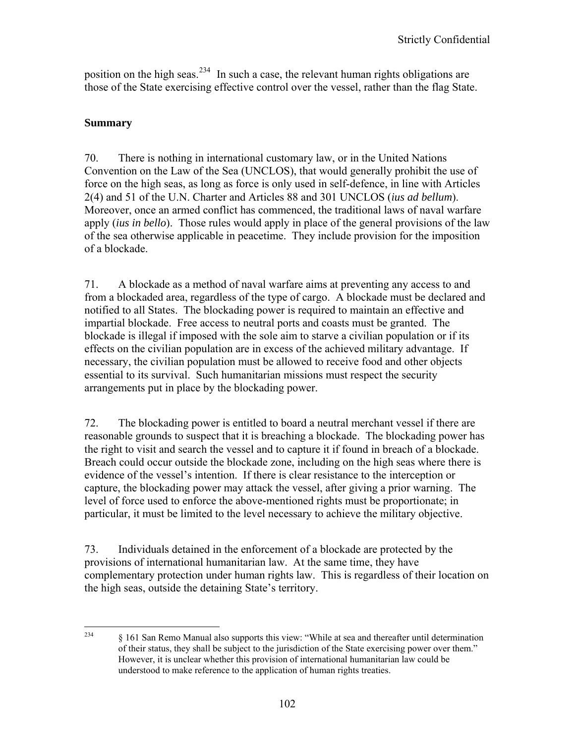position on the high seas.<sup>234</sup> In such a case, the relevant human rights obligations are those of the State exercising effective control over the vessel, rather than the flag State.

# **Summary**

70. There is nothing in international customary law, or in the United Nations Convention on the Law of the Sea (UNCLOS), that would generally prohibit the use of force on the high seas, as long as force is only used in self-defence, in line with Articles 2(4) and 51 of the U.N. Charter and Articles 88 and 301 UNCLOS (*ius ad bellum*). Moreover, once an armed conflict has commenced, the traditional laws of naval warfare apply (*ius in bello*). Those rules would apply in place of the general provisions of the law of the sea otherwise applicable in peacetime. They include provision for the imposition of a blockade.

71. A blockade as a method of naval warfare aims at preventing any access to and from a blockaded area, regardless of the type of cargo. A blockade must be declared and notified to all States. The blockading power is required to maintain an effective and impartial blockade. Free access to neutral ports and coasts must be granted. The blockade is illegal if imposed with the sole aim to starve a civilian population or if its effects on the civilian population are in excess of the achieved military advantage. If necessary, the civilian population must be allowed to receive food and other objects essential to its survival. Such humanitarian missions must respect the security arrangements put in place by the blockading power.

72. The blockading power is entitled to board a neutral merchant vessel if there are reasonable grounds to suspect that it is breaching a blockade. The blockading power has the right to visit and search the vessel and to capture it if found in breach of a blockade. Breach could occur outside the blockade zone, including on the high seas where there is evidence of the vessel's intention. If there is clear resistance to the interception or capture, the blockading power may attack the vessel, after giving a prior warning. The level of force used to enforce the above-mentioned rights must be proportionate; in particular, it must be limited to the level necessary to achieve the military objective.

73. Individuals detained in the enforcement of a blockade are protected by the provisions of international humanitarian law. At the same time, they have complementary protection under human rights law. This is regardless of their location on the high seas, outside the detaining State's territory.

<sup>234</sup> 234 § 161 San Remo Manual also supports this view: "While at sea and thereafter until determination of their status, they shall be subject to the jurisdiction of the State exercising power over them." However, it is unclear whether this provision of international humanitarian law could be understood to make reference to the application of human rights treaties.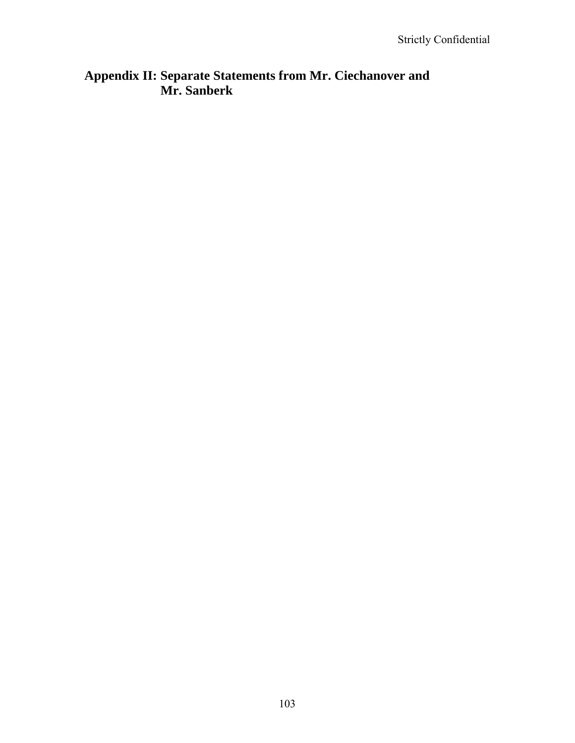# **Appendix II: Separate Statements from Mr. Ciechanover and Mr. Sanberk**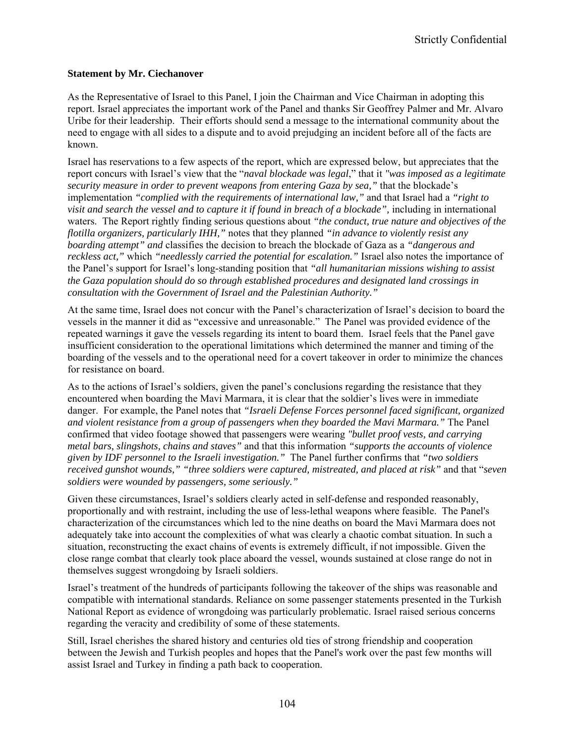#### **Statement by Mr. Ciechanover**

As the Representative of Israel to this Panel, I join the Chairman and Vice Chairman in adopting this report. Israel appreciates the important work of the Panel and thanks Sir Geoffrey Palmer and Mr. Alvaro Uribe for their leadership. Their efforts should send a message to the international community about the need to engage with all sides to a dispute and to avoid prejudging an incident before all of the facts are known.

Israel has reservations to a few aspects of the report, which are expressed below, but appreciates that the report concurs with Israel's view that the "*naval blockade was legal*," that it *"was imposed as a legitimate security measure in order to prevent weapons from entering Gaza by sea,"* that the blockade's implementation *"complied with the requirements of international law,"* and that Israel had a *"right to visit and search the vessel and to capture it if found in breach of a blockade",* including in international waters.The Report rightly finding serious questions about *"the conduct, true nature and objectives of the flotilla organizers, particularly IHH,"* notes that they planned *"in advance to violently resist any boarding attempt" and* classifies the decision to breach the blockade of Gaza as a *"dangerous and reckless act,"* which *"needlessly carried the potential for escalation."* Israel also notes the importance of the Panel's support for Israel's long-standing position that *"all humanitarian missions wishing to assist the Gaza population should do so through established procedures and designated land crossings in consultation with the Government of Israel and the Palestinian Authority."*

At the same time, Israel does not concur with the Panel's characterization of Israel's decision to board the vessels in the manner it did as "excessive and unreasonable." The Panel was provided evidence of the repeated warnings it gave the vessels regarding its intent to board them. Israel feels that the Panel gave insufficient consideration to the operational limitations which determined the manner and timing of the boarding of the vessels and to the operational need for a covert takeover in order to minimize the chances for resistance on board.

As to the actions of Israel's soldiers, given the panel's conclusions regarding the resistance that they encountered when boarding the Mavi Marmara, it is clear that the soldier's lives were in immediate danger. For example, the Panel notes that *"Israeli Defense Forces personnel faced significant, organized and violent resistance from a group of passengers when they boarded the Mavi Marmara."* The Panel confirmed that video footage showed that passengers were wearing *"bullet proof vests, and carrying metal bars, slingshots, chains and staves"* and that this information *"supports the accounts of violence given by IDF personnel to the Israeli investigation."* The Panel further confirms that *"two soldiers received gunshot wounds," "three soldiers were captured, mistreated, and placed at risk"* and that "*seven soldiers were wounded by passengers, some seriously."*

Given these circumstances, Israel's soldiers clearly acted in self-defense and responded reasonably, proportionally and with restraint, including the use of less-lethal weapons where feasible. The Panel's characterization of the circumstances which led to the nine deaths on board the Mavi Marmara does not adequately take into account the complexities of what was clearly a chaotic combat situation. In such a situation, reconstructing the exact chains of events is extremely difficult, if not impossible. Given the close range combat that clearly took place aboard the vessel, wounds sustained at close range do not in themselves suggest wrongdoing by Israeli soldiers.

Israel's treatment of the hundreds of participants following the takeover of the ships was reasonable and compatible with international standards. Reliance on some passenger statements presented in the Turkish National Report as evidence of wrongdoing was particularly problematic. Israel raised serious concerns regarding the veracity and credibility of some of these statements.

Still, Israel cherishes the shared history and centuries old ties of strong friendship and cooperation between the Jewish and Turkish peoples and hopes that the Panel's work over the past few months will assist Israel and Turkey in finding a path back to cooperation.